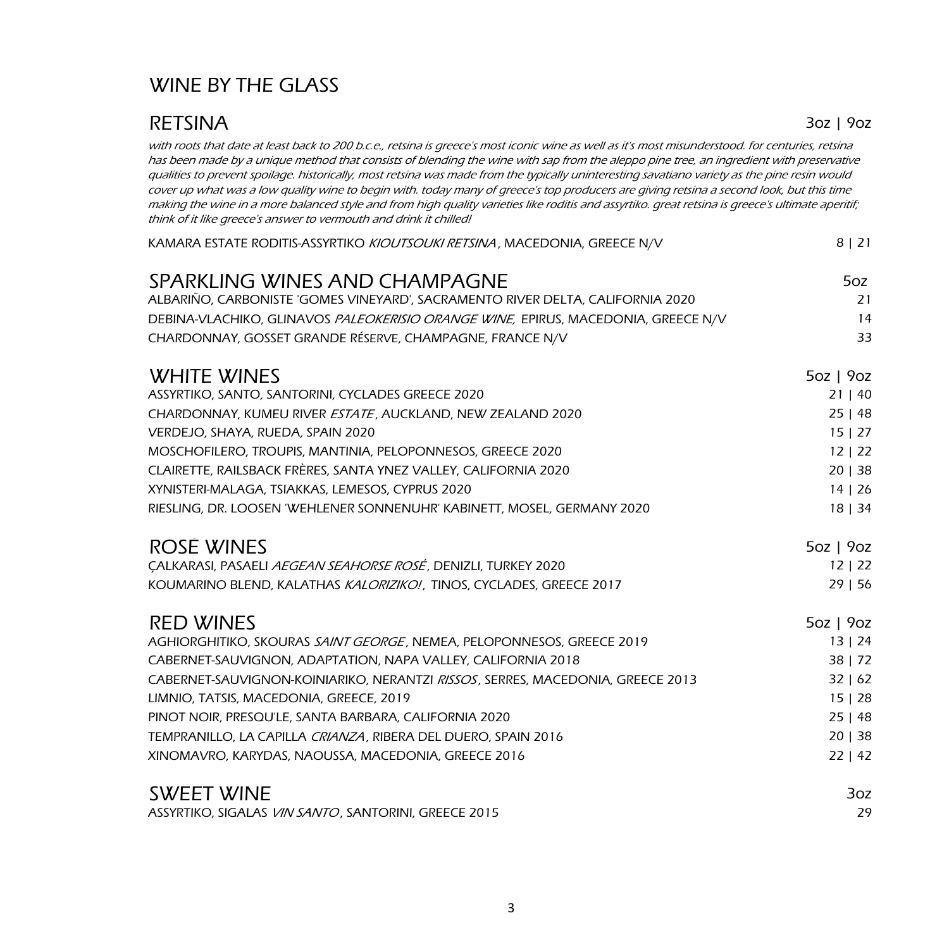## WINE BY THE GLASS

### RETSINA 302 | 902

with roots that date at least back to 200 b.c.e., retsina is greece's most iconic wine as well as it's most misunderstood. for centuries, retsina has been made by a unique method that consists of blending the wine with sap from the aleppo pine tree, an ingredient with preservative qualities to prevent spoilage. historically, most retsina was made from the typically uninteresting savatiano variety as the pine resin would cover up what was a low quality wine to begin with. today many of greece's top producers are giving retsina a second look, but this time making the wine in a more balanced style and from high quality varieties like roditis and assyrtiko. great retsina is greece's ultimate aperitif; think of it like greece's answer to vermouth and drink it chilled!

| KAMARA ESTATE RODITIS-ASSYRTIKO KIOUTSOUKI RETSINA, MACEDONIA, GREECE N/V         | 8   21      |
|-----------------------------------------------------------------------------------|-------------|
| SPARKLING WINES AND CHAMPAGNE                                                     | 5oz         |
| ALBARIÑO, CARBONISTE 'GOMES VINEYARD', SACRAMENTO RIVER DELTA, CALIFORNIA 2020    | 21          |
| DEBINA-VLACHIKO, GLINAVOS PALEOKERISIO ORANGE WINE, EPIRUS, MACEDONIA, GREECE N/V | 14          |
| CHARDONNAY, GOSSET GRANDE RÉSERVE, CHAMPAGNE, FRANCE N/V                          | 33          |
| <b>WHITE WINES</b>                                                                | 5oz   9oz   |
| ASSYRTIKO, SANTO, SANTORINI, CYCLADES GREECE 2020                                 | 21   40     |
| CHARDONNAY, KUMEU RIVER ESTATE, AUCKLAND, NEW ZEALAND 2020                        | 25 48       |
| VERDEJO, SHAYA, RUEDA, SPAIN 2020                                                 | 15   27     |
| MOSCHOFILERO, TROUPIS, MANTINIA, PELOPONNESOS, GREECE 2020                        | 12   22     |
| CLAIRETTE, RAILSBACK FRÈRES, SANTA YNEZ VALLEY, CALIFORNIA 2020                   | 20   38     |
| XYNISTERI-MALAGA, TSIAKKAS, LEMESOS, CYPRUS 2020                                  | 14   26     |
| RIESLING, DR. LOOSEN 'WEHLENER SONNENUHR' KABINETT, MOSEL, GERMANY 2020           | 18   34     |
| <b>ROSÉ WINES</b>                                                                 | $5oz$   90z |
| CALKARASI, PASAELI AEGEAN SEAHORSE ROSÉ, DENIZLI, TURKEY 2020                     | 12   22     |
| KOUMARINO BLEND, KALATHAS KALORIZIKO!, TINOS, CYCLADES, GREECE 2017               | 29 56       |
| <b>RED WINES</b>                                                                  | 5oz   9oz   |
| AGHIORGHITIKO, SKOURAS SAINT GEORGE, NEMEA, PELOPONNESOS, GREECE 2019             | 13   24     |
| CABERNET-SAUVIGNON, ADAPTATION, NAPA VALLEY, CALIFORNIA 2018                      | 38   72     |
| CABERNET-SAUVIGNON-KOINIARIKO, NERANTZI RISSOS, SERRES, MACEDONIA, GREECE 2013    | 32   62     |
| LIMNIO, TATSIS, MACEDONIA, GREECE, 2019                                           | 15   28     |
| PINOT NOIR, PRESQU'LE, SANTA BARBARA, CALIFORNIA 2020                             | 25 48       |
| TEMPRANILLO, LA CAPILLA CRIANZA, RIBERA DEL DUERO, SPAIN 2016                     | 20   38     |
| XINOMAVRO, KARYDAS, NAOUSSA, MACEDONIA, GREECE 2016                               | 22   42     |
| <b>SWEET WINE</b>                                                                 | 3oz         |
| ASSYRTIKO, SIGALAS VIN SANTO, SANTORINI, GREECE 2015                              | 29          |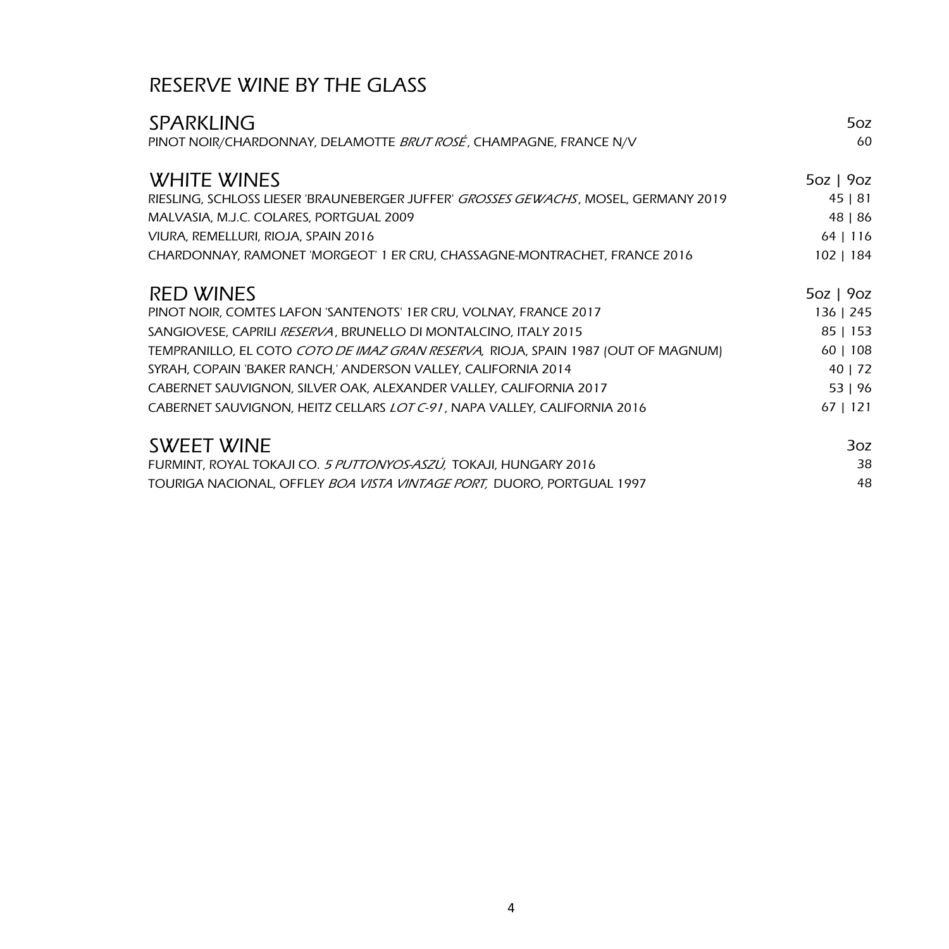## RESERVE WINE BY THE GLASS

| <b>SPARKLING</b>                                                                    | 5oz         |
|-------------------------------------------------------------------------------------|-------------|
| PINOT NOIR/CHARDONNAY, DELAMOTTE BRUT ROSÉ, CHAMPAGNE, FRANCE N/V                   | 60          |
| <b>WHITE WINES</b>                                                                  | $5oz$   9oz |
| RIESLING, SCHLOSS LIESER 'BRAUNEBERGER JUFFER' GROSSES GEWACHS, MOSEL, GERMANY 2019 | 45   81     |
| MALVASIA, M.J.C. COLARES, PORTGUAL 2009                                             | 48   86     |
| VIURA, REMELLURI, RIOJA, SPAIN 2016                                                 | $64$   116  |
| CHARDONNAY, RAMONET 'MORGEOT' 1 ER CRU, CHASSAGNE-MONTRACHET, FRANCE 2016           | 102   184   |
| <b>RED WINES</b>                                                                    | $5oz$   9oz |
| PINOT NOIR, COMTES LAFON 'SANTENOTS' 1ER CRU, VOLNAY, FRANCE 2017                   | 136   245   |
| SANGIOVESE, CAPRILI RESERVA, BRUNELLO DI MONTALCINO, ITALY 2015                     | $85$   153  |
| TEMPRANILLO, EL COTO COTO DE IMAZ GRAN RESERVA, RIOJA, SPAIN 1987 (OUT OF MAGNUM)   | $60$   108  |
| SYRAH, COPAIN 'BAKER RANCH,' ANDERSON VALLEY, CALIFORNIA 2014                       | 40   72     |
| CABERNET SAUVIGNON, SILVER OAK, ALEXANDER VALLEY, CALIFORNIA 2017                   | 53   96     |
| CABERNET SAUVIGNON, HEITZ CELLARS <i>LOT C-91</i> , NAPA VALLEY, CALIFORNIA 2016    | $67$   121  |
| <b>SWEET WINE</b>                                                                   | 3oz         |
| FURMINT, ROYAL TOKAJI CO. 5 PUTTONYOS-ASZÚ, TOKAJI, HUNGARY 2016                    | 38          |
| TOURIGA NACIONAL, OFFLEY BOA VISTA VINTAGE PORT, DUORO, PORTGUAL 1997               | 48          |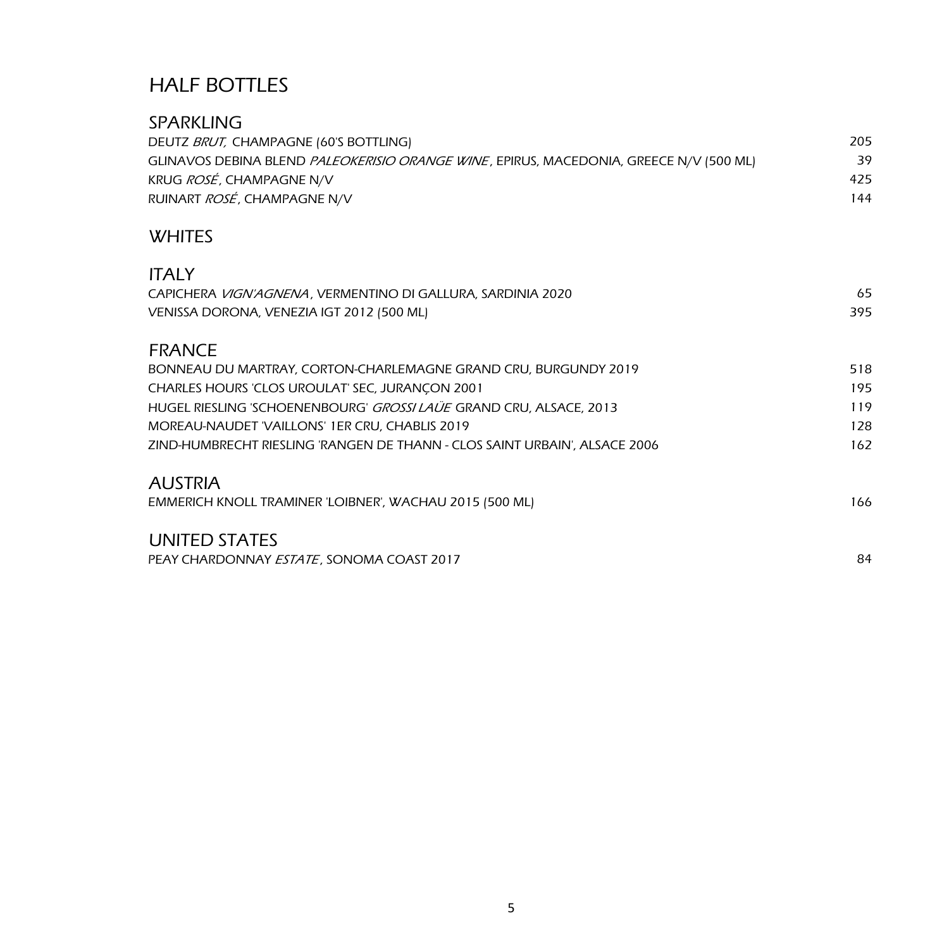## HALF BOTTLES

| <b>SPARKLING</b>                                                                       |     |
|----------------------------------------------------------------------------------------|-----|
| DEUTZ BRUT, CHAMPAGNE (60'S BOTTLING)                                                  | 205 |
| GLINAVOS DEBINA BLEND PALEOKERISIO ORANGE WINE, EPIRUS, MACEDONIA, GREECE N/V (500 ML) | 39  |
| KRUG ROSÉ, CHAMPAGNE N/V                                                               | 425 |
| RUINART ROSÉ, CHAMPAGNE N/V                                                            | 144 |
| <b>WHITES</b>                                                                          |     |
| <b>ITALY</b>                                                                           |     |
| CAPICHERA VIGN'AGNENA, VERMENTINO DI GALLURA, SARDINIA 2020                            | 65  |
| VENISSA DORONA, VENEZIA IGT 2012 (500 ML)                                              | 395 |
| <b>FRANCE</b>                                                                          |     |
| BONNEAU DU MARTRAY, CORTON-CHARLEMAGNE GRAND CRU, BURGUNDY 2019                        | 518 |
| CHARLES HOURS 'CLOS UROULAT' SEC, JURANÇON 2001                                        | 195 |
| HUGEL RIESLING 'SCHOENENBOURG' GROSSI LAÜE GRAND CRU, ALSACE, 2013                     | 119 |
| MOREAU-NAUDET 'VAILLONS' 1ER CRU, CHABLIS 2019                                         | 128 |
| ZIND-HUMBRECHT RIESLING 'RANGEN DE THANN - CLOS SAINT URBAIN', ALSACE 2006             | 162 |
| <b>AUSTRIA</b>                                                                         |     |
| EMMERICH KNOLL TRAMINER 'LOIBNER', WACHAU 2015 (500 ML)                                | 166 |
| UNITED STATES                                                                          |     |
| PEAY CHARDONNAY ESTATE, SONOMA COAST 2017                                              | 84  |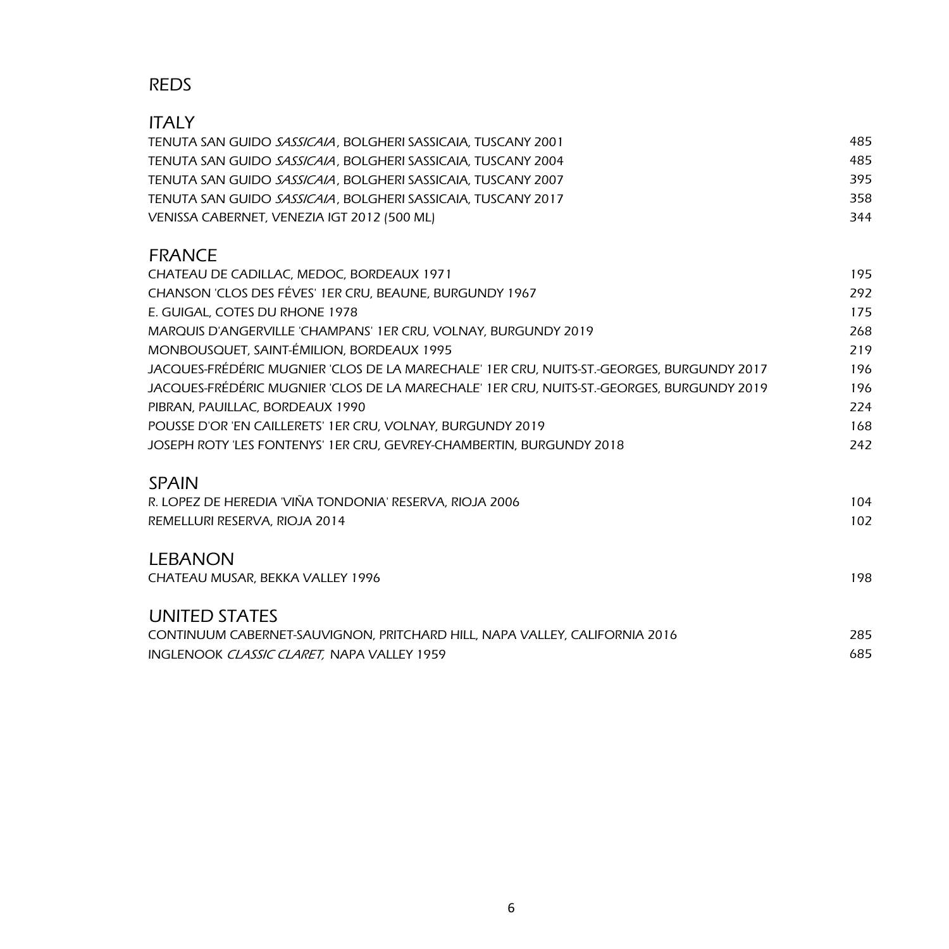### REDS

| <b>ITALY</b>                                                                              |     |
|-------------------------------------------------------------------------------------------|-----|
| TENUTA SAN GUIDO SASSICAIA, BOLGHERI SASSICAIA, TUSCANY 2001                              | 485 |
| TENUTA SAN GUIDO SASSICAIA, BOLGHERI SASSICAIA, TUSCANY 2004                              | 485 |
| TENUTA SAN GUIDO SASSICAIA, BOLGHERI SASSICAIA, TUSCANY 2007                              | 395 |
| TENUTA SAN GUIDO SASSICAIA, BOLGHERI SASSICAIA, TUSCANY 2017                              | 358 |
| VENISSA CABERNET, VENEZIA IGT 2012 (500 ML)                                               | 344 |
| <b>FRANCE</b>                                                                             |     |
| CHATEAU DE CADILLAC, MEDOC, BORDEAUX 1971                                                 | 195 |
| CHANSON 'CLOS DES FÉVES' 1ER CRU, BEAUNE, BURGUNDY 1967                                   | 292 |
| E. GUIGAL, COTES DU RHONE 1978                                                            | 175 |
| MARQUIS D'ANGERVILLE 'CHAMPANS' 1ER CRU, VOLNAY, BURGUNDY 2019                            | 268 |
| MONBOUSQUET, SAINT-ÉMILION, BORDEAUX 1995                                                 | 219 |
| JACQUES-FRÉDÉRIC MUGNIER 'CLOS DE LA MARECHALE' 1ER CRU, NUITS-ST.-GEORGES, BURGUNDY 2017 | 196 |
| JACQUES-FRÉDÉRIC MUGNIER 'CLOS DE LA MARECHALE' 1ER CRU, NUITS-ST.-GEORGES, BURGUNDY 2019 | 196 |
| PIBRAN, PAUILLAC, BORDEAUX 1990                                                           | 224 |
| POUSSE D'OR 'EN CAILLERETS' 1ER CRU, VOLNAY, BURGUNDY 2019                                | 168 |
| JOSEPH ROTY 'LES FONTENYS' 1ER CRU, GEVREY-CHAMBERTIN, BURGUNDY 2018                      | 242 |
| <b>SPAIN</b>                                                                              |     |
| R. LOPEZ DE HEREDIA 'VIÑA TONDONIA' RESERVA, RIOJA 2006                                   | 104 |
| REMELLURI RESERVA, RIOJA 2014                                                             | 102 |
| <b>LEBANON</b>                                                                            |     |
| CHATEAU MUSAR, BEKKA VALLEY 1996                                                          | 198 |
| <b>UNITED STATES</b>                                                                      |     |
| CONTINUUM CABERNET-SAUVIGNON, PRITCHARD HILL, NAPA VALLEY, CALIFORNIA 2016                | 285 |
| <b>INGLENOOK CLASSIC CLARET. NAPA VALLEY 1959</b>                                         | 685 |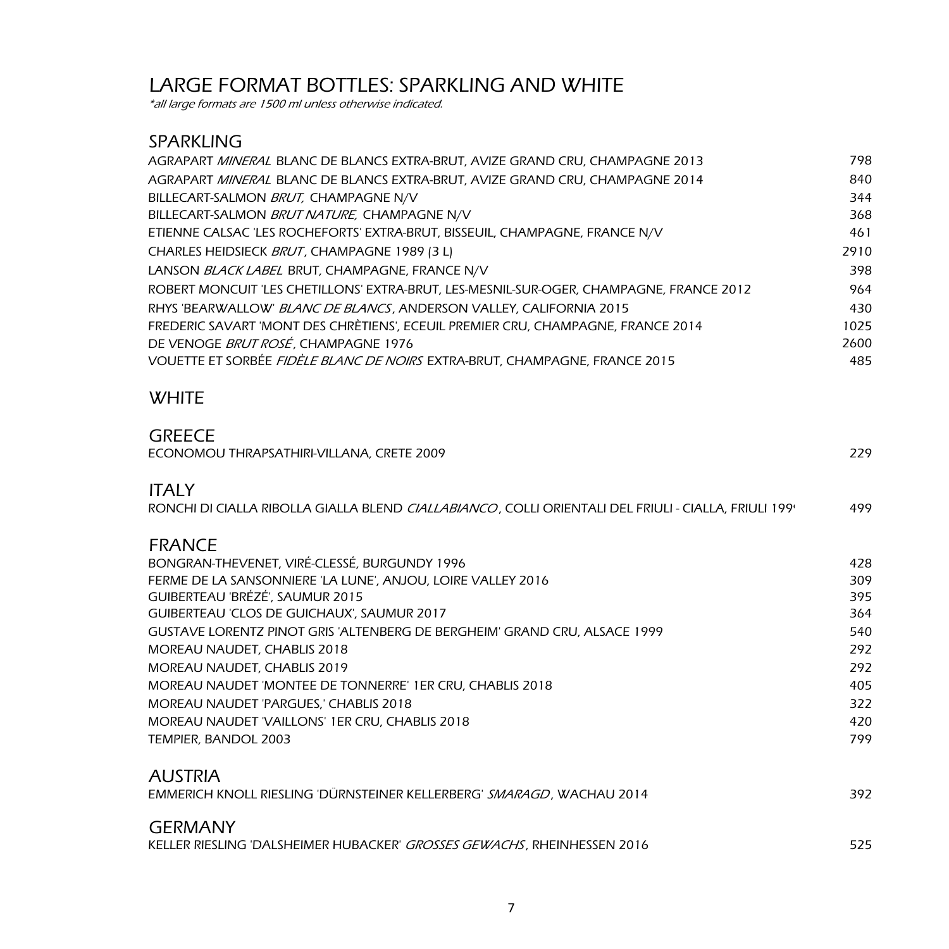## LARGE FORMAT BOTTLES: SPARKLING AND WHITE

\*all large formats are 1500 ml unless otherwise indicated.

### SPARKLING

| AGRAPART MINERAL BLANC DE BLANCS EXTRA-BRUT, AVIZE GRAND CRU, CHAMPAGNE 2013            | 798  |
|-----------------------------------------------------------------------------------------|------|
| AGRAPART MINERAL BLANC DE BLANCS EXTRA-BRUT, AVIZE GRAND CRU, CHAMPAGNE 2014            | 840  |
| BILLECART-SALMON BRUT, CHAMPAGNE N/V                                                    | 344  |
| BILLECART-SALMON BRUT NATURE, CHAMPAGNE N/V                                             | 368  |
| ETIENNE CALSAC 'LES ROCHEFORTS' EXTRA-BRUT, BISSEUIL, CHAMPAGNE, FRANCE N/V             | 461  |
| CHARLES HEIDSIECK BRUT, CHAMPAGNE 1989 (3 L)                                            | 2910 |
| LANSON BLACK LABEL BRUT, CHAMPAGNE, FRANCE N/V                                          | 398  |
| ROBERT MONCUIT 'LES CHETILLONS' EXTRA-BRUT, LES-MESNIL-SUR-OGER, CHAMPAGNE, FRANCE 2012 | 964  |
| RHYS 'BEARWALLOW' BLANC DE BLANCS, ANDERSON VALLEY, CALIFORNIA 2015                     | 430  |
| FREDERIC SAVART 'MONT DES CHRÈTIENS', ECEUIL PREMIER CRU, CHAMPAGNE, FRANCE 2014        | 1025 |
| DE VENOGE BRUT ROSÉ, CHAMPAGNE 1976                                                     | 2600 |
| VOUETTE ET SORBÉE FIDÈLE BLANC DE NOIRS EXTRA-BRUT, CHAMPAGNE, FRANCE 2015              | 485  |
|                                                                                         |      |

#### **WHITE**

#### **GREECE**

| ECONOMOU THRAPSATHIRI-VILLANA, CRETE 2009                                                                            | 229 |
|----------------------------------------------------------------------------------------------------------------------|-----|
| <b>ITALY</b><br>RONCHI DI CIALLA RIBOLLA GIALLA BLEND CIALLABIANCO, COLLI ORIENTALI DEL FRIULI - CIALLA, FRIULI 199' | 499 |
| <b>FRANCE</b>                                                                                                        |     |
| BONGRAN-THEVENET, VIRÉ-CLESSÉ, BURGUNDY 1996                                                                         | 428 |
| FERME DE LA SANSONNIERE 'LA LUNE', ANJOU, LOIRE VALLEY 2016                                                          | 309 |
| GUIBERTEAU 'BRÉZÉ', SAUMUR 2015                                                                                      | 395 |
| GUIBERTEAU 'CLOS DE GUICHAUX', SAUMUR 2017                                                                           | 364 |
| GUSTAVE LORENTZ PINOT GRIS 'ALTENBERG DE BERGHEIM' GRAND CRU, ALSACE 1999                                            | 540 |
| MOREAU NAUDET, CHABLIS 2018                                                                                          | 292 |
| MOREAU NAUDET, CHABLIS 2019                                                                                          | 292 |
| MOREAU NAUDET 'MONTEE DE TONNERRE' 1ER CRU, CHABLIS 2018                                                             | 405 |
| MOREAU NAUDET 'PARGUES,' CHABLIS 2018                                                                                | 322 |
| MOREAU NAUDET 'VAILLONS' 1ER CRU, CHABLIS 2018                                                                       | 420 |
| TEMPIER, BANDOL 2003                                                                                                 | 799 |
| <b>AUSTRIA</b>                                                                                                       |     |
| EMMERICH KNOLL RIESLING 'DÜRNSTEINER KELLERBERG' SMARAGD, WACHAU 2014                                                | 392 |
| <b>GERMANY</b>                                                                                                       |     |
| KELLER RIESLING 'DALSHEIMER HUBACKER' GROSSES GEWACHS, RHEINHESSEN 2016                                              | 525 |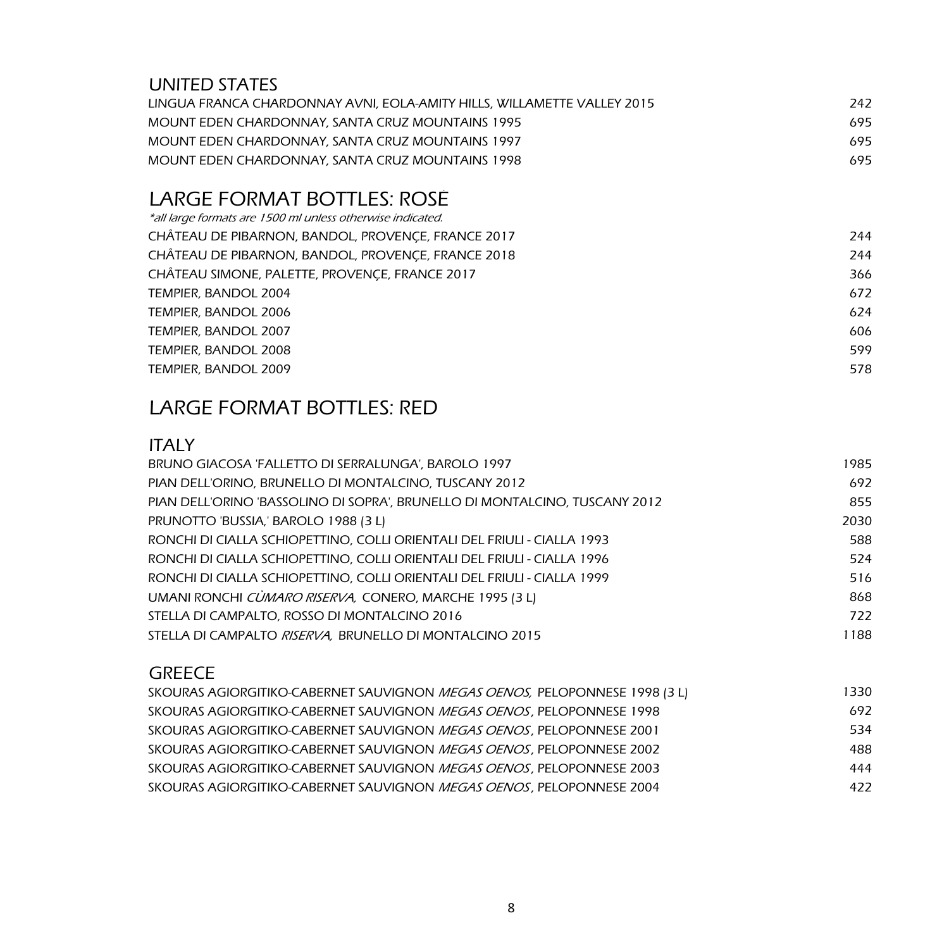### UNITED STATES

| LINGUA FRANCA CHARDONNAY AVNI. EOLA-AMITY HILLS. WILLAMETTE VALLEY 2015 | 242 |
|-------------------------------------------------------------------------|-----|
| MOUNT EDEN CHARDONNAY, SANTA CRUZ MOUNTAINS 1995                        | 695 |
| MOUNT EDEN CHARDONNAY, SANTA CRUZ MOUNTAINS 1997                        | 695 |
| MOUNT EDEN CHARDONNAY, SANTA CRUZ MOUNTAINS 1998                        | 695 |

## LARGE FORMAT BOTTLES: ROSÉ

| *all large formats are 1500 ml unless otherwise indicated. |     |
|------------------------------------------------------------|-----|
| CHÂTEAU DE PIBARNON, BANDOL, PROVENÇE, FRANCE 2017         | 244 |
| CHÂTEAU DE PIBARNON, BANDOL, PROVENÇE, FRANCE 2018         | 244 |
| CHÂTEAU SIMONE, PALETTE, PROVENÇE, FRANCE 2017             | 366 |
| TEMPIER, BANDOL 2004                                       | 672 |
| TEMPIER, BANDOL 2006                                       | 624 |
| TEMPIER, BANDOL 2007                                       | 606 |
| TEMPIER, BANDOL 2008                                       | 599 |
| TEMPIER, BANDOL 2009                                       | 578 |
|                                                            |     |

## LARGE FORMAT BOTTLES: RED

#### ITALY

| BRUNO GIACOSA 'FALLETTO DI SERRALUNGA', BAROLO 1997                        | 1985 |
|----------------------------------------------------------------------------|------|
| PIAN DELL'ORINO, BRUNELLO DI MONTALCINO, TUSCANY 2012                      | 692  |
| PIAN DELL'ORINO 'BASSOLINO DI SOPRA', BRUNELLO DI MONTALCINO, TUSCANY 2012 | 855  |
| PRUNOTTO 'BUSSIA,' BAROLO 1988 (3 L)                                       | 2030 |
| RONCHI DI CIALLA SCHIOPETTINO, COLLI ORIENTALI DEL FRIULI - CIALLA 1993    | 588  |
| RONCHI DI CIALLA SCHIOPETTINO, COLLI ORIENTALI DEL FRIULI - CIALLA 1996    | 524  |
| RONCHI DI CIALLA SCHIOPETTINO. COLLI ORIENTALI DEL FRIULI - CIALLA 1999    | 516  |
| UMANI RONCHI CÙMARO RISERVA, CONERO, MARCHE 1995 (3 L)                     | 868  |
| STELLA DI CAMPALTO, ROSSO DI MONTALCINO 2016                               | 722  |
| STELLA DI CAMPALTO RISERVA, BRUNELLO DI MONTALCINO 2015                    | 1188 |
|                                                                            |      |

#### **GREECE**

| skouras agiorgitiko-cabernet sauvignon <i>megas oenos,</i> peloponnese 1998 (3 l) | 1330 |
|-----------------------------------------------------------------------------------|------|
| SKOURAS AGIORGITIKO-CABERNET SAUVIGNON <i>MEGAS OENOS</i> . PELOPONNESE 1998      | 692  |
| SKOURAS AGIORGITIKO-CABERNET SAUVIGNON MEGAS OENOS, PELOPONNESE 2001              | 534  |
| SKOURAS AGIORGITIKO-CABERNET SAUVIGNON <i>MEGAS OENOS</i> , PELOPONNESE 2002      | 488  |
| SKOURAS AGIORGITIKO-CABERNET SAUVIGNON <i>MEGAS OENOS</i> . PELOPONNESE 2003      | 444  |
| SKOURAS AGIORGITIKO-CABERNET SAUVIGNON <i>MEGAS OENOS</i> . PELOPONNESE 2004      | 422  |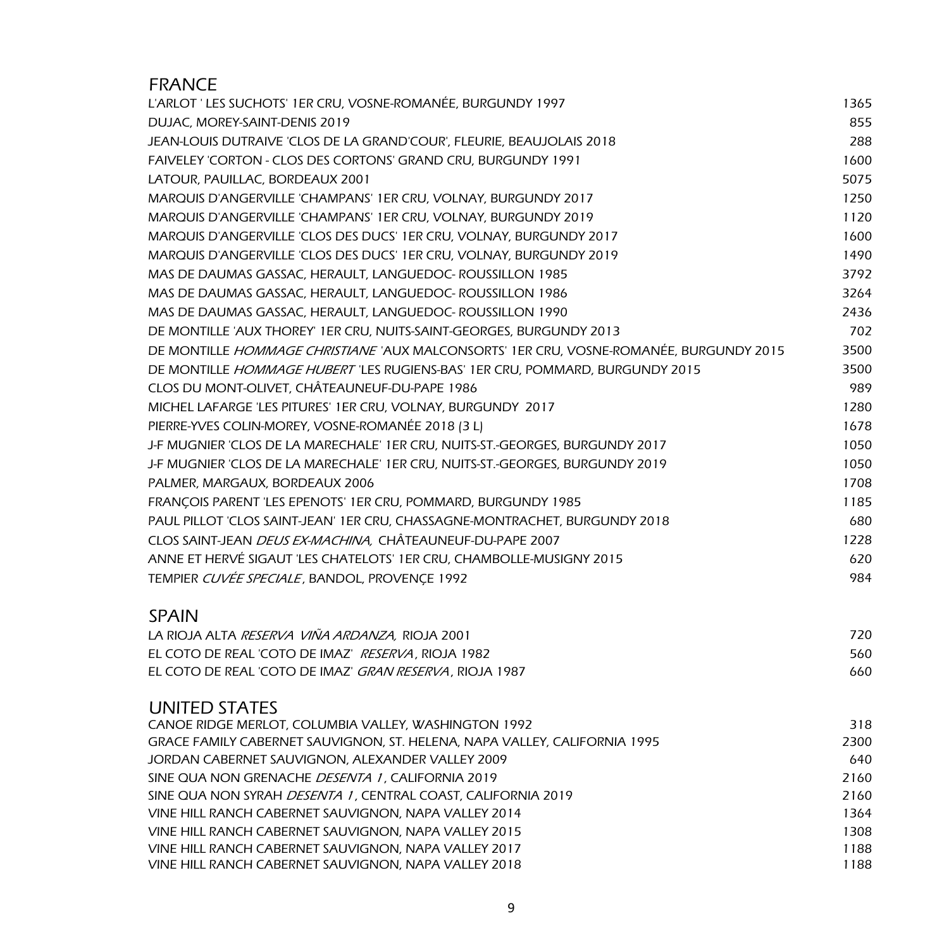| <b>FRANCE</b>                                                                                                |              |
|--------------------------------------------------------------------------------------------------------------|--------------|
| L'ARLOT 'LES SUCHOTS' 1ER CRU, VOSNE-ROMANÉE, BURGUNDY 1997                                                  | 1365         |
| DUJAC, MOREY-SAINT-DENIS 2019                                                                                | 855          |
| JEAN-LOUIS DUTRAIVE 'CLOS DE LA GRAND'COUR', FLEURIE, BEAUJOLAIS 2018                                        | 288          |
| FAIVELEY 'CORTON - CLOS DES CORTONS' GRAND CRU, BURGUNDY 1991                                                | 1600         |
| LATOUR, PAUILLAC, BORDEAUX 2001                                                                              | 5075         |
| MARQUIS D'ANGERVILLE 'CHAMPANS' 1ER CRU, VOLNAY, BURGUNDY 2017                                               | 1250         |
| MARQUIS D'ANGERVILLE 'CHAMPANS' 1ER CRU, VOLNAY, BURGUNDY 2019                                               | 1120         |
| MARQUIS D'ANGERVILLE 'CLOS DES DUCS' 1ER CRU, VOLNAY, BURGUNDY 2017                                          | 1600         |
| MARQUIS D'ANGERVILLE 'CLOS DES DUCS' 1ER CRU, VOLNAY, BURGUNDY 2019                                          | 1490         |
| MAS DE DAUMAS GASSAC, HERAULT, LANGUEDOC- ROUSSILLON 1985                                                    | 3792         |
| MAS DE DAUMAS GASSAC, HERAULT, LANGUEDOC- ROUSSILLON 1986                                                    | 3264         |
| MAS DE DAUMAS GASSAC, HERAULT, LANGUEDOC- ROUSSILLON 1990                                                    | 2436         |
| DE MONTILLE 'AUX THOREY' 1ER CRU, NUITS-SAINT-GEORGES, BURGUNDY 2013                                         | 702          |
| DE MONTILLE HOMMAGE CHRISTIANE 'AUX MALCONSORTS' 1ER CRU, VOSNE-ROMANÉE, BURGUNDY 2015                       | 3500         |
| DE MONTILLE HOMMAGE HUBERT 'LES RUGIENS-BAS' 1ER CRU, POMMARD, BURGUNDY 2015                                 | 3500         |
| CLOS DU MONT-OLIVET, CHÂTEAUNEUF-DU-PAPE 1986                                                                | 989          |
| MICHEL LAFARGE 'LES PITURES' 1ER CRU, VOLNAY, BURGUNDY 2017                                                  | 1280         |
| PIERRE-YVES COLIN-MOREY, VOSNE-ROMANÉE 2018 (3 L)                                                            | 1678         |
| J-F MUGNIER 'CLOS DE LA MARECHALE' 1ER CRU, NUITS-ST.-GEORGES, BURGUNDY 2017                                 | 1050         |
| J-F MUGNIER 'CLOS DE LA MARECHALE' 1ER CRU, NUITS-ST.-GEORGES, BURGUNDY 2019                                 | 1050         |
| PALMER, MARGAUX, BORDEAUX 2006                                                                               | 1708         |
| FRANÇOIS PARENT 'LES EPENOTS' 1ER CRU, POMMARD, BURGUNDY 1985                                                | 1185         |
| PAUL PILLOT 'CLOS SAINT-JEAN' 1ER CRU, CHASSAGNE-MONTRACHET, BURGUNDY 2018                                   | 680          |
| CLOS SAINT-JEAN DEUS EX-MACHINA, CHÂTEAUNEUF-DU-PAPE 2007                                                    | 1228         |
| ANNE ET HERVÉ SIGAUT 'LES CHATELOTS' 1ER CRU, CHAMBOLLE-MUSIGNY 2015                                         | 620          |
| TEMPIER CUVÉE SPECIALE, BANDOL, PROVENÇE 1992                                                                | 984          |
|                                                                                                              |              |
| <b>SPAIN</b><br>LA RIOJA ALTA RESERVA VIÑA ARDANZA, RIOJA 2001                                               | 720          |
| EL COTO DE REAL 'COTO DE IMAZ' RESERVA, RIOJA 1982                                                           | 560          |
| EL COTO DE REAL 'COTO DE IMAZ' GRAN RESERVA, RIOJA 1987                                                      | 660          |
|                                                                                                              |              |
| UNITED STATES                                                                                                |              |
| CANOE RIDGE MERLOT, COLUMBIA VALLEY, WASHINGTON 1992                                                         | 318          |
| GRACE FAMILY CABERNET SAUVIGNON, ST. HELENA, NAPA VALLEY, CALIFORNIA 1995                                    | 2300         |
| JORDAN CABERNET SAUVIGNON, ALEXANDER VALLEY 2009                                                             | 640          |
| SINE QUA NON GRENACHE DESENTA 1, CALIFORNIA 2019                                                             | 2160         |
| SINE QUA NON SYRAH DESENTA 1, CENTRAL COAST, CALIFORNIA 2019                                                 | 2160         |
| VINE HILL RANCH CABERNET SAUVIGNON, NAPA VALLEY 2014<br>VINE HILL RANCH CABERNET SAUVIGNON. NAPA VALLEY 2015 | 1364<br>1308 |
| VINE HILL RANCH CABERNET SAUVIGNON, NAPA VALLEY 2017                                                         | 1188         |
| VINE HILL RANCH CABERNET SAUVIGNON, NAPA VALLEY 2018                                                         | 1188         |
|                                                                                                              |              |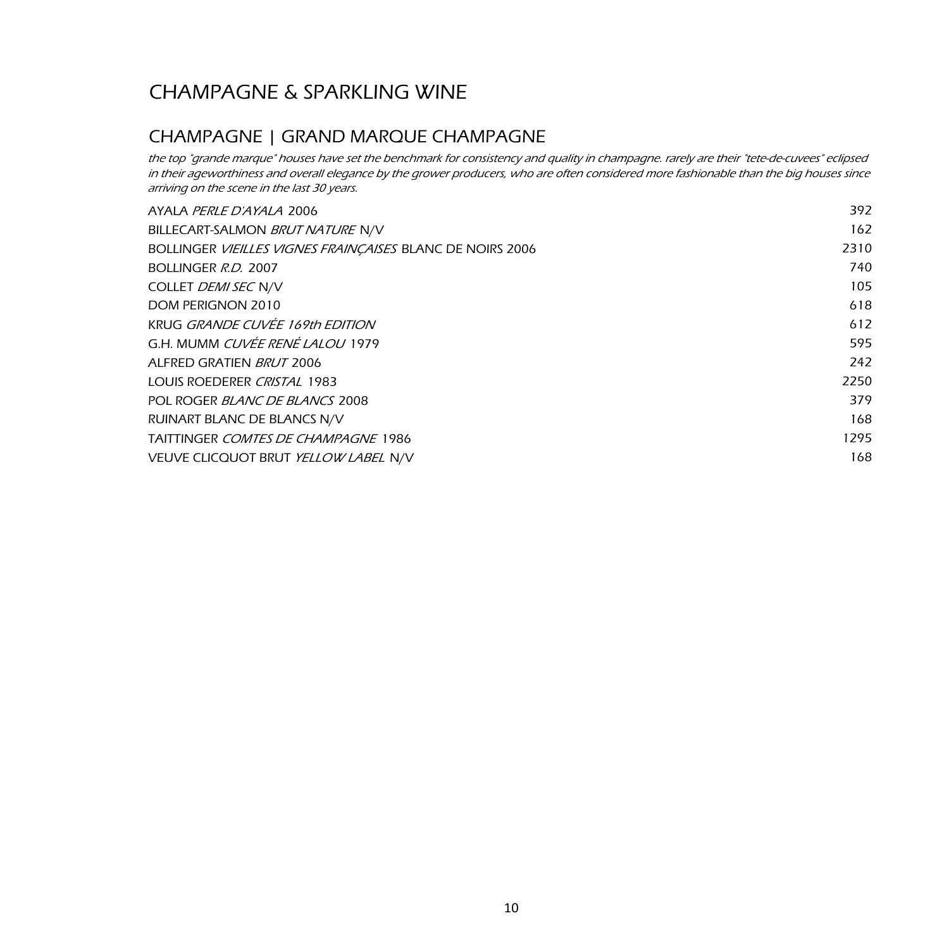## CHAMPAGNE & SPARKLING WINE

#### CHAMPAGNE | GRAND MARQUE CHAMPAGNE

the top "grande marque" houses have set the benchmark for consistency and quality in champagne. rarely are their "tete-de-cuvees" eclipsed in their ageworthiness and overall elegance by the grower producers, who are often considered more fashionable than the big houses since arriving on the scene in the last 30 years.

| AYALA PERLE D'AYALA 2006                                  | 392  |
|-----------------------------------------------------------|------|
| BILLECART-SALMON BRUT NATURE N/V                          | 162  |
| BOLLINGER VIEILLES VIGNES FRAINÇAISES BLANC DE NOIRS 2006 | 2310 |
| BOLLINGER R.D. 2007                                       | 740  |
| COLLET DEMI SEC N/V                                       | 105  |
| DOM PERIGNON 2010                                         | 618  |
| KRUG GRANDE CUVÉE 169th EDITION                           | 612  |
| G.H. MUMM <i>CUVÉE RENÉ LALOU</i> 1979                    | 595  |
| ALFRED GRATIEN BRUT 2006                                  | 242  |
| LOUIS ROEDERER CRISTAL 1983                               | 2250 |
| POL ROGER BLANC DE BLANCS 2008                            | 379  |
| RUINART BLANC DE BLANCS N/V                               | 168  |
| <b>TAITTINGER COMTES DE CHAMPAGNE 1986</b>                | 1295 |
| VEUVE CLICQUOT BRUT YELLOW LABEL N/V                      | 168  |
|                                                           |      |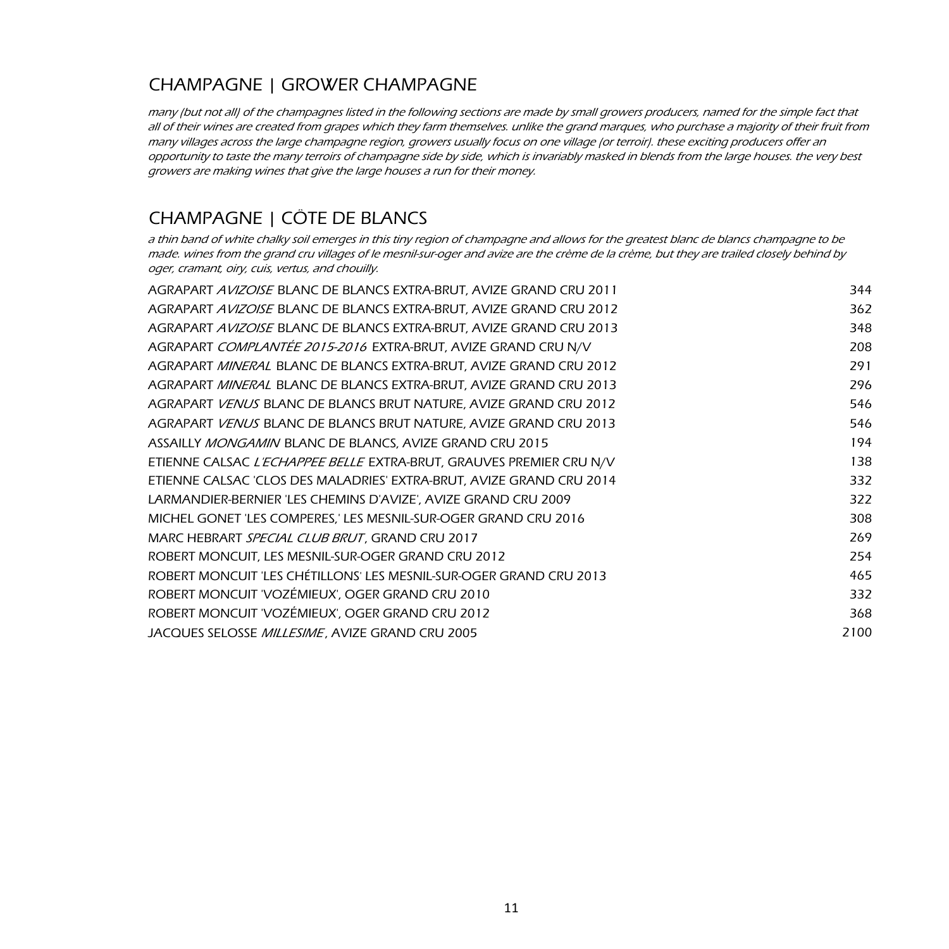### CHAMPAGNE | GROWER CHAMPAGNE

many (but not all) of the champagnes listed in the following sections are made by small growers producers, named for the simple fact that all of their wines are created from grapes which they farm themselves. unlike the grand marques, who purchase a majority of their fruit from many villages across the large champagne region, growers usually focus on one village (or terroir). these exciting producers offer an opportunity to taste the many terroirs of champagne side by side, which is invariably masked in blends from the large houses. the very best growers are making wines that give the large houses a run for their money.

### CHAMPAGNE | CÔTE DE BLANCS

a thin band of white chalky soil emerges in this tiny region of champagne and allows for the greatest blanc de blancs champagne to be made. wines from the grand cru villages of le mesnil-sur-oger and avize are the crème de la crème, but they are trailed closely behind by oger, cramant, oiry, cuis, vertus, and chouilly.

| AGRAPART AVIZOISE BLANC DE BLANCS EXTRA-BRUT, AVIZE GRAND CRU 2011   | 344  |
|----------------------------------------------------------------------|------|
| AGRAPART AVIZOISE BLANC DE BLANCS EXTRA-BRUT, AVIZE GRAND CRU 2012   | 362  |
| AGRAPART AVIZOISE BLANC DE BLANCS EXTRA-BRUT, AVIZE GRAND CRU 2013   | 348  |
| AGRAPART COMPLANTÉE 2015-2016 EXTRA-BRUT, AVIZE GRAND CRU N/V        | 208  |
| AGRAPART MINERAL BLANC DE BLANCS EXTRA-BRUT, AVIZE GRAND CRU 2012    | 291  |
| AGRAPART MINERAL BLANC DE BLANCS EXTRA-BRUT, AVIZE GRAND CRU 2013    | 296  |
| AGRAPART VENUS BLANC DE BLANCS BRUT NATURE, AVIZE GRAND CRU 2012     | 546  |
| AGRAPART VENUS BLANC DE BLANCS BRUT NATURE, AVIZE GRAND CRU 2013     | 546  |
| ASSAILLY MONGAMIN BLANC DE BLANCS, AVIZE GRAND CRU 2015              | 194  |
| ETIENNE CALSAC L'ECHAPPEE BELLE EXTRA-BRUT, GRAUVES PREMIER CRU N/V  | 138  |
| ETIENNE CALSAC 'CLOS DES MALADRIES' EXTRA-BRUT, AVIZE GRAND CRU 2014 | 332  |
| LARMANDIER-BERNIER 'LES CHEMINS D'AVIZE', AVIZE GRAND CRU 2009       | 322  |
| MICHEL GONET 'LES COMPERES,' LES MESNIL-SUR-OGER GRAND CRU 2016      | 308  |
| MARC HEBRART SPECIAL CLUB BRUT, GRAND CRU 2017                       | 269  |
| ROBERT MONCUIT, LES MESNIL-SUR-OGER GRAND CRU 2012                   | 254  |
| ROBERT MONCUIT 'LES CHÉTILLONS' LES MESNIL-SUR-OGER GRAND CRU 2013   | 465  |
| ROBERT MONCUIT 'VOZÉMIEUX', OGER GRAND CRU 2010                      | 332  |
| ROBERT MONCUIT 'VOZÉMIEUX', OGER GRAND CRU 2012                      | 368  |
| JACQUES SELOSSE MILLESIME, AVIZE GRAND CRU 2005                      | 2100 |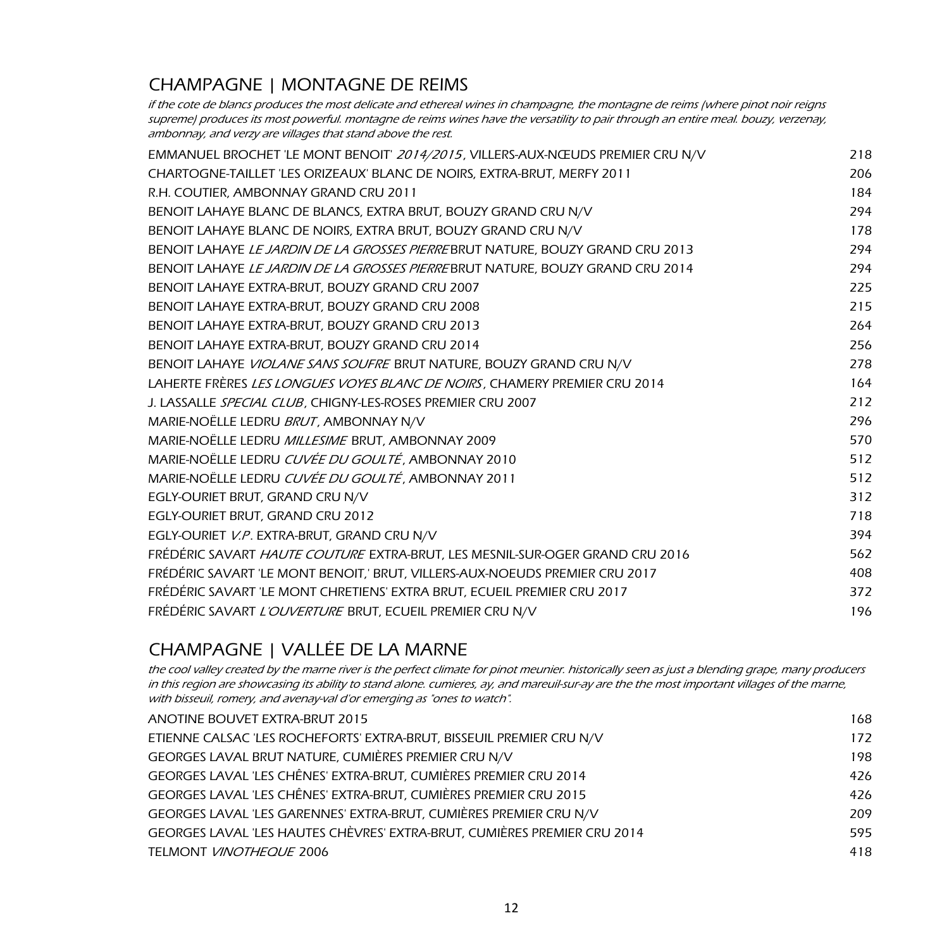## CHAMPAGNE | MONTAGNE DE REIMS

if the cote de blancs produces the most delicate and ethereal wines in champagne, the montagne de reims (where pinot noir reigns supreme) produces its most powerful. montagne de reims wines have the versatility to pair through an entire meal. bouzy, verzenay, ambonnay, and verzy are villages that stand above the rest.

| EMMANUEL BROCHET 'LE MONT BENOIT' 2014/2015, VILLERS-AUX-NŒUDS PREMIER CRU N/V | 218 |
|--------------------------------------------------------------------------------|-----|
| CHARTOGNE-TAILLET 'LES ORIZEAUX' BLANC DE NOIRS, EXTRA-BRUT, MERFY 2011        | 206 |
| R.H. COUTIER, AMBONNAY GRAND CRU 2011                                          | 184 |
| BENOIT LAHAYE BLANC DE BLANCS, EXTRA BRUT, BOUZY GRAND CRU N/V                 | 294 |
| BENOIT LAHAYE BLANC DE NOIRS, EXTRA BRUT, BOUZY GRAND CRU N/V                  | 178 |
| BENOIT LAHAYE LE JARDIN DE LA GROSSES PIERREBRUT NATURE, BOUZY GRAND CRU 2013  | 294 |
| BENOIT LAHAYE LE JARDIN DE LA GROSSES PIERREBRUT NATURE, BOUZY GRAND CRU 2014  | 294 |
| BENOIT LAHAYE EXTRA-BRUT, BOUZY GRAND CRU 2007                                 | 225 |
| BENOIT LAHAYE EXTRA-BRUT, BOUZY GRAND CRU 2008                                 | 215 |
| BENOIT LAHAYE EXTRA-BRUT, BOUZY GRAND CRU 2013                                 | 264 |
| BENOIT LAHAYE EXTRA-BRUT, BOUZY GRAND CRU 2014                                 | 256 |
| BENOIT LAHAYE VIOLANE SANS SOUFRE BRUT NATURE, BOUZY GRAND CRU N/V             | 278 |
| LAHERTE FRÈRES LES LONGUES VOYES BLANC DE NOIRS, CHAMERY PREMIER CRU 2014      | 164 |
| J. LASSALLE SPECIAL CLUB, CHIGNY-LES-ROSES PREMIER CRU 2007                    | 212 |
| MARIE-NOËLLE LEDRU BRUT, AMBONNAY N/V                                          | 296 |
| MARIE-NOËLLE LEDRU MILLESIME BRUT, AMBONNAY 2009                               | 570 |
| MARIE-NOËLLE LEDRU CUVÉE DU GOULTÉ, AMBONNAY 2010                              | 512 |
| MARIE-NOËLLE LEDRU CUVÉE DU GOULTÉ, AMBONNAY 2011                              | 512 |
| EGLY-OURIET BRUT, GRAND CRU N/V                                                | 312 |
| EGLY-OURIET BRUT, GRAND CRU 2012                                               | 718 |
| EGLY-OURIET V.P. EXTRA-BRUT, GRAND CRU N/V                                     | 394 |
| FRÉDÉRIC SAVART HAUTE COUTURE EXTRA-BRUT, LES MESNIL-SUR-OGER GRAND CRU 2016   | 562 |
| FRÉDÉRIC SAVART 'LE MONT BENOIT,' BRUT, VILLERS-AUX-NOEUDS PREMIER CRU 2017    | 408 |
| FRÉDÉRIC SAVART 'LE MONT CHRETIENS' EXTRA BRUT, ECUEIL PREMIER CRU 2017        | 372 |
| FRÉDÉRIC SAVART L'OUVERTURE BRUT, ECUEIL PREMIER CRU N/V                       | 196 |

### CHAMPAGNE | VALLÉE DE LA MARNE

the cool valley created by the marne river is the perfect climate for pinot meunier. historically seen as just a blending grape, many producers in this region are showcasing its ability to stand alone. cumieres, ay, and mareuil-sur-ay are the the most important villages of the marne, with bisseuil, romery, and avenay-val d'or emerging as "ones to watch".

| ANOTINE BOUVET EXTRA-BRUT 2015                                           | 168 |
|--------------------------------------------------------------------------|-----|
| ETIENNE CALSAC 'LES ROCHEFORTS' EXTRA-BRUT, BISSEUIL PREMIER CRU N/V     | 172 |
| GEORGES LAVAL BRUT NATURE, CUMIÈRES PREMIER CRU N/V                      | 198 |
| GEORGES LAVAL 'LES CHÊNES' EXTRA-BRUT, CUMIÈRES PREMIER CRU 2014         | 426 |
| GEORGES LAVAL 'LES CHÊNES' EXTRA-BRUT, CUMIÈRES PREMIER CRU 2015         | 426 |
| GEORGES LAVAL 'LES GARENNES' EXTRA-BRUT, CUMIÈRES PREMIER CRU N/V        | 209 |
| GEORGES LAVAL 'LES HAUTES CHÈVRES' EXTRA-BRUT, CUMIÈRES PREMIER CRU 2014 | 595 |
| <b>TELMONT VINOTHEQUE 2006</b>                                           | 418 |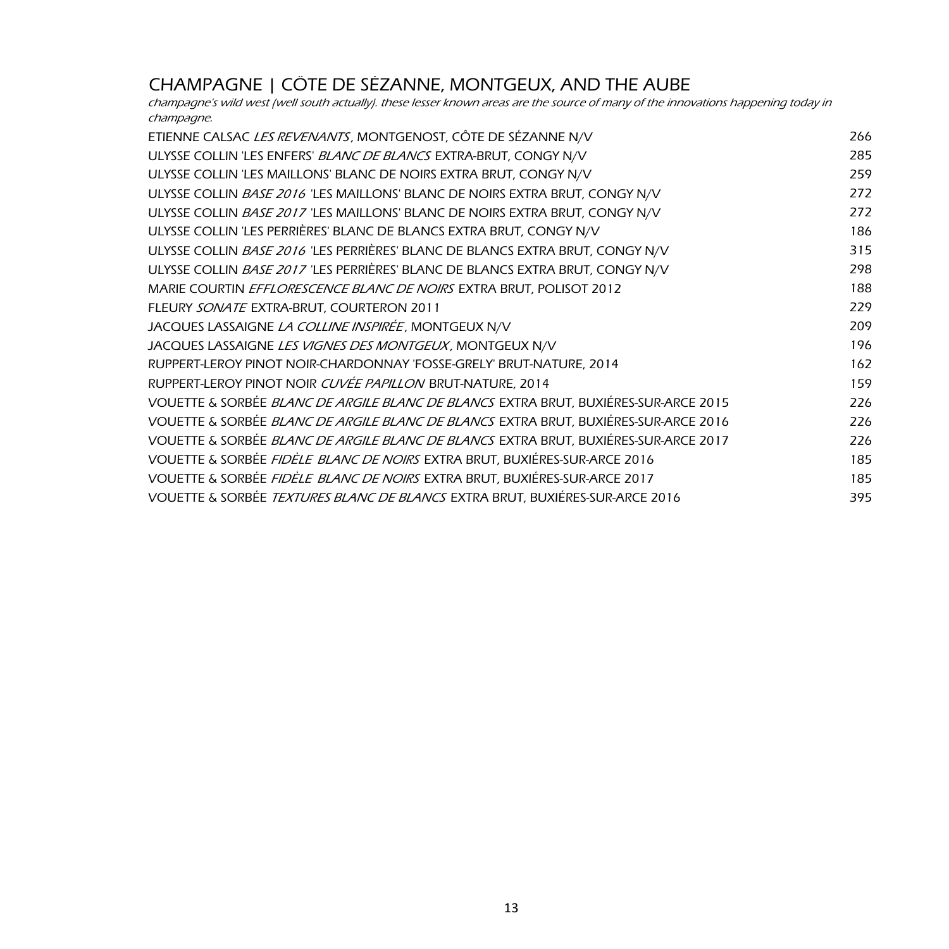### CHAMPAGNE | CÔTE DE SÉZANNE, MONTGEUX, AND THE AUBE

champagne's wild west (well south actually). these lesser known areas are the source of many of the innovations happening today in champagne.

| ETIENNE CALSAC LES REVENANTS, MONTGENOST, CÔTE DE SÉZANNE N/V                       | 266 |
|-------------------------------------------------------------------------------------|-----|
| ULYSSE COLLIN 'LES ENFERS' BLANC DE BLANCS EXTRA-BRUT, CONGY N/V                    | 285 |
| ULYSSE COLLIN 'LES MAILLONS' BLANC DE NOIRS EXTRA BRUT, CONGY N/V                   | 259 |
| ULYSSE COLLIN BASE 2016 'LES MAILLONS' BLANC DE NOIRS EXTRA BRUT, CONGY N/V         | 272 |
| ULYSSE COLLIN BASE 2017 'LES MAILLONS' BLANC DE NOIRS EXTRA BRUT, CONGY N/V         | 272 |
| ULYSSE COLLIN 'LES PERRIÈRES' BLANC DE BLANCS EXTRA BRUT, CONGY N/V                 | 186 |
| ULYSSE COLLIN BASE 2016 'LES PERRIÈRES' BLANC DE BLANCS EXTRA BRUT, CONGY N/V       | 315 |
| ULYSSE COLLIN BASE 2017 'LES PERRIÈRES' BLANC DE BLANCS EXTRA BRUT, CONGY N/V       | 298 |
| MARIE COURTIN EFFLORESCENCE BLANC DE NOIRS EXTRA BRUT, POLISOT 2012                 | 188 |
| FLEURY SONATE EXTRA-BRUT, COURTERON 2011                                            | 229 |
| JACQUES LASSAIGNE <i>LA COLLINE INSPIRÉE</i> , MONTGEUX N/V                         | 209 |
| JACQUES LASSAIGNE LES VIGNES DES MONTGEUX, MONTGEUX N/V                             | 196 |
| RUPPERT-LEROY PINOT NOIR-CHARDONNAY 'FOSSE-GRELY' BRUT-NATURE, 2014                 | 162 |
| RUPPERT-LEROY PINOT NOIR CUVÉE PAPILLON BRUT-NATURE, 2014                           | 159 |
| VOUETTE & SORBÉE BLANC DE ARGILE BLANC DE BLANCS EXTRA BRUT, BUXIÉRES-SUR-ARCE 2015 | 226 |
| VOUETTE & SORBÉE BLANC DE ARGILE BLANC DE BLANCS EXTRA BRUT, BUXIÉRES-SUR-ARCE 2016 | 226 |
| VOUETTE & SORBÉE BLANC DE ARGILE BLANC DE BLANCS EXTRA BRUT, BUXIÉRES-SUR-ARCE 2017 | 226 |
| VOUETTE & SORBÉE FIDÈLE BLANC DE NOIRS EXTRA BRUT, BUXIÉRES-SUR-ARCE 2016           | 185 |
| VOUETTE & SORBÉE FIDÈLE BLANC DE NOIRS EXTRA BRUT, BUXIÉRES-SUR-ARCE 2017           | 185 |
| VOUETTE & SORBÉE TEXTURES BLANC DE BLANCS EXTRA BRUT, BUXIÉRES-SUR-ARCE 2016        | 395 |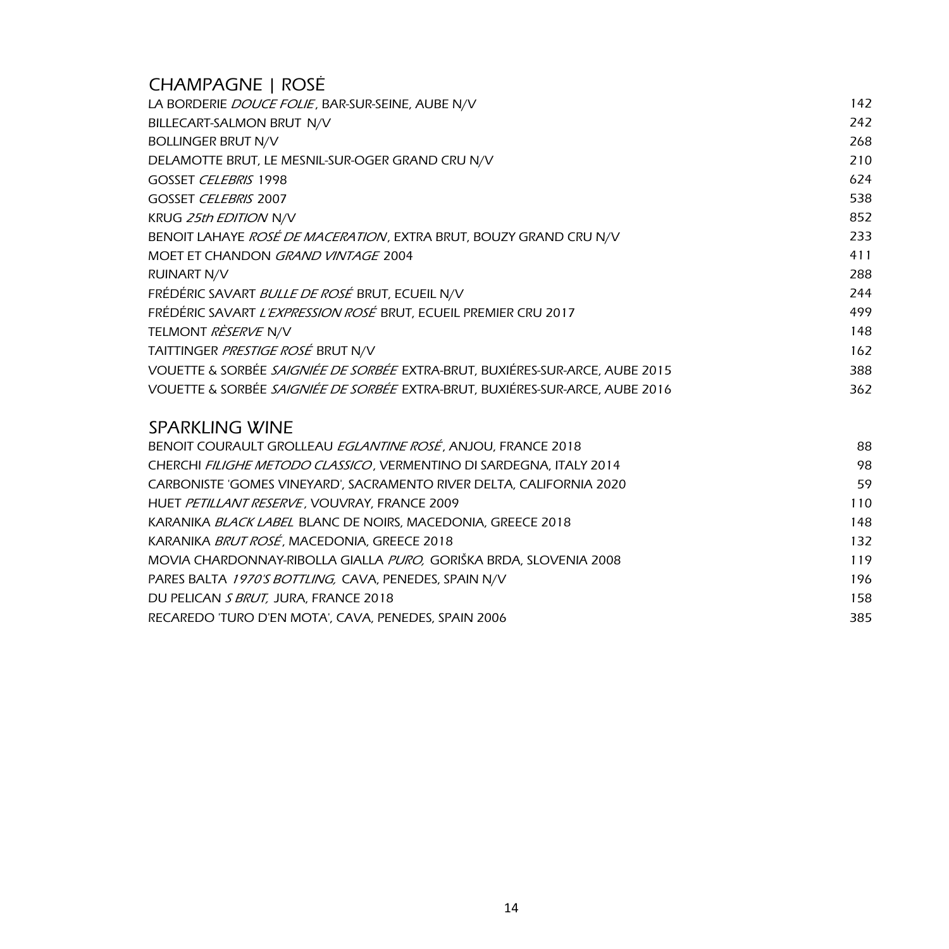### CHAMPAGNE | ROSÉ

| LA BORDERIE DOUCE FOLIE, BAR-SUR-SEINE, AUBE N/V                             | 142 |
|------------------------------------------------------------------------------|-----|
| BILLECART-SALMON BRUT N/V                                                    | 242 |
| <b>BOLLINGER BRUT N/V</b>                                                    | 268 |
| DELAMOTTE BRUT, LE MESNIL-SUR-OGER GRAND CRU N/V                             | 210 |
| GOSSET CELEBRIS 1998                                                         | 624 |
| GOSSET CELEBRIS 2007                                                         | 538 |
| <b>KRUG 25th EDITION N/V</b>                                                 | 852 |
| BENOIT LAHAYE ROSÉ DE MACERATION, EXTRA BRUT, BOUZY GRAND CRU N/V            | 233 |
| MOET ET CHANDON GRAND VINTAGE 2004                                           | 411 |
| <b>RUINART N/V</b>                                                           | 288 |
| FRÉDÉRIC SAVART BULLE DE ROSÉ BRUT, ECUEIL N/V                               | 244 |
| FRÉDÉRIC SAVART L'EXPRESSION ROSÉ BRUT, ECUEIL PREMIER CRU 2017              | 499 |
| TELMONT RESERVE N/V                                                          | 148 |
| TAITTINGER PRESTIGE ROSÉ BRUT N/V                                            | 162 |
| VOUETTE & SORBÉE SAIGNIÉE DE SORBÉE EXTRA-BRUT, BUXIÉRES-SUR-ARCE, AUBE 2015 | 388 |
| VOUETTE & SORBÉE SAIGNIÉE DE SORBÉE EXTRA-BRUT, BUXIÉRES-SUR-ARCE, AUBE 2016 | 362 |
|                                                                              |     |

#### SPARKLING WINE

| BENOIT COURAULT GROLLEAU EGLANTINE ROSÉ, ANJOU, FRANCE 2018          | 88  |
|----------------------------------------------------------------------|-----|
| CHERCHI FILIGHE METODO CLASSICO, VERMENTINO DI SARDEGNA, ITALY 2014  | 98  |
| CARBONISTE 'GOMES VINEYARD', SACRAMENTO RIVER DELTA, CALIFORNIA 2020 | 59  |
| HUET PETILLANT RESERVE, VOUVRAY, FRANCE 2009                         | 110 |
| KARANIKA BLACK LABEL BLANC DE NOIRS, MACEDONIA, GREECE 2018          | 148 |
| KARANIKA BRUT ROSÉ, MACEDONIA, GREECE 2018                           | 132 |
| MOVIA CHARDONNAY-RIBOLLA GIALLA PURO, GORIŠKA BRDA, SLOVENIA 2008    | 119 |
| PARES BALTA 1970'S BOTTLING, CAVA, PENEDES, SPAIN N/V                | 196 |
| DU PELICAN S BRUT, JURA, FRANCE 2018                                 | 158 |
| RECAREDO 'TURO D'EN MOTA', CAVA, PENEDES, SPAIN 2006                 | 385 |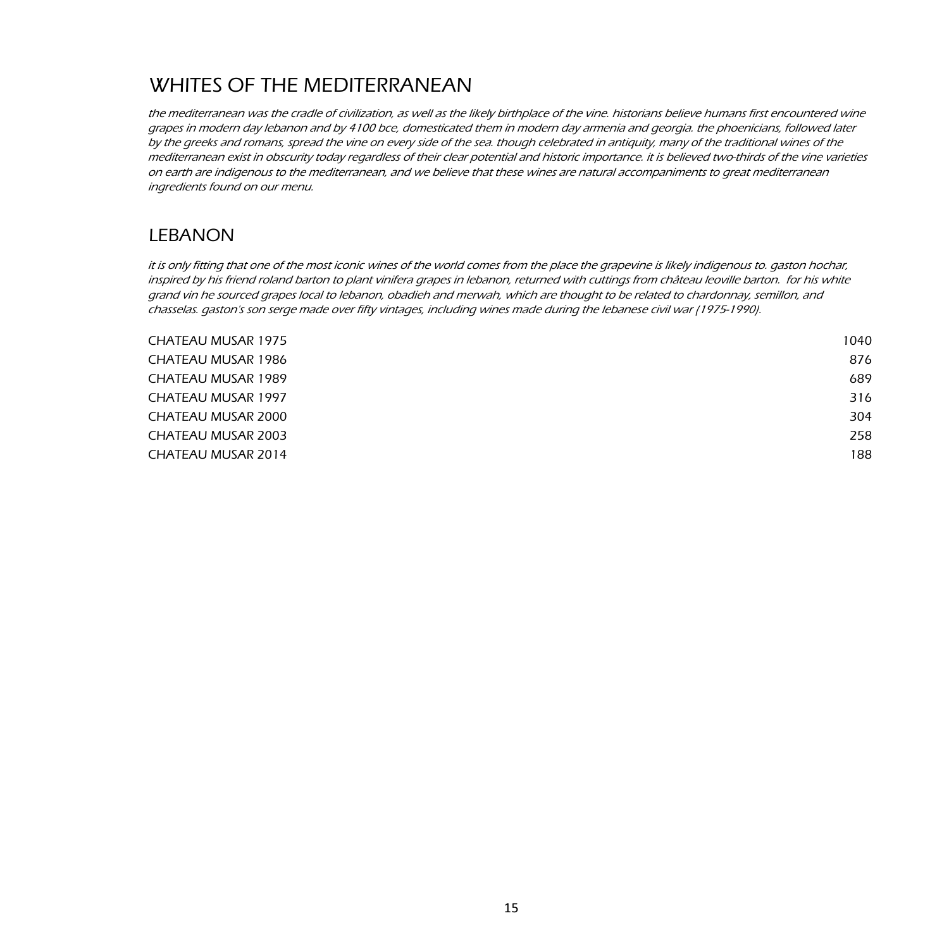## WHITES OF THE MEDITERRANEAN

the mediterranean was the cradle of civilization, as well as the likely birthplace of the vine. historians believe humans first encountered wine grapes in modern day lebanon and by 4100 bce, domesticated them in modern day armenia and georgia. the phoenicians, followed later by the greeks and romans, spread the vine on every side of the sea. though celebrated in antiquity, many of the traditional wines of the mediterranean exist in obscurity today regardless of their clear potential and historic importance. it is believed two-thirds of the vine varieties on earth are indigenous to the mediterranean, and we believe that these wines are natural accompaniments to great mediterranean ingredients found on our menu.

#### LEBANON

it is only fitting that one of the most iconic wines of the world comes from the place the grapevine is likely indigenous to. gaston hochar, inspired by his friend roland barton to plant vinifera grapes in lebanon, returned with cuttings from château leoville barton. for his white grand vin he sourced grapes local to lebanon, obadieh and merwah, which are thought to be related to chardonnay, semillon, and chasselas. gaston's son serge made over fifty vintages, including wines made during the lebanese civil war (1975-1990).

| 1040 |
|------|
| 876  |
| 689  |
| 316  |
| 304  |
| 258  |
| 188  |
|      |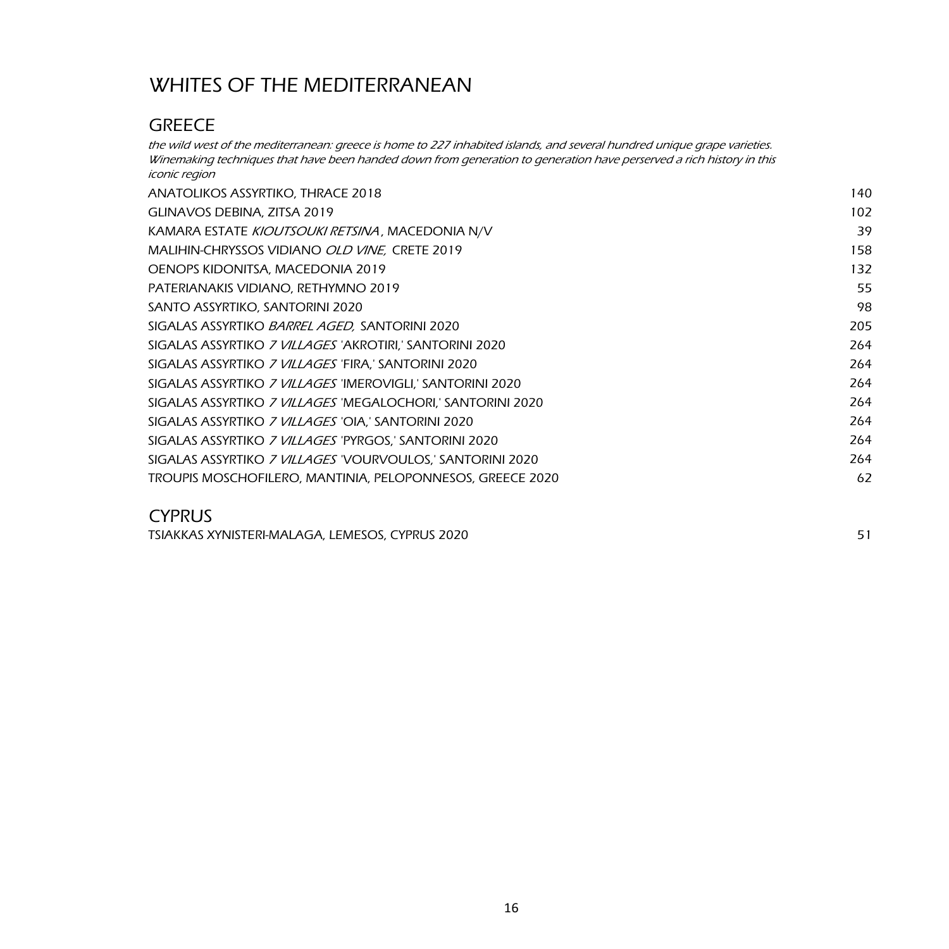## WHITES OF THE MEDITERRANEAN

### **GREECE**

the wild west of the mediterranean: greece is home to 227 inhabited islands, and several hundred unique grape varieties. Winemaking techniques that have been handed down from generation to generation have perserved a rich history in this iconic region

| ANATOLIKOS ASSYRTIKO, THRACE 2018                                  | 140 |
|--------------------------------------------------------------------|-----|
| GLINAVOS DEBINA, ZITSA 2019                                        | 102 |
| KAMARA ESTATE KIOUTSOUKI RETSINA, MACEDONIA N/V                    | 39  |
| MALIHIN-CHRYSSOS VIDIANO OLD VINE, CRETE 2019                      | 158 |
| OENOPS KIDONITSA, MACEDONIA 2019                                   | 132 |
| PATERIANAKIS VIDIANO, RETHYMNO 2019                                | 55  |
| SANTO ASSYRTIKO, SANTORINI 2020                                    | 98  |
| SIGALAS ASSYRTIKO <i>BARREL AGED,</i> SANTORINI 2020               | 205 |
| SIGALAS ASSYRTIKO <i>7 VILLAGES '</i> AKROTIRI,' SANTORINI 2020    | 264 |
| SIGALAS ASSYRTIKO 7 VILLAGES 'FIRA,' SANTORINI 2020                | 264 |
| sigalas assyrtiko <i>7 villages</i> 'Imerovigli,' Santorini 2020   | 264 |
| sigalas assyrtiko <i>7 villages '</i> Megalochori.' Santorini 2020 | 264 |
| SIGALAS ASSYRTIKO <i>7 VILLAGES</i> 'OIA,' SANTORINI 2020          | 264 |
| SIGALAS ASSYRTIKO <i>7 VILLAGES '</i> PYRGOS,' SANTORINI 2020      | 264 |
| SIGALAS ASSYRTIKO <i>7 VILLAGES "</i> VOURVOULOS,' SANTORINI 2020  | 264 |
| TROUPIS MOSCHOFILERO, MANTINIA, PELOPONNESOS, GREECE 2020          | 62  |
|                                                                    |     |

#### CYPRUS

TSIAKKAS XYNISTERI-MALAGA, LEMESOS, CYPRUS 2020 51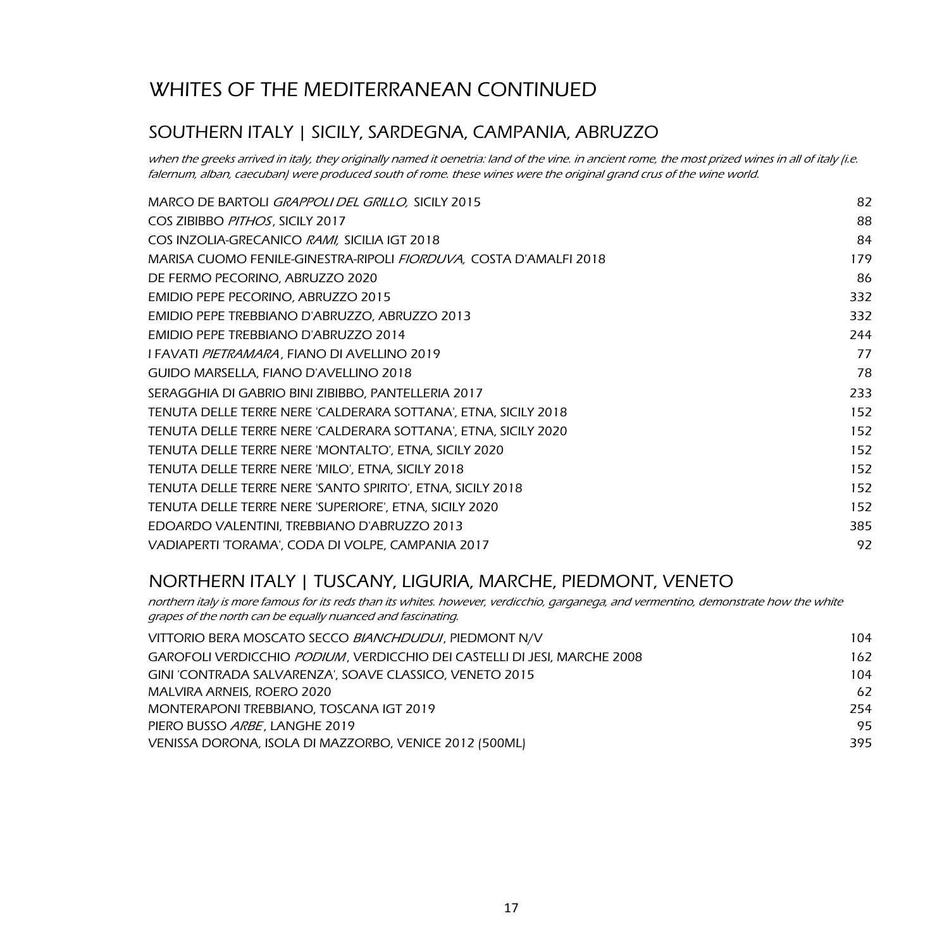## WHITES OF THE MEDITERRANEAN CONTINUED

#### SOUTHERN ITALY | SICILY, SARDEGNA, CAMPANIA, ABRUZZO

when the greeks arrived in italy, they originally named it oenetria: land of the vine. in ancient rome, the most prized wines in all of italy (i.e. falernum, alban, caecuban) were produced south of rome. these wines were the original grand crus of the wine world.

| MARCO DE BARTOLI GRAPPOLI DEL GRILLO, SICILY 2015                         | 82  |
|---------------------------------------------------------------------------|-----|
| COS ZIBIBBO PITHOS, SICILY 2017                                           | 88  |
| COS INZOLIA-GRECANICO RAMI, SICILIA IGT 2018                              | 84  |
| MARISA CUOMO FENILE-GINESTRA-RIPOLI <i>FIORDUVA</i> , COSTA D'AMALFI 2018 | 179 |
| DE FERMO PECORINO, ABRUZZO 2020                                           | 86  |
| EMIDIO PEPE PECORINO, ABRUZZO 2015                                        | 332 |
| EMIDIO PEPE TREBBIANO D'ABRUZZO, ABRUZZO 2013                             | 332 |
| EMIDIO PEPE TREBBIANO D'ABRUZZO 2014                                      | 244 |
| I FAVATI <i>PIETRAMARA</i> , FIANO DI AVELLINO 2019                       | 77  |
| GUIDO MARSELLA, FIANO D'AVELLINO 2018                                     | 78  |
| SERAGGHIA DI GABRIO BINI ZIBIBBO, PANTELLERIA 2017                        | 233 |
| TENUTA DELLE TERRE NERE 'CALDERARA SOTTANA', ETNA, SICILY 2018            | 152 |
| TENUTA DELLE TERRE NERE 'CALDERARA SOTTANA', ETNA, SICILY 2020            | 152 |
| TENUTA DELLE TERRE NERE 'MONTALTO', ETNA, SICILY 2020                     | 152 |
| TENUTA DELLE TERRE NERE 'MILO', ETNA, SICILY 2018                         | 152 |
| TENUTA DELLE TERRE NERE 'SANTO SPIRITO', ETNA, SICILY 2018                | 152 |
| TENUTA DELLE TERRE NERE 'SUPERIORE', ETNA, SICILY 2020                    | 152 |
| EDOARDO VALENTINI, TREBBIANO D'ABRUZZO 2013                               | 385 |
| VADIAPERTI 'TORAMA', CODA DI VOLPE, CAMPANIA 2017                         | 92  |

### NORTHERN ITALY | TUSCANY, LIGURIA, MARCHE, PIEDMONT, VENETO

northern italy is more famous for its reds than its whites. however, verdicchio, garganega, and vermentino, demonstrate how the white grapes of the north can be equally nuanced and fascinating.

| VITTORIO BERA MOSCATO SECCO BIANCHDUDUI, PIEDMONT N/V                            | 104 |
|----------------------------------------------------------------------------------|-----|
| GAROFOLI VERDICCHIO <i>PODIUM</i> , VERDICCHIO DEI CASTELLI DI JESI, MARCHE 2008 | 162 |
| GINI 'CONTRADA SALVARENZA', SOAVE CLASSICO, VENETO 2015                          | 104 |
| MALVIRA ARNEIS, ROERO 2020                                                       | 62  |
| MONTERAPONI TREBBIANO, TOSCANA IGT 2019                                          | 254 |
| PIERO BUSSO ARBE, LANGHE 2019                                                    | 95  |
| VENISSA DORONA, ISOLA DI MAZZORBO, VENICE 2012 (500ML)                           | 395 |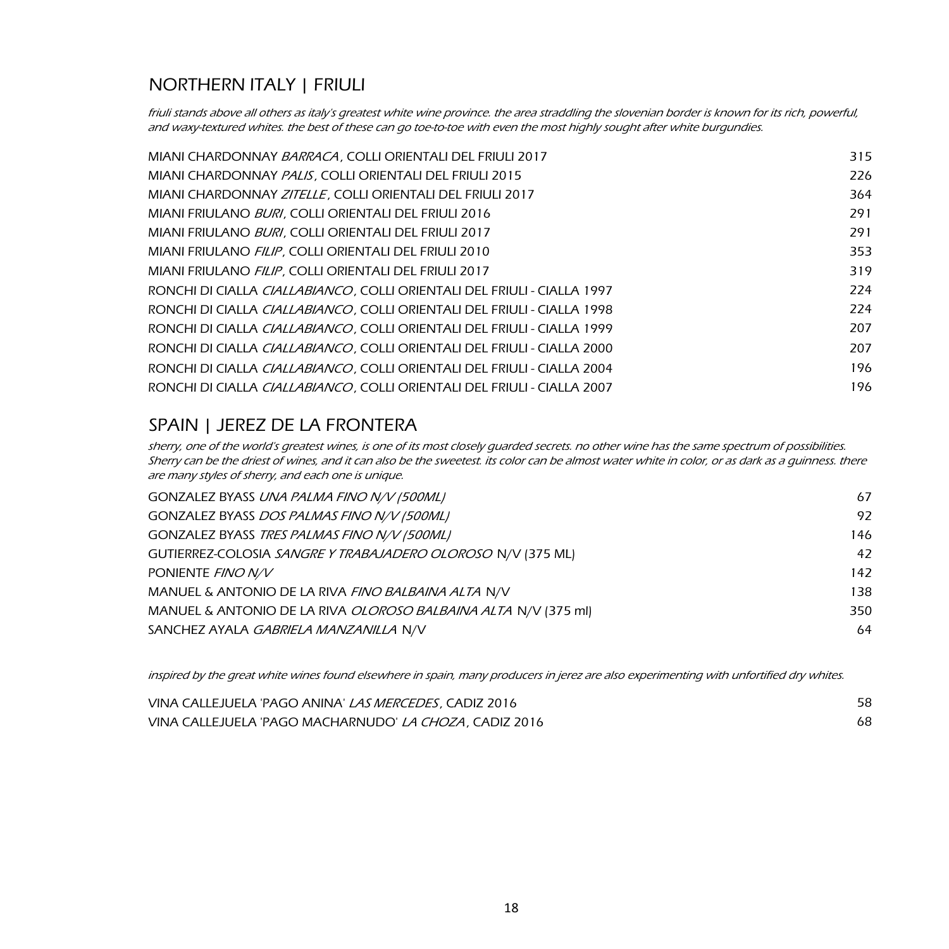### NORTHERN ITALY | FRIULI

friuli stands above all others as italy's greatest white wine province. the area straddling the slovenian border is known for its rich, powerful, and waxy-textured whites. the best of these can go toe-to-toe with even the most highly sought after white burgundies.

| MIANI CHARDONNAY BARRACA, COLLI ORIENTALI DEL FRIULI 2017                       | 315 |
|---------------------------------------------------------------------------------|-----|
| MIANI CHARDONNAY PALIS, COLLI ORIENTALI DEL FRIULI 2015                         | 226 |
| MIANI CHARDONNAY ZITELLE, COLLI ORIENTALI DEL FRIULI 2017                       | 364 |
| MIANI FRIULANO <i>BURI</i> . COLLI ORIENTALI DEL FRIULI 2016                    | 291 |
| MIANI FRIULANO BURI, COLLI ORIENTALI DEL FRIULI 2017                            | 291 |
| MIANI FRIULANO FILIP, COLLI ORIENTALI DEL FRIULI 2010                           | 353 |
| MIANI FRIULANO FILIP, COLLI ORIENTALI DEL FRIULI 2017                           | 319 |
| RONCHI DI CIALLA <i>CIALLABIANCO</i> , COLLI ORIENTALI DEL FRIULI - CIALLA 1997 | 224 |
| RONCHI DI CIALLA <i>CIALLABIANCO.</i> COLLI ORIENTALI DEL FRIULI - CIALLA 1998  | 224 |
| RONCHI DI CIALLA <i>CIALLABIANCO.</i> COLLI ORIENTALI DEL FRIULI - CIALLA 1999  | 207 |
| RONCHI DI CIALLA <i>CIALLABIANCO,</i> COLLI ORIENTALI DEL FRIULI - CIALLA 2000  | 207 |
| RONCHI DI CIALLA <i>CIALLABIANCO.</i> COLLI ORIENTALI DEL FRIULI - CIALLA 2004  | 196 |
| RONCHI DI CIALLA <i>CIALLABIANCO.</i> COLLI ORIENTALI DEL FRIULI - CIALLA 2007  | 196 |

### SPAIN | JEREZ DE LA FRONTERA

sherry, one of the world's greatest wines, is one of its most closely guarded secrets. no other wine has the same spectrum of possibilities. Sherry can be the driest of wines, and it can also be the sweetest. its color can be almost water white in color, or as dark as a guinness. there are many styles of sherry, and each one is unique.

| GONZALEZ BYASS UNA PALMA FINO N/V (500ML)                      | 67  |
|----------------------------------------------------------------|-----|
| GONZALEZ BYASS DOS PALMAS FINO N/V (500ML)                     | 97  |
| GONZALEZ BYASS TRES PALMAS FINO N/V (500ML)                    | 146 |
| GUTIERREZ-COLOSIA SANGRE Y TRABAJADERO OLOROSO N/V (375 ML)    | 47  |
| PONIENTE FINO N/V                                              | 142 |
| MANUEL & ANTONIO DE LA RIVA FINO BALBAINA ALTA N/V             | 138 |
| MANUEL & ANTONIO DE LA RIVA OLOROSO BALBAINA ALTA N/V (375 ml) | 350 |
| SANCHEZ AYALA GABRIELA MANZANILLA N/V                          | 64  |
|                                                                |     |

inspired by the great white wines found elsewhere in spain, many producers in jerez are also experimenting with unfortified dry whites.

| VINA CALLEJUELA 'PAGO ANINA' <i>LAS MERCEDES</i> , CADIZ 2016  | 58 |
|----------------------------------------------------------------|----|
| VINA CALLEJUELA 'PAGO MACHARNUDO' <i>LA CHOZA</i> , CADIZ 2016 |    |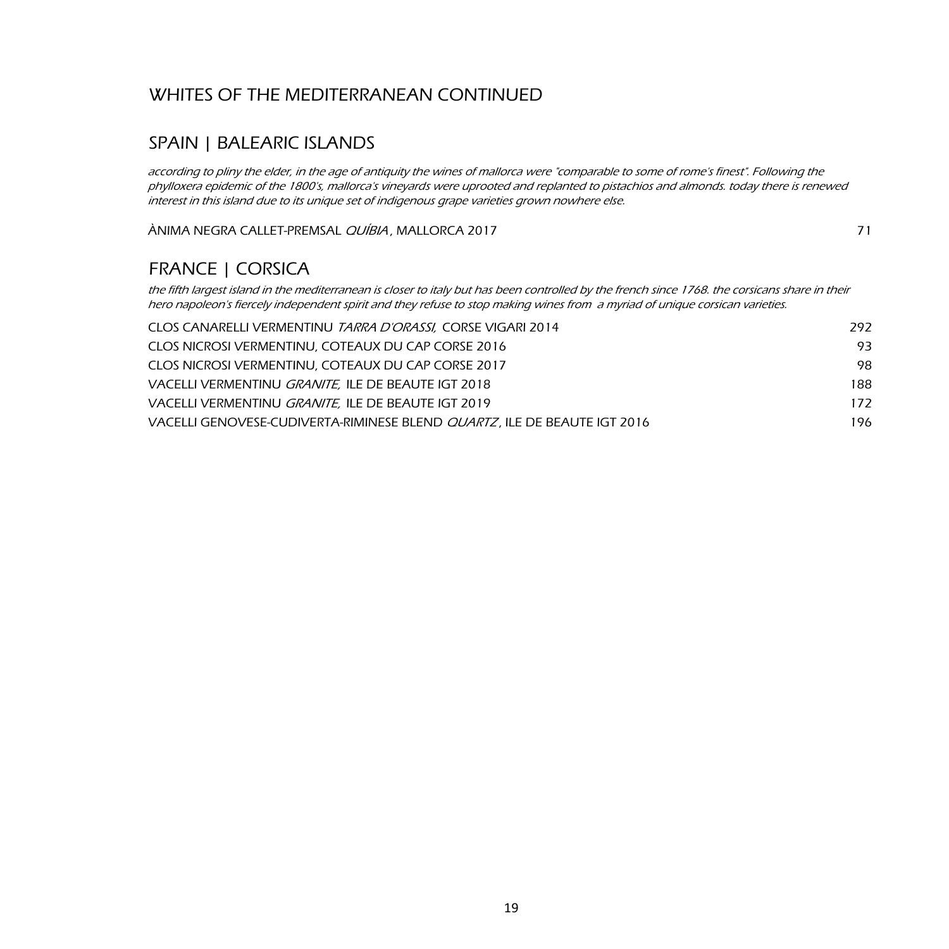### WHITES OF THE MEDITERRANEAN CONTINUED

### SPAIN | BALEARIC ISLANDS

according to pliny the elder, in the age of antiquity the wines of mallorca were "comparable to some of rome's finest". Following the phylloxera epidemic of the 1800's, mallorca's vineyards were uprooted and replanted to pistachios and almonds. today there is renewed interest in this island due to its unique set of indigenous grape varieties grown nowhere else.

ÀNIMA NEGRA CALLET-PREMSAL *QUÍBIA*, MALLORCA 2017 **71** 71

### FRANCE | CORSICA

the fifth largest island in the mediterranean is closer to italy but has been controlled by the french since 1768. the corsicans share in their hero napoleon's fiercely independent spirit and they refuse to stop making wines from a myriad of unique corsican varieties.

| CLOS CANARELLI VERMENTINU TARRA D'ORASSI, CORSE VIGARI 2014              | 292  |
|--------------------------------------------------------------------------|------|
| CLOS NICROSI VERMENTINU, COTEAUX DU CAP CORSE 2016                       | 93.  |
| CLOS NICROSI VERMENTINU. COTEAUX DU CAP CORSE 2017                       | 98.  |
| VACELLI VERMENTINU GRANITE, ILE DE BEAUTE IGT 2018                       | 188  |
| VACELLI VERMENTINU <i>GRANITE</i> . ILE DE BEAUTE IGT 2019               | 172  |
| VACELLI GENOVESE-CUDIVERTA-RIMINESE BLEND QUARTZ, ILE DE BEAUTE IGT 2016 | 196. |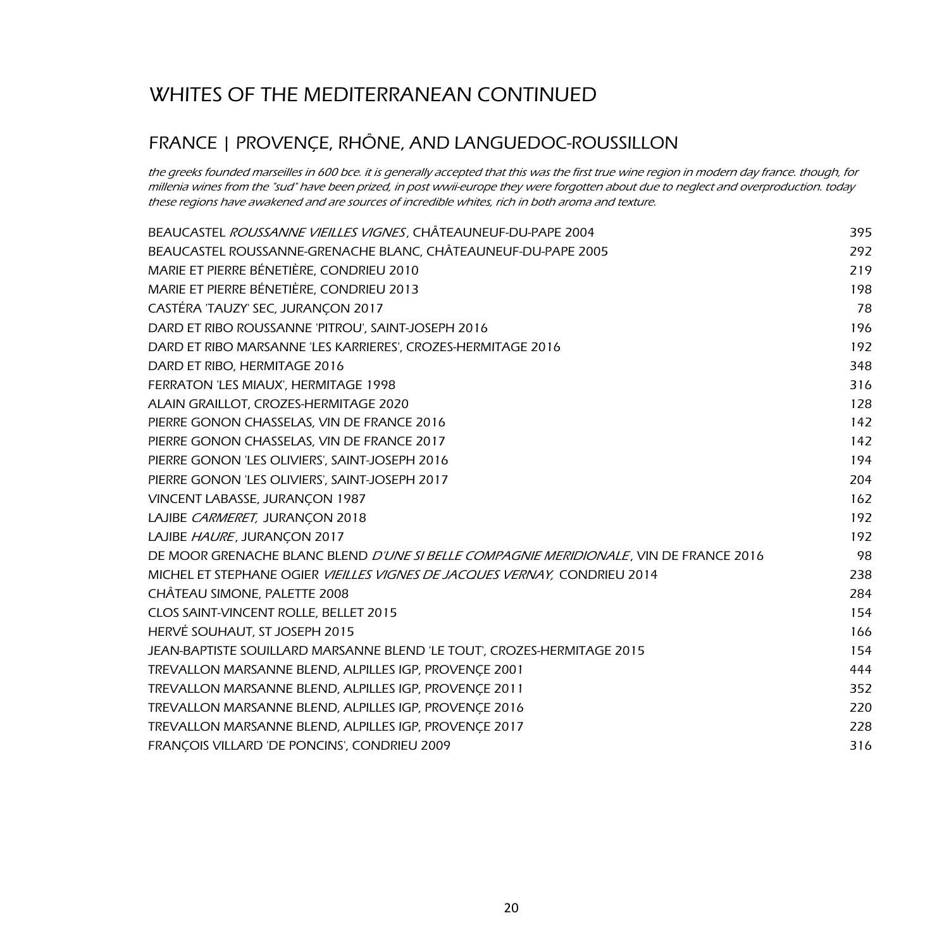## WHITES OF THE MEDITERRANEAN CONTINUED

### FRANCE | PROVENÇE, RHÔNE, AND LANGUEDOC-ROUSSILLON

the greeks founded marseilles in 600 bce. it is generally accepted that this was the first true wine region in modern day france. though, for millenia wines from the "sud" have been prized, in post wwii-europe they were forgotten about due to neglect and overproduction. today these regions have awakened and are sources of incredible whites, rich in both aroma and texture.

| BEAUCASTEL ROUSSANNE VIEILLES VIGNES, CHÂTEAUNEUF-DU-PAPE 2004                        | 395 |
|---------------------------------------------------------------------------------------|-----|
| BEAUCASTEL ROUSSANNE-GRENACHE BLANC, CHÂTEAUNEUF-DU-PAPE 2005                         | 292 |
| MARIE ET PIERRE BÉNETIÈRE, CONDRIEU 2010                                              | 219 |
| MARIE ET PIERRE BÉNETIÈRE, CONDRIEU 2013                                              | 198 |
| CASTÉRA 'TAUZY' SEC, JURANÇON 2017                                                    | 78  |
| DARD ET RIBO ROUSSANNE 'PITROU', SAINT-JOSEPH 2016                                    | 196 |
| DARD ET RIBO MARSANNE 'LES KARRIERES', CROZES-HERMITAGE 2016                          | 192 |
| DARD ET RIBO, HERMITAGE 2016                                                          | 348 |
| FERRATON 'LES MIAUX', HERMITAGE 1998                                                  | 316 |
| ALAIN GRAILLOT, CROZES-HERMITAGE 2020                                                 | 128 |
| PIERRE GONON CHASSELAS, VIN DE FRANCE 2016                                            | 142 |
| PIERRE GONON CHASSELAS, VIN DE FRANCE 2017                                            | 142 |
| PIERRE GONON 'LES OLIVIERS', SAINT-JOSEPH 2016                                        | 194 |
| PIERRE GONON 'LES OLIVIERS', SAINT-JOSEPH 2017                                        | 204 |
| VINCENT LABASSE, JURANÇON 1987                                                        | 162 |
| LAJIBE CARMERET, JURANCON 2018                                                        | 192 |
| LAJIBE HAURE, JURANCON 2017                                                           | 192 |
| DE MOOR GRENACHE BLANC BLEND D'UNE SI BELLE COMPAGNIE MERIDIONALE, VIN DE FRANCE 2016 | 98  |
| MICHEL ET STEPHANE OGIER VIEILLES VIGNES DE JACOUES VERNAY, CONDRIEU 2014             | 238 |
| CHÂTEAU SIMONE, PALETTE 2008                                                          | 284 |
| CLOS SAINT-VINCENT ROLLE, BELLET 2015                                                 | 154 |
| HERVÉ SOUHAUT, ST JOSEPH 2015                                                         | 166 |
| JEAN-BAPTISTE SOUILLARD MARSANNE BLEND 'LE TOUT', CROZES-HERMITAGE 2015               | 154 |
| TREVALLON MARSANNE BLEND, ALPILLES IGP, PROVENCE 2001                                 | 444 |
| TREVALLON MARSANNE BLEND, ALPILLES IGP, PROVENÇE 2011                                 | 352 |
| TREVALLON MARSANNE BLEND, ALPILLES IGP, PROVENÇE 2016                                 | 220 |
| TREVALLON MARSANNE BLEND, ALPILLES IGP, PROVENÇE 2017                                 | 228 |
| FRANÇOIS VILLARD 'DE PONCINS', CONDRIEU 2009                                          | 316 |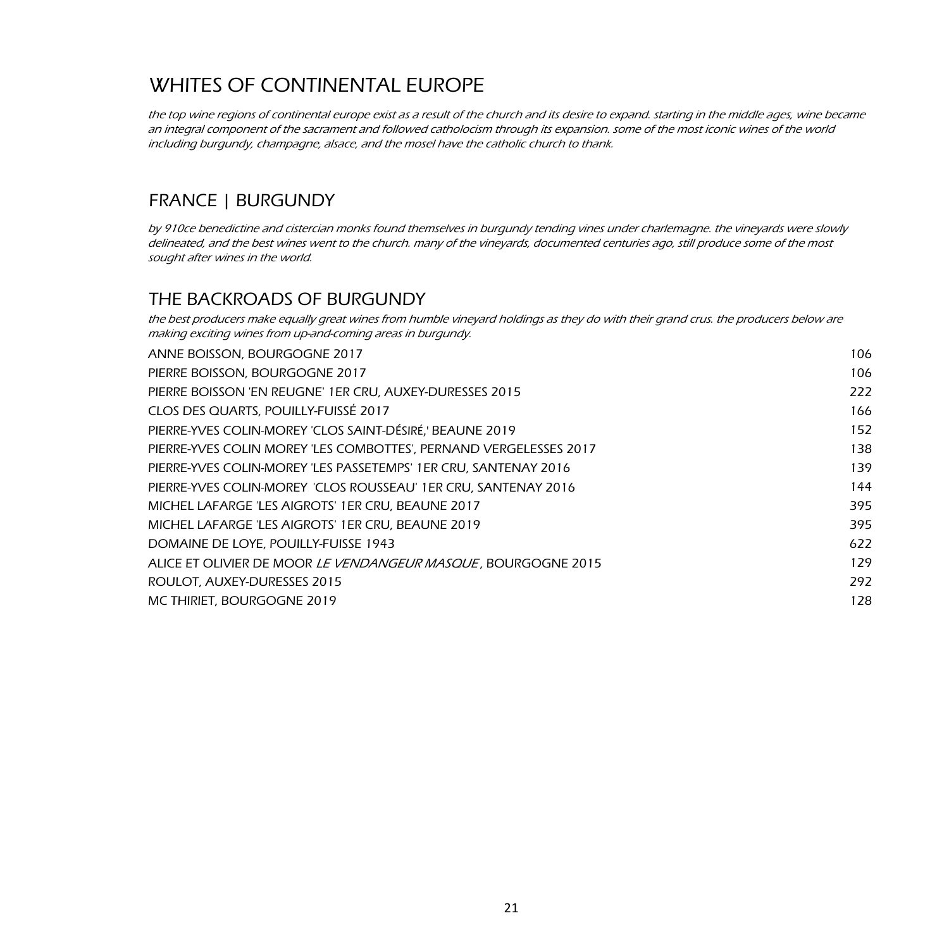the top wine regions of continental europe exist as a result of the church and its desire to expand. starting in the middle ages, wine became an integral component of the sacrament and followed catholocism through its expansion. some of the most iconic wines of the world including burgundy, champagne, alsace, and the mosel have the catholic church to thank.

### FRANCE | BURGUNDY

by 910ce benedictine and cistercian monks found themselves in burgundy tending vines under charlemagne. the vineyards were slowly delineated, and the best wines went to the church. many of the vineyards, documented centuries ago, still produce some of the most sought after wines in the world.

#### THE BACKROADS OF BURGUNDY

the best producers make equally great wines from humble vineyard holdings as they do with their grand crus. the producers below are making exciting wines from up-and-coming areas in burgundy.

| ANNE BOISSON, BOURGOGNE 2017                                          | 106 |
|-----------------------------------------------------------------------|-----|
| PIERRE BOISSON, BOURGOGNE 2017                                        | 106 |
| PIERRE BOISSON 'EN REUGNE' 1ER CRU. AUXEY-DURESSES 2015               | 222 |
| CLOS DES QUARTS, POUILLY-FUISSÉ 2017                                  | 166 |
| PIERRE-YVES COLIN-MOREY 'CLOS SAINT-DÉSIRÉ,' BEAUNE 2019              | 152 |
| PIERRE-YVES COLIN MOREY 'LES COMBOTTES', PERNAND VERGELESSES 2017     | 138 |
| PIERRE-YVES COLIN-MOREY 'LES PASSETEMPS' 1ER CRU. SANTENAY 2016       | 139 |
| PIERRE-YVES COLIN-MOREY 'CLOS ROUSSEAU' 1ER CRU. SANTENAY 2016        | 144 |
| MICHEL LAFARGE 'LES AIGROTS' 1ER CRU, BEAUNE 2017                     | 395 |
| MICHEL LAFARGE 'LES AIGROTS' 1ER CRU. BEAUNE 2019                     | 395 |
| DOMAINE DE LOYE, POUILLY-FUISSE 1943                                  | 622 |
| ALICE ET OLIVIER DE MOOR <i>LE VENDANGEUR MASQUE</i> . BOURGOGNE 2015 | 129 |
| ROULOT, AUXEY-DURESSES 2015                                           | 292 |
| MC THIRIET, BOURGOGNE 2019                                            | 128 |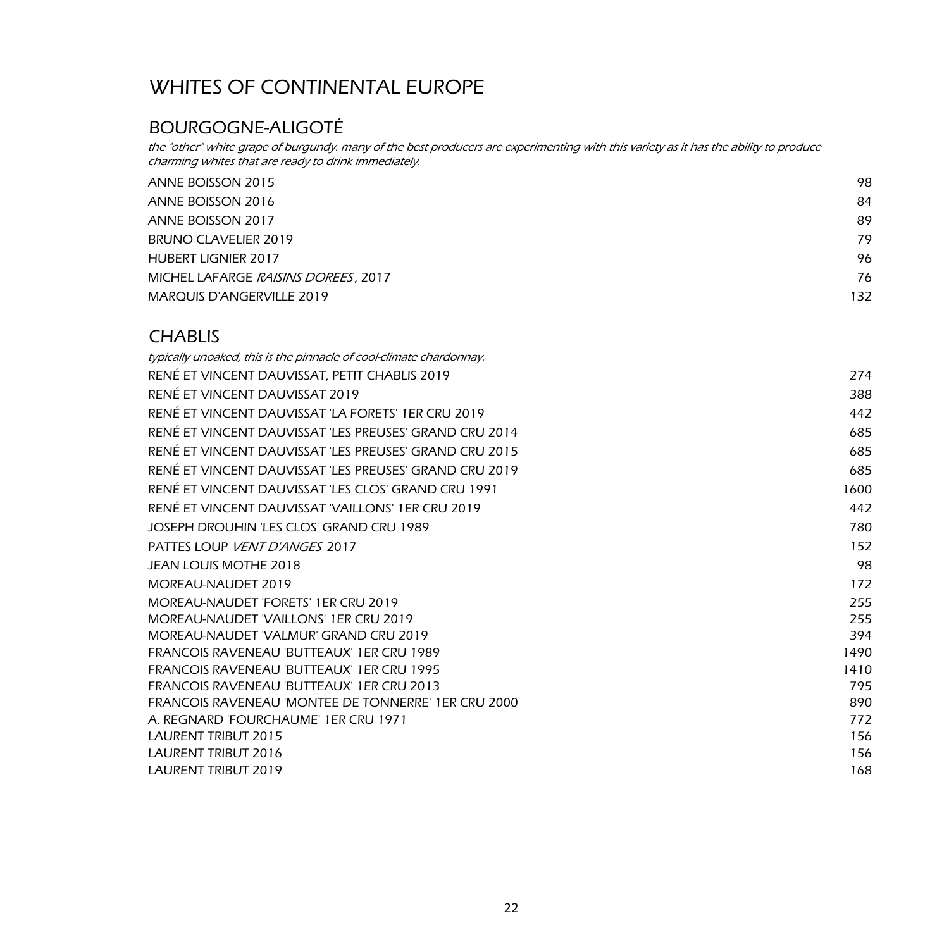#### BOURGOGNE-ALIGOTÉ

the "other" white grape of burgundy. many of the best producers are experimenting with this variety as it has the ability to produce charming whites that are ready to drink immediately.

| ANNE BOISSON 2015                   | 98  |
|-------------------------------------|-----|
| ANNE BOISSON 2016                   | 84  |
| ANNE BOISSON 2017                   | 89  |
| BRUNO CLAVELIER 2019                | 79  |
| <b>HUBERT LIGNIER 2017</b>          | 96  |
| MICHEL LAFARGE RAISINS DOREES, 2017 | 76  |
| <b>MARQUIS D'ANGERVILLE 2019</b>    | 132 |
|                                     |     |

#### **CHABLIS**

| 274  |
|------|
| 388  |
| 442  |
| 685  |
| 685  |
| 685  |
| 1600 |
| 442  |
| 780  |
| 152  |
| 98   |
| 172  |
| 255  |
| 255  |
| 394  |
| 1490 |
| 1410 |
| 795  |
| 890  |
| 772  |
| 156  |
| 156  |
| 168  |
|      |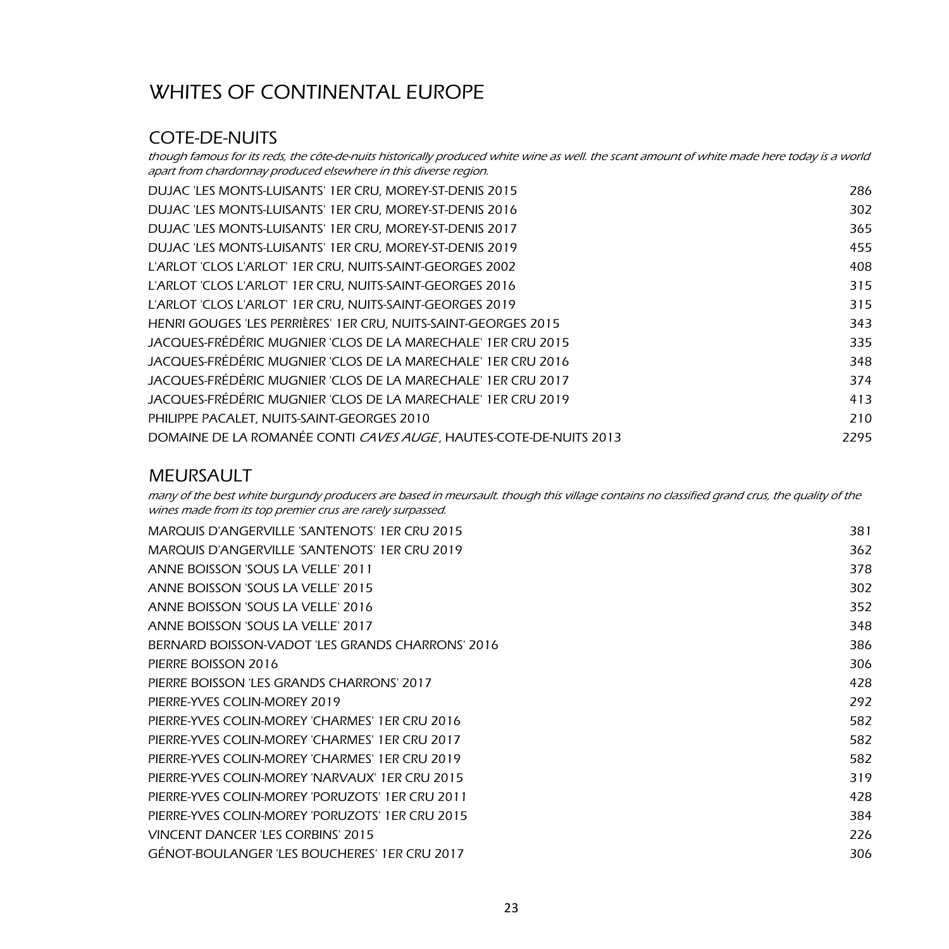#### COTE-DE-NUITS

though famous for its reds, the côte-de-nuits historically produced white wine as well. the scant amount of white made here today is a world apart from chardonnay produced elsewhere in this diverse region.

| DUJAC 'LES MONTS-LUISANTS' 1ER CRU, MOREY-ST-DENIS 2015           | 286  |
|-------------------------------------------------------------------|------|
| DUJAC 'LES MONTS-LUISANTS' 1ER CRU, MOREY-ST-DENIS 2016           | 302  |
| DUJAC 'LES MONTS-LUISANTS' 1ER CRU. MOREY-ST-DENIS 2017           | 365  |
| DUJAC 'LES MONTS-LUISANTS' 1ER CRU. MOREY-ST-DENIS 2019           | 455  |
| L'ARLOT 'CLOS L'ARLOT' 1ER CRU, NUITS-SAINT-GEORGES 2002          | 408  |
| L'ARLOT 'CLOS L'ARLOT' 1ER CRU, NUITS-SAINT-GEORGES 2016          | 315  |
| L'ARLOT 'CLOS L'ARLOT' 1ER CRU, NUITS-SAINT-GEORGES 2019          | 315  |
| HENRI GOUGES 'LES PERRIÈRES' 1ER CRU, NUITS-SAINT-GEORGES 2015    | 343  |
| JACQUES-FRÉDÉRIC MUGNIER 'CLOS DE LA MARECHALE' 1ER CRU 2015      | 335  |
| JACQUES-FRÉDÉRIC MUGNIER 'CLOS DE LA MARECHALE' 1ER CRU 2016      | 348  |
| JACQUES-FRÉDÉRIC MUGNIER 'CLOS DE LA MARECHALE' 1ER CRU 2017      | 374  |
| JACQUES-FRÉDÉRIC MUGNIER 'CLOS DE LA MARECHALE' 1ER CRU 2019      | 413  |
| PHILIPPE PACALET, NUITS-SAINT-GEORGES 2010                        | 210  |
| DOMAINE DE LA ROMANÉE CONTI CAVES AUGE, HAUTES-COTE-DE-NUITS 2013 | 2295 |
|                                                                   |      |

#### MEURSAULT

many of the best white burgundy producers are based in meursault. though this village contains no classified grand crus, the quality of the wines made from its top premier crus are rarely surpassed.

| MARQUIS D'ANGERVILLE 'SANTENOTS' 1ER CRU 2015        | 381 |
|------------------------------------------------------|-----|
| <b>MARQUIS D'ANGERVILLE 'SANTENOTS' 1ER CRU 2019</b> | 362 |
| ANNE BOISSON 'SOUS LA VELLE' 2011                    | 378 |
| ANNE BOISSON 'SOUS LA VELLE' 2015                    | 302 |
| ANNE BOISSON 'SOUS LA VELLE' 2016                    | 352 |
| ANNE BOISSON 'SOUS LA VELLE' 2017                    | 348 |
| BERNARD BOISSON-VADOT 'LES GRANDS CHARRONS' 2016     | 386 |
| PIERRE BOISSON 2016                                  | 306 |
| PIERRE BOISSON 'LES GRANDS CHARRONS' 2017            | 428 |
| PIERRE-YVES COLIN-MOREY 2019                         | 292 |
| PIERRE-YVES COLIN-MOREY 'CHARMES' 1ER CRU 2016       | 582 |
| PIERRE-YVES COLIN-MOREY 'CHARMES' 1ER CRU 2017       | 582 |
| PIERRE-YVES COLIN-MOREY 'CHARMES' 1ER CRU 2019       | 582 |
| PIERRE-YVES COLIN-MOREY 'NARVAUX' 1ER CRU 2015       | 319 |
| PIERRE-YVES COLIN-MOREY 'PORUZOTS' 1ER CRU 2011      | 428 |
| PIERRE-YVES COLIN-MOREY 'PORUZOTS' 1ER CRU 2015      | 384 |
| VINCENT DANCER 'LES CORBINS' 2015                    | 226 |
| GÉNOT-BOULANGER 'LES BOUCHERES' 1ER CRU 2017         | 306 |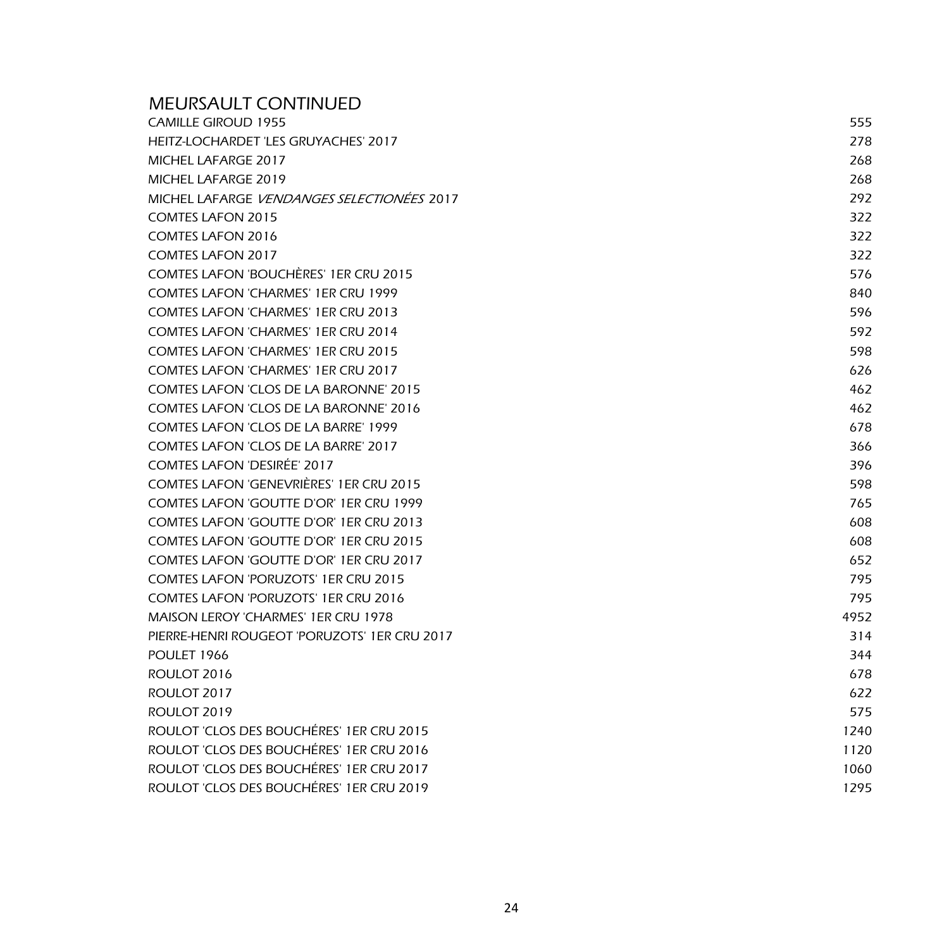| <b>MEURSAULT CONTINUED</b>                        |      |
|---------------------------------------------------|------|
| <b>CAMILLE GIROUD 1955</b>                        | 555  |
| HEITZ-LOCHARDET 'LES GRUYACHES' 2017              | 278  |
| MICHEL LAFARGE 2017                               | 268  |
| MICHEL LAFARGE 2019                               | 268  |
| MICHEL LAFARGE <i>VENDANGES SELECTIONÉES</i> 2017 | 292  |
| <b>COMTES LAFON 2015</b>                          | 322  |
| <b>COMTES LAFON 2016</b>                          | 322  |
| <b>COMTES LAFON 2017</b>                          | 322  |
| COMTES LAFON 'BOUCHÈRES' 1ER CRU 2015             | 576  |
| <b>COMTES LAFON 'CHARMES' 1ER CRU 1999</b>        | 840  |
| <b>COMTES LAFON 'CHARMES' 1ER CRU 2013</b>        | 596  |
| <b>COMTES LAFON 'CHARMES' 1ER CRU 2014</b>        | 592  |
| <b>COMTES LAFON 'CHARMES' 1ER CRU 2015</b>        | 598  |
| <b>COMTES LAFON 'CHARMES' 1ER CRU 2017</b>        | 626  |
| <b>COMTES LAFON 'CLOS DE LA BARONNE' 2015</b>     | 462  |
| <b>COMTES LAFON 'CLOS DE LA BARONNE' 2016</b>     | 462  |
| <b>COMTES LAFON 'CLOS DE LA BARRE' 1999</b>       | 678  |
| COMTES LAFON 'CLOS DE LA BARRE' 2017              | 366  |
| <b>COMTES LAFON 'DESIRÉE' 2017</b>                | 396  |
| <b>COMTES LAFON 'GENEVRIÈRES' 1ER CRU 2015</b>    | 598  |
| COMTES LAFON 'GOUTTE D'OR' 1ER CRU 1999           | 765  |
| COMTES LAFON 'GOUTTE D'OR' 1ER CRU 2013           | 608  |
| COMTES LAFON 'GOUTTE D'OR' 1ER CRU 2015           | 608  |
| COMTES LAFON 'GOUTTE D'OR' 1ER CRU 2017           | 652  |
| <b>COMTES LAFON 'PORUZOTS' 1ER CRU 2015</b>       | 795  |
| <b>COMTES LAFON 'PORUZOTS' 1ER CRU 2016</b>       | 795  |
| <b>MAISON LEROY 'CHARMES' 1ER CRU 1978</b>        | 4952 |
| PIERRE-HENRI ROUGEOT 'PORUZOTS' 1ER CRU 2017      | 314  |
| POULET 1966                                       | 344  |
| ROULOT 2016                                       | 678  |
| ROULOT 2017                                       | 622  |
| ROULOT 2019                                       | 575  |
| ROULOT 'CLOS DES BOUCHÉRES' 1ER CRU 2015          | 1240 |
| ROULOT 'CLOS DES BOUCHÉRES' 1ER CRU 2016          | 1120 |
| ROULOT 'CLOS DES BOUCHÉRES' 1ER CRU 2017          | 1060 |
| ROULOT 'CLOS DES BOUCHÉRES' 1ER CRU 2019          | 1295 |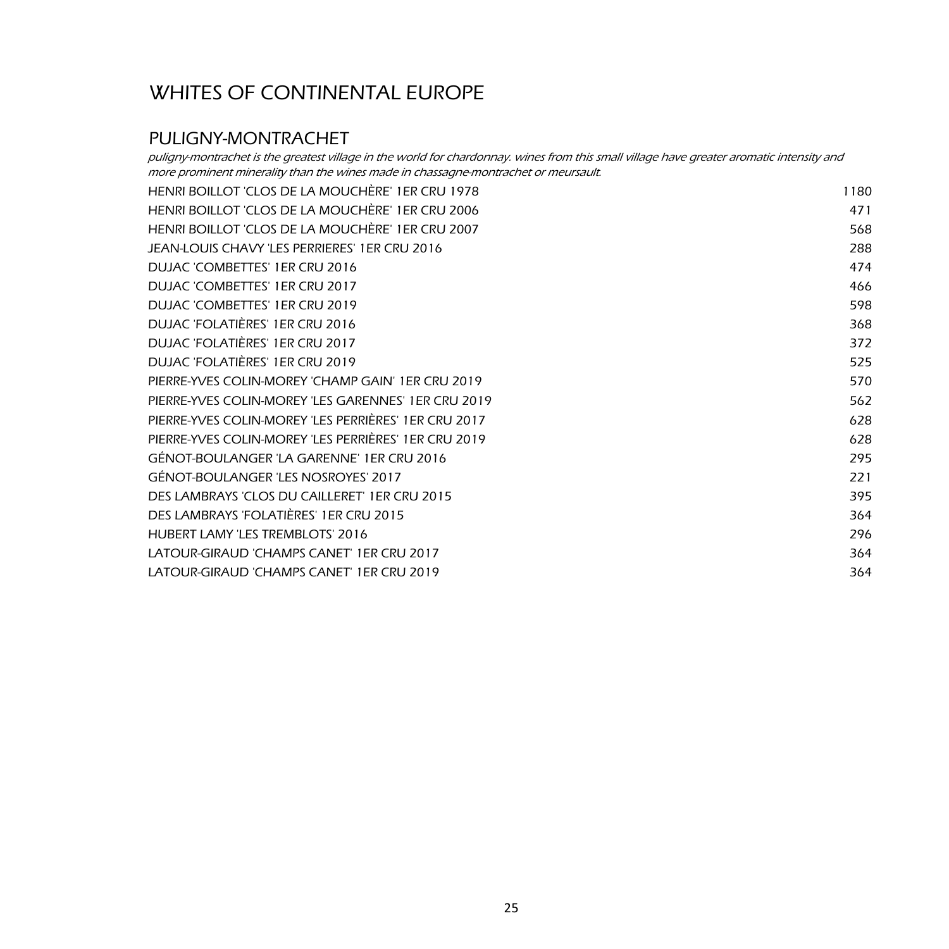#### PULIGNY-MONTRACHET

HENRI BOILLOT 'CLOS DE LA MOUCHÈRE' 1ER CRU 1978 1180 HENRI BOILLOT 'CLOS DE LA MOUCHÈRE' 1ER CRU 2006 471 HENRI BOILLOT 'CLOS DE LA MOUCHÈRE' 1ER CRU 2007 568 JEAN-LOUIS CHAVY 'LES PERRIERES' 1ER CRU 2016 288 DUJAC 'COMBETTES' 1ER CRU 2016 474 DUJAC 'COMBETTES' 1ER CRU 2017 466 DUJAC 'COMBETTES' 1ER CRU 2019 598 DUJAC 'FOLATIÈRES' 1ER CRU 2016 368 DUJAC 'FOLATIÈRES' 1ER CRU 2017 372 DUJAC 'FOLATIÈRES' 1ER CRU 2019 525 PIERRE-YVES COLIN-MOREY 'CHAMP GAIN' 1ER CRU 2019 570 PIERRE-YVES COLIN-MOREY 'LES GARENNES' 1ER CRU 2019 562 PIERRE-YVES COLIN-MOREY 'LES PERRIÈRES' 1ER CRU 2017 628 PIERRE-YVES COLIN-MOREY 'LES PERRIÈRES' 1ER CRU 2019 628 GÉNOT-BOULANGER 'LA GARENNE' 1ER CRU 2016 295 GÉNOT-BOULANGER 'LES NOSROYES' 2017 221 DES LAMBRAYS 'CLOS DU CAILLERET' 1ER CRU 2015 395 DES LAMBRAYS 'FOLATIÈRES' 1ER CRU 2015 364 HUBERT LAMY 'LES TREMBLOTS' 2016 296 LATOUR-GIRAUD 'CHAMPS CANET' 1ER CRU 2017 364 puligny-montrachet is the greatest village in the world for chardonnay. wines from this small village have greater aromatic intensity and more prominent minerality than the wines made in chassagne-montrachet or meursault.

LATOUR-GIRAUD 'CHAMPS CANET' 1ER CRU 2019 364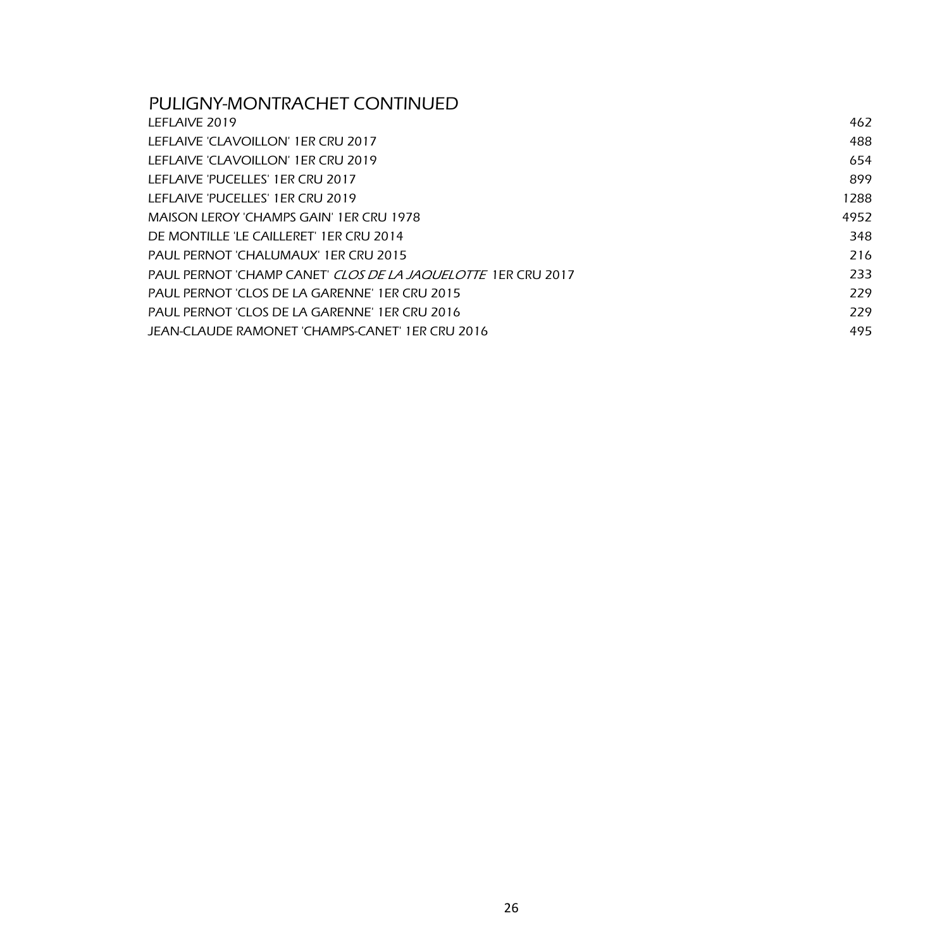#### PULIGNY-MONTRACHET CONTINUED

| LEFLAIVE 2019                                                       | 462  |
|---------------------------------------------------------------------|------|
| LEFLAIVE 'CLAVOILLON' 1ER CRU 2017                                  | 488  |
| LEFLAIVE 'CLAVOILLON' 1ER CRU 2019                                  | 654  |
| LEFLAIVE 'PUCELLES' 1ER CRU 2017                                    | 899  |
| LEFLAIVE 'PUCELLES' 1ER CRU 2019                                    | 1288 |
| MAISON LEROY 'CHAMPS GAIN' 1ER CRU 1978                             | 4952 |
| DE MONTILLE 'LE CAILLERET' 1ER CRU 2014                             | 348  |
| PAUL PERNOT 'CHALUMAUX' 1ER CRU 2015                                | 216  |
| PAUL PERNOT 'CHAMP CANET' <i>CLOS DE LA JAQUELOTTE</i> 1ER CRU 2017 | 233  |
| PAUL PERNOT 'CLOS DE LA GARENNE' 1ER CRU 2015                       | 229  |
| PAUL PERNOT 'CLOS DE LA GARENNE' 1ER CRU 2016                       | 229  |
| JEAN-CLAUDE RAMONET 'CHAMPS-CANET' 1ER CRU 2016                     | 495  |
|                                                                     |      |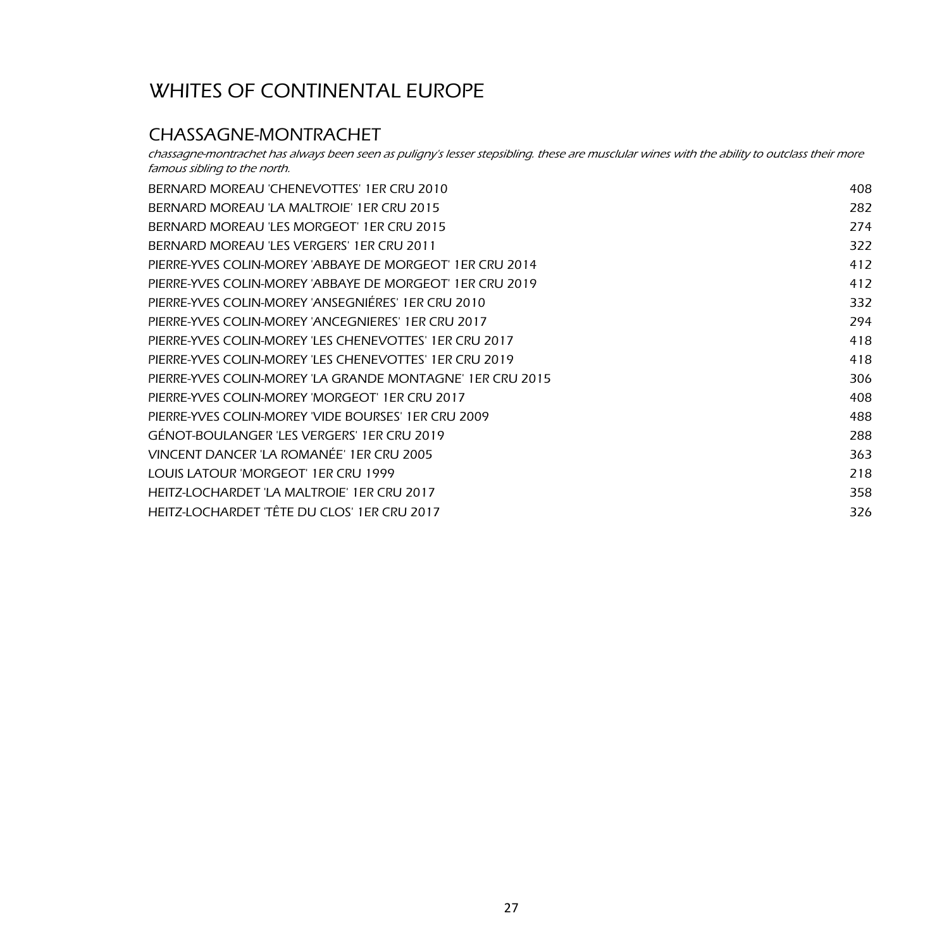#### CHASSAGNE-MONTRACHET

chassagne-montrachet has always been seen as puligny's lesser stepsibling. these are musclular wines with the ability to outclass their more famous sibling to the north.

| BERNARD MOREAU 'CHENEVOTTES' 1ER CRU 2010                 | 408 |
|-----------------------------------------------------------|-----|
| BERNARD MOREAU 'LA MALTROIE' 1ER CRU 2015                 | 282 |
| BERNARD MOREAU 'LES MORGEOT' 1ER CRU 2015                 | 274 |
| BERNARD MOREAU 'LES VERGERS' 1ER CRU 2011                 | 322 |
| PIERRE-YVES COLIN-MOREY 'ABBAYE DE MORGEOT' 1ER CRU 2014  | 412 |
| PIERRE-YVES COLIN-MOREY 'ABBAYE DE MORGEOT' 1ER CRU 2019  | 412 |
| PIERRE-YVES COLIN-MOREY 'ANSEGNIÉRES' 1ER CRU 2010        | 332 |
| PIERRE-YVES COLIN-MOREY 'ANCEGNIERES' 1ER CRU 2017        | 294 |
| PIERRE-YVES COLIN-MOREY 'LES CHENEVOTTES' 1ER CRU 2017    | 418 |
| PIERRE-YVES COLIN-MOREY 'LES CHENEVOTTES' 1ER CRU 2019    | 418 |
| PIERRE-YVES COLIN-MOREY 'LA GRANDE MONTAGNE' 1ER CRU 2015 | 306 |
| PIERRE-YVES COLIN-MOREY 'MORGEOT' 1ER CRU 2017            | 408 |
| PIERRE-YVES COLIN-MOREY 'VIDE BOURSES' 1ER CRU 2009       | 488 |
| GÉNOT-BOULANGER 'LES VERGERS' 1ER CRU 2019                | 288 |
| VINCENT DANCER 'LA ROMANÉE' 1ER CRU 2005                  | 363 |
| LOUIS LATOUR 'MORGEOT' 1ER CRU 1999                       | 218 |
| HEITZ-LOCHARDET 'LA MALTROIE' 1ER CRU 2017                | 358 |
| HEITZ-LOCHARDET 'TÊTE DU CLOS' 1ER CRU 2017               | 326 |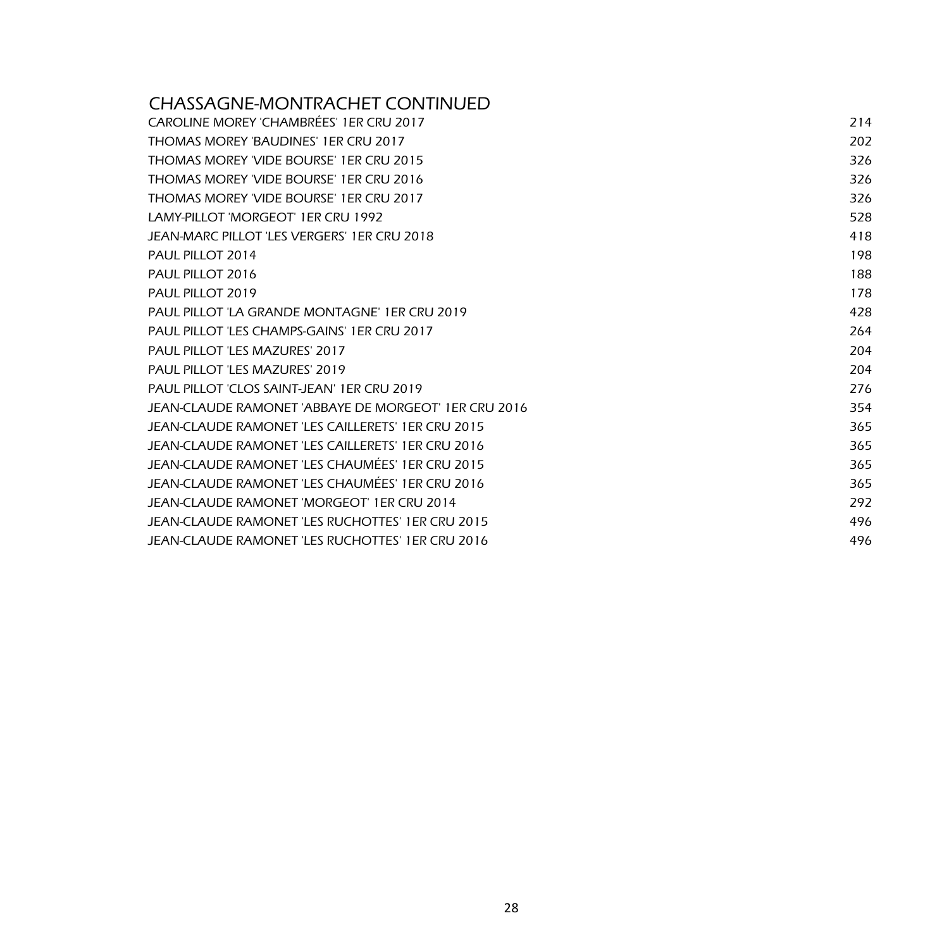#### CHASSAGNE-MONTRACHET CONTINUED

| CAROLINE MOREY 'CHAMBRÉES' 1ER CRU 2017              | 214 |
|------------------------------------------------------|-----|
| THOMAS MOREY 'BAUDINES' 1ER CRU 2017                 | 202 |
| THOMAS MOREY 'VIDE BOURSE' 1ER CRU 2015              | 326 |
| THOMAS MOREY 'VIDE BOURSE' 1ER CRU 2016              | 326 |
| THOMAS MOREY 'VIDE BOURSE' 1ER CRU 2017              | 326 |
| LAMY-PILLOT 'MORGEOT' 1FR CRU 1992                   | 528 |
| JEAN-MARC PILLOT 'LES VERGERS' 1ER CRU 2018          | 418 |
| PAUL PILLOT 2014                                     | 198 |
| PAUL PILLOT 2016                                     | 188 |
| PAUL PILLOT 2019                                     | 178 |
| PAUL PILLOT 'LA GRANDE MONTAGNE' 1ER CRU 2019        | 428 |
| PAUL PILLOT 'LES CHAMPS-GAINS' 1ER CRU 2017          | 264 |
| PAUL PILLOT 'LES MAZURES' 2017                       | 204 |
| <b>PAUL PILLOT 'LES MAZURES' 2019</b>                | 204 |
| PAUL PILLOT 'CLOS SAINT-JEAN' 1ER CRU 2019           | 276 |
| JEAN-CLAUDE RAMONET 'ABBAYE DE MORGEOT' 1ER CRU 2016 | 354 |
| JEAN-CLAUDE RAMONET 'LES CAILLERETS' 1ER CRU 2015    | 365 |
| JEAN-CLAUDE RAMONET 'LES CAILLERETS' 1ER CRU 2016    | 365 |
| JEAN-CLAUDE RAMONET 'LES CHAUMÉES' 1ER CRU 2015      | 365 |
| JEAN-CLAUDE RAMONET 'LES CHAUMÉES' 1ER CRU 2016      | 365 |
| JEAN-CLAUDE RAMONET 'MORGEOT' 1ER CRU 2014           | 292 |
| JEAN-CLAUDE RAMONET 'LES RUCHOTTES' 1ER CRU 2015     | 496 |
| JEAN-CLAUDE RAMONET 'LES RUCHOTTES' 1ER CRU 2016     | 496 |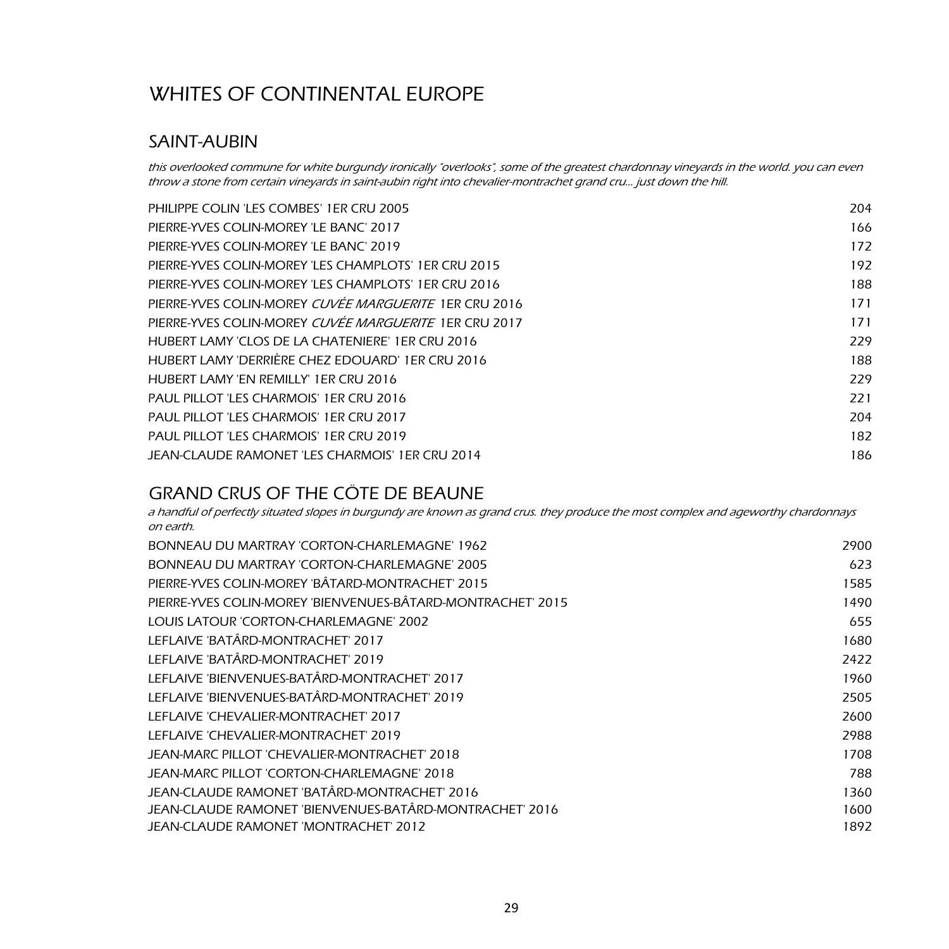#### SAINT-AUBIN

this overlooked commune for white burgundy ironically "overlooks", some of the greatest chardonnay vineyards in the world. you can even throw a stone from certain vineyards in saint-aubin right into chevalier-montrachet grand cru… just down the hill.

| PHILIPPE COLIN 'LES COMBES' 1ER CRU 2005              | 204 |
|-------------------------------------------------------|-----|
| PIERRE-YVES COLIN-MOREY 'LE BANC' 2017                | 166 |
| PIERRE-YVES COLIN-MOREY 'LE BANC' 2019                | 172 |
| PIERRE-YVES COLIN-MOREY 'LES CHAMPLOTS' 1ER CRU 2015  | 192 |
| PIERRE-YVES COLIN-MOREY 'LES CHAMPLOTS' 1ER CRU 2016  | 188 |
| PIERRE-YVES COLIN-MOREY CUVEE MARGUERITE 1ER CRU 2016 | 171 |
| PIERRE-YVES COLIN-MOREY CUVEE MARGUERITE 1ER CRU 2017 | 171 |
| HUBERT LAMY 'CLOS DE LA CHATENIERE' 1ER CRU 2016      | 229 |
| HUBERT LAMY 'DERRIÈRE CHEZ EDOUARD' 1ER CRU 2016      | 188 |
| HUBERT LAMY 'EN REMILLY' 1ER CRU 2016                 | 229 |
| <b>PAUL PILLOT 'LES CHARMOIS' 1ER CRU 2016</b>        | 221 |
| PAUL PILLOT 'LES CHARMOIS' 1ER CRU 2017               | 204 |
| PAUL PILLOT 'LES CHARMOIS' 1ER CRU 2019               | 182 |
| JEAN-CLAUDE RAMONET 'LES CHARMOIS' 1ER CRU 2014       | 186 |
|                                                       |     |

#### GRAND CRUS OF THE CÔTE DE BEAUNE

a handful of perfectly situated slopes in burgundy are known as grand crus. they produce the most complex and ageworthy chardonnays on earth.

| BONNEAU DU MARTRAY 'CORTON-CHARLEMAGNE' 1962                | 2900 |
|-------------------------------------------------------------|------|
| BONNEAU DU MARTRAY 'CORTON-CHARLEMAGNE' 2005                | 623  |
| PIERRE-YVES COLIN-MOREY 'BÂTARD-MONTRACHET' 2015            | 1585 |
| PIERRE-YVES COLIN-MOREY 'BIENVENUES-BÂTARD-MONTRACHET' 2015 | 1490 |
| LOUIS LATOUR 'CORTON-CHARLEMAGNE' 2002                      | 655  |
| LEFLAIVE 'BATÂRD-MONTRACHET' 2017                           | 1680 |
| LEFLAIVE 'BATÂRD-MONTRACHET' 2019                           | 2422 |
| LEFLAIVE 'BIENVENUES-BATÂRD-MONTRACHET' 2017                | 1960 |
| LEFLAIVE 'BIENVENUES-BATÂRD-MONTRACHET' 2019                | 2505 |
| LEFLAIVE 'CHEVALIER-MONTRACHET' 2017                        | 2600 |
| LEFLAIVE 'CHEVALIER-MONTRACHET' 2019                        | 2988 |
| JEAN-MARC PILLOT 'CHEVALIER-MONTRACHET' 2018                | 1708 |
| JEAN-MARC PILLOT 'CORTON-CHARLEMAGNE' 2018                  | 788  |
| JEAN-CLAUDE RAMONET 'BATÂRD-MONTRACHET' 2016                | 1360 |
| JEAN-CLAUDE RAMONET 'BIENVENUES-BATÂRD-MONTRACHET' 2016     | 1600 |
| JEAN-CLAUDE RAMONET 'MONTRACHET' 2012                       | 1892 |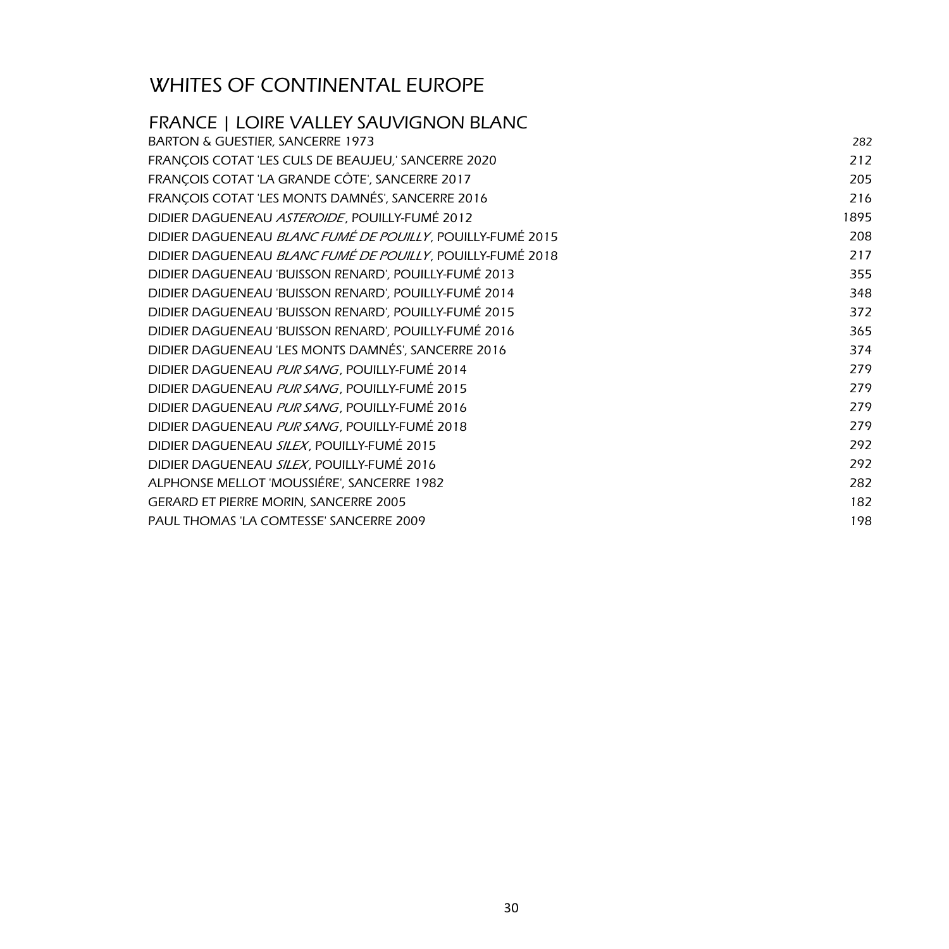| <b>FRANCE   LOIRE VALLEY SAUVIGNON BLANC</b>              |      |
|-----------------------------------------------------------|------|
| <b>BARTON &amp; GUESTIER, SANCERRE 1973</b>               | 282  |
| FRANÇOIS COTAT 'LES CULS DE BEAUJEU,' SANCERRE 2020       | 212  |
| FRANÇOIS COTAT 'LA GRANDE CÔTE', SANCERRE 2017            | 205  |
| FRANÇOIS COTAT 'LES MONTS DAMNÉS', SANCERRE 2016          | 216  |
| DIDIER DAGUENEAU ASTEROIDE, POUILLY-FUMÉ 2012             | 1895 |
| DIDIER DAGUENEAU BLANC FUMÉ DE POUILLY, POUILLY-FUMÉ 2015 | 208  |
| DIDIER DAGUENEAU BLANC FUMÉ DE POUILLY, POUILLY-FUMÉ 2018 | 217  |
| DIDIER DAGUENEAU 'BUISSON RENARD', POUILLY-FUMÉ 2013      | 355  |
| DIDIER DAGUENEAU 'BUISSON RENARD', POUILLY-FUMÉ 2014      | 348  |
| DIDIER DAGUENEAU 'BUISSON RENARD', POUILLY-FUMÉ 2015      | 372  |
| DIDIER DAGUENEAU 'BUISSON RENARD', POUILLY-FUMÉ 2016      | 365  |
| DIDIER DAGUENEAU 'LES MONTS DAMNÉS', SANCERRE 2016        | 374  |
| DIDIER DAGUENEAU PUR SANG, POUILLY-FUMÉ 2014              | 279  |
| DIDIER DAGUENEAU PUR SANG, POUILLY-FUMÉ 2015              | 279  |
| DIDIER DAGUENEAU PUR SANG, POUILLY-FUMÉ 2016              | 279  |
| DIDIER DAGUENEAU PUR SANG, POUILLY-FUMÉ 2018              | 279  |
| DIDIER DAGUENEAU SILEX, POUILLY-FUMÉ 2015                 | 292  |
| DIDIER DAGUENEAU SILEX, POUILLY-FUMÉ 2016                 | 292  |
| ALPHONSE MELLOT 'MOUSSIÉRE', SANCERRE 1982                | 282  |
| <b>GERARD ET PIERRE MORIN, SANCERRE 2005</b>              | 182  |
| <b>PAUL THOMAS 'LA COMTESSE' SANCERRE 2009</b>            | 198  |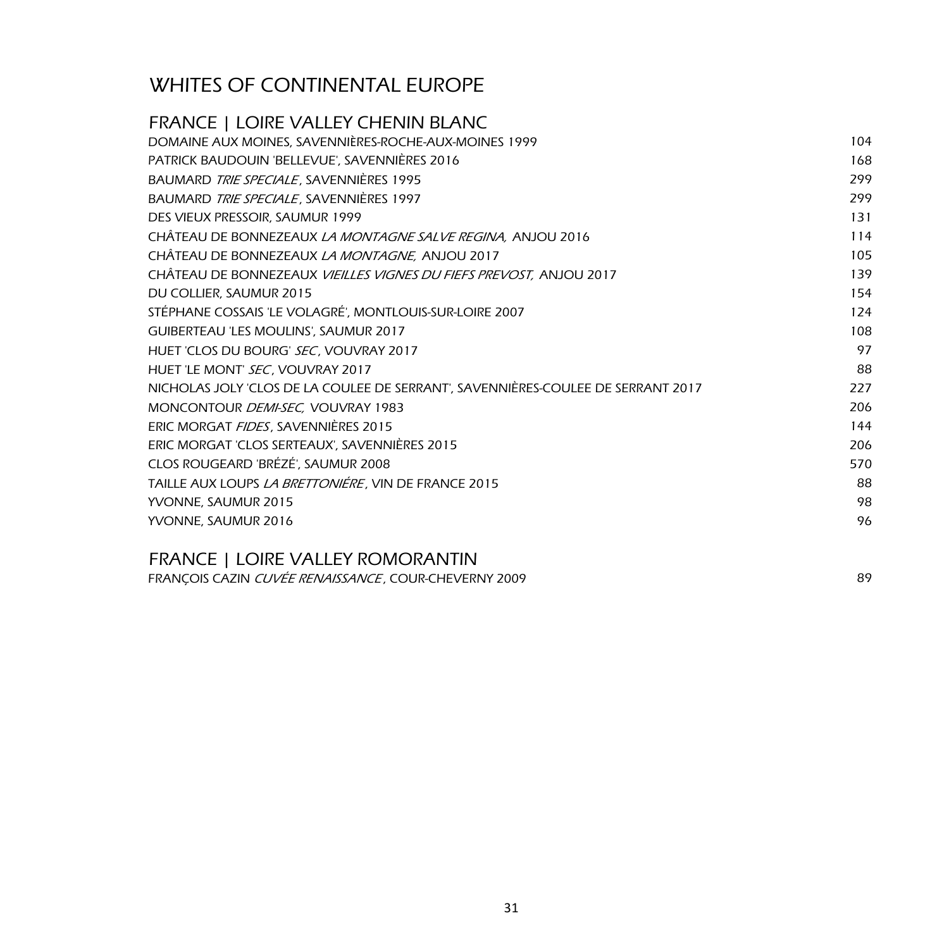| <b>FRANCE   LOIRE VALLEY CHENIN BLANC</b>                                        |     |
|----------------------------------------------------------------------------------|-----|
| DOMAINE AUX MOINES, SAVENNIÈRES-ROCHE-AUX-MOINES 1999                            | 104 |
| PATRICK BAUDOUIN 'BELLEVUE', SAVENNIÈRES 2016                                    | 168 |
| BAUMARD TRIE SPECIALE, SAVENNIÈRES 1995                                          | 299 |
| BAUMARD TRIE SPECIALE, SAVENNIÈRES 1997                                          | 299 |
| DES VIEUX PRESSOIR, SAUMUR 1999                                                  | 131 |
| CHÂTEAU DE BONNEZEAUX LA MONTAGNE SALVE REGINA, ANJOU 2016                       | 114 |
| CHÂTEAU DE BONNEZEAUX LA MONTAGNE, ANJOU 2017                                    | 105 |
| CHÂTEAU DE BONNEZEAUX VIEILLES VIGNES DU FIEFS PREVOST, ANJOU 2017               | 139 |
| DU COLLIER, SAUMUR 2015                                                          | 154 |
| STÉPHANE COSSAIS 'LE VOLAGRÉ', MONTLOUIS-SUR-LOIRE 2007                          | 124 |
| GUIBERTEAU 'LES MOULINS', SAUMUR 2017                                            | 108 |
| HUET 'CLOS DU BOURG' SEC, VOUVRAY 2017                                           | 97  |
| HUET 'LE MONT' SEC, VOUVRAY 2017                                                 | 88  |
| NICHOLAS JOLY 'CLOS DE LA COULEE DE SERRANT', SAVENNIÈRES-COULEE DE SERRANT 2017 | 227 |
| MONCONTOUR DEMI-SEC, VOUVRAY 1983                                                | 206 |
| ERIC MORGAT FIDES, SAVENNIÈRES 2015                                              | 144 |
| ERIC MORGAT 'CLOS SERTEAUX', SAVENNIÈRES 2015                                    | 206 |
| CLOS ROUGEARD 'BRÉZÉ', SAUMUR 2008                                               | 570 |
| TAILLE AUX LOUPS LA BRETTONIÉRE, VIN DE FRANCE 2015                              | 88  |
| YVONNE, SAUMUR 2015                                                              | 98  |
| YVONNE, SAUMUR 2016                                                              | 96  |
|                                                                                  |     |

#### FRANCE | LOIRE VALLEY ROMORANTIN

FRANÇOIS CAZIN CUVÉE RENAISSANCE , COUR-CHEVERNY 2009 89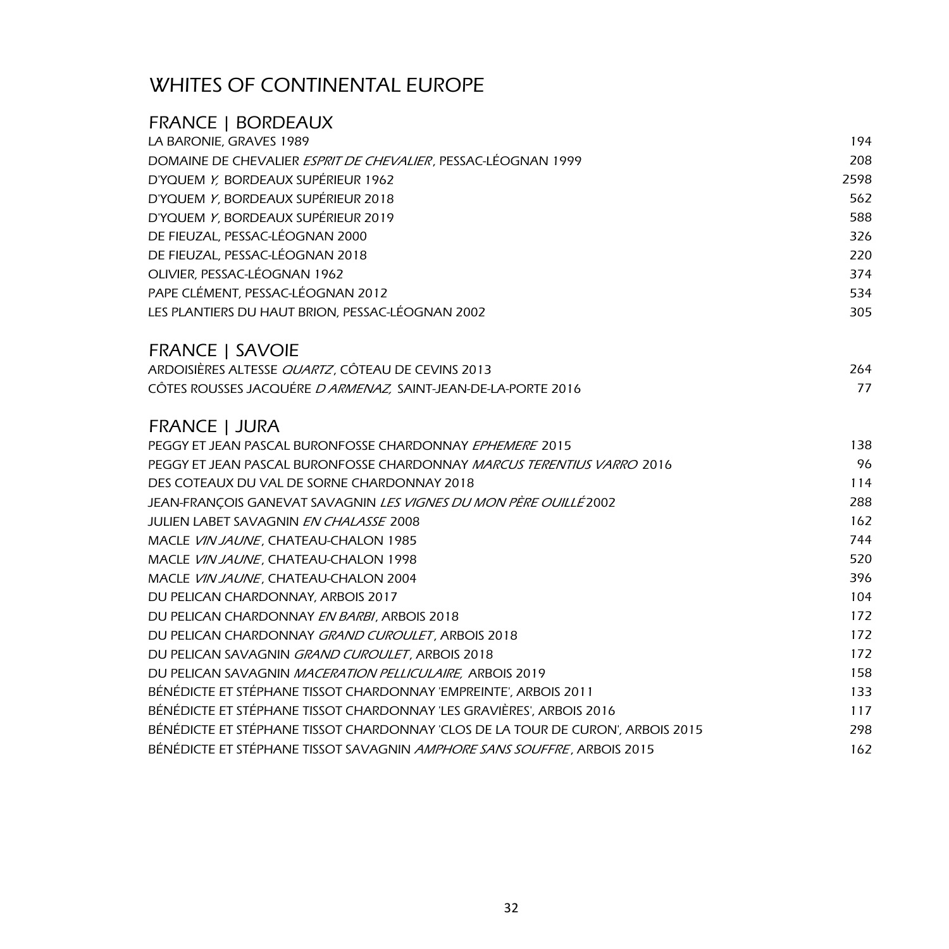| <b>FRANCE   BORDEAUX</b>                                                        |      |
|---------------------------------------------------------------------------------|------|
| LA BARONIE, GRAVES 1989                                                         | 194  |
| DOMAINE DE CHEVALIER ESPRIT DE CHEVALIER, PESSAC-LÉOGNAN 1999                   | 208  |
| D'YOUEM Y, BORDEAUX SUPÉRIEUR 1962                                              | 2598 |
| D'YOUEM Y, BORDEAUX SUPÉRIEUR 2018                                              | 562  |
| D'YQUEM Y, BORDEAUX SUPÉRIEUR 2019                                              | 588  |
| DE FIEUZAL, PESSAC-LÉOGNAN 2000                                                 | 326  |
| DE FIEUZAL, PESSAC-LÉOGNAN 2018                                                 | 220  |
| OLIVIER, PESSAC-LÉOGNAN 1962                                                    | 374  |
| PAPE CLÉMENT, PESSAC-LÉOGNAN 2012                                               | 534  |
| LES PLANTIERS DU HAUT BRION, PESSAC-LÉOGNAN 2002                                | 305  |
| <b>FRANCE   SAVOIE</b>                                                          |      |
| ARDOISIÈRES ALTESSE QUARTZ, CÔTEAU DE CEVINS 2013                               | 264  |
| CÔTES ROUSSES JACQUÉRE D ARMENAZ, SAINT-JEAN-DE-LA-PORTE 2016                   | 77   |
| <b>FRANCE   JURA</b>                                                            |      |
| PEGGY ET JEAN PASCAL BURONFOSSE CHARDONNAY EPHEMERE 2015                        | 138  |
| PEGGY ET JEAN PASCAL BURONFOSSE CHARDONNAY <i>MARCUS TERENTIUS VARRO</i> 2016   | 96   |
| DES COTEAUX DU VAL DE SORNE CHARDONNAY 2018                                     | 114  |
| JEAN-FRANÇOIS GANEVAT SAVAGNIN LES VIGNES DU MON PÈRE OUILLÉ 2002               | 288  |
| JULIEN LABET SAVAGNIN EN CHALASSE 2008                                          | 162  |
| MACLE VIN JAUNE, CHATEAU-CHALON 1985                                            | 744  |
| MACLE VIN JAUNE, CHATEAU-CHALON 1998                                            | 520  |
| MACLE VIN JAUNE, CHATEAU-CHALON 2004                                            | 396  |
| DU PELICAN CHARDONNAY, ARBOIS 2017                                              | 104  |
| DU PELICAN CHARDONNAY EN BARBI, ARBOIS 2018                                     | 172  |
| DU PELICAN CHARDONNAY GRAND CUROULET, ARBOIS 2018                               | 172  |
| DU PELICAN SAVAGNIN GRAND CUROULET, ARBOIS 2018                                 | 172  |
| DU PELICAN SAVAGNIN MACERATION PELLICULAIRE, ARBOIS 2019                        | 158  |
| BÉNÉDICTE ET STÉPHANE TISSOT CHARDONNAY 'EMPREINTE', ARBOIS 2011                | 133  |
| BÉNÉDICTE ET STÉPHANE TISSOT CHARDONNAY 'LES GRAVIÈRES', ARBOIS 2016            | 117  |
| BÉNÉDICTE ET STÉPHANE TISSOT CHARDONNAY 'CLOS DE LA TOUR DE CURON', ARBOIS 2015 | 298  |
| BÉNÉDICTE ET STÉPHANE TISSOT SAVAGNIN <i>AMPHORE SANS SOUFFRE,</i> ARBOIS 2015  | 162  |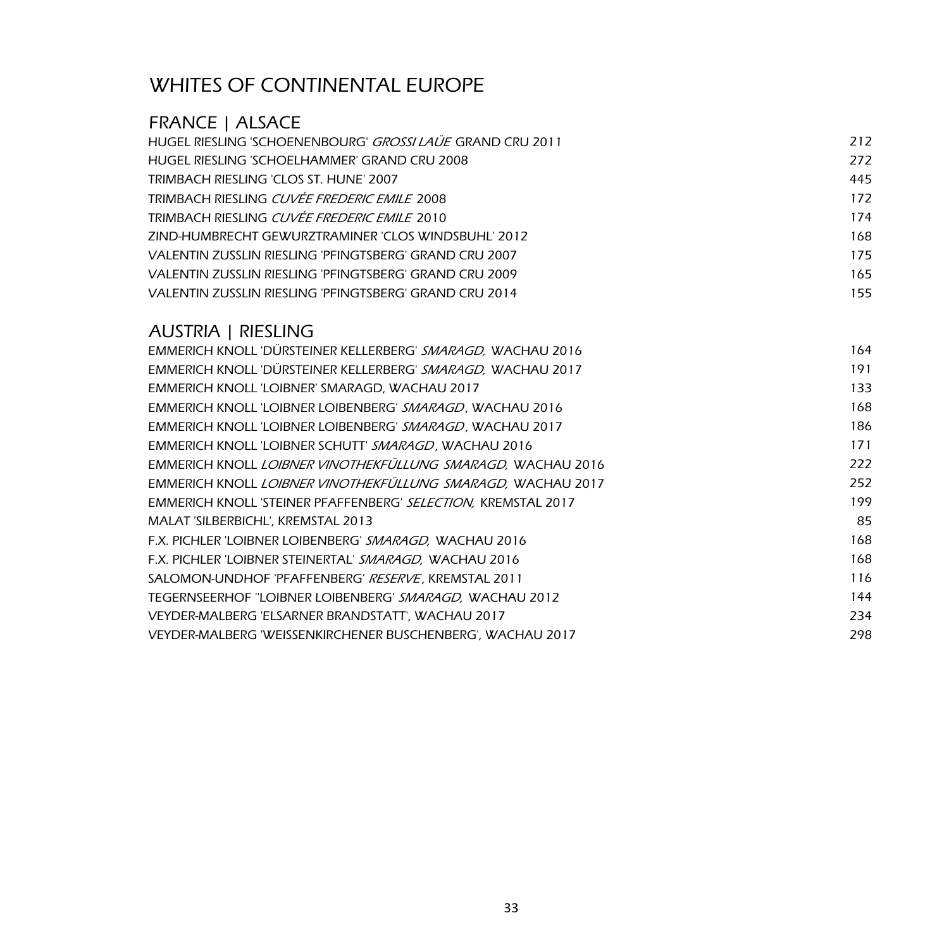## FRANCE | ALSACE

| HUGEL RIESLING 'SCHOENENBOURG' <i>GROSSI LAUE</i> GRAND CRU 2011 | 212 |
|------------------------------------------------------------------|-----|
| HUGEL RIESLING 'SCHOELHAMMER' GRAND CRU 2008                     | 272 |
| TRIMBACH RIESLING 'CLOS ST. HUNE' 2007                           | 445 |
| TRIMBACH RIESLING <i>CUVÉE FREDERIC EMILE</i> 2008               | 172 |
| TRIMBACH RIESLING <i>CUVÉE FREDERIC EMILE</i> 2010               | 174 |
| ZIND-HUMBRECHT GEWURZTRAMINER 'CLOS WINDSBUHL' 2012              | 168 |
| VALENTIN ZUSSLIN RIESLING 'PFINGTSBERG' GRAND CRU 2007           | 175 |
| VALENTIN ZUSSLIN RIESLING 'PFINGTSBERG' GRAND CRU 2009           | 165 |
| VALENTIN ZUSSLIN RIESLING 'PFINGTSBERG' GRAND CRU 2014           | 155 |
|                                                                  |     |

#### AUSTRIA | RIESLING

| EMMERICH KNOLL DÜRSTEINER KELLERBERG' SMARAGD, WACHAU 2016    | 164 |
|---------------------------------------------------------------|-----|
| EMMERICH KNOLL 'DÜRSTEINER KELLERBERG' SMARAGD, WACHAU 2017   | 191 |
| EMMERICH KNOLL 'LOIBNER' SMARAGD, WACHAU 2017                 | 133 |
| EMMERICH KNOLL 'LOIBNER LOIBENBERG' SMARAGD, WACHAU 2016      | 168 |
| EMMERICH KNOLL 'LOIBNER LOIBENBERG' SMARAGD, WACHAU 2017      | 186 |
| EMMERICH KNOLL 'LOIBNER SCHUTT' SMARAGD, WACHAU 2016          | 171 |
| EMMERICH KNOLL LOIBNER VINOTHEKFÜLLUNG SMARAGD, WACHAU 2016   | 222 |
| EMMERICH KNOLL LOIBNER VINOTHEKFULLUNG SMARAGD, WACHAU 2017   | 252 |
| EMMERICH KNOLL 'STEINER PFAFFENBERG' SELECTION, KREMSTAL 2017 | 199 |
| MALAT 'SILBERBICHL', KREMSTAL 2013                            | 85  |
| F.X. PICHLER 'LOIBNER LOIBENBERG' SMARAGD, WACHAU 2016        | 168 |
| F.X. PICHLER 'LOIBNER STEINERTAL' SMARAGD, WACHAU 2016        | 168 |
| SALOMON-UNDHOF 'PFAFFENBERG' <i>RESERVE</i> , KREMSTAL 2011   | 116 |
| TEGERNSEERHOF "LOIBNER LOIBENBERG' SMARAGD, WACHAU 2012       | 144 |
| VEYDER-MALBERG 'ELSARNER BRANDSTATT', WACHAU 2017             | 234 |
| VEYDER-MALBERG 'WEISSENKIRCHENER BUSCHENBERG', WACHAU 2017    | 298 |
|                                                               |     |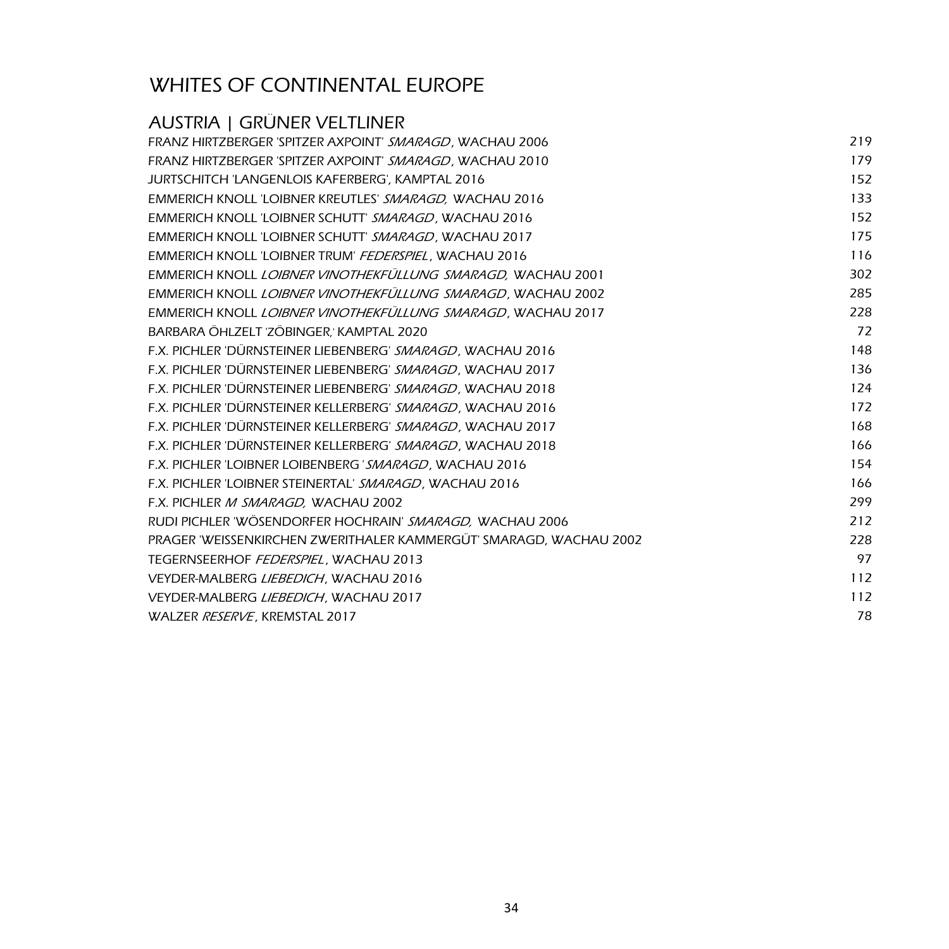# AUSTRIA | GRÜNER VELTLINER

| FRANZ HIRTZBERGER 'SPITZER AXPOINT' SMARAGD, WACHAU 2006           | 219 |
|--------------------------------------------------------------------|-----|
| FRANZ HIRTZBERGER 'SPITZER AXPOINT' SMARAGD, WACHAU 2010           | 179 |
| JURTSCHITCH 'LANGENLOIS KAFERBERG', KAMPTAL 2016                   | 152 |
| EMMERICH KNOLL 'LOIBNER KREUTLES' SMARAGD, WACHAU 2016             | 133 |
| EMMERICH KNOLL 'LOIBNER SCHUTT' SMARAGD, WACHAU 2016               | 152 |
| EMMERICH KNOLL 'LOIBNER SCHUTT' SMARAGD, WACHAU 2017               | 175 |
| EMMERICH KNOLL 'LOIBNER TRUM' FEDERSPIEL, WACHAU 2016              | 116 |
| EMMERICH KNOLL LOIBNER VINOTHEKFÜLLUNG SMARAGD, WACHAU 2001        | 302 |
| EMMERICH KNOLL LOIBNER VINOTHEKFULLUNG SMARAGD, WACHAU 2002        | 285 |
| EMMERICH KNOLL LOIBNER VINOTHEKFÜLLUNG SMARAGD, WACHAU 2017        | 228 |
| BARBARA ÖHLZELT 'ZÖBINGER,' KAMPTAL 2020                           | 72  |
| F.X. PICHLER 'DÜRNSTEINER LIEBENBERG' SMARAGD, WACHAU 2016         | 148 |
| F.X. PICHLER 'DÜRNSTEINER LIEBENBERG' SMARAGD, WACHAU 2017         | 136 |
| F.X. PICHLER 'DÜRNSTEINER LIEBENBERG' SMARAGD, WACHAU 2018         | 124 |
| F.X. PICHLER 'DÜRNSTEINER KELLERBERG' SMARAGD, WACHAU 2016         | 172 |
| F.X. PICHLER 'DURNSTEINER KELLERBERG' SMARAGD, WACHAU 2017         | 168 |
| F.X. PICHLER 'DÜRNSTEINER KELLERBERG' SMARAGD, WACHAU 2018         | 166 |
| F.X. PICHLER 'LOIBNER LOIBENBERG' SMARAGD, WACHAU 2016             | 154 |
| F.X. PICHLER 'LOIBNER STEINERTAL' SMARAGD, WACHAU 2016             | 166 |
| F.X. PICHLER M SMARAGD, WACHAU 2002                                | 299 |
| RUDI PICHLER 'WÖSENDORFER HOCHRAIN' SMARAGD, WACHAU 2006           | 212 |
| PRAGER 'WEISSENKIRCHEN ZWERITHALER KAMMERGÜT' SMARAGD, WACHAU 2002 | 228 |
| TEGERNSEERHOF FEDERSPIEL, WACHAU 2013                              | 97  |
| VEYDER-MALBERG LIEBEDICH, WACHAU 2016                              | 112 |
| VEYDER-MALBERG LIEBEDICH, WACHAU 2017                              | 112 |
| WALZER RESERVE, KREMSTAL 2017                                      | 78  |
|                                                                    |     |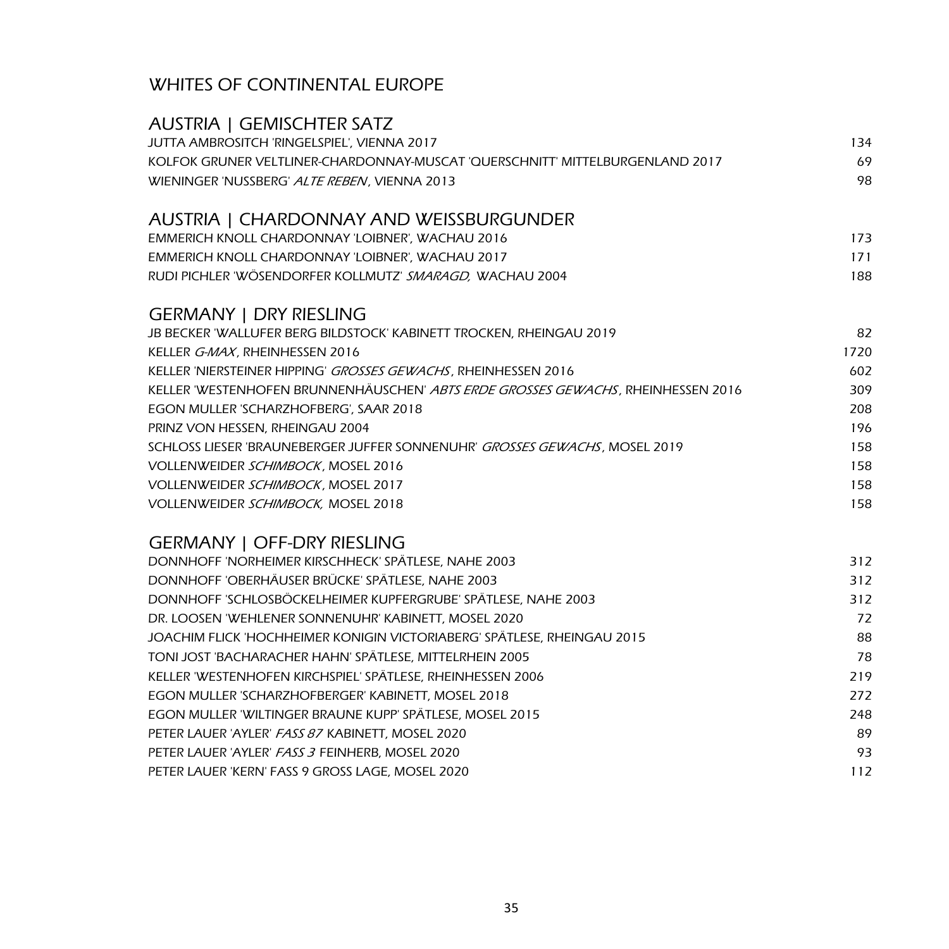| <b>AUSTRIA   GEMISCHTER SATZ</b>                                                 |      |
|----------------------------------------------------------------------------------|------|
| JUTTA AMBROSITCH 'RINGELSPIEL', VIENNA 2017                                      | 134  |
| KOLFOK GRUNER VELTLINER-CHARDONNAY-MUSCAT 'QUERSCHNITT' MITTELBURGENLAND 2017    | 69   |
| WIENINGER 'NUSSBERG' ALTE REBEN, VIENNA 2013                                     | 98   |
| AUSTRIA   CHARDONNAY AND WEISSBURGUNDER                                          |      |
| EMMERICH KNOLL CHARDONNAY 'LOIBNER', WACHAU 2016                                 | 173  |
| EMMERICH KNOLL CHARDONNAY 'LOIBNER', WACHAU 2017                                 | 171  |
| RUDI PICHLER 'WÖSENDORFER KOLLMUTZ' SMARAGD, WACHAU 2004                         | 188  |
| <b>GERMANY   DRY RIESLING</b>                                                    |      |
| JB BECKER 'WALLUFER BERG BILDSTOCK' KABINETT TROCKEN, RHEINGAU 2019              | 82   |
| KELLER G-MAX, RHEINHESSEN 2016                                                   | 1720 |
| KELLER 'NIERSTEINER HIPPING' GROSSES GEWACHS, RHEINHESSEN 2016                   | 602  |
| KELLER 'WESTENHOFEN BRUNNENHÄUSCHEN' ABTS ERDE GROSSES GEWACHS, RHEINHESSEN 2016 | 309  |
| EGON MULLER 'SCHARZHOFBERG', SAAR 2018                                           | 208  |
| PRINZ VON HESSEN, RHEINGAU 2004                                                  | 196  |
| SCHLOSS LIESER 'BRAUNEBERGER JUFFER SONNENUHR' GROSSES GEWACHS, MOSEL 2019       | 158  |
| VOLLENWEIDER SCHIMBOCK, MOSEL 2016                                               | 158  |
| VOLLENWEIDER SCHIMBOCK, MOSEL 2017                                               | 158  |
| VOLLENWEIDER SCHIMBOCK, MOSEL 2018                                               | 158  |
| <b>GERMANY   OFF-DRY RIESLING</b>                                                |      |
| DONNHOFF 'NORHEIMER KIRSCHHECK' SPÄTLESE, NAHE 2003                              | 312  |
| DONNHOFF 'OBERHÄUSER BRÜCKE' SPÄTLESE, NAHE 2003                                 | 312  |
| DONNHOFF 'SCHLOSBÖCKELHEIMER KUPFERGRUBE' SPÄTLESE, NAHE 2003                    | 312  |
| DR. LOOSEN 'WEHLENER SONNENUHR' KABINETT, MOSEL 2020                             | 72   |
| JOACHIM FLICK 'HOCHHEIMER KONIGIN VICTORIABERG' SPÄTLESE, RHEINGAU 2015          | 88   |
| TONI JOST 'BACHARACHER HAHN' SPÄTLESE, MITTELRHEIN 2005                          | 78   |
| KELLER 'WESTENHOFEN KIRCHSPIEL' SPÄTLESE, RHEINHESSEN 2006                       | 219  |
| EGON MULLER 'SCHARZHOFBERGER' KABINETT, MOSEL 2018                               | 272  |
| EGON MULLER 'WILTINGER BRAUNE KUPP' SPÄTLESE, MOSEL 2015                         | 248  |
| PETER LAUER 'AYLER' FASS 87 KABINETT, MOSEL 2020                                 | 89   |
| PETER LAUER 'AYLER' FASS 3 FEINHERB, MOSEL 2020                                  | 93   |
| PETER LAUER 'KERN' FASS 9 GROSS LAGE, MOSEL 2020                                 | 112  |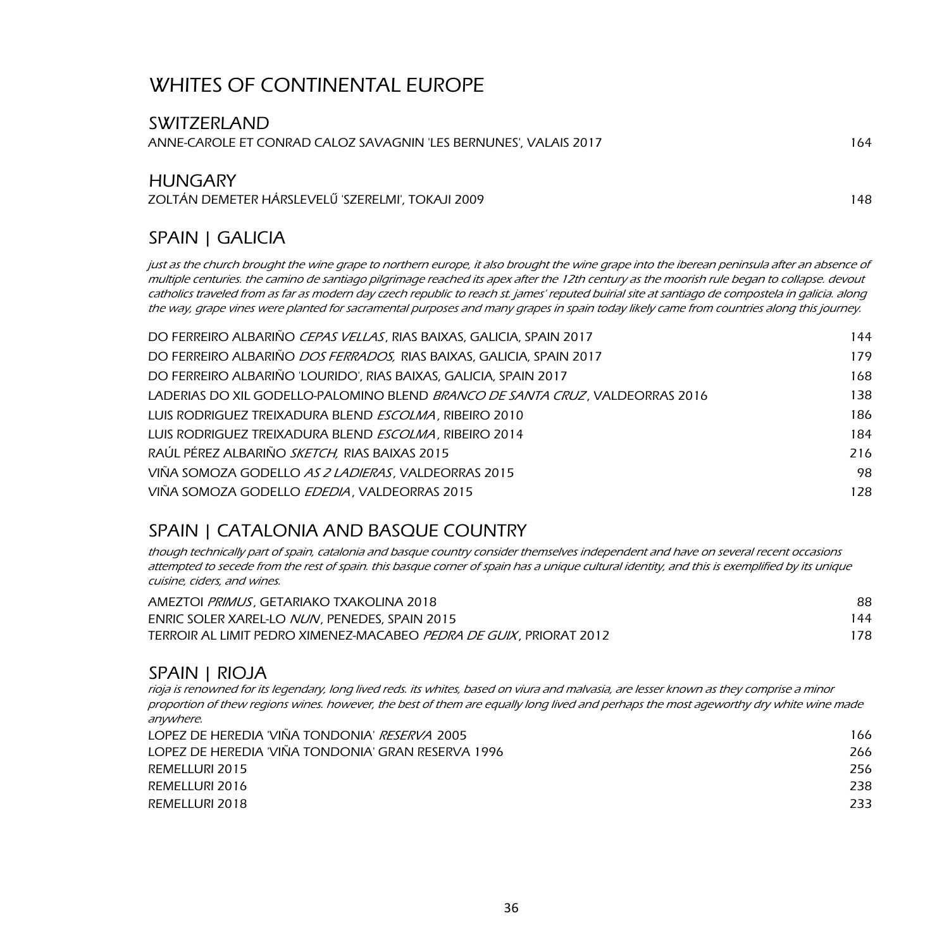| <b>SWITZERLAND</b>                                                                                                                          |     |
|---------------------------------------------------------------------------------------------------------------------------------------------|-----|
| ANNE-CAROLE ET CONRAD CALOZ SAVAGNIN 'LES BERNUNES', VALAIS 2017                                                                            | 164 |
| <b>HUNGARY</b><br>ZOLTÁN DEMETER HÁRSLEVELŰ 'SZERELMI', TOKAJI 2009                                                                         | 148 |
| SPAIN   GALICIA                                                                                                                             |     |
| just as the church brought the wine grape to northern europe, it also brought the wine grape into the iberean peninsula after an absence of |     |

multiple centuries. the camino de santiago pilgrimage reached its apex after the 12th century as the moorish rule began to collapse. devout catholics traveled from as far as modern day czech republic to reach st. james' reputed buirial site at santiago de compostela in galicia. along the way, grape vines were planted for sacramental purposes and many grapes in spain today likely came from countries along this journey.

| DO FERREIRO ALBARIÑO CEPAS VELLAS, RIAS BAIXAS, GALICIA, SPAIN 2017                  | 144 |
|--------------------------------------------------------------------------------------|-----|
| DO FERREIRO ALBARIÑO DOS FERRADOS, RIAS BAIXAS, GALICIA, SPAIN 2017                  | 179 |
| DO FERREIRO ALBARIÑO 'LOURIDO', RIAS BAIXAS, GALICIA, SPAIN 2017                     | 168 |
| LADERIAS DO XIL GODELLO-PALOMINO BLEND <i>BRANCO DE SANTA CRUZ</i> . VALDEORRAS 2016 | 138 |
| LUIS RODRIGUEZ TREIXADURA BLEND ESCOLMA, RIBEIRO 2010                                | 186 |
| LUIS RODRIGUEZ TREIXADURA BLEND <i>ESCOLMA</i> , RIBEIRO 2014                        | 184 |
| RAÚL PÉREZ ALBARIÑO SKETCH, RIAS BAIXAS 2015                                         | 216 |
| VIÑA SOMOZA GODELLO AS 2 LADIERAS, VALDEORRAS 2015                                   | 98  |
| VIÑA SOMOZA GODELLO EDEDIA, VALDEORRAS 2015                                          | 128 |

### SPAIN | CATALONIA AND BASQUE COUNTRY

though technically part of spain, catalonia and basque country consider themselves independent and have on several recent occasions attempted to secede from the rest of spain. this basque corner of spain has a unique cultural identity, and this is exemplified by its unique cuisine, ciders, and wines.

| AMEZTOI PRIMUS, GETARIAKO TXAKOLINA 2018                                   | 88  |
|----------------------------------------------------------------------------|-----|
| ENRIC SOLER XAREL-LO <i>NUN</i> , PENEDES, SPAIN 2015                      | 144 |
| TERROIR AL LIMIT PEDRO XIMENEZ-MACABEO <i>PEDRA DE GUIX</i> . PRIORAT 2012 | 178 |

#### SPAIN | RIOJA

rioja is renowned for its legendary, long lived reds. its whites, based on viura and malvasia, are lesser known as they comprise a minor proportion of thew regions wines. however, the best of them are equally long lived and perhaps the most ageworthy dry white wine made anywhere.

| LOPEZ DE HEREDIA 'VIÑA TONDONIA' <i>RESERVA</i> 2005 | 166 |
|------------------------------------------------------|-----|
| LOPEZ DE HEREDIA 'VIÑA TONDONIA' GRAN RESERVA 1996   | 266 |
| REMELLURI 2015                                       | 256 |
| REMELLURI 2016                                       | 238 |
| REMELLURI 2018                                       | 233 |
|                                                      |     |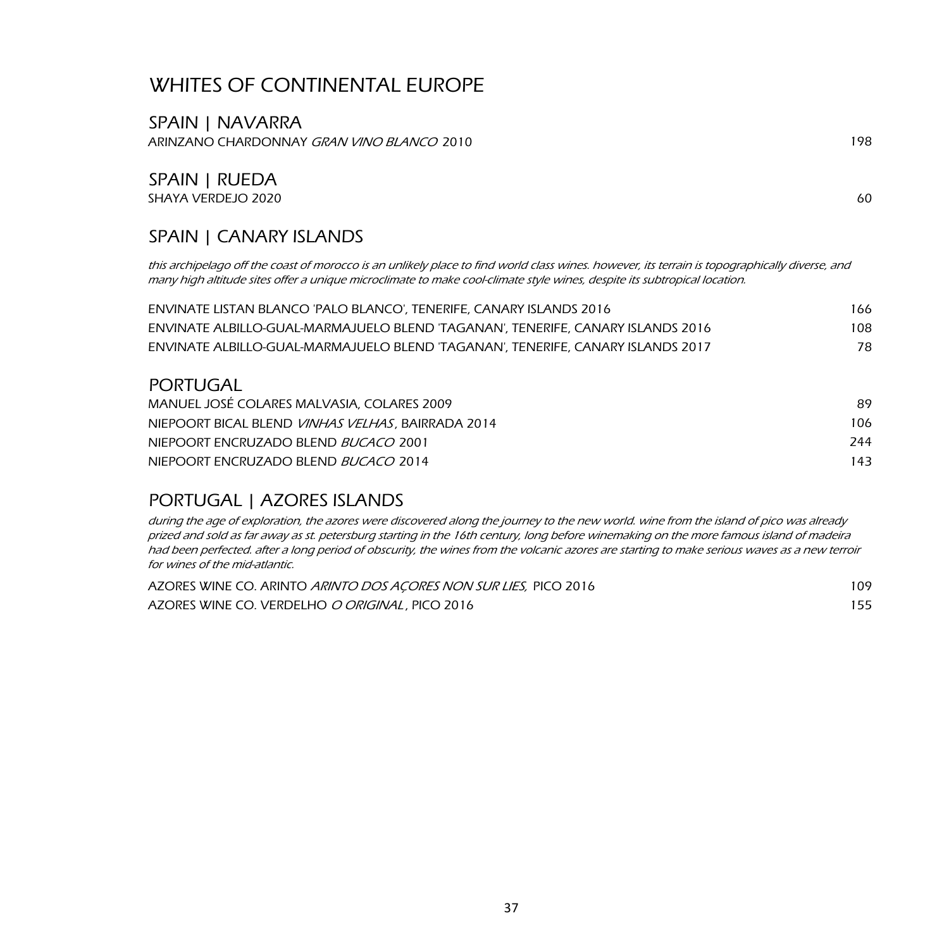SPAIN | NAVARRA ARINZANO CHARDONNAY GRAN VINO BLANCO 2010 198

#### SPAIN | RUEDA SHAYA VERDEJO 2020 60

#### SPAIN | CANARY ISLANDS

this archipelago off the coast of morocco is an unlikely place to find world class wines. however, its terrain is topographically diverse, and many high altitude sites offer a unique microclimate to make cool-climate style wines, despite its subtropical location.

| ENVINATE LISTAN BLANCO 'PALO BLANCO'. TENERIFE. CANARY ISLANDS 2016             | 166. |
|---------------------------------------------------------------------------------|------|
| ENVINATE ALBILLO-GUAL-MARMAJUELO BLEND 'TAGANAN', TENERIFE, CANARY ISLANDS 2016 | 108  |
| ENVINATE ALBILLO-GUAL-MARMAJUELO BLEND 'TAGANAN'. TENERIFE. CANARY ISLANDS 2017 | 78.  |

#### PORTUGAL

| MANUEL JOSÉ COLARES MALVASIA, COLARES 2009               | 89. |
|----------------------------------------------------------|-----|
| NIEPOORT BICAL BLEND <i>VINHAS VELHAS.</i> BAIRRADA 2014 | 106 |
| NIEPOORT ENCRUZADO BLEND <i>BUCACO</i> 2001              | 244 |
| NIEPOORT ENCRUZADO BLEND <i>BUCACO</i> 2014              | 143 |

#### PORTUGAL | AZORES ISLANDS

during the age of exploration, the azores were discovered along the journey to the new world. wine from the island of pico was already prized and sold as far away as st. petersburg starting in the 16th century, long before winemaking on the more famous island of madeira had been perfected. after a long period of obscurity, the wines from the volcanic azores are starting to make serious waves as a new terroir for wines of the mid-atlantic.

| AZORES WINE CO. ARINTO ARINTO DOS ACORES NON SUR LIES, PICO 2016 | 109 |
|------------------------------------------------------------------|-----|
| AZORES WINE CO. VERDELHO O ORIGINAL, PICO 2016                   | 155 |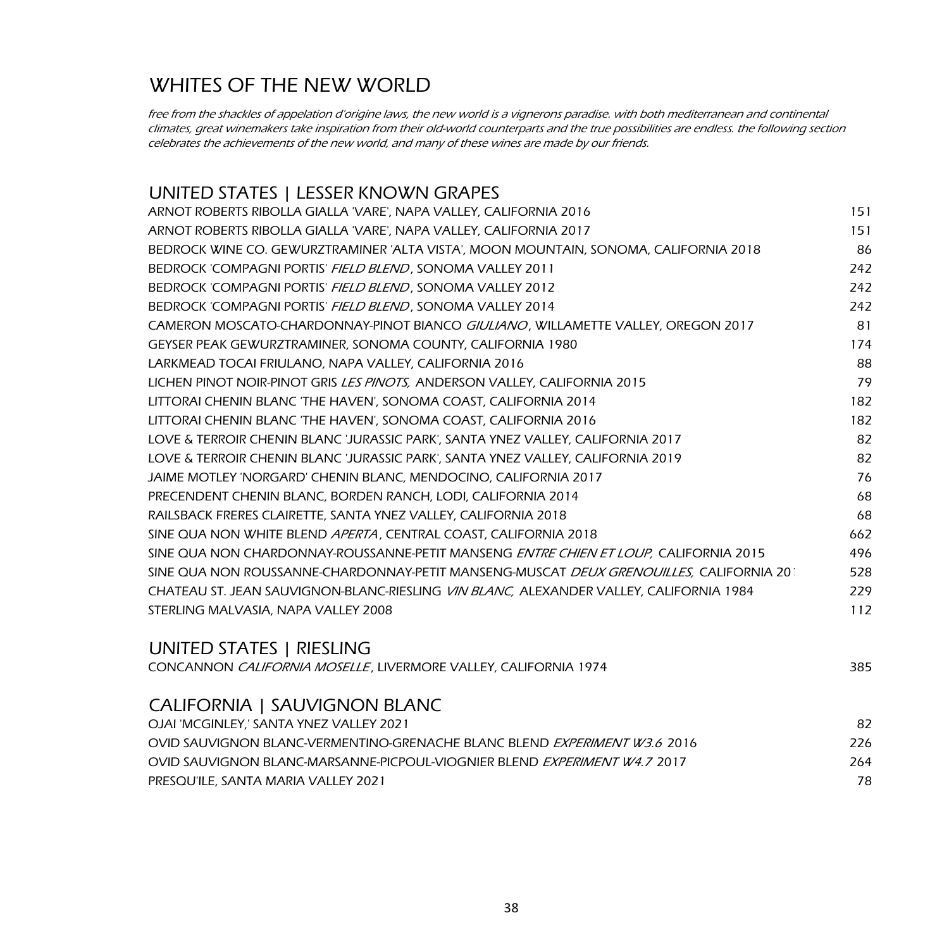## WHITES OF THE NEW WORLD

free from the shackles of appelation d'origine laws, the new world is a vignerons paradise. with both mediterranean and continental climates, great winemakers take inspiration from their old-world counterparts and the true possibilities are endless. the following section celebrates the achievements of the new world, and many of these wines are made by our friends.

#### UNITED STATES | LESSER KNOWN GRAPES

| ARNOT ROBERTS RIBOLLA GIALLA 'VARE', NAPA VALLEY, CALIFORNIA 2016                              | 151 |
|------------------------------------------------------------------------------------------------|-----|
| ARNOT ROBERTS RIBOLLA GIALLA 'VARE', NAPA VALLEY, CALIFORNIA 2017                              | 151 |
| BEDROCK WINE CO. GEWURZTRAMINER 'ALTA VISTA', MOON MOUNTAIN, SONOMA, CALIFORNIA 2018           | 86  |
| BEDROCK 'COMPAGNI PORTIS' FIELD BLEND, SONOMA VALLEY 2011                                      | 242 |
| BEDROCK 'COMPAGNI PORTIS' FIELD BLEND, SONOMA VALLEY 2012                                      | 242 |
| BEDROCK 'COMPAGNI PORTIS' FIELD BLEND, SONOMA VALLEY 2014                                      | 242 |
| CAMERON MOSCATO-CHARDONNAY-PINOT BIANCO GIULIANO, WILLAMETTE VALLEY, OREGON 2017               | 81  |
| GEYSER PEAK GEWURZTRAMINER, SONOMA COUNTY, CALIFORNIA 1980                                     | 174 |
| LARKMEAD TOCAI FRIULANO, NAPA VALLEY, CALIFORNIA 2016                                          | 88  |
| LICHEN PINOT NOIR-PINOT GRIS <i>LES PINOTS</i> . ANDERSON VALLEY. CALIFORNIA 2015              | 79  |
| LITTORAI CHENIN BLANC 'THE HAVEN', SONOMA COAST, CALIFORNIA 2014                               | 182 |
| LITTORAI CHENIN BLANC 'THE HAVEN', SONOMA COAST, CALIFORNIA 2016                               | 182 |
| LOVE & TERROIR CHENIN BLANC 'JURASSIC PARK', SANTA YNEZ VALLEY, CALIFORNIA 2017                | 82  |
| LOVE & TERROIR CHENIN BLANC 'JURASSIC PARK', SANTA YNEZ VALLEY, CALIFORNIA 2019                | 82  |
| JAIME MOTLEY 'NORGARD' CHENIN BLANC, MENDOCINO, CALIFORNIA 2017                                | 76  |
| PRECENDENT CHENIN BLANC, BORDEN RANCH, LODI, CALIFORNIA 2014                                   | 68  |
| RAILSBACK FRERES CLAIRETTE, SANTA YNEZ VALLEY, CALIFORNIA 2018                                 | 68  |
| SINE QUA NON WHITE BLEND APERTA, CENTRAL COAST, CALIFORNIA 2018                                | 662 |
| SINE QUA NON CHARDONNAY-ROUSSANNE-PETIT MANSENG ENTRE CHIEN ET LOUP, CALIFORNIA 2015           | 496 |
| sine qua non roussanne-chardonnay-petit manseng-muscat <i>deux grenouilles.</i> California 201 | 528 |
| CHATEAU ST. JEAN SAUVIGNON-BLANC-RIESLING VIN BLANC, ALEXANDER VALLEY, CALIFORNIA 1984         | 229 |
| STERLING MALVASIA, NAPA VALLEY 2008                                                            | 112 |
|                                                                                                |     |

#### UNITED STATES | RIESLING

| CONCANNON CALIFORNIA MOSELLE, LIVERMORE VALLEY, CALIFORNIA 1974 | 385 |
|-----------------------------------------------------------------|-----|
|-----------------------------------------------------------------|-----|

#### CALIFORNIA | SAUVIGNON BLANC

| OJAI 'MCGINLEY.' SANTA YNEZ VALLEY 2021                                           | 82  |
|-----------------------------------------------------------------------------------|-----|
| OVID SALIVIGNON BLANC-VERMENTINO-GRENACHE BLANC BLEND <i>EXPERIMENT W3.6</i> 2016 | 226 |
| OVID SAUVIGNON BLANC-MARSANNE-PICPOUL-VIOGNIER BLEND <i>EXPERIMENT W4.7</i> 2017  | 264 |
| PRESQU'ILE, SANTA MARIA VALLEY 2021                                               | 78  |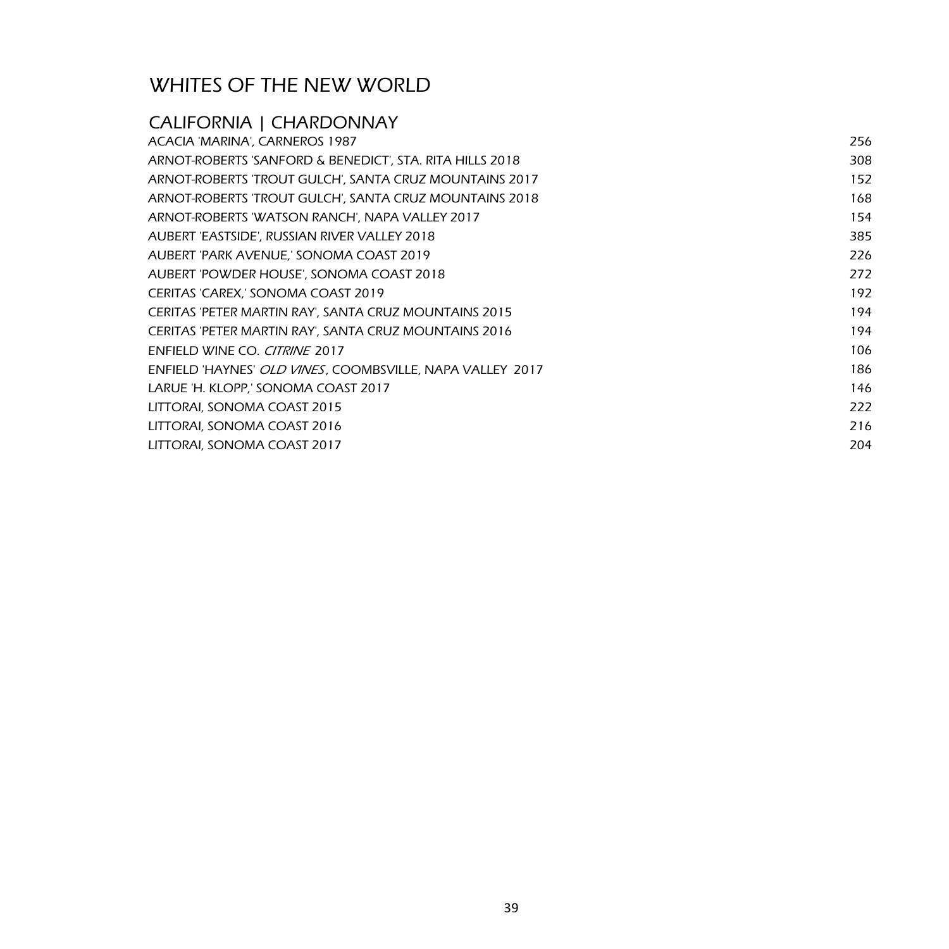## WHITES OF THE NEW WORLD

## CALIFORNIA | CHARDONNAY

| ACACIA 'MARINA', CARNEROS 1987                            | 256 |
|-----------------------------------------------------------|-----|
| ARNOT-ROBERTS 'SANFORD & BENEDICT', STA. RITA HILLS 2018  | 308 |
| ARNOT-ROBERTS 'TROUT GULCH', SANTA CRUZ MOUNTAINS 2017    | 152 |
| ARNOT-ROBERTS 'TROUT GULCH', SANTA CRUZ MOUNTAINS 2018    | 168 |
| ARNOT-ROBERTS 'WATSON RANCH', NAPA VALLEY 2017            | 154 |
| AUBERT 'EASTSIDE', RUSSIAN RIVER VALLEY 2018              | 385 |
| AUBERT 'PARK AVENUE,' SONOMA COAST 2019                   | 226 |
| AUBERT 'POWDER HOUSE', SONOMA COAST 2018                  | 272 |
| CERITAS 'CAREX,' SONOMA COAST 2019                        | 192 |
| CERITAS 'PETER MARTIN RAY', SANTA CRUZ MOUNTAINS 2015     | 194 |
| CERITAS 'PETER MARTIN RAY', SANTA CRUZ MOUNTAINS 2016     | 194 |
| ENFIELD WINE CO. CITRINE 2017                             | 106 |
| ENFIELD 'HAYNES' OLD VINES, COOMBSVILLE, NAPA VALLEY 2017 | 186 |
| LARUE 'H. KLOPP,' SONOMA COAST 2017                       | 146 |
| LITTORAI, SONOMA COAST 2015                               | 222 |
| LITTORAI, SONOMA COAST 2016                               | 216 |
| LITTORAI, SONOMA COAST 2017                               | 204 |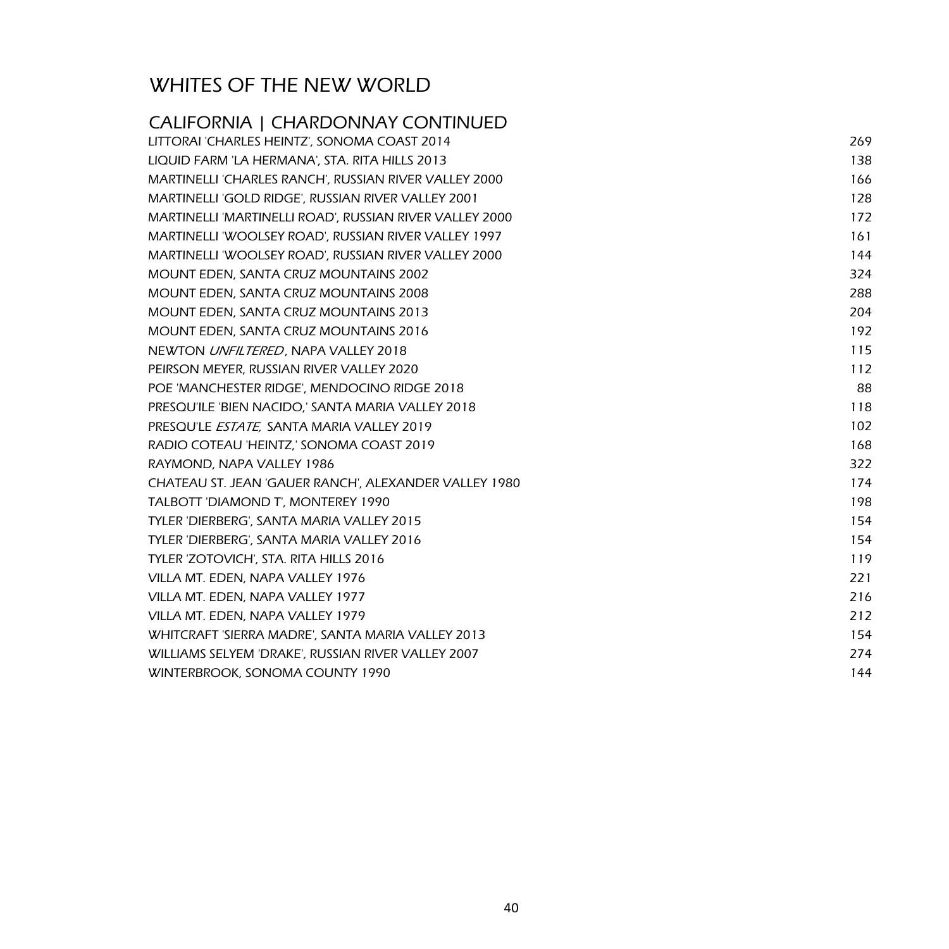# WHITES OF THE NEW WORLD

| <b>CALIFORNIA   CHARDONNAY CONTINUED</b>                |     |
|---------------------------------------------------------|-----|
| LITTORAI 'CHARLES HEINTZ', SONOMA COAST 2014            | 269 |
| LIQUID FARM 'LA HERMANA', STA. RITA HILLS 2013          | 138 |
| MARTINELLI 'CHARLES RANCH', RUSSIAN RIVER VALLEY 2000   | 166 |
| MARTINELLI 'GOLD RIDGE', RUSSIAN RIVER VALLEY 2001      | 128 |
| MARTINELLI 'MARTINELLI ROAD', RUSSIAN RIVER VALLEY 2000 | 172 |
| MARTINELLI 'WOOLSEY ROAD', RUSSIAN RIVER VALLEY 1997    | 161 |
| MARTINELLI 'WOOLSEY ROAD', RUSSIAN RIVER VALLEY 2000    | 144 |
| MOUNT EDEN, SANTA CRUZ MOUNTAINS 2002                   | 324 |
| MOUNT EDEN, SANTA CRUZ MOUNTAINS 2008                   | 288 |
| MOUNT EDEN, SANTA CRUZ MOUNTAINS 2013                   | 204 |
| <b>MOUNT EDEN, SANTA CRUZ MOUNTAINS 2016</b>            | 192 |
| NEWTON UNFILTERED, NAPA VALLEY 2018                     | 115 |
| PEIRSON MEYER, RUSSIAN RIVER VALLEY 2020                | 112 |
| POE 'MANCHESTER RIDGE', MENDOCINO RIDGE 2018            | 88  |
| PRESQU'ILE 'BIEN NACIDO,' SANTA MARIA VALLEY 2018       | 118 |
| PRESOU'LE ESTATE, SANTA MARIA VALLEY 2019               | 102 |
| RADIO COTEAU 'HEINTZ,' SONOMA COAST 2019                | 168 |
| RAYMOND, NAPA VALLEY 1986                               | 322 |
| CHATEAU ST. JEAN 'GAUER RANCH', ALEXANDER VALLEY 1980   | 174 |
| TALBOTT 'DIAMOND T', MONTEREY 1990                      | 198 |
| TYLER 'DIERBERG', SANTA MARIA VALLEY 2015               | 154 |
| TYLER 'DIERBERG', SANTA MARIA VALLEY 2016               | 154 |
| TYLER 'ZOTOVICH', STA. RITA HILLS 2016                  | 119 |
| VILLA MT. EDEN, NAPA VALLEY 1976                        | 221 |
| VILLA MT. EDEN, NAPA VALLEY 1977                        | 216 |
| VILLA MT. EDEN, NAPA VALLEY 1979                        | 212 |
| WHITCRAFT 'SIERRA MADRE', SANTA MARIA VALLEY 2013       | 154 |
| WILLIAMS SELYEM 'DRAKE', RUSSIAN RIVER VALLEY 2007      | 274 |
| WINTERBROOK, SONOMA COUNTY 1990                         | 144 |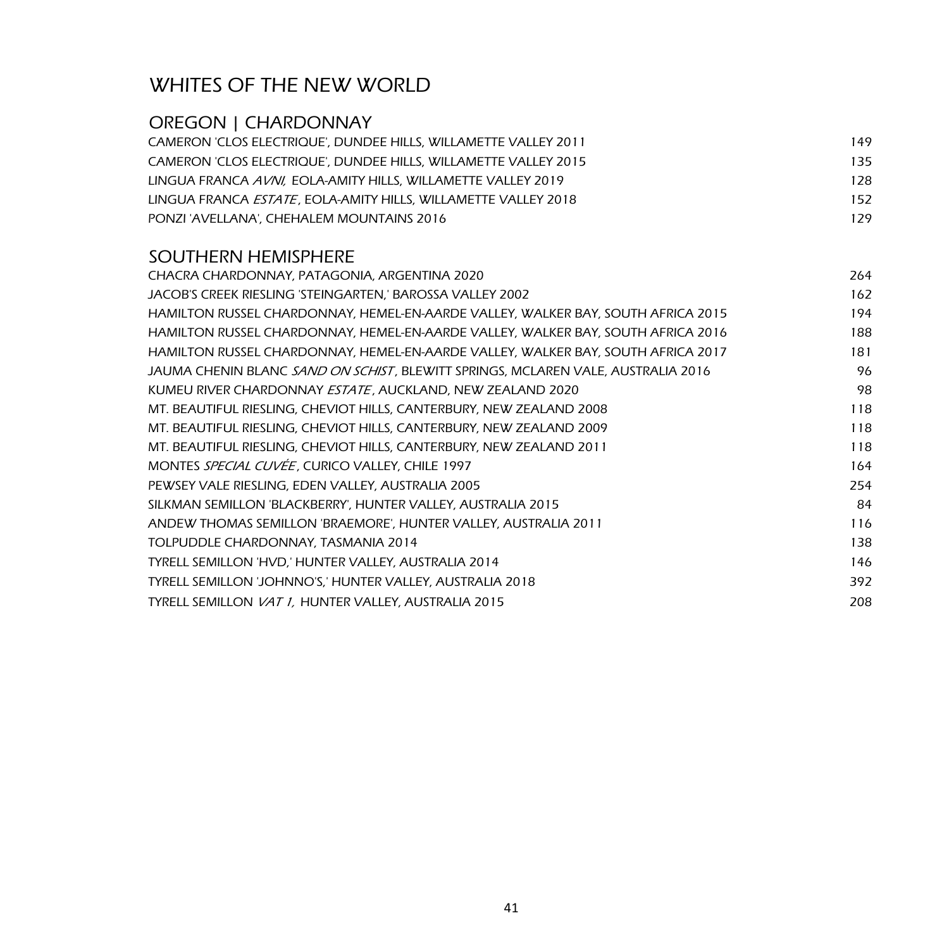## WHITES OF THE NEW WORLD

## OREGON | CHARDONNAY

| CAMERON 'CLOS ELECTRIQUE'. DUNDEE HILLS. WILLAMETTE VALLEY 2011        | 149 |
|------------------------------------------------------------------------|-----|
| CAMERON 'CLOS ELECTRIQUE', DUNDEE HILLS, WILLAMETTE VALLEY 2015        | 135 |
| LINGUA FRANCA AVNI. EOLA-AMITY HILLS. WILLAMETTE VALLEY 2019           | 128 |
| LINGUA FRANCA <i>ESTATE</i> . EOLA-AMITY HILLS. WILLAMETTE VALLEY 2018 | 152 |
| PONZI 'AVELLANA', CHEHALEM MOUNTAINS 2016                              | 179 |

#### SOUTHERN HEMISPHERE

| CHACRA CHARDONNAY, PATAGONIA, ARGENTINA 2020                                             | 264 |
|------------------------------------------------------------------------------------------|-----|
| JACOB'S CREEK RIESLING 'STEINGARTEN,' BAROSSA VALLEY 2002                                | 162 |
| HAMILTON RUSSEL CHARDONNAY, HEMEL-EN-AARDE VALLEY, WALKER BAY, SOUTH AFRICA 2015         | 194 |
| HAMILTON RUSSEL CHARDONNAY, HEMEL-EN-AARDE VALLEY, WALKER BAY, SOUTH AFRICA 2016         | 188 |
| HAMILTON RUSSEL CHARDONNAY, HEMEL-EN-AARDE VALLEY, WALKER BAY, SOUTH AFRICA 2017         | 181 |
| JAUMA CHENIN BLANC <i>SAND ON SCHIST</i> , BLEWITT SPRINGS, MCLAREN VALE, AUSTRALIA 2016 | 96  |
| KUMEU RIVER CHARDONNAY ESTATE, AUCKLAND, NEW ZEALAND 2020                                | 98  |
| MT. BEAUTIFUL RIESLING, CHEVIOT HILLS, CANTERBURY, NEW ZEALAND 2008                      | 118 |
| MT. BEAUTIFUL RIESLING, CHEVIOT HILLS, CANTERBURY, NEW ZEALAND 2009                      | 118 |
| MT. BEAUTIFUL RIESLING, CHEVIOT HILLS, CANTERBURY, NEW ZEALAND 2011                      | 118 |
| MONTES SPECIAL CUVÉE, CURICO VALLEY, CHILE 1997                                          | 164 |
| PEWSEY VALE RIESLING, EDEN VALLEY, AUSTRALIA 2005                                        | 254 |
| SILKMAN SEMILLON 'BLACKBERRY', HUNTER VALLEY, AUSTRALIA 2015                             | 84  |
| ANDEW THOMAS SEMILLON 'BRAEMORE', HUNTER VALLEY, AUSTRALIA 2011                          | 116 |
| TOLPUDDLE CHARDONNAY, TASMANIA 2014                                                      | 138 |
| TYRELL SEMILLON 'HVD,' HUNTER VALLEY, AUSTRALIA 2014                                     | 146 |
| TYRELL SEMILLON 'JOHNNO'S,' HUNTER VALLEY, AUSTRALIA 2018                                | 392 |
| TYRELL SEMILLON VAT 1, HUNTER VALLEY, AUSTRALIA 2015                                     | 208 |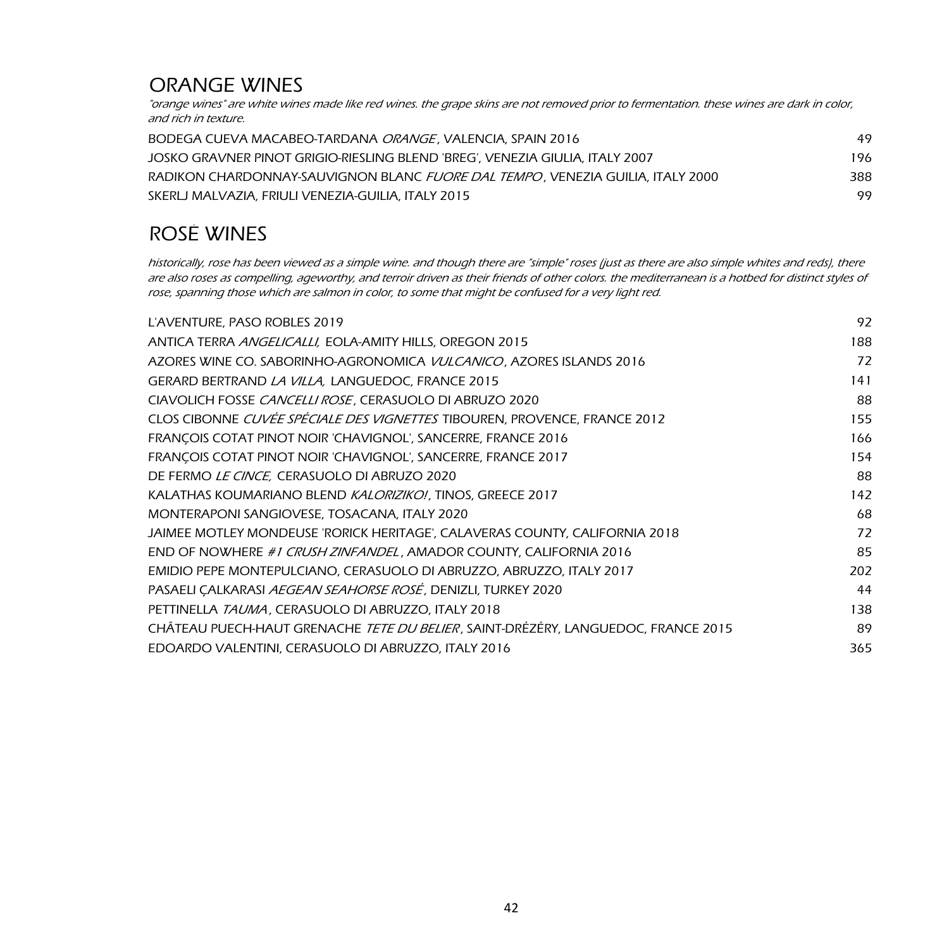## ORANGE WINES

"orange wines" are white wines made like red wines. the grape skins are not removed prior to fermentation. these wines are dark in color, and rich in texture.

| BODEGA CUEVA MACABEO-TARDANA <i>ORANGE</i> . VALENCIA. SPAIN 2016                      | 49  |
|----------------------------------------------------------------------------------------|-----|
| JOSKO GRAVNER PINOT GRIGIO-RIESLING BLEND 'BREG'. VENEZIA GIULIA. ITALY 2007           | 196 |
| RADIKON CHARDONNAY-SAUVIGNON BLANC <i>FUORE DAL TEMPO</i> . VENEZIA GUILIA. ITALY 2000 | 388 |
| SKERLJ MALVAZIA, FRIULI VENEZIA-GUILIA, ITALY 2015                                     | 99  |

# ROSÉ WINES

historically, rose has been viewed as a simple wine. and though there are "simple" roses (just as there are also simple whites and reds), there are also roses as compelling, ageworthy, and terroir driven as their friends of other colors. the mediterranean is a hotbed for distinct styles of rose, spanning those which are salmon in color, to some that might be confused for a very light red.

| L'AVENTURE, PASO ROBLES 2019                                                              | 92  |
|-------------------------------------------------------------------------------------------|-----|
| ANTICA TERRA ANGELICALLI, EOLA-AMITY HILLS, OREGON 2015                                   | 188 |
| AZORES WINE CO. SABORINHO-AGRONOMICA VULCANICO, AZORES ISLANDS 2016                       | 72  |
| GERARD BERTRAND LA VILLA, LANGUEDOC, FRANCE 2015                                          | 141 |
| CIAVOLICH FOSSE CANCELLI ROSE, CERASUOLO DI ABRUZO 2020                                   | 88  |
| CLOS CIBONNE CUVÉE SPÉCIALE DES VIGNETTES TIBOUREN, PROVENCE, FRANCE 2012                 | 155 |
| FRANÇOIS COTAT PINOT NOIR 'CHAVIGNOL', SANCERRE, FRANCE 2016                              | 166 |
| FRANCOIS COTAT PINOT NOIR 'CHAVIGNOL', SANCERRE, FRANCE 2017                              | 154 |
| DE FERMO LE CINCE, CERASUOLO DI ABRUZO 2020                                               | 88  |
| KALATHAS KOUMARIANO BLEND KALORIZIKO!, TINOS, GREECE 2017                                 | 142 |
| MONTERAPONI SANGIOVESE, TOSACANA, ITALY 2020                                              | 68  |
| JAIMEE MOTLEY MONDEUSE 'RORICK HERITAGE', CALAVERAS COUNTY, CALIFORNIA 2018               | 72  |
| END OF NOWHERE #1 CRUSH ZINFANDEL, AMADOR COUNTY, CALIFORNIA 2016                         | 85  |
| EMIDIO PEPE MONTEPULCIANO, CERASUOLO DI ABRUZZO, ABRUZZO, ITALY 2017                      | 202 |
| PASAELI CALKARASI AEGEAN SEAHORSE ROSÉ, DENIZLI, TURKEY 2020                              | 44  |
| PETTINELLA TAUMA, CERASUOLO DI ABRUZZO, ITALY 2018                                        | 138 |
| CHÂTEAU PUECH-HAUT GRENACHE <i>TETE DU BELIER</i> , SAINT-DRÉZÉRY, LANGUEDOC, FRANCE 2015 | 89  |
| EDOARDO VALENTINI, CERASUOLO DI ABRUZZO, ITALY 2016                                       | 365 |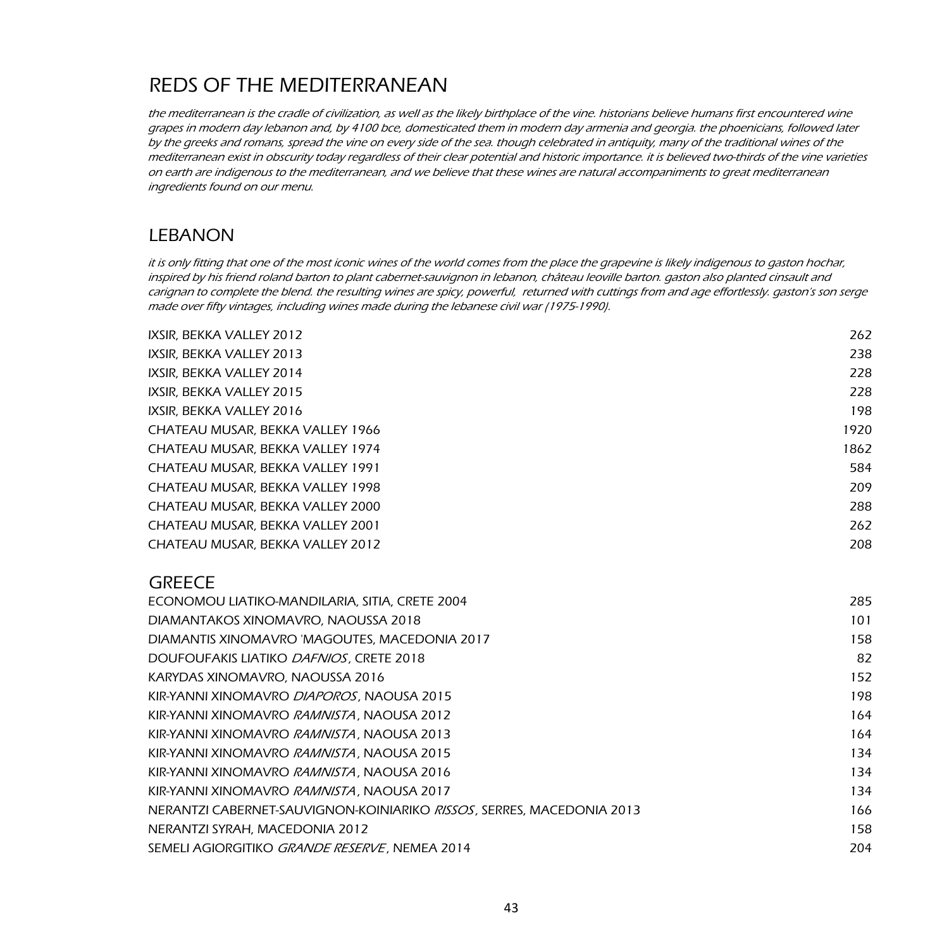# REDS OF THE MEDITERRANEAN

the mediterranean is the cradle of civilization, as well as the likely birthplace of the vine. historians believe humans first encountered wine grapes in modern day lebanon and, by 4100 bce, domesticated them in modern day armenia and georgia. the phoenicians, followed later by the greeks and romans, spread the vine on every side of the sea. though celebrated in antiquity, many of the traditional wines of the mediterranean exist in obscurity today regardless of their clear potential and historic importance. it is believed two-thirds of the vine varieties on earth are indigenous to the mediterranean, and we believe that these wines are natural accompaniments to great mediterranean ingredients found on our menu.

### LEBANON

it is only fitting that one of the most iconic wines of the world comes from the place the grapevine is likely indigenous to gaston hochar, inspired by his friend roland barton to plant cabernet-sauvignon in lebanon, château leoville barton. gaston also planted cinsault and carignan to complete the blend. the resulting wines are spicy, powerful, returned with cuttings from and age effortlessly. gaston's son serge made over fifty vintages, including wines made during the lebanese civil war (1975-1990).

| IXSIR, BEKKA VALLEY 2012         | 262  |
|----------------------------------|------|
| IXSIR. BEKKA VALLEY 2013         | 238  |
| IXSIR. BEKKA VALLEY 2014         | 228  |
| IXSIR. BEKKA VALLEY 2015         | 228  |
| IXSIR. BEKKA VALLEY 2016         | 198  |
| CHATEAU MUSAR, BEKKA VALLEY 1966 | 1920 |
| CHATEAU MUSAR, BEKKA VALLEY 1974 | 1862 |
| CHATEAU MUSAR, BEKKA VALLEY 1991 | 584  |
| CHATEAU MUSAR, BEKKA VALLEY 1998 | 209  |
| CHATEAU MUSAR, BEKKA VALLEY 2000 | 288  |
| CHATEAU MUSAR, BEKKA VALLEY 2001 | 262  |
| CHATEAU MUSAR, BEKKA VALLEY 2012 | 208  |
|                                  |      |

#### **GREECE**

| ECONOMOU LIATIKO-MANDILARIA, SITIA, CRETE 2004                                | 285 |
|-------------------------------------------------------------------------------|-----|
| DIAMANTAKOS XINOMAVRO, NAOUSSA 2018                                           | 101 |
| DIAMANTIS XINOMAVRO 'MAGOUTES, MACEDONIA 2017                                 | 158 |
| DOUFOUFAKIS LIATIKO <i>DAFNIOS</i> , CRETE 2018                               | 82  |
| KARYDAS XINOMAVRO, NAOUSSA 2016                                               | 152 |
| KIR-YANNI XINOMAVRO <i>DIAPOROS</i> , NAOUSA 2015                             | 198 |
| KIR-YANNI XINOMAVRO RAMNISTA, NAOUSA 2012                                     | 164 |
| KIR-YANNI XINOMAVRO <i>RAMNISTA</i> . NAOUSA 2013                             | 164 |
| KIR-YANNI XINOMAVRO <i>RAMNISTA</i> . NAOUSA 2015                             | 134 |
| KIR-YANNI XINOMAVRO <i>RAMNISTA</i> . NAOUSA 2016                             | 134 |
| KIR-YANNI XINOMAVRO <i>RAMNISTA</i> . NAOUSA 2017                             | 134 |
| NERANTZI CABERNET-SAUVIGNON-KOINIARIKO <i>RISSOS</i> , SERRES, MACEDONIA 2013 | 166 |
| NERANTZI SYRAH, MACEDONIA 2012                                                | 158 |
| SEMELI AGIORGITIKO GRANDE RESERVE, NEMEA 2014                                 | 204 |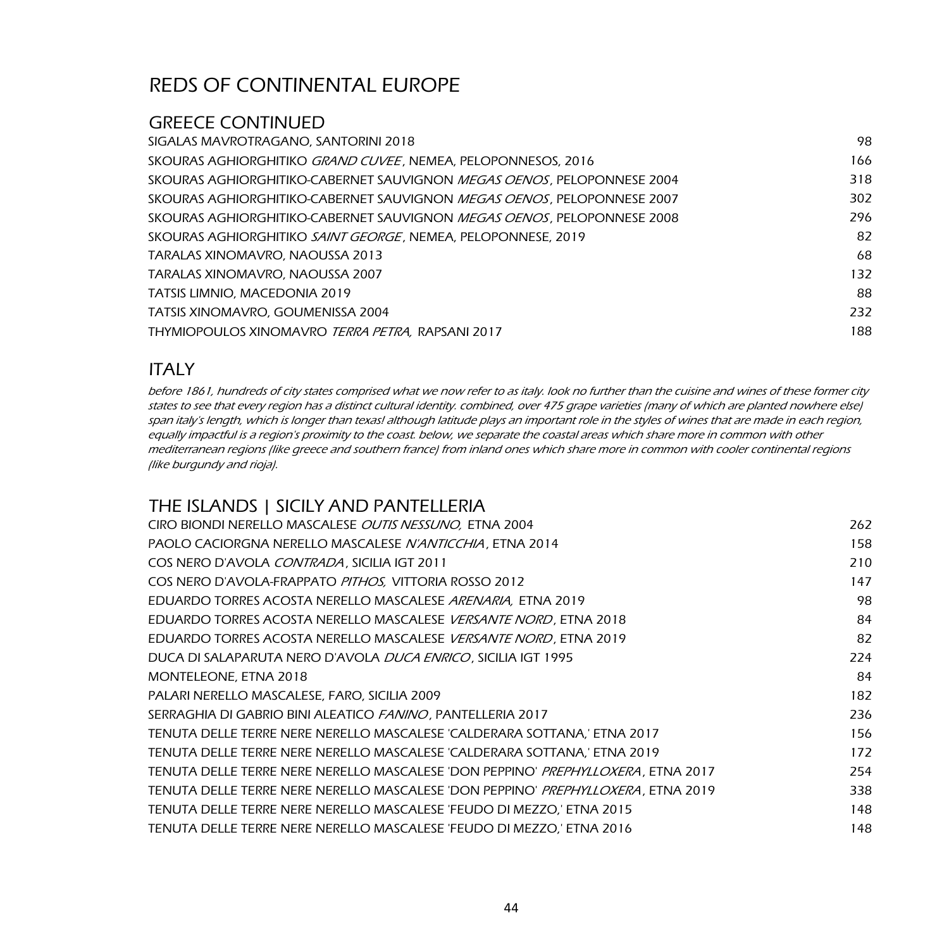#### GREECE CONTINUED

| SIGALAS MAVROTRAGANO. SANTORINI 2018                                           | 98  |
|--------------------------------------------------------------------------------|-----|
| skouras aghiorghitiko <i>grand cuvee.</i> Nemea. Peloponnesos. 2016            | 166 |
| skouras aghiorghitiko-cabernet sauvignon <i>megas oenos.</i> Peloponnese 2004  | 318 |
| skouras aghiorghitiko-cabernet sauvignon <i>megas oenos .</i> Peloponnese 2007 | 302 |
| skouras aghiorghitiko-cabernet sauvignon <i>megas oenos.</i> Peloponnese 2008  | 296 |
| SKOURAS AGHIORGHITIKO <i>SAINT GEORGE .</i> NEMEA. PELOPONNESE, 2019           | 82  |
| TARALAS XINOMAVRO. NAOUSSA 2013                                                | 68  |
| TARALAS XINOMAVRO. NAOUSSA 2007                                                | 132 |
| TATSIS LIMNIO. MACEDONIA 2019                                                  | 88  |
| TATSIS XINOMAVRO, GOUMENISSA 2004                                              | 232 |
| THYMIOPOULOS XINOMAVRO <i>TERRA PETRA.</i> RAPSANI 2017                        | 188 |
|                                                                                |     |

### ITALY

before 1861, hundreds of city states comprised what we now refer to as italy. look no further than the cuisine and wines of these former city states to see that every region has a distinct cultural identity. combined, over 475 grape varieties (many of which are planted nowhere else) span italy's length, which is longer than texas! although latitude plays an important role in the styles of wines that are made in each region, equally impactful is a region's proximity to the coast. below, we separate the coastal areas which share more in common with other mediterranean regions (like greece and southern france) from inland ones which share more in common with cooler continental regions (like burgundy and rioja).

### THE ISLANDS | SICILY AND PANTELLERIA

| CIRO BIONDI NERELLO MASCALESE <i>OUTIS NESSUNO</i> , ETNA 2004                           | 262 |
|------------------------------------------------------------------------------------------|-----|
| PAOLO CACIORGNA NERELLO MASCALESE N'ANTICCHIA, ETNA 2014                                 | 158 |
| COS NERO D'AVOLA CONTRADA, SICILIA IGT 2011                                              | 210 |
| COS NERO D'AVOLA-FRAPPATO PITHOS, VITTORIA ROSSO 2012                                    | 147 |
| EDUARDO TORRES ACOSTA NERELLO MASCALESE <i>ARENARIA</i> , ETNA 2019                      | 98  |
| EDUARDO TORRES ACOSTA NERELLO MASCALESE VERSANTE NORD, ETNA 2018                         | 84  |
| EDUARDO TORRES ACOSTA NERELLO MASCALESE VERSANTE NORD, ETNA 2019                         | 82  |
| DUCA DI SALAPARUTA NERO D'AVOLA <i>DUCA ENRICO</i> , SICILIA IGT 1995                    | 224 |
| MONTELEONE, ETNA 2018                                                                    | 84  |
| PALARI NERELLO MASCALESE, FARO, SICILIA 2009                                             | 182 |
| SERRAGHIA DI GABRIO BINI ALEATICO FANINO, PANTELLERIA 2017                               | 236 |
| TENUTA DELLE TERRE NERE NERELLO MASCALESE 'CALDERARA SOTTANA,' ETNA 2017                 | 156 |
| TENUTA DELLE TERRE NERE NERELLO MASCALESE 'CALDERARA SOTTANA,' ETNA 2019                 | 172 |
| TENUTA DELLE TERRE NERE NERELLO MASCALESE 'DON PEPPINO' <i>PREPHYLLOXERA</i> . ETNA 2017 | 254 |
| TENUTA DELLE TERRE NERE NERELLO MASCALESE 'DON PEPPINO' PREPHYLLOXERA, ETNA 2019         | 338 |
| TENUTA DELLE TERRE NERE NERELLO MASCALESE 'FEUDO DI MEZZO,' ETNA 2015                    | 148 |
| TENUTA DELLE TERRE NERE NERELLO MASCALESE 'FEUDO DI MEZZO,' ETNA 2016                    | 148 |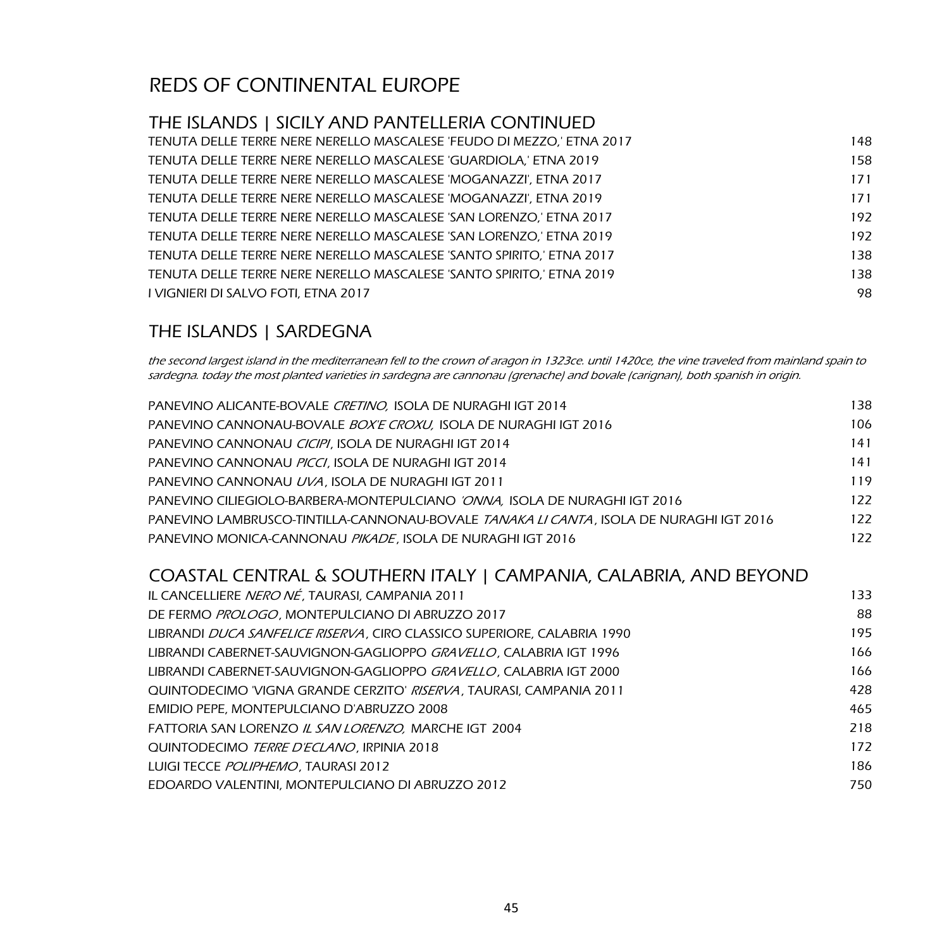## THE ISLANDS | SICILY AND PANTELLERIA CONTINUED

| TENUTA DELLE TERRE NERE NERELLO MASCALESE 'FEUDO DI MEZZO,' ETNA 2017 | 148 |
|-----------------------------------------------------------------------|-----|
| TENUTA DELLE TERRE NERE NERELLO MASCALESE 'GUARDIOLA,' ETNA 2019      | 158 |
| TENUTA DELLE TERRE NERE NERELLO MASCALESE 'MOGANAZZI'. ETNA 2017      | 171 |
| TENUTA DELLE TERRE NERE NERELLO MASCALESE 'MOGANAZZI', ETNA 2019      | 171 |
| TENUTA DELLE TERRE NERE NERELLO MASCALESE 'SAN LORENZO,' ETNA 2017    | 192 |
| TENUTA DELLE TERRE NERE NERELLO MASCALESE 'SAN LORENZO.' ETNA 2019    | 192 |
| TENUTA DELLE TERRE NERE NERELLO MASCALESE 'SANTO SPIRITO.' ETNA 2017  | 138 |
| TENUTA DELLE TERRE NERE NERELLO MASCALESE 'SANTO SPIRITO.' ETNA 2019  | 138 |
| I VIGNIERI DI SALVO FOTI. ETNA 2017                                   | 98  |

## THE ISLANDS | SARDEGNA

the second largest island in the mediterranean fell to the crown of aragon in 1323ce. until 1420ce, the vine traveled from mainland spain to sardegna. today the most planted varieties in sardegna are cannonau (grenache) and bovale (carignan), both spanish in origin.

| PANEVINO ALICANTE-BOVALE CRETINO, ISOLA DE NURAGHI IGT 2014                                    | 138 |
|------------------------------------------------------------------------------------------------|-----|
| PANEVINO CANNONAU-BOVALE <i>BOX'E CROXU</i> . ISOLA DE NURAGHI IGT 2016                        | 106 |
| PANEVINO CANNONAU CICIPI, ISOLA DE NURAGHI IGT 2014                                            | 141 |
| PANEVINO CANNONAU PICCI, ISOLA DE NURAGHI IGT 2014                                             | 141 |
| PANEVINO CANNONAU <i>UVA</i> . ISOLA DE NURAGHI IGT 2011                                       | 119 |
| PANEVINO CILIEGIOLO-BARBERA-MONTEPULCIANO <i>'ONNA</i> . ISOLA DE NURAGHI IGT 2016             | 122 |
| PANEVINO LAMBRUSCO-TINTILLA-CANNONAU-BOVALE <i>TANAKA LI CANTA</i> . ISOLA DE NURAGHI IGT 2016 | 122 |
| PANEVINO MONICA-CANNONAU PIKADE. ISOLA DE NURAGHI IGT 2016                                     | 122 |
|                                                                                                |     |

## COASTAL CENTRAL & SOUTHERN ITALY | CAMPANIA, CALABRIA, AND BEYOND

| IL CANCELLIERE NERO NÉ, TAURASI, CAMPANIA 2011                                  | 133 |
|---------------------------------------------------------------------------------|-----|
| DE FERMO <i>PROLOGO</i> , MONTEPULCIANO DI ABRUZZO 2017                         | 88  |
| LIBRANDI <i>DUCA SANFELICE RISERVA</i> . CIRO CLASSICO SUPERIORE. CALABRIA 1990 | 195 |
| LIBRANDI CABERNET-SAUVIGNON-GAGLIOPPO GRAVELLO, CALABRIA IGT 1996               | 166 |
| LIBRANDI CABERNET-SAUVIGNON-GAGLIOPPO <i>GRAVELLO</i> . CALABRIA IGT 2000       | 166 |
| QUINTODECIMO 'VIGNA GRANDE CERZITO' <i>RISERVA</i> . TAURASI. CAMPANIA 2011     | 428 |
| EMIDIO PEPE, MONTEPULCIANO D'ABRUZZO 2008                                       | 465 |
| FATTORIA SAN LORENZO IL SAN LORENZO, MARCHE IGT 2004                            | 218 |
| QUINTODECIMO <i>TERRE D'ECLANO</i> , IRPINIA 2018                               | 172 |
| LUIGI TECCE POLIPHEMO. TAURASI 2012                                             | 186 |
| EDOARDO VALENTINI, MONTEPULCIANO DI ABRUZZO 2012                                | 750 |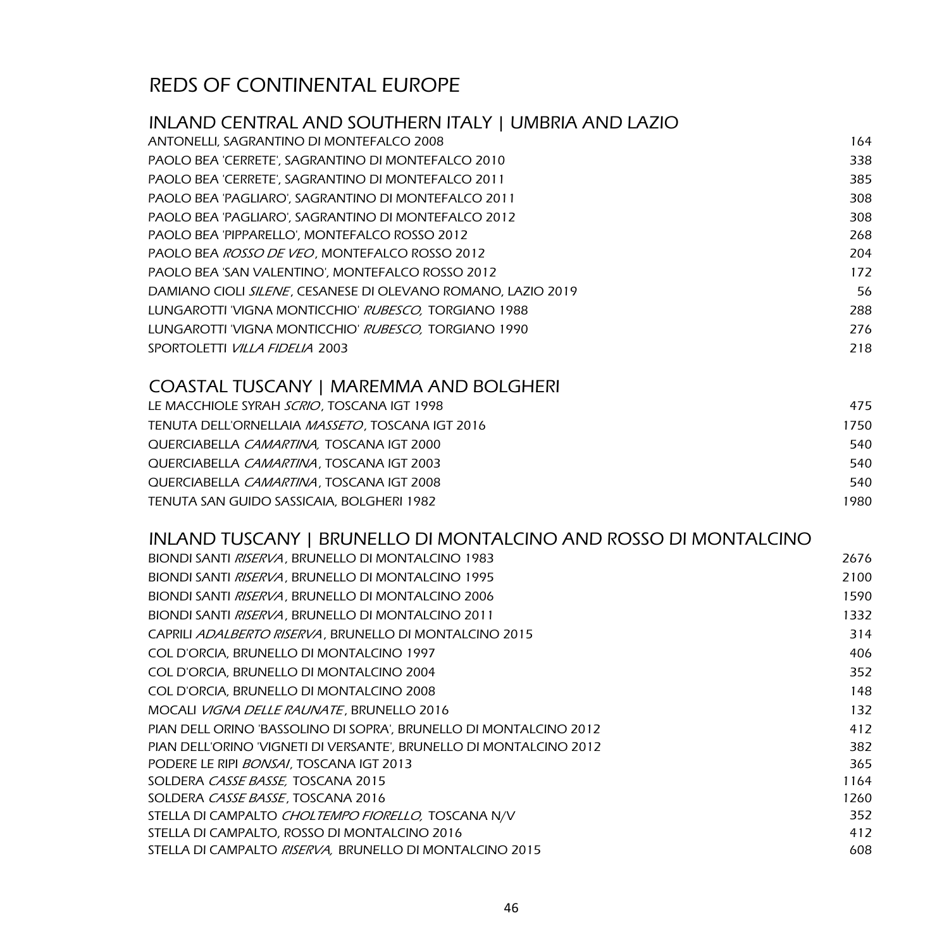| INLAND CENTRAL AND SOUTHERN ITALY   UMBRIA AND LAZIO         |      |
|--------------------------------------------------------------|------|
| ANTONELLI, SAGRANTINO DI MONTEFALCO 2008                     | 164  |
| PAOLO BEA 'CERRETE', SAGRANTINO DI MONTEFALCO 2010           | 338  |
| PAOLO BEA 'CERRETE', SAGRANTINO DI MONTEFALCO 2011           | 385  |
| PAOLO BEA 'PAGLIARO', SAGRANTINO DI MONTEFALCO 2011          | 308  |
| PAOLO BEA 'PAGLIARO', SAGRANTINO DI MONTEFALCO 2012          | 308  |
| PAOLO BEA 'PIPPARELLO', MONTEFALCO ROSSO 2012                | 268  |
| PAOLO BEA ROSSO DE VEO, MONTEFALCO ROSSO 2012                | 204  |
| PAOLO BEA 'SAN VALENTINO', MONTEFALCO ROSSO 2012             | 172  |
| DAMIANO CIOLI SILENE, CESANESE DI OLEVANO ROMANO, LAZIO 2019 | 56   |
| LUNGAROTTI 'VIGNA MONTICCHIO' RUBESCO, TORGIANO 1988         | 288  |
| LUNGAROTTI 'VIGNA MONTICCHIO' RUBESCO, TORGIANO 1990         | 276  |
| SPORTOLETTI VILLA FIDELIA 2003                               | 218  |
| <b>COASTAL TUSCANY   MAREMMA AND BOLGHERI</b>                |      |
| LE MACCHIOLE SYRAH SCRIO, TOSCANA IGT 1998                   | 475  |
| TENUTA DELL'ORNELLAIA <i>MASSETO</i> , TOSCANA IGT 2016      | 1750 |
| QUERCIABELLA CAMARTINA, TOSCANA IGT 2000                     | 540  |
| QUERCIABELLA CAMARTINA, TOSCANA IGT 2003                     | 540  |
| QUERCIABELLA CAMARTINA, TOSCANA IGT 2008                     | 540  |
| TENUTA SAN GUIDO SASSICAIA, BOLGHERI 1982                    | 1980 |

| INLAND TUSCANY   BRUNELLO DI MONTALCINO AND ROSSO DI MONTALCINO    |      |
|--------------------------------------------------------------------|------|
| BIONDI SANTI RISERVA, BRUNELLO DI MONTALCINO 1983                  | 2676 |
| BIONDI SANTI RISERVA, BRUNELLO DI MONTALCINO 1995                  | 2100 |
| BIONDI SANTI RISERVA, BRUNELLO DI MONTALCINO 2006                  | 1590 |
| BIONDI SANTI RISERVA, BRUNELLO DI MONTALCINO 2011                  | 1332 |
| CAPRILI ADALBERTO RISERVA, BRUNELLO DI MONTALCINO 2015             | 314  |
| COL D'ORCIA, BRUNELLO DI MONTALCINO 1997                           | 406  |
| COL D'ORCIA, BRUNELLO DI MONTALCINO 2004                           | 352  |
| COL D'ORCIA, BRUNELLO DI MONTALCINO 2008                           | 148  |
| MOCALI VIGNA DELLE RAUNATE, BRUNELLO 2016                          | 132  |
| PIAN DELL ORINO 'BASSOLINO DI SOPRA', BRUNELLO DI MONTALCINO 2012  | 412  |
| PIAN DELL'ORINO 'VIGNETI DI VERSANTE', BRUNELLO DI MONTALCINO 2012 | 382  |
| PODERE LE RIPI BONSAI, TOSCANA IGT 2013                            | 365  |
| SOLDERA CASSE BASSE, TOSCANA 2015                                  | 1164 |
| SOLDERA CASSE BASSE, TOSCANA 2016                                  | 1260 |
| STELLA DI CAMPALTO CHOLTEMPO FIORELLO, TOSCANA N/V                 | 352  |
| STELLA DI CAMPALTO, ROSSO DI MONTALCINO 2016                       | 412  |
| STELLA DI CAMPALTO RISERVA, BRUNELLO DI MONTALCINO 2015            | 608  |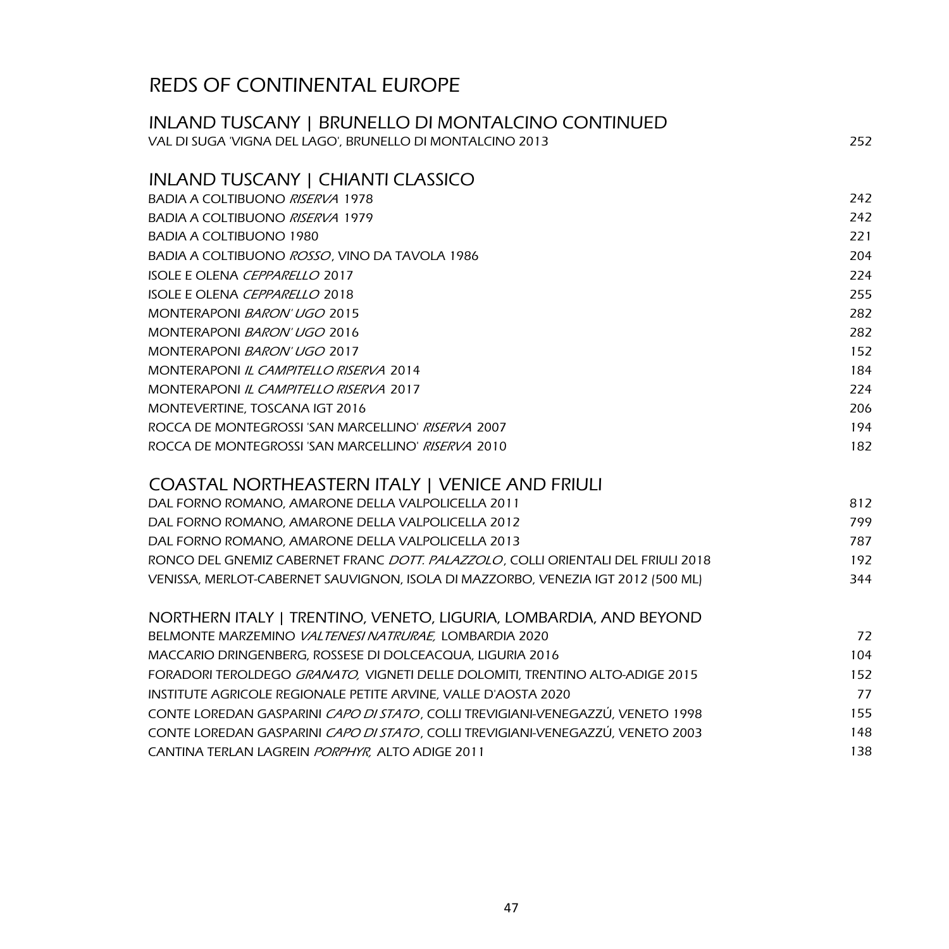## INLAND TUSCANY | BRUNELLO DI MONTALCINO CONTINUED VAL DI SUGA 'VIGNA DEL LAGO', BRUNELLO DI MONTALCINO 2013 252 INLAND TUSCANY | CHIANTI CLASSICO BADIA A COLTIBUONO *RISERVA* 1978 242 BADIA A COLTIBUONO *RISERVA* 1979 242

| <u>BADIAA COLHBOONO MBEN 121 T.H.T</u>                    | ZTZ |
|-----------------------------------------------------------|-----|
| BADIA A COLTIBUONO 1980                                   | 221 |
| BADIA A COLTIBUONO <i>ROSSO</i> . VINO DA TAVOLA 1986     | 204 |
| ISOLE E OLENA <i>CEPPARELLO</i> 2017                      | 224 |
| ISOLE E OLENA <i>CEPPARELLO</i> 2018                      | 255 |
| MONTERAPONI BARON' UGO 2015                               | 282 |
| MONTERAPONI BARON' UGO 2016                               | 282 |
| MONTERAPONI BARON' UGO 2017                               | 152 |
| MONTERAPONI IL CAMPITELLO RISERVA 2014                    | 184 |
| MONTERAPONI IL CAMPITELLO RISERVA 2017                    | 224 |
| MONTEVERTINE, TOSCANA IGT 2016                            | 206 |
| ROCCA DE MONTEGROSSI 'SAN MARCELLINO' <i>RISERVA</i> 2007 | 194 |
| ROCCA DE MONTEGROSSI 'SAN MARCELLINO' <i>RISERVA</i> 2010 | 182 |

#### COASTAL NORTHEASTERN ITALY | VENICE AND FRIULI

| DAL FORNO ROMANO, AMARONE DELLA VALPOLICELLA 2011                                        | 812 |
|------------------------------------------------------------------------------------------|-----|
| DAL FORNO ROMANO, AMARONE DELLA VALPOLICELLA 2012                                        | 799 |
| DAL FORNO ROMANO, AMARONE DELLA VALPOLICELLA 2013                                        | 787 |
| RONCO DEL GNEMIZ CABERNET FRANC <i>DOTT. PALAZZOLO</i> , COLLI ORIENTALI DEL FRIULI 2018 | 192 |
| VENISSA, MERLOT-CABERNET SAUVIGNON, ISOLA DI MAZZORBO, VENEZIA IGT 2012 (500 ML)         | 344 |
|                                                                                          |     |

| 72  |
|-----|
| 104 |
| 152 |
| 77  |
| 155 |
| 148 |
| 138 |
|     |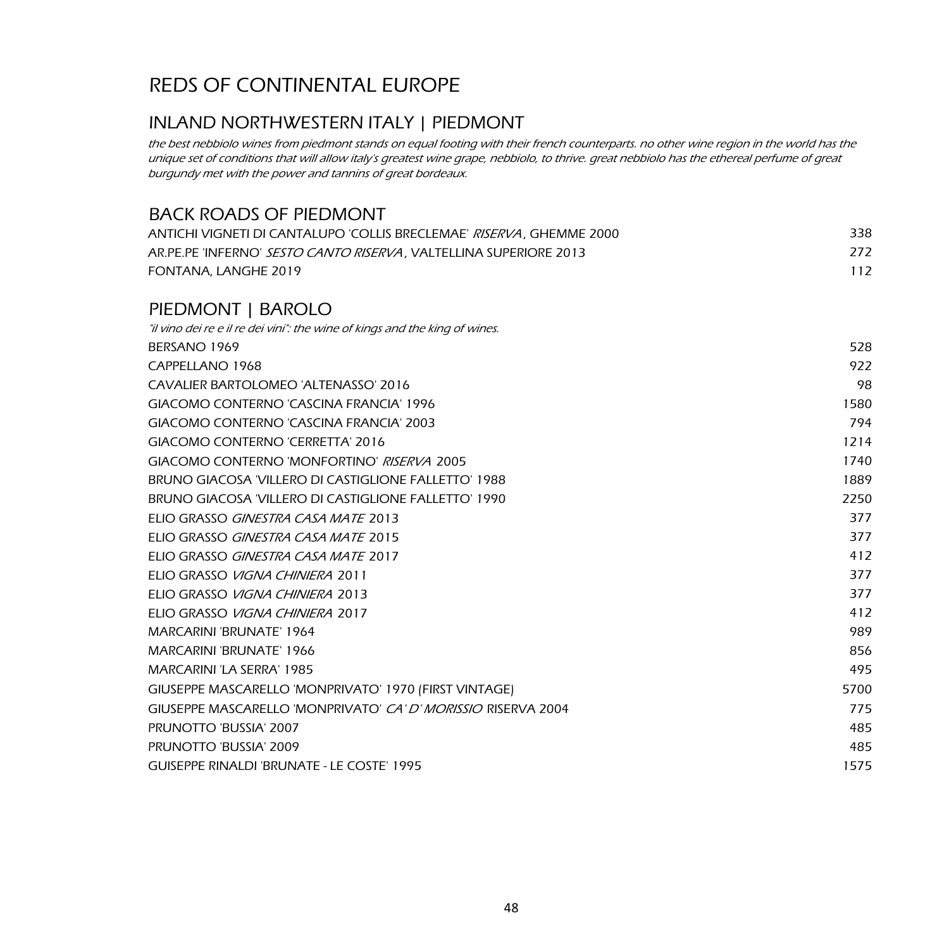## INLAND NORTHWESTERN ITALY | PIEDMONT

the best nebbiolo wines from piedmont stands on equal footing with their french counterparts. no other wine region in the world has the unique set of conditions that will allow italy's greatest wine grape, nebbiolo, to thrive. great nebbiolo has the ethereal perfume of great burgundy met with the power and tannins of great bordeaux.

#### BACK ROADS OF PIEDMONT

| ANTICHI VIGNETI DI CANTALUPO 'COLLIS BRECLEMAE' <i>RISERVA</i> . GHEMME 2000 | 338 |
|------------------------------------------------------------------------------|-----|
| AR.PE.PE 'INFERNO' SESTO CANTO RISERVA, VALTELLINA SUPERIORE 2013            | 272 |
| FONTANA, LANGHE 2019                                                         | 112 |

### PIEDMONT | BAROLO

| "il vino dei re e il re dei vini": the wine of kings and the king of wines. |      |
|-----------------------------------------------------------------------------|------|
| BERSANO 1969                                                                | 528  |
| CAPPELLANO 1968                                                             | 922  |
| CAVALIER BARTOLOMEO 'ALTENASSO' 2016                                        | 98   |
| GIACOMO CONTERNO 'CASCINA FRANCIA' 1996                                     | 1580 |
| GIACOMO CONTERNO 'CASCINA FRANCIA' 2003                                     | 794  |
| GIACOMO CONTERNO 'CERRETTA' 2016                                            | 1214 |
| GIACOMO CONTERNO 'MONFORTINO' RISERVA 2005                                  | 1740 |
| BRUNO GIACOSA 'VILLERO DI CASTIGLIONE FALLETTO' 1988                        | 1889 |
| BRUNO GIACOSA 'VILLERO DI CASTIGLIONE FALLETTO' 1990                        | 2250 |
| ELIO GRASSO GINESTRA CASA MATE 2013                                         | 377  |
| ELIO GRASSO GINESTRA CASA MATE 2015                                         | 377  |
| ELIO GRASSO GINESTRA CASA MATE 2017                                         | 412  |
| ELIO GRASSO VIGNA CHINIERA 2011                                             | 377  |
| ELIO GRASSO VIGNA CHINIERA 2013                                             | 377  |
| ELIO GRASSO <i>VIGNA CHINIERA</i> 2017                                      | 412  |
| <b>MARCARINI 'BRUNATE' 1964</b>                                             | 989  |
| <b>MARCARINI 'BRUNATE' 1966</b>                                             | 856  |
| <b>MARCARINI 'LA SERRA' 1985</b>                                            | 495  |
| GIUSEPPE MASCARELLO 'MONPRIVATO' 1970 (FIRST VINTAGE)                       | 5700 |
| GIUSEPPE MASCARELLO 'MONPRIVATO' CA' D' MORISSIO RISERVA 2004               | 775  |
| PRUNOTTO 'BUSSIA' 2007                                                      | 485  |
| PRUNOTTO 'BUSSIA' 2009                                                      | 485  |
| <b>GUISEPPE RINALDI 'BRUNATE - LE COSTE' 1995</b>                           | 1575 |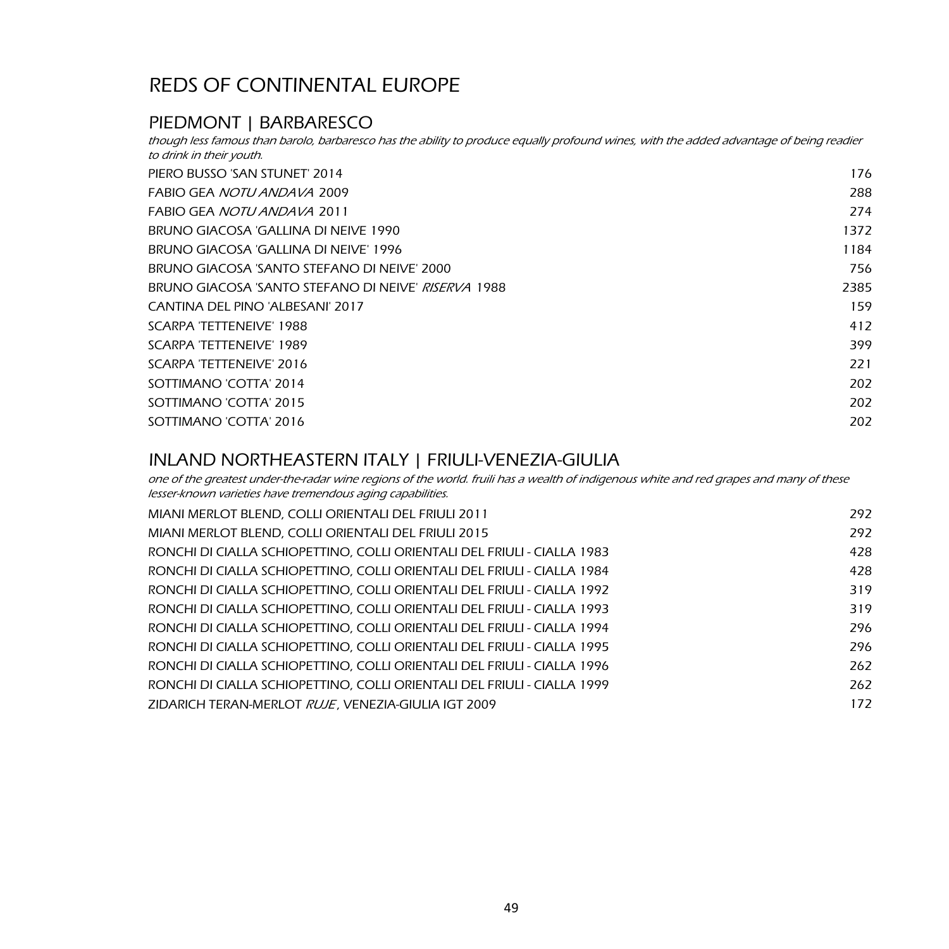### PIEDMONT | BARBARESCO

PIERO BUSSO 'SAN STUNET' 2014 176 FABIO GEA NOTU ANDAVA 2009 288 FABIO GEA NOTU ANDAVA 2011 274 BRUNO GIACOSA 'GALLINA DI NEIVE 1990 1372 1372 1373 1374 1375 1377 1377 1378 1379 1372 1372 1373 1374 1375 137 BRUNO GIACOSA 'GALLINA DI NEIVE' 1996 1184 1184 1185 1184 1185 1184 1185 1186 1184 1184 BRUNO GIACOSA 'SANTO STEFANO DI NEIVE' 2000 756 BRUNO GIACOSA 'SANTO STEFANO DI NEIVE' *RISERVA* 1988 2385 2385 2385 CANTINA DEL PINO 'ALBESANI' 2017 159 SCARPA 'TETTENEIVE' 1988 412 SCARPA 'TETTENEIVE' 1989 399 SCARPA 'TETTENEIVE' 2016 221 SOTTIMANO 'COTTA' 2014 202 SOTTIMANO 'COTTA' 2015 202 SOTTIMANO 'COTTA' 2016 202 though less famous than barolo, barbaresco has the ability to produce equally profound wines, with the added advantage of being readier to drink in their youth.

#### INLAND NORTHEASTERN ITALY | FRIULI-VENEZIA-GIULIA

one of the greatest under-the-radar wine regions of the world. fruili has a wealth of indigenous white and red grapes and many of these lesser-known varieties have tremendous aging capabilities.

| MIANI MERLOT BLEND, COLLI ORIENTALI DEL FRIULI 2011                     | 292 |
|-------------------------------------------------------------------------|-----|
| MIANI MERLOT BLEND. COLLI ORIENTALI DEL FRIULI 2015                     | 292 |
| RONCHI DI CIALLA SCHIOPETTINO. COLLI ORIENTALI DEL FRIULI - CIALLA 1983 | 428 |
| RONCHI DI CIALLA SCHIOPETTINO. COLLI ORIENTALI DEL FRIULI - CIALLA 1984 | 428 |
| RONCHI DI CIALLA SCHIOPETTINO, COLLI ORIENTALI DEL FRIULI - CIALLA 1992 | 319 |
| RONCHI DI CIALLA SCHIOPETTINO. COLLI ORIENTALI DEL FRIULI - CIALLA 1993 | 319 |
| RONCHI DI CIALLA SCHIOPETTINO. COLLI ORIENTALI DEL FRIULI - CIALLA 1994 | 296 |
| RONCHI DI CIALLA SCHIOPETTINO. COLLI ORIENTALI DEL FRIULI - CIALLA 1995 | 296 |
| RONCHI DI CIALLA SCHIOPETTINO. COLLI ORIENTALI DEL FRIULI - CIALLA 1996 | 262 |
| RONCHI DI CIALLA SCHIOPETTINO. COLLI ORIENTALI DEL FRIULI - CIALLA 1999 | 262 |
| ZIDARICH TERAN-MERLOT RUJE, VENEZIA-GIULIA IGT 2009                     | 172 |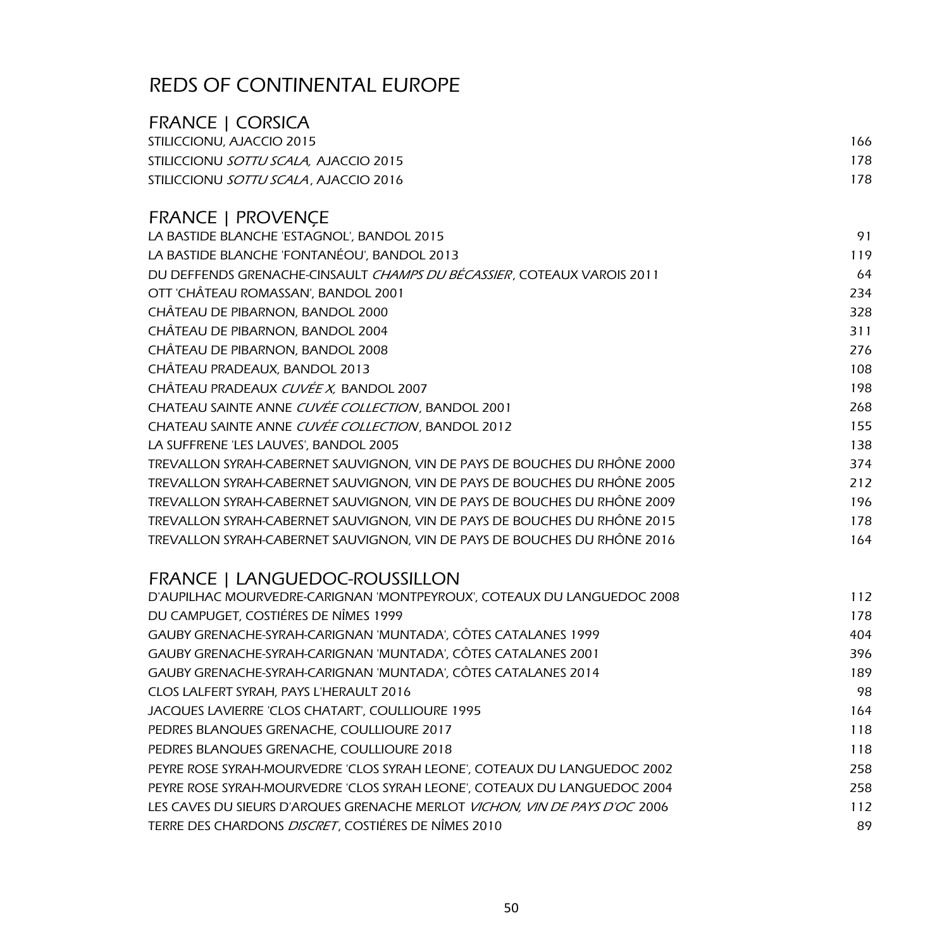| FRANCE   CORSICA                              |     |
|-----------------------------------------------|-----|
| STILICCIONU, AJACCIO 2015                     | 166 |
| STILICCIONU <i>SOTTU SCALA.</i> AJACCIO 2015  | 178 |
| STILICCIONU <i>SOTTU SCALA</i> . AJACCIO 2016 | 178 |

## FRANCE | PROVENÇE

| LA BASTIDE BLANCHE 'ESTAGNOL', BANDOL 2015                                     | 91  |
|--------------------------------------------------------------------------------|-----|
| LA BASTIDE BLANCHE 'FONTANÉOU', BANDOL 2013                                    | 119 |
| DU DEFFENDS GRENACHE-CINSAULT <i>CHAMPS DU BÉCASSIER</i> , COTEAUX VAROIS 2011 | 64  |
| OTT 'CHÂTEAU ROMASSAN', BANDOL 2001                                            | 234 |
| CHÂTEAU DE PIBARNON, BANDOL 2000                                               | 328 |
| CHÂTEAU DE PIBARNON, BANDOL 2004                                               | 311 |
| CHÂTEAU DE PIBARNON, BANDOL 2008                                               | 276 |
| CHÂTEAU PRADEAUX, BANDOL 2013                                                  | 108 |
| CHÂTEAU PRADEAUX <i>CUVÉE X,</i> BANDOL 2007                                   | 198 |
| CHATEAU SAINTE ANNE <i>CUVÉE COLLECTION</i> , BANDOL 2001                      | 268 |
| CHATEAU SAINTE ANNE <i>CUVÉE COLLECTION,</i> BANDOL 2012                       | 155 |
| LA SUFFRENE 'LES LAUVES', BANDOL 2005                                          | 138 |
| TREVALLON SYRAH-CABERNET SAUVIGNON, VIN DE PAYS DE BOUCHES DU RHÔNE 2000       | 374 |
| TREVALLON SYRAH-CABERNET SAUVIGNON, VIN DE PAYS DE BOUCHES DU RHÔNE 2005       | 212 |
| TREVALLON SYRAH-CABERNET SAUVIGNON, VIN DE PAYS DE BOUCHES DU RHÔNE 2009       | 196 |
| TREVALLON SYRAH-CABERNET SAUVIGNON, VIN DE PAYS DE BOUCHES DU RHÔNE 2015       | 178 |
| TREVALLON SYRAH-CABERNET SAUVIGNON, VIN DE PAYS DE BOUCHES DU RHÔNE 2016       | 164 |

## FRANCE | LANGUEDOC-ROUSSILLON

| D'AUPILHAC MOURVEDRE-CARIGNAN 'MONTPEYROUX', COTEAUX DU LANGUEDOC 2008     | 112 |
|----------------------------------------------------------------------------|-----|
| DU CAMPUGET, COSTIÉRES DE NÎMES 1999                                       | 178 |
| GAUBY GRENACHE-SYRAH-CARIGNAN 'MUNTADA', CÔTES CATALANES 1999              | 404 |
| GAUBY GRENACHE-SYRAH-CARIGNAN 'MUNTADA', CÔTES CATALANES 2001              | 396 |
| GAUBY GRENACHE-SYRAH-CARIGNAN 'MUNTADA'. CÔTES CATALANES 2014              | 189 |
| CLOS LALFERT SYRAH, PAYS L'HERAULT 2016                                    | 98  |
| JACQUES LAVIERRE 'CLOS CHATART'. COULLIOURE 1995                           | 164 |
| PEDRES BLANQUES GRENACHE, COULLIOURE 2017                                  | 118 |
| PEDRES BLANQUES GRENACHE, COULLIOURE 2018                                  | 118 |
| PEYRE ROSE SYRAH-MOURVEDRE 'CLOS SYRAH LEONE', COTEAUX DU LANGUEDOC 2002   | 258 |
| PEYRE ROSE SYRAH-MOURVEDRE 'CLOS SYRAH LEONE', COTEAUX DU LANGUEDOC 2004   | 258 |
| LES CAVES DU SIEURS D'ARQUES GRENACHE MERLOT VICHON, VIN DE PAYS D'OC 2006 | 112 |
| TERRE DES CHARDONS DISCRET, COSTIÉRES DE NÎMES 2010                        | 89  |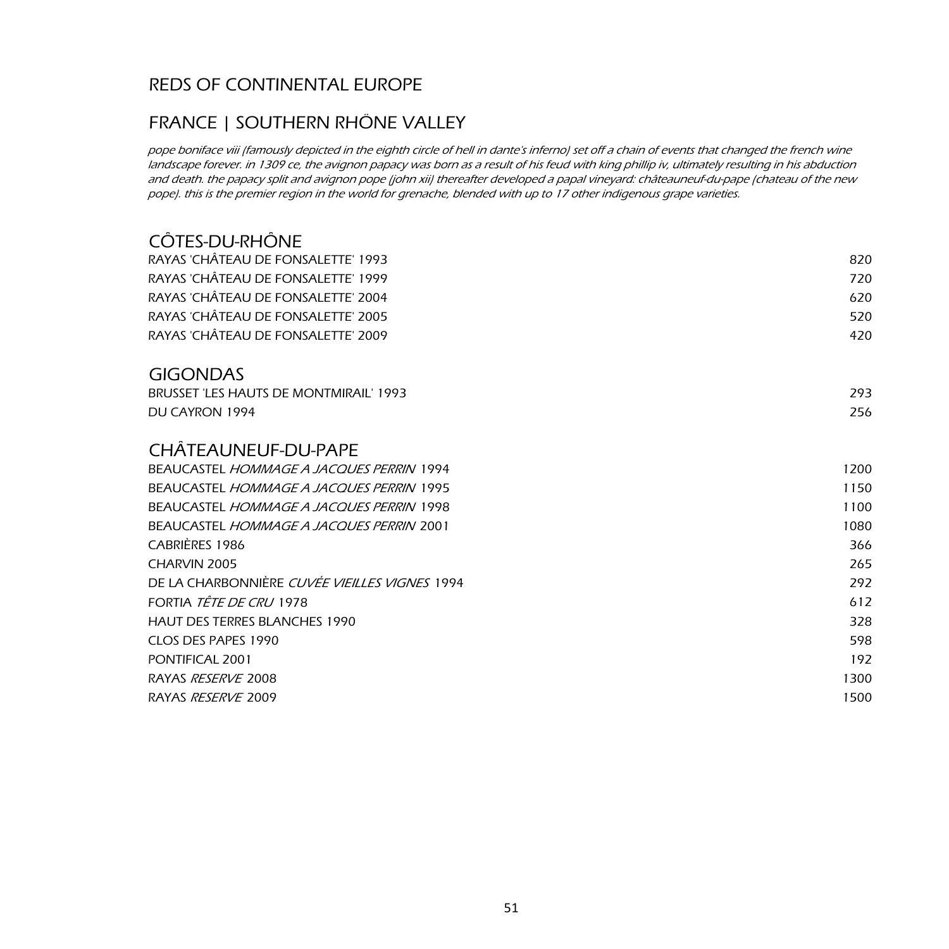## FRANCE | SOUTHERN RHÔNE VALLEY

pope boniface viii (famously depicted in the eighth circle of hell in dante's inferno) set off a chain of events that changed the french wine landscape forever. in 1309 ce, the avignon papacy was born as a result of his feud with king phillip iv, ultimately resulting in his abduction and death. the papacy split and avignon pope (john xii) thereafter developed a papal vineyard: châteauneuf-du-pape (chateau of the new pope). this is the premier region in the world for grenache, blended with up to 17 other indigenous grape varieties.

| <b>COTES-DU-RHONE</b>                           |      |
|-------------------------------------------------|------|
| RAYAS 'CHÂTEAU DE FONSALETTE' 1993              | 820  |
| RAYAS 'CHÂTEAU DE FONSALETTE' 1999              | 720  |
| RAYAS 'CHÂTEAU DE FONSALETTE' 2004              | 620  |
| RAYAS 'CHÂTEAU DE FONSALETTE' 2005              | 520  |
| RAYAS 'CHÂTEAU DE FONSALETTE' 2009              | 420  |
| <b>GIGONDAS</b>                                 |      |
| BRUSSET 'LES HAUTS DE MONTMIRAIL' 1993          | 293  |
| DU CAYRON 1994                                  | 256  |
| CHÂTEAUNEUF-DU-PAPE                             |      |
| <b>BEAUCASTEL HOMMAGE A JACOUES PERRIN 1994</b> | 1200 |
| <b>BEAUCASTEL HOMMAGE A JACOUES PERRIN 1995</b> | 1150 |
| <b>BEAUCASTEL HOMMAGE A JACOUES PERRIN 1998</b> | 1100 |
| <b>BEAUCASTEL HOMMAGE A JACOUES PERRIN 2001</b> | 1080 |
| CABRIÈRES 1986                                  | 366  |
| CHARVIN 2005                                    | 265  |
| DE LA CHARBONNIÈRE CUVÉE VIEILLES VIGNES 1994   | 292  |
| FORTIA <i>TÊTE DE CRU</i> 1978                  | 612  |
| <b>HAUT DES TERRES BLANCHES 1990</b>            | 328  |
| CLOS DES PAPES 1990                             | 598  |
| PONTIFICAL 2001                                 | 192  |
| RAYAS RESERVE 2008                              | 1300 |
| RAYAS RESERVE 2009                              | 1500 |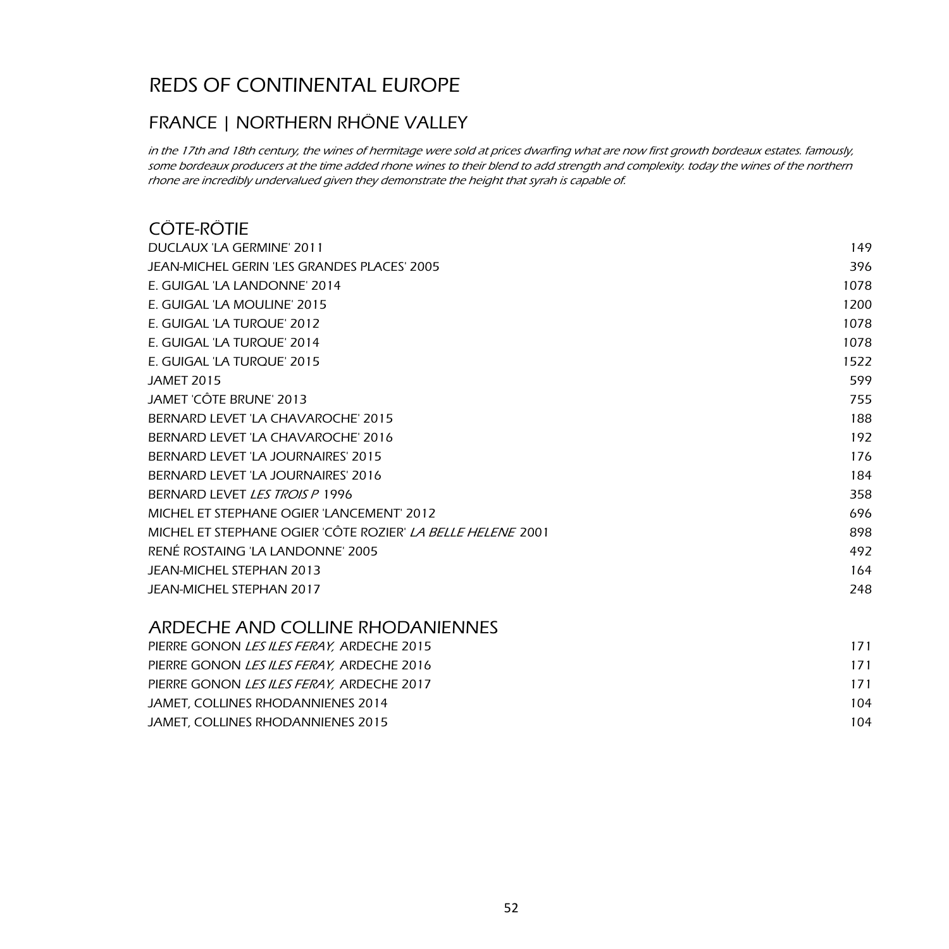## FRANCE | NORTHERN RHÔNE VALLEY

in the 17th and 18th century, the wines of hermitage were sold at prices dwarfing what are now first growth bordeaux estates. famously, some bordeaux producers at the time added rhone wines to their blend to add strength and complexity. today the wines of the northern rhone are incredibly undervalued given they demonstrate the height that syrah is capable of.

## CÔTE-RÔTIE

| DUCLAUX 'LA GERMINE' 2011                                          | 149  |
|--------------------------------------------------------------------|------|
| JEAN-MICHEL GERIN 'LES GRANDES PLACES' 2005                        | 396  |
| E. GUIGAL 'LA LANDONNE' 2014                                       | 1078 |
| E. GUIGAL 'LA MOULINE' 2015                                        | 1200 |
| E. GUIGAL 'LA TURQUE' 2012                                         | 1078 |
| E. GUIGAL 'LA TURQUE' 2014                                         | 1078 |
| E. GUIGAL 'LA TURQUE' 2015                                         | 1522 |
| <b>JAMET 2015</b>                                                  | 599  |
| JAMET 'CÔTE BRUNE' 2013                                            | 755  |
| BERNARD LEVET 'LA CHAVAROCHE' 2015                                 | 188  |
| BERNARD LEVET 'LA CHAVAROCHE' 2016                                 | 192  |
| BERNARD LEVET 'LA JOURNAIRES' 2015                                 | 176  |
| BERNARD LEVET 'LA JOURNAIRES' 2016                                 | 184  |
| BERNARD LEVET LES TROIS P 1996                                     | 358  |
| MICHEL ET STEPHANE OGIER 'LANCEMENT' 2012                          | 696  |
| MICHEL ET STEPHANE OGIER 'CÔTE ROZIER' <i>LA BELLE HELENE</i> 2001 | 898  |
| RENÉ ROSTAING 'LA LANDONNE' 2005                                   | 492  |
| JEAN-MICHEL STEPHAN 2013                                           | 164  |
| <b>JEAN-MICHEL STEPHAN 2017</b>                                    | 248  |
|                                                                    |      |

## ARDECHE AND COLLINE RHODANIENNES

| PIERRE GONON <i>LES ILES FERAY.</i> ARDECHE 2015 | 171 |
|--------------------------------------------------|-----|
| PIERRE GONON LES ILES FERAY, ARDECHE 2016        | 171 |
| PIERRE GONON LES ILES FERAY, ARDECHE 2017        | 171 |
| JAMET, COLLINES RHODANNIENES 2014                | 104 |
| JAMET, COLLINES RHODANNIENES 2015                | 104 |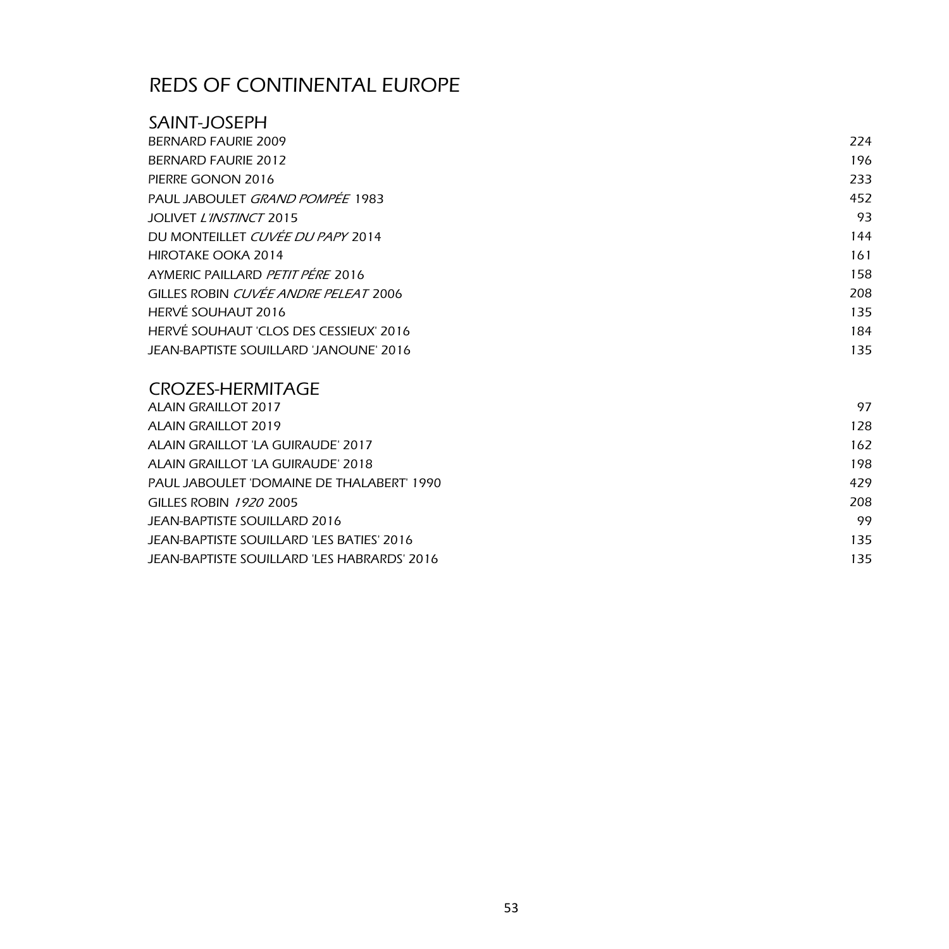### SAINT-JOSEPH

| BERNARD FAURIE 2009                    | 224 |
|----------------------------------------|-----|
| BERNARD FAURIE 2012                    | 196 |
| PIERRE GONON 2016                      | 233 |
| PAUL JABOULET GRAND POMPÉE 1983        | 452 |
| JOLIVET L'INSTINCT 2015                | 93  |
| DU MONTEILLET CUVÉE DU PAPY 2014       | 144 |
| HIROTAKE OOKA 2014                     | 161 |
| AYMERIC PAILLARD PETIT PÉRE 2016       | 158 |
| GILLES ROBIN CUVÉE ANDRE PELEAT 2006   | 208 |
| HERVÉ SOUHAUT 2016                     | 135 |
| HERVÉ SOUHAUT 'CLOS DES CESSIEUX' 2016 | 184 |
| JEAN-BAPTISTE SOUILLARD 'JANOUNE' 2016 | 135 |

## CROZES-HERMITAGE

| ALAIN GRAILLOT 2017                         | 97  |
|---------------------------------------------|-----|
| <b>ALAIN GRAILLOT 2019</b>                  | 128 |
| ALAIN GRAILLOT 'LA GUIRAUDE' 2017           | 162 |
| ALAIN GRAILLOT 'LA GUIRAUDE' 2018           | 198 |
| PAUL JABOULET 'DOMAINE DE THALABERT' 1990   | 429 |
| GILLES ROBIN 1920 2005                      | 208 |
| JEAN-BAPTISTE SOUILLARD 2016                | 99  |
| JEAN-BAPTISTE SOUILLARD 'LES BATIES' 2016   | 135 |
| JEAN-BAPTISTE SOUILLARD 'LES HABRARDS' 2016 | 135 |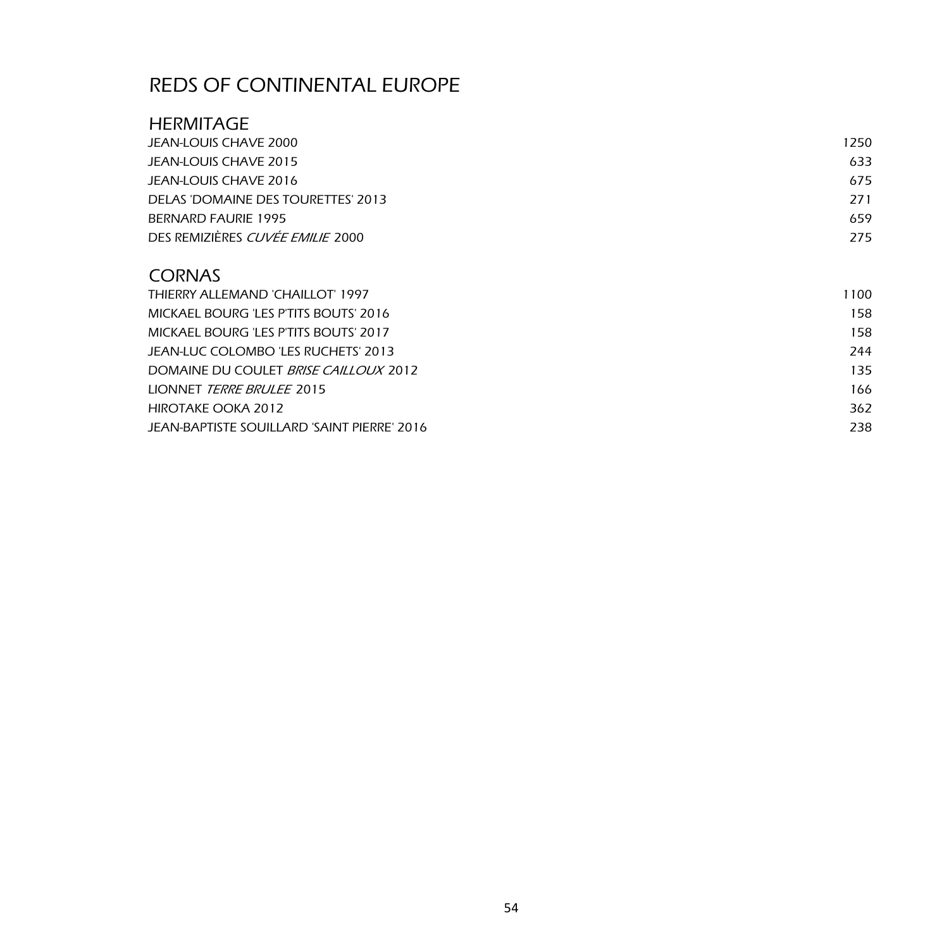### **HERMITAGE**

| JEAN-LOUIS CHAVE 2000                   | 1250 |
|-----------------------------------------|------|
| JEAN-LOUIS CHAVE 2015                   | 633  |
| JEAN-LOUIS CHAVE 2016                   | 675  |
| DELAS 'DOMAINE DES TOURETTES' 2013      | 271  |
| BERNARD FAURIE 1995                     | 659  |
| DES REMIZIÈRES <i>CUVÉE EMILIE</i> 2000 | 275  |

## **CORNAS**

| THIERRY ALLEMAND 'CHAILLOT' 1997             | 1100 |
|----------------------------------------------|------|
| MICKAEL BOURG 'LES P'TITS BOUTS' 2016        | 158  |
| MICKAEL BOURG 'LES P'TITS BOUTS' 2017        | 158  |
| JEAN-LUC COLOMBO 'LES RUCHETS' 2013          | 244  |
| DOMAINE DU COULET <i>BRISE CAILLOUX</i> 2012 | 135  |
| LIONNET <i>TERRE BRULEE</i> 2015             | 166  |
| HIROTAKE OOKA 2012                           | 362  |
| JEAN-BAPTISTE SOUILLARD 'SAINT PIERRE' 2016  | 238  |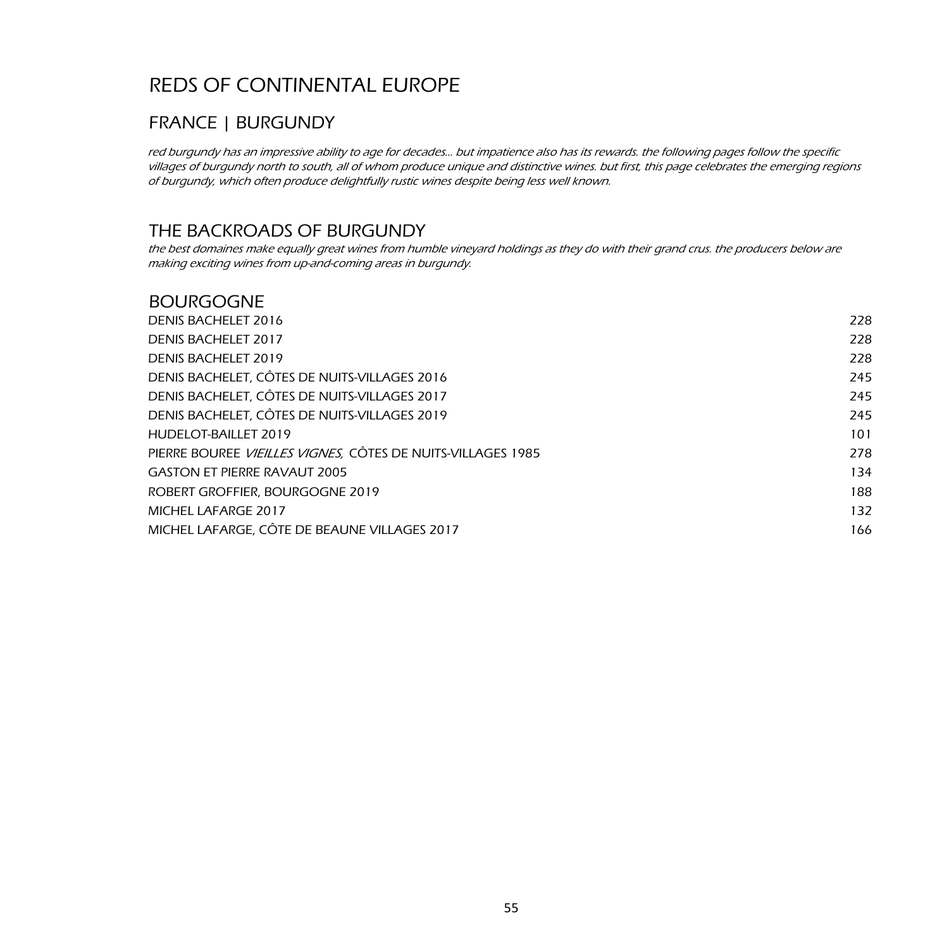## FRANCE | BURGUNDY

red burgundy has an impressive ability to age for decades… but impatience also has its rewards. the following pages follow the specific villages of burgundy north to south, all of whom produce unique and distinctive wines. but first, this page celebrates the emerging regions of burgundy, which often produce delightfully rustic wines despite being less well known.

### THE BACKROADS OF BURGUNDY

the best domaines make equally great wines from humble vineyard holdings as they do with their grand crus. the producers below are making exciting wines from up-and-coming areas in burgundy.

#### BOURGOGNE

| DENIS BACHELET 2016                                         | 228 |
|-------------------------------------------------------------|-----|
| <b>DENIS BACHELET 2017</b>                                  | 228 |
| <b>DENIS BACHELET 2019</b>                                  | 228 |
| DENIS BACHELET, CÔTES DE NUITS-VILLAGES 2016                | 245 |
| DENIS BACHELET, CÔTES DE NUITS-VILLAGES 2017                | 245 |
| DENIS BACHELET, CÔTES DE NUITS-VILLAGES 2019                | 245 |
| HUDELOT-BAILLET 2019                                        | 101 |
| PIERRE BOUREE VIEILLES VIGNES, CÔTES DE NUITS-VILLAGES 1985 | 278 |
| <b>GASTON ET PIERRE RAVAUT 2005</b>                         | 134 |
| ROBERT GROFFIER, BOURGOGNE 2019                             | 188 |
| MICHEL LAFARGE 2017                                         | 132 |
| MICHEL LAFARGE, CÔTE DE BEAUNE VILLAGES 2017                | 166 |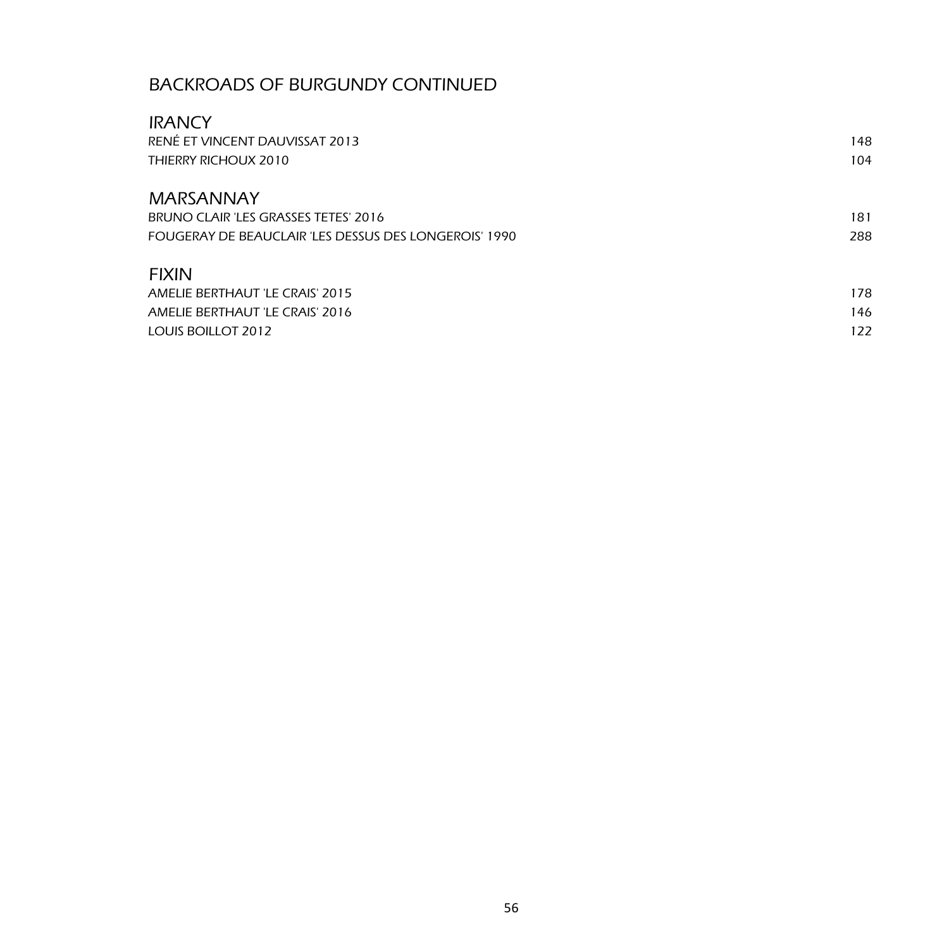## BACKROADS OF BURGUNDY CONTINUED

| <b>IRANCY</b>                                         |     |
|-------------------------------------------------------|-----|
| RENÉ ET VINCENT DAUVISSAT 2013                        | 148 |
| THIERRY RICHOUX 2010                                  | 104 |
| <b>MARSANNAY</b>                                      |     |
| BRUNO CLAIR 'LES GRASSES TETES' 2016                  | 181 |
| FOUGERAY DE BEAUCLAIR 'LES DESSUS DES LONGEROIS' 1990 | 288 |
| <b>FIXIN</b>                                          |     |
| AMELIE BERTHAUT 'LE CRAIS' 2015                       | 178 |
| AMELIE BERTHAUT 'LE CRAIS' 2016                       | 146 |
| LOUIS BOILLOT 2012                                    | 122 |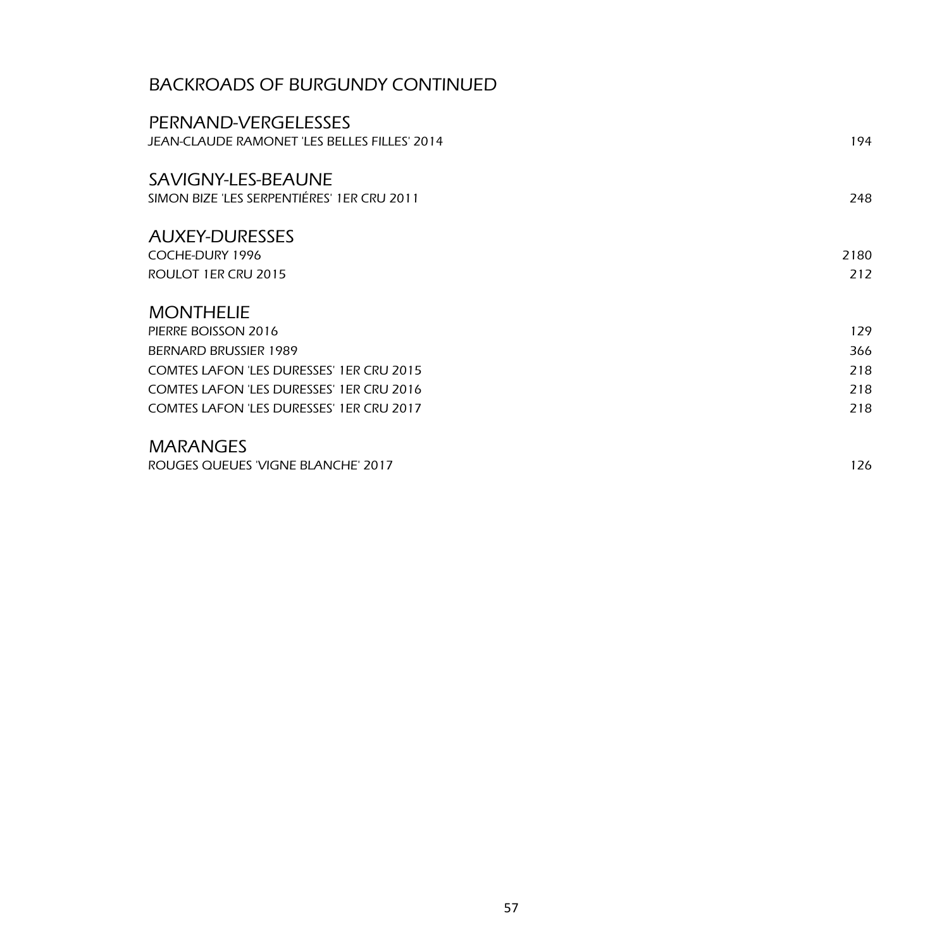## BACKROADS OF BURGUNDY CONTINUED

| PERNAND-VERGELESSES                             |      |
|-------------------------------------------------|------|
| JEAN-CLAUDE RAMONET 'LES BELLES FILLES' 2014    | 194  |
| SAVIGNY-LES-BEAUNE                              |      |
| SIMON BIZE 'LES SERPENTIÉRES' 1ER CRU 2011      | 248  |
| <b>AUXEY-DURESSES</b>                           |      |
| COCHE-DURY 1996                                 | 2180 |
| ROULOT 1ER CRU 2015                             | 212  |
| <b>MONTHELIE</b>                                |      |
| PIERRE BOISSON 2016                             | 129  |
| BERNARD BRUSSIER 1989                           | 366  |
| <b>COMTES LAFON 'LES DURESSES' 1ER CRU 2015</b> | 218  |
| <b>COMTES LAFON 'LES DURESSES' 1ER CRU 2016</b> | 218  |
| <b>COMTES LAFON 'LES DURESSES' 1ER CRU 2017</b> | 218  |
| <b>MARANGES</b>                                 |      |
| ROUGES QUEUES 'VIGNE BLANCHE' 2017              | 126  |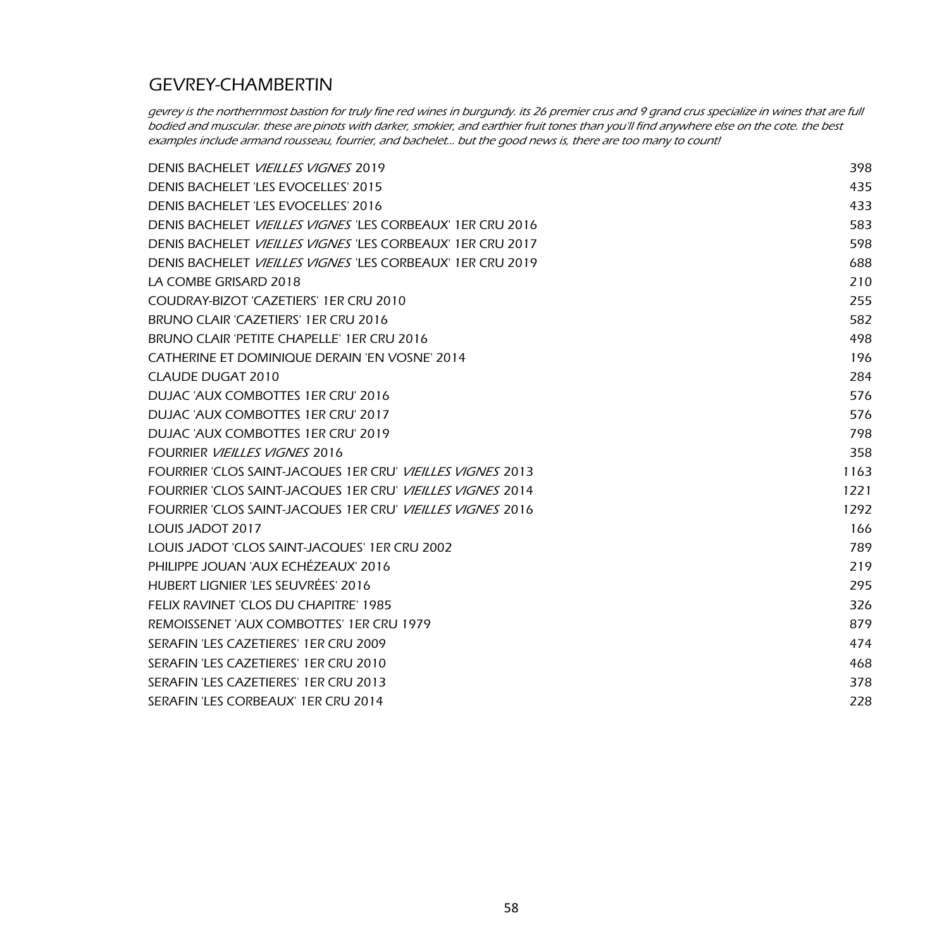## GEVREY-CHAMBERTIN

gevrey is the northernmost bastion for truly fine red wines in burgundy. its 26 premier crus and 9 grand crus specialize in wines that are full bodied and muscular. these are pinots with darker, smokier, and earthier fruit tones than you'll find anywhere else on the cote. the best examples include armand rousseau, fourrier, and bachelet... but the good news is, there are too many to count!

| DENIS BACHELET VIEILLES VIGNES 2019                                      | 398  |
|--------------------------------------------------------------------------|------|
| DENIS BACHELET 'LES EVOCELLES' 2015                                      | 435  |
| DENIS BACHELET 'LES EVOCELLES' 2016                                      | 433  |
| DENIS BACHELET <i>VIEILLES VIGNES</i> 'LES CORBEAUX' 1ER CRU 2016        | 583  |
| DENIS BACHELET VIEILLES VIGNES 'LES CORBEAUX' 1ER CRU 2017               | 598  |
| DENIS BACHELET VIEILLES VIGNES 'LES CORBEAUX' 1ER CRU 2019               | 688  |
| LA COMBE GRISARD 2018                                                    | 210  |
| COUDRAY-BIZOT 'CAZETIERS' 1ER CRU 2010                                   | 255  |
| BRUNO CLAIR 'CAZETIERS' 1ER CRU 2016                                     | 582  |
| BRUNO CLAIR 'PETITE CHAPELLE' 1ER CRU 2016                               | 498  |
| CATHERINE ET DOMINIQUE DERAIN 'EN VOSNE' 2014                            | 196  |
| CLAUDE DUGAT 2010                                                        | 284  |
| DUJAC 'AUX COMBOTTES 1ER CRU' 2016                                       | 576  |
| DUJAC 'AUX COMBOTTES 1ER CRU' 2017                                       | 576  |
| DUJAC 'AUX COMBOTTES 1ER CRU' 2019                                       | 798  |
| <b>FOURRIER VIEILLES VIGNES 2016</b>                                     | 358  |
| <b>FOURRIER 'CLOS SAINT-JACQUES 1ER CRU' <i>VIEILLES VIGNES</i> 2013</b> | 1163 |
| FOURRIER 'CLOS SAINT-JACQUES 1ER CRU' <i>VIEILLES VIGNES</i> 2014        | 1221 |
| FOURRIER 'CLOS SAINT-JACQUES 1ER CRU' <i>VIEILLES VIGNES</i> 2016        | 1292 |
| LOUIS JADOT 2017                                                         | 166  |
| LOUIS JADOT 'CLOS SAINT-JACQUES' 1ER CRU 2002                            | 789  |
| PHILIPPE JOUAN 'AUX ECHÉZEAUX' 2016                                      | 219  |
| HUBERT LIGNIER 'LES SEUVRÉES' 2016                                       | 295  |
| FELIX RAVINET 'CLOS DU CHAPITRE' 1985                                    | 326  |
| REMOISSENET 'AUX COMBOTTES' 1ER CRU 1979                                 | 879  |
| SERAFIN 'LES CAZETIERES' 1ER CRU 2009                                    | 474  |
| SERAFIN 'LES CAZETIERES' 1ER CRU 2010                                    | 468  |
| SERAFIN 'LES CAZETIERES' 1ER CRU 2013                                    | 378  |
| SERAFIN 'LES CORBEAUX' 1ER CRU 2014                                      | 228  |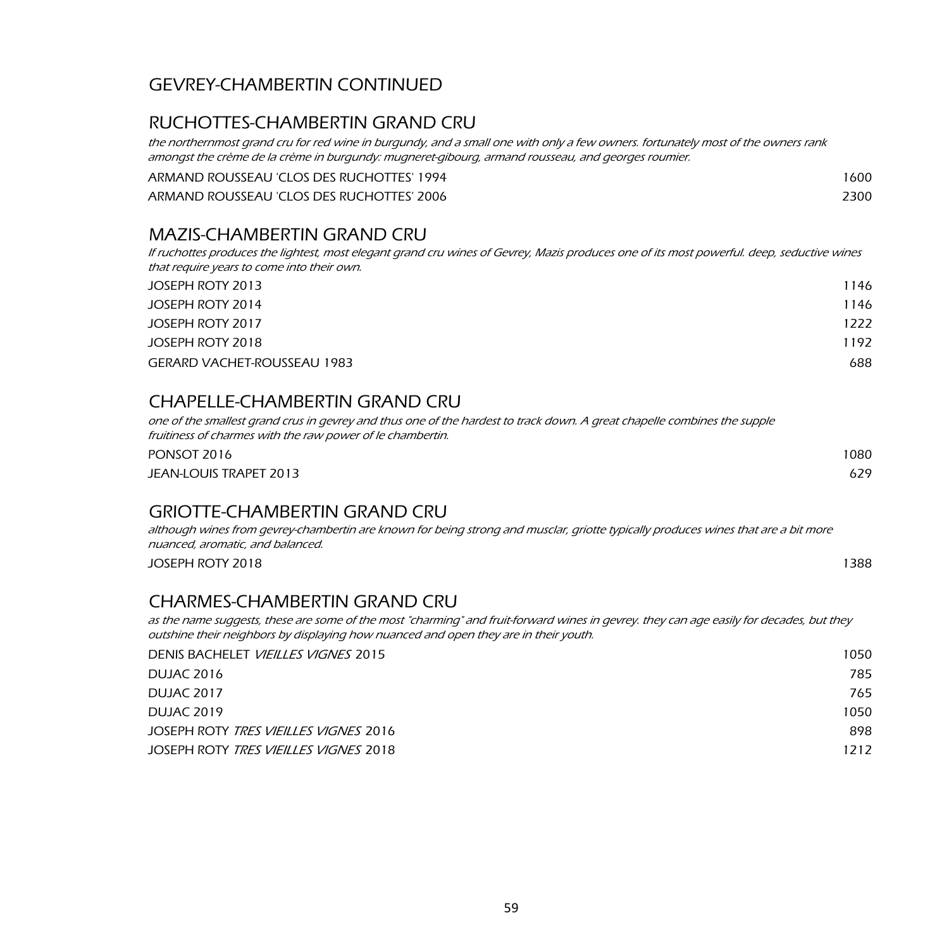## GEVREY-CHAMBERTIN CONTINUED

## RUCHOTTES-CHAMBERTIN GRAND CRU

the northernmost grand cru for red wine in burgundy, and a small one with only a few owners. fortunately most of the owners rank amongst the crème de la crème in burgundy: mugneret-gibourg, armand rousseau, and georges roumier.

| ARMAND ROUSSEAU 'CLOS DES RUCHOTTES' 1994 | 1600 |
|-------------------------------------------|------|
| ARMAND ROUSSEAU 'CLOS DES RUCHOTTES' 2006 | 2300 |

#### MAZIS-CHAMBERTIN GRAND CRU

If ruchottes produces the lightest, most elegant grand cru wines of Gevrey, Mazis produces one of its most powerful. deep, seductive wines that require years to come into their own.

| JOSEPH ROTY 2013            | 1146 |
|-----------------------------|------|
| JOSEPH ROTY 2014            | 1146 |
| JOSEPH ROTY 2017            | 1222 |
| JOSEPH ROTY 2018            | 1192 |
| GERARD VACHET-ROUSSEAU 1983 | 688  |

### CHAPELLE-CHAMBERTIN GRAND CRU

one of the smallest grand crus in gevrey and thus one of the hardest to track down. A great chapelle combines the supple fruitiness of charmes with the raw power of le chambertin.

| PONSOT 2016            | 1080 |
|------------------------|------|
| JEAN-LOUIS TRAPET 2013 | 629  |

### GRIOTTE-CHAMBERTIN GRAND CRU

although wines from gevrey-chambertin are known for being strong and musclar, griotte typically produces wines that are a bit more nuanced, aromatic, and balanced.

JOSEPH ROTY 2018 1388

### CHARMES-CHAMBERTIN GRAND CRU

as the name suggests, these are some of the most "charming" and fruit-forward wines in gevrey. they can age easily for decades, but they outshine their neighbors by displaying how nuanced and open they are in their youth.

| DENIS BACHELET <i>VIEILLES VIGNES</i> 2015   | 1050 |
|----------------------------------------------|------|
| DUJAC 2016                                   | 785  |
| DUJAC 2017                                   | 765  |
| DUJAC 2019                                   | 1050 |
| JOSEPH ROTY <i>TRES VIEILLES VIGNES</i> 2016 | 898  |
| JOSEPH ROTY <i>TRES VIEILLES VIGNES</i> 2018 | 1212 |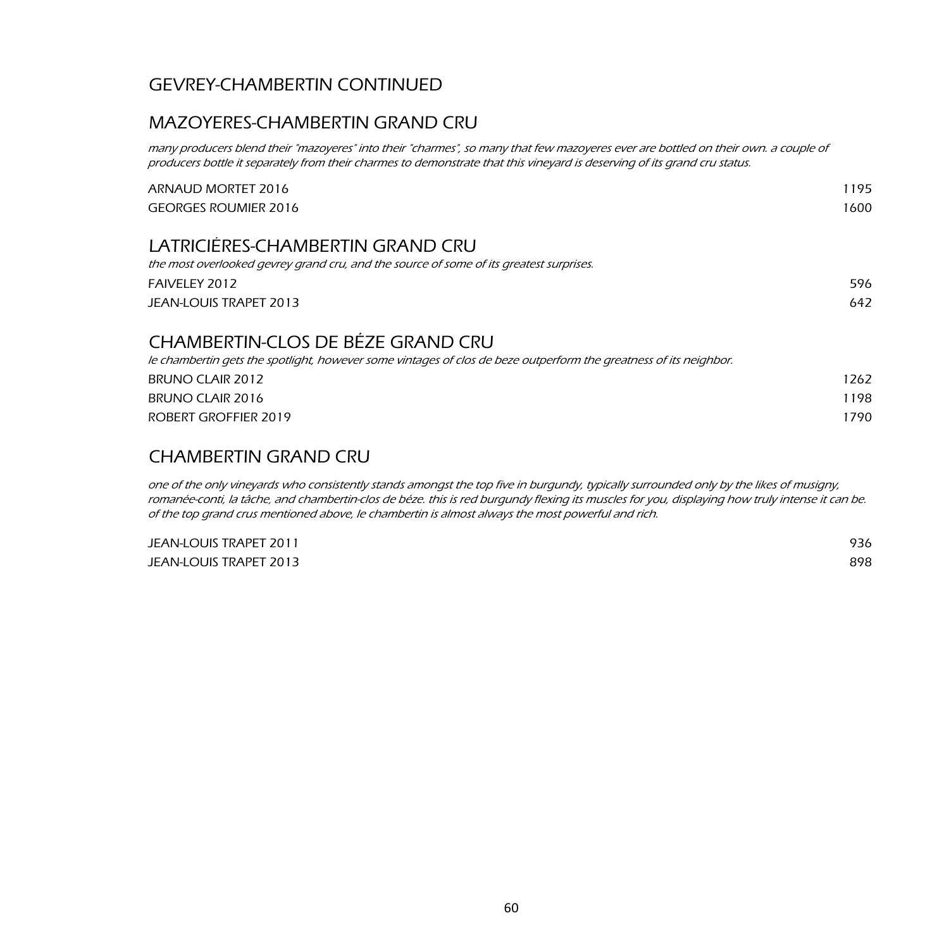## GEVREY-CHAMBERTIN CONTINUED

## MAZOYERES-CHAMBERTIN GRAND CRU

many producers blend their "mazoyeres" into their "charmes", so many that few mazoyeres ever are bottled on their own. a couple of producers bottle it separately from their charmes to demonstrate that this vineyard is deserving of its grand cru status.

| ARNAUD MORTET 2016                                                                                               | 1195 |
|------------------------------------------------------------------------------------------------------------------|------|
| <b>GEORGES ROUMIER 2016</b>                                                                                      | 1600 |
| LATRICIÉRES-CHAMBERTIN GRAND CRU                                                                                 |      |
| the most overlooked gevrey grand cru, and the source of some of its greatest surprises.                          |      |
| FAIVELEY 2012                                                                                                    | 596  |
| <b>JEAN-LOUIS TRAPET 2013</b>                                                                                    | 642  |
| CHAMBERTIN-CLOS DE BÉZE GRAND CRU                                                                                |      |
| le chambertin gets the spotlight, however some vintages of clos de beze outperform the greatness of its neighbor |      |
| <b>BRUNO CLAIR 2012</b>                                                                                          | 1262 |
| BRUNO CLAIR 2016                                                                                                 | 1198 |
| ROBERT GROFFIER 2019                                                                                             | 1790 |
|                                                                                                                  |      |

#### CHAMBERTIN GRAND CRU

one of the only vineyards who consistently stands amongst the top five in burgundy, typically surrounded only by the likes of musigny, romanée-conti, la tâche, and chambertin-clos de béze. this is red burgundy flexing its muscles for you, displaying how truly intense it can be. of the top grand crus mentioned above, le chambertin is almost always the most powerful and rich.

| JEAN-LOUIS TRAPET 2011 | 936 |
|------------------------|-----|
| JEAN-LOUIS TRAPET 2013 | 898 |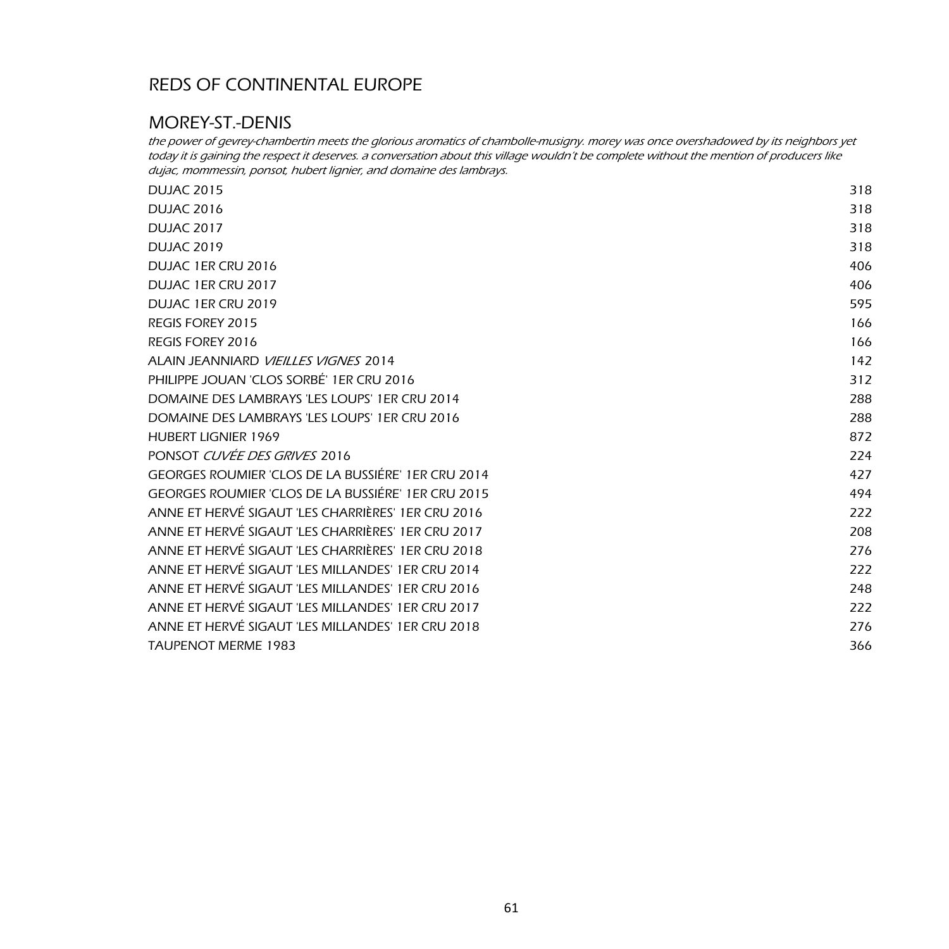### MOREY-ST.-DENIS

the power of gevrey-chambertin meets the glorious aromatics of chambolle-musigny. morey was once overshadowed by its neighbors yet today it is gaining the respect it deserves. a conversation about this village wouldn't be complete without the mention of producers like dujac, mommessin, ponsot, hubert lignier, and domaine des lambrays.

| <b>DUJAC 2015</b>                                  | 318 |
|----------------------------------------------------|-----|
| <b>DUJAC 2016</b>                                  | 318 |
| <b>DUJAC 2017</b>                                  | 318 |
| <b>DUJAC 2019</b>                                  | 318 |
| DUJAC 1ER CRU 2016                                 | 406 |
| DUJAC 1ER CRU 2017                                 | 406 |
| DUJAC 1ER CRU 2019                                 | 595 |
| <b>REGIS FOREY 2015</b>                            | 166 |
| REGIS FOREY 2016                                   | 166 |
| ALAIN JEANNIARD VIEILLES VIGNES 2014               | 142 |
| PHILIPPE JOUAN 'CLOS SORBÉ' 1ER CRU 2016           | 312 |
| DOMAINE DES LAMBRAYS 'LES LOUPS' 1ER CRU 2014      | 288 |
| DOMAINE DES LAMBRAYS 'LES LOUPS' 1ER CRU 2016      | 288 |
| <b>HUBERT LIGNIER 1969</b>                         | 872 |
| PONSOT CUVÉE DES GRIVES 2016                       | 224 |
| GEORGES ROUMIER 'CLOS DE LA BUSSIÈRE' 1ER CRU 2014 | 427 |
| GEORGES ROUMIER 'CLOS DE LA BUSSIÈRE' 1ER CRU 2015 | 494 |
| ANNE ET HERVÉ SIGAUT 'LES CHARRIÈRES' 1ER CRU 2016 | 222 |
| ANNE ET HERVÉ SIGAUT 'LES CHARRIÈRES' 1ER CRU 2017 | 208 |
| ANNE ET HERVÉ SIGAUT 'LES CHARRIÈRES' 1ER CRU 2018 | 276 |
| ANNE ET HERVÉ SIGAUT 'LES MILLANDES' 1ER CRU 2014  | 222 |
| ANNE ET HERVÉ SIGAUT 'LES MILLANDES' 1ER CRU 2016  | 248 |
| ANNE ET HERVÉ SIGAUT 'LES MILLANDES' 1ER CRU 2017  | 222 |
| ANNE ET HERVÉ SIGAUT 'LES MILLANDES' 1ER CRU 2018  | 276 |
| <b>TAUPENOT MERME 1983</b>                         | 366 |
|                                                    |     |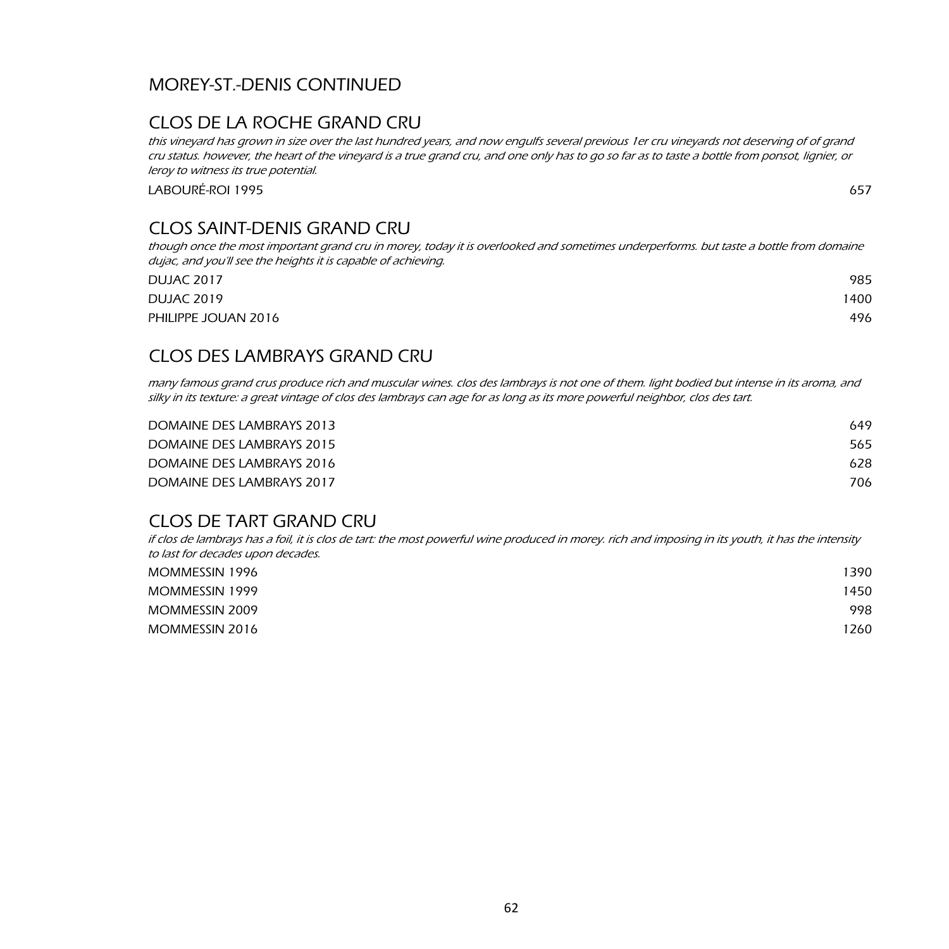## MOREY-ST.-DENIS CONTINUED

### CLOS DE LA ROCHE GRAND CRU

this vineyard has grown in size over the last hundred years, and now engulfs several previous 1er cru vineyards not deserving of of grand cru status. however, the heart of the vineyard is a true grand cru, and one only has to go so far as to taste a bottle from ponsot, lignier, or leroy to witness its true potential.

LABOURÉ-ROI 1995 657

## CLOS SAINT-DENIS GRAND CRU

though once the most important grand cru in morey, today it is overlooked and sometimes underperforms. but taste a bottle from domaine dujac, and you'll see the heights it is capable of achieving.

| <b>DUJAC 2017</b>   | 985  |
|---------------------|------|
| <b>DUJAC 2019</b>   | 1400 |
| PHILIPPE JOUAN 2016 | 496  |

## CLOS DES LAMBRAYS GRAND CRU

many famous grand crus produce rich and muscular wines. clos des lambrays is not one of them. light bodied but intense in its aroma, and silky in its texture: a great vintage of clos des lambrays can age for as long as its more powerful neighbor, clos des tart.

| DOMAINE DES LAMBRAYS 2013 | 649 |
|---------------------------|-----|
| DOMAINE DES LAMBRAYS 2015 | 565 |
| DOMAINE DES LAMBRAYS 2016 | 628 |
| DOMAINE DES LAMBRAYS 2017 | 706 |

### CLOS DE TART GRAND CRU

if clos de lambrays has a foil, it is clos de tart: the most powerful wine produced in morey. rich and imposing in its youth, it has the intensity to last for decades upon decades.

| MOMMESSIN 1996 | 1390 |
|----------------|------|
| MOMMESSIN 1999 | 1450 |
| MOMMESSIN 2009 | 998  |
| MOMMESSIN 2016 | 1260 |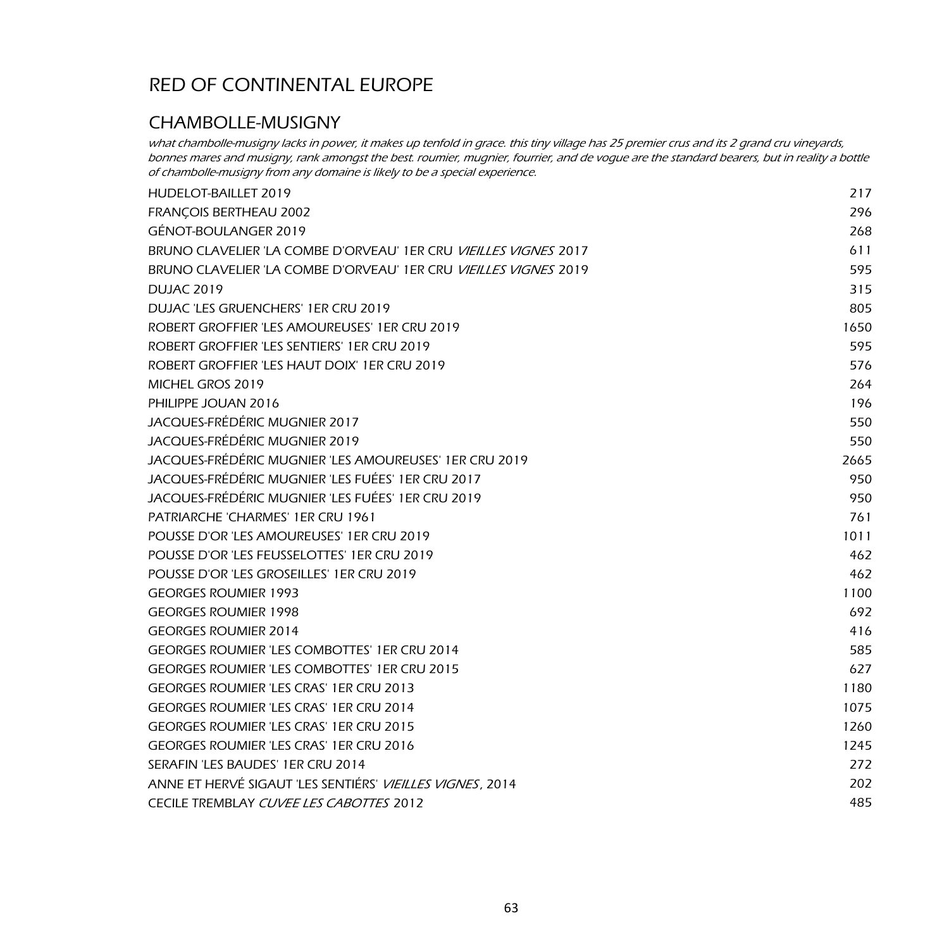### CHAMBOLLE-MUSIGNY

what chambolle-musigny lacks in power, it makes up tenfold in grace. this tiny village has 25 premier crus and its 2 grand cru vineyards, bonnes mares and musigny, rank amongst the best. roumier, mugnier, fourrier, and de vogue are the standard bearers, but in reality a bottle of chambolle-musigny from any domaine is likely to be a special experience.

| HUDELOT-BAILLET 2019                                                    | 217  |
|-------------------------------------------------------------------------|------|
| FRANÇOIS BERTHEAU 2002                                                  | 296  |
| GÉNOT-BOULANGER 2019                                                    | 268  |
| BRUNO CLAVELIER 'LA COMBE D'ORVEAU' 1ER CRU VIEILLES VIGNES 2017        | 611  |
| BRUNO CLAVELIER 'LA COMBE D'ORVEAU' 1ER CRU <i>VIEILLES VIGNES</i> 2019 | 595  |
| <b>DUJAC 2019</b>                                                       | 315  |
| DUJAC 'LES GRUENCHERS' 1ER CRU 2019                                     | 805  |
| ROBERT GROFFIER 'LES AMOUREUSES' 1ER CRU 2019                           | 1650 |
| ROBERT GROFFIER 'LES SENTIERS' 1ER CRU 2019                             | 595  |
| ROBERT GROFFIER 'LES HAUT DOIX' 1ER CRU 2019                            | 576  |
| MICHEL GROS 2019                                                        | 264  |
| PHILIPPE JOUAN 2016                                                     | 196  |
| JACQUES-FRÉDÉRIC MUGNIER 2017                                           | 550  |
| JACQUES-FRÉDÉRIC MUGNIER 2019                                           | 550  |
| JACQUES-FRÉDÉRIC MUGNIER 'LES AMOUREUSES' 1ER CRU 2019                  | 2665 |
| JACQUES-FRÉDÉRIC MUGNIER 'LES FUÉES' 1ER CRU 2017                       | 950  |
| JACQUES-FRÉDÉRIC MUGNIER 'LES FUÉES' 1ER CRU 2019                       | 950  |
| PATRIARCHE 'CHARMES' 1ER CRU 1961                                       | 761  |
| POUSSE D'OR 'LES AMOUREUSES' 1ER CRU 2019                               | 1011 |
| POUSSE D'OR 'LES FEUSSELOTTES' 1ER CRU 2019                             | 462  |
| POUSSE D'OR 'LES GROSEILLES' 1ER CRU 2019                               | 462  |
| <b>GEORGES ROUMIER 1993</b>                                             | 1100 |
| <b>GEORGES ROUMIER 1998</b>                                             | 692  |
| <b>GEORGES ROUMIER 2014</b>                                             | 416  |
| <b>GEORGES ROUMIER 'LES COMBOTTES' 1ER CRU 2014</b>                     | 585  |
| <b>GEORGES ROUMIER 'LES COMBOTTES' 1ER CRU 2015</b>                     | 627  |
| GEORGES ROUMIER 'LES CRAS' 1ER CRU 2013                                 | 1180 |
| <b>GEORGES ROUMIER 'LES CRAS' 1ER CRU 2014</b>                          | 1075 |
| <b>GEORGES ROUMIER 'LES CRAS' 1ER CRU 2015</b>                          | 1260 |
| <b>GEORGES ROUMIER 'LES CRAS' 1ER CRU 2016</b>                          | 1245 |
| SERAFIN 'LES BAUDES' 1ER CRU 2014                                       | 272  |
| ANNE ET HERVÉ SIGAUT 'LES SENTIÉRS' VIEILLES VIGNES, 2014               | 202  |
| CECILE TREMBLAY CUVEE LES CABOTTES 2012                                 | 485  |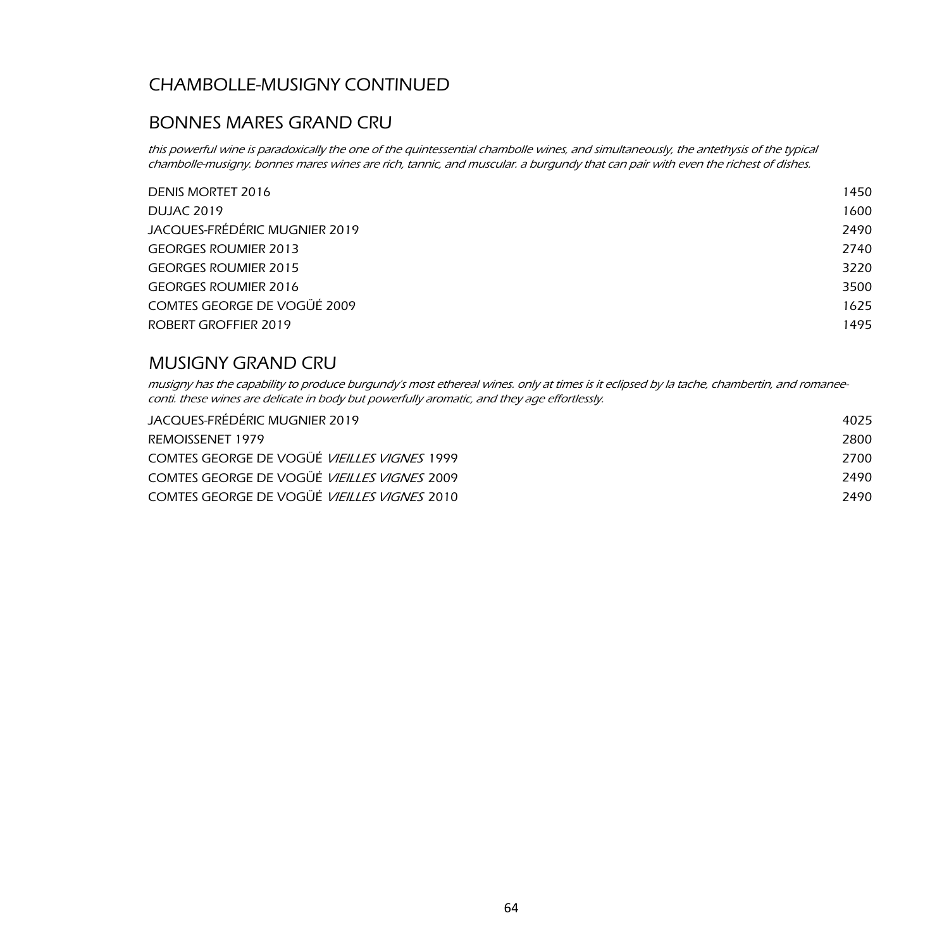## CHAMBOLLE-MUSIGNY CONTINUED

### BONNES MARES GRAND CRU

this powerful wine is paradoxically the one of the quintessential chambolle wines, and simultaneously, the antethysis of the typical chambolle-musigny. bonnes mares wines are rich, tannic, and muscular. a burgundy that can pair with even the richest of dishes.

| DENIS MORTET 2016             | 1450 |
|-------------------------------|------|
| <b>DUJAC 2019</b>             | 1600 |
| JACQUES-FRÉDÉRIC MUGNIER 2019 | 2490 |
| <b>GEORGES ROUMIER 2013</b>   | 2740 |
| <b>GEORGES ROUMIER 2015</b>   | 3220 |
| <b>GEORGES ROUMIER 2016</b>   | 3500 |
| COMTES GEORGE DE VOGÜÉ 2009   | 1625 |
| ROBERT GROFFIER 2019          | 1495 |
|                               |      |

### MUSIGNY GRAND CRU

musigny has the capability to produce burgundy's most ethereal wines. only at times is it eclipsed by la tache, chambertin, and romaneeconti. these wines are delicate in body but powerfully aromatic, and they age effortlessly.

| JACQUES-FRÉDÉRIC MUGNIER 2019                      | 4025 |
|----------------------------------------------------|------|
| REMOISSENET 1979                                   | 2800 |
| COMTES GEORGE DE VOGÜÉ <i>VIEILLES VIGNES</i> 1999 | 2700 |
| COMTES GEORGE DE VOGÜÉ <i>VIEILLES VIGNES</i> 2009 | 2490 |
| COMTES GEORGE DE VOGUÉ <i>VIEILLES VIGNES</i> 2010 | 2490 |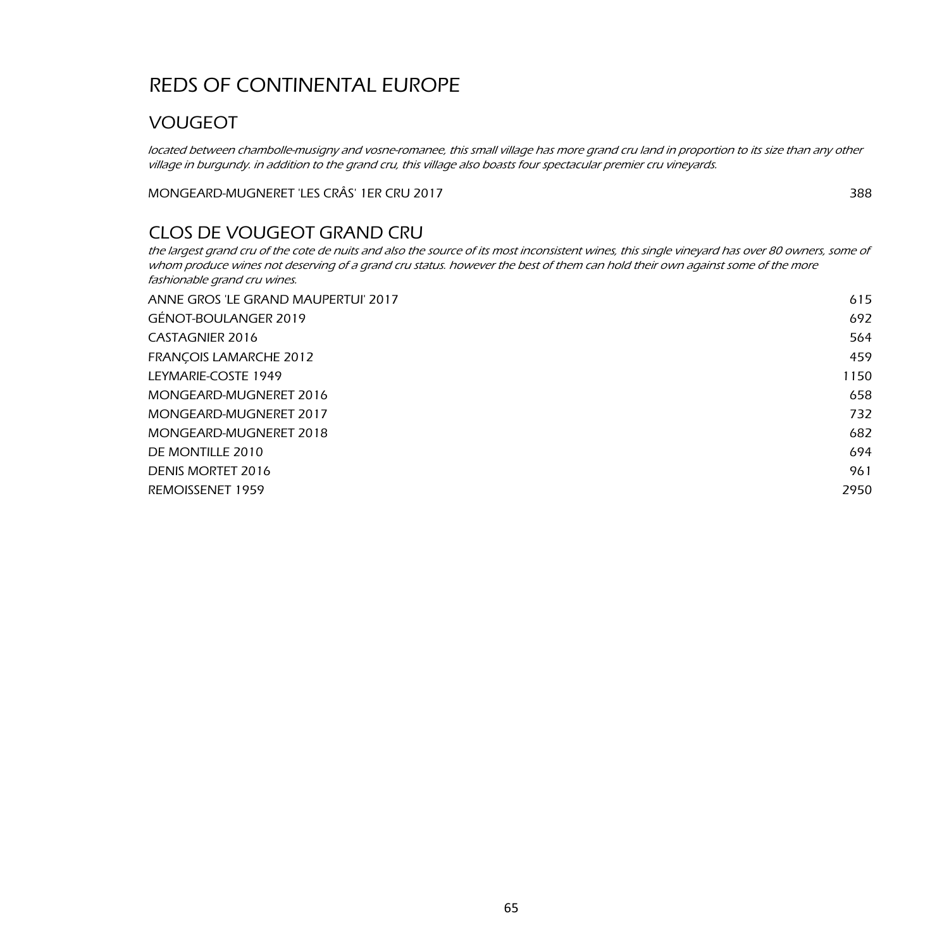## VOUGEOT

located between chambolle-musigny and vosne-romanee, this small village has more grand cru land in proportion to its size than any other village in burgundy. in addition to the grand cru, this village also boasts four spectacular premier cru vineyards.

MONGEARD-MUGNERET 'LES CRÂS' 1ER CRU 2017 388

## CLOS DE VOUGEOT GRAND CRU

the largest grand cru of the cote de nuits and also the source of its most inconsistent wines, this single vineyard has over 80 owners, some of whom produce wines not deserving of a grand cru status. however the best of them can hold their own against some of the more fashionable grand cru wines.

| ANNE GROS 'LE GRAND MAUPERTUI' 2017 | 615  |
|-------------------------------------|------|
| GÉNOT-BOULANGER 2019                | 692  |
| CASTAGNIER 2016                     | 564  |
| <b>FRANCOIS LAMARCHE 2012</b>       | 459  |
| LEYMARIE-COSTE 1949                 | 1150 |
| MONGEARD-MUGNERET 2016              | 658  |
| MONGEARD-MUGNERET 2017              | 732  |
| MONGEARD-MUGNERET 2018              | 682  |
| DE MONTILLE 2010                    | 694  |
| DENIS MORTET 2016                   | 961  |
| REMOISSENET 1959                    | 2950 |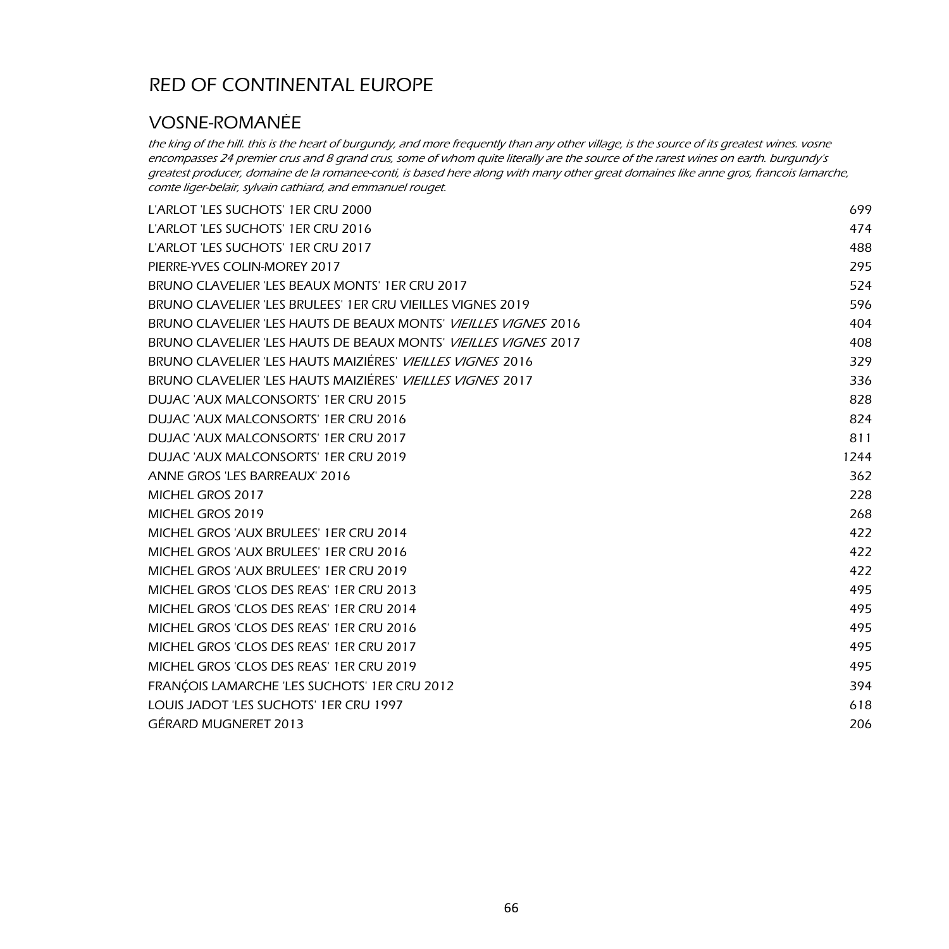## VOSNE-ROMANÉE

the king of the hill. this is the heart of burgundy, and more frequently than any other village, is the source of its greatest wines. vosne encompasses 24 premier crus and 8 grand crus, some of whom quite literally are the source of the rarest wines on earth. burgundy's greatest producer, domaine de la romanee-conti, is based here along with many other great domaines like anne gros, francois lamarche, comte liger-belair, sylvain cathiard, and emmanuel rouget.

| L'ARLOT 'LES SUCHOTS' 1ER CRU 2000                                     | 699  |
|------------------------------------------------------------------------|------|
| L'ARLOT 'LES SUCHOTS' 1ER CRU 2016                                     | 474  |
| L'ARLOT 'LES SUCHOTS' 1ER CRU 2017                                     | 488  |
| PIERRE-YVES COLIN-MOREY 2017                                           | 295  |
| BRUNO CLAVELIER 'LES BEAUX MONTS' 1ER CRU 2017                         | 524  |
| BRUNO CLAVELIER 'LES BRULEES' 1ER CRU VIEILLES VIGNES 2019             | 596  |
| BRUNO CLAVELIER 'LES HAUTS DE BEAUX MONTS' <i>VIEILLES VIGNES</i> 2016 | 404  |
| BRUNO CLAVELIER 'LES HAUTS DE BEAUX MONTS' <i>VIEILLES VIGNES</i> 2017 | 408  |
| BRUNO CLAVELIER 'LES HAUTS MAIZIÉRES' <i>VIEILLES VIGNES</i> 2016      | 329  |
| BRUNO CLAVELIER 'LES HAUTS MAIZIÉRES' <i>VIEILLES VIGNES</i> 2017      | 336  |
| DUJAC 'AUX MALCONSORTS' 1ER CRU 2015                                   | 828  |
| DUJAC 'AUX MALCONSORTS' 1ER CRU 2016                                   | 824  |
| DUJAC 'AUX MALCONSORTS' 1ER CRU 2017                                   | 811  |
| DUJAC 'AUX MALCONSORTS' 1ER CRU 2019                                   | 1244 |
| ANNE GROS 'LES BARREAUX' 2016                                          | 362  |
| MICHEL GROS 2017                                                       | 228  |
| MICHEL GROS 2019                                                       | 268  |
| MICHEL GROS 'AUX BRULEES' 1ER CRU 2014                                 | 422  |
| MICHEL GROS 'AUX BRULEES' 1ER CRU 2016                                 | 422  |
| MICHEL GROS 'AUX BRULEES' 1ER CRU 2019                                 | 422  |
| MICHEL GROS 'CLOS DES REAS' 1ER CRU 2013                               | 495  |
| MICHEL GROS 'CLOS DES REAS' 1ER CRU 2014                               | 495  |
| MICHEL GROS 'CLOS DES REAS' 1ER CRU 2016                               | 495  |
| MICHEL GROS 'CLOS DES REAS' 1ER CRU 2017                               | 495  |
| MICHEL GROS 'CLOS DES REAS' 1ER CRU 2019                               | 495  |
| FRANÇOIS LAMARCHE 'LES SUCHOTS' 1ER CRU 2012                           | 394  |
| LOUIS JADOT 'LES SUCHOTS' 1ER CRU 1997                                 | 618  |
| GÉRARD MUGNERET 2013                                                   | 206  |
|                                                                        |      |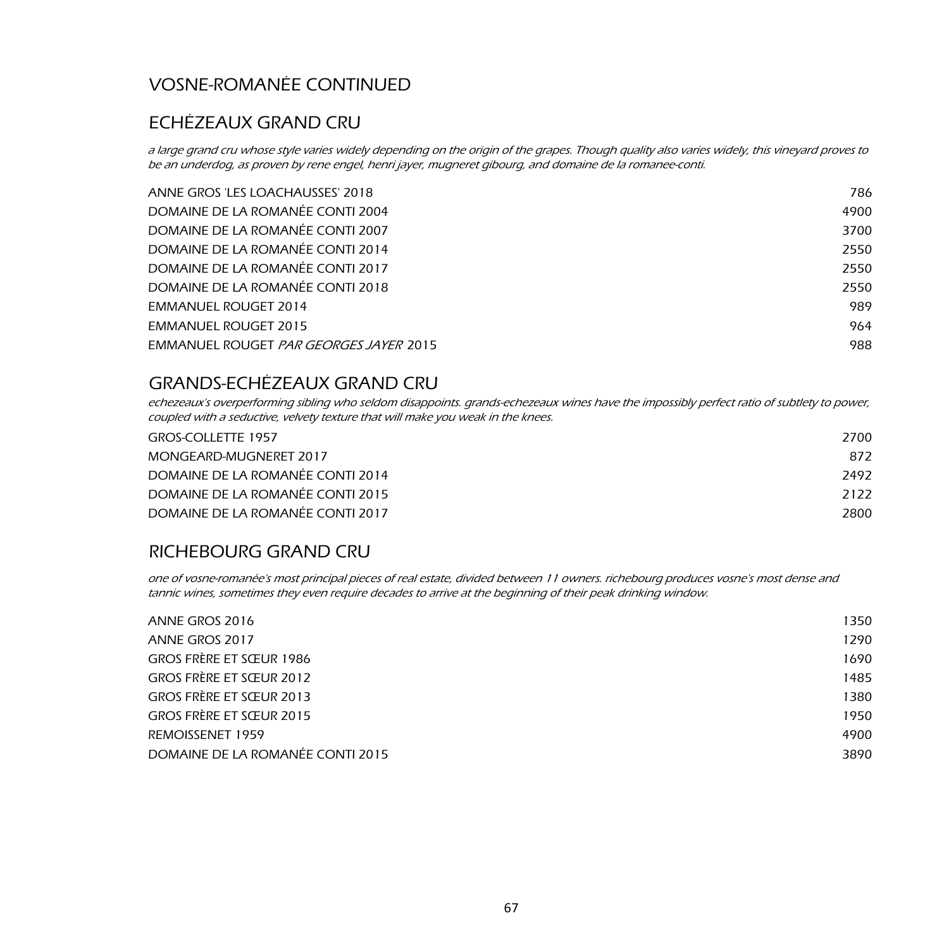## VOSNE-ROMANÉE CONTINUED

### ECHÉZEAUX GRAND CRU

a large grand cru whose style varies widely depending on the origin of the grapes. Though quality also varies widely, this vineyard proves to be an underdog, as proven by rene engel, henri jayer, mugneret gibourg, and domaine de la romanee-conti.

| ANNE GROS 'LES LOACHAUSSES' 2018       | 786  |
|----------------------------------------|------|
| DOMAINE DE LA ROMANÉE CONTI 2004       | 4900 |
| DOMAINE DE LA ROMANÉE CONTI 2007       | 3700 |
| DOMAINE DE LA ROMANÉE CONTI 2014       | 2550 |
| DOMAINE DE LA ROMANÉE CONTI 2017       | 2550 |
| DOMAINE DE LA ROMANÉE CONTI 2018       | 2550 |
| <b>EMMANUEL ROUGET 2014</b>            | 989  |
| <b>EMMANUEL ROUGET 2015</b>            | 964  |
| EMMANUEL ROUGET PAR GEORGES JAYER 2015 | 988  |
|                                        |      |

## GRANDS-ECHÉZEAUX GRAND CRU

echezeaux's overperforming sibling who seldom disappoints. grands-echezeaux wines have the impossibly perfect ratio of subtlety to power, coupled with a seductive, velvety texture that will make you weak in the knees.

| <b>GROS-COLLETTE 1957</b>        | 2700 |
|----------------------------------|------|
| MONGEARD-MUGNERET 2017           | 872  |
| DOMAINE DE LA ROMANÉE CONTI 2014 | 2492 |
| DOMAINE DE LA ROMANÉE CONTI 2015 | 2122 |
| DOMAINE DE LA ROMANÉE CONTI 2017 | 2800 |

#### RICHEBOURG GRAND CRU

one of vosne-romanée's most principal pieces of real estate, divided between 11 owners. richebourg produces vosne's most dense and tannic wines, sometimes they even require decades to arrive at the beginning of their peak drinking window.

| ANNE GROS 2016                   | 1350 |
|----------------------------------|------|
| ANNE GROS 2017                   | 1290 |
| GROS FRÈRE ET SŒUR 1986          | 1690 |
| GROS FRÈRE ET SŒUR 2012          | 1485 |
| GROS FRÈRE ET SŒUR 2013          | 1380 |
| GROS FRÈRE ET SŒUR 2015          | 1950 |
| REMOISSENET 1959                 | 4900 |
| DOMAINE DE LA ROMANÉE CONTI 2015 | 3890 |
|                                  |      |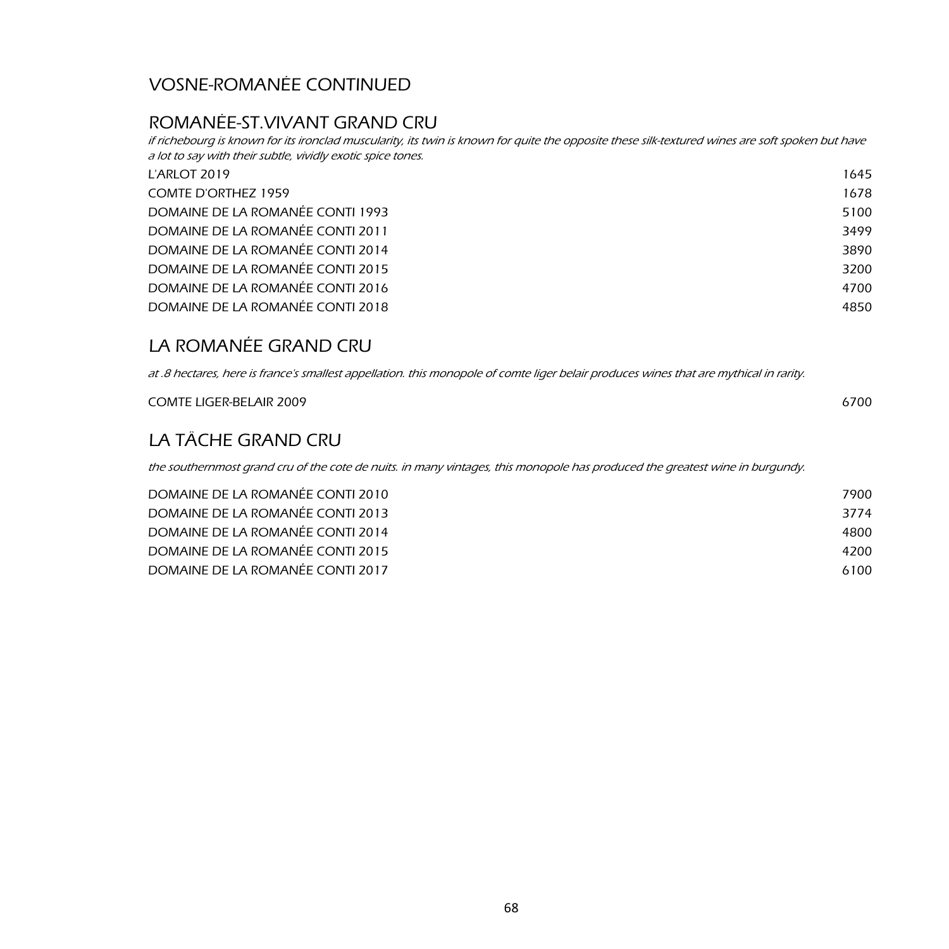## VOSNE-ROMANÉE CONTINUED

## ROMANÉE-ST.VIVANT GRAND CRU

if richebourg is known for its ironclad muscularity, its twin is known for quite the opposite these silk-textured wines are soft spoken but have a lot to say with their subtle, vividly exotic spice tones.

| L'ARLOT 2019                     | 1645 |
|----------------------------------|------|
| <b>COMTE D'ORTHEZ 1959</b>       | 1678 |
| DOMAINE DE LA ROMANÉE CONTI 1993 | 5100 |
| DOMAINE DE LA ROMANÉE CONTI 2011 | 3499 |
| DOMAINE DE LA ROMANÉE CONTI 2014 | 3890 |
| DOMAINE DE LA ROMANÉE CONTI 2015 | 3200 |
| DOMAINE DE LA ROMANÉE CONTI 2016 | 4700 |
| DOMAINE DE LA ROMANÉE CONTI 2018 | 4850 |

## LA ROMANÉE GRAND CRU

at .8 hectares, here is france's smallest appellation. this monopole of comte liger belair produces wines that are mythical in rarity.

| <b>COMTE LIGER-BELAIR 2009</b> | 6700 |
|--------------------------------|------|
| LA TÂCHE GRAND CRU             |      |

the southernmost grand cru of the cote de nuits. in many vintages, this monopole has produced the greatest wine in burgundy.

| DOMAINE DE LA ROMANÉE CONTI 2010 | 7900 |
|----------------------------------|------|
| DOMAINE DE LA ROMANÉE CONTI 2013 | 3774 |
| DOMAINE DE LA ROMANÉE CONTI 2014 | 4800 |
| DOMAINE DE LA ROMANÉE CONTI 2015 | 4200 |
| DOMAINE DE LA ROMANÉE CONTI 2017 | 6100 |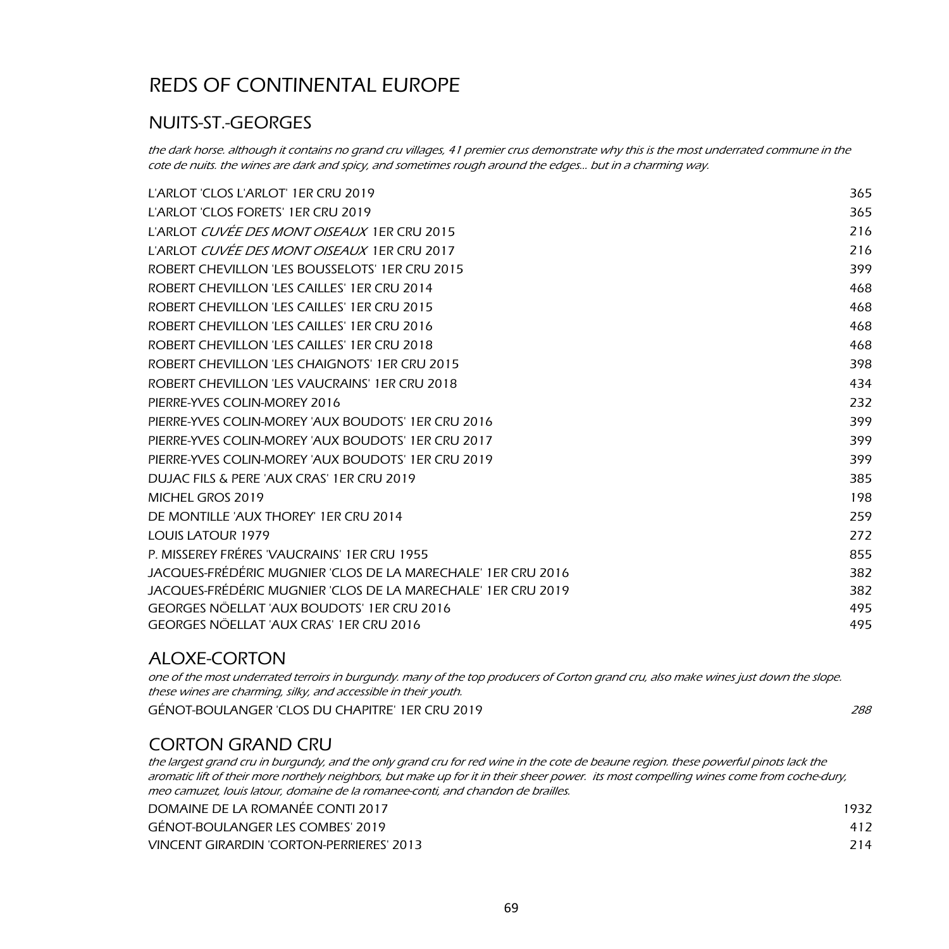## NUITS-ST.-GEORGES

the dark horse. although it contains no grand cru villages, 41 premier crus demonstrate why this is the most underrated commune in the cote de nuits. the wines are dark and spicy, and sometimes rough around the edges… but in a charming way.

| L'ARLOT 'CLOS L'ARLOT' 1ER CRU 2019                          | 365 |
|--------------------------------------------------------------|-----|
| L'ARLOT 'CLOS FORETS' 1ER CRU 2019                           | 365 |
| L'ARLOT CUVÉE DES MONT OISEAUX 1ER CRU 2015                  | 216 |
| L'ARLOT <i>CUVÉE DES MONT OISEAUX</i> 1ER CRU 2017           | 216 |
| ROBERT CHEVILLON 'LES BOUSSELOTS' 1ER CRU 2015               | 399 |
| ROBERT CHEVILLON 'LES CAILLES' 1ER CRU 2014                  | 468 |
| ROBERT CHEVILLON 'LES CAILLES' 1ER CRU 2015                  | 468 |
| ROBERT CHEVILLON 'LES CAILLES' 1ER CRU 2016                  | 468 |
| ROBERT CHEVILLON 'LES CAILLES' 1ER CRU 2018                  | 468 |
| ROBERT CHEVILLON 'LES CHAIGNOTS' 1ER CRU 2015                | 398 |
| ROBERT CHEVILLON 'LES VAUCRAINS' 1ER CRU 2018                | 434 |
| PIERRE-YVES COLIN-MOREY 2016                                 | 232 |
| PIERRE-YVES COLIN-MOREY 'AUX BOUDOTS' 1ER CRU 2016           | 399 |
| PIERRE-YVES COLIN-MOREY 'AUX BOUDOTS' 1ER CRU 2017           | 399 |
| PIERRE-YVES COLIN-MOREY 'AUX BOUDOTS' 1ER CRU 2019           | 399 |
| DUJAC FILS & PERE 'AUX CRAS' 1ER CRU 2019                    | 385 |
| MICHEL GROS 2019                                             | 198 |
| DE MONTILLE 'AUX THOREY' 1ER CRU 2014                        | 259 |
| <b>LOUIS LATOUR 1979</b>                                     | 272 |
| P. MISSEREY FRÉRES 'VAUCRAINS' 1ER CRU 1955                  | 855 |
| JACQUES-FRÉDÉRIC MUGNIER 'CLOS DE LA MARECHALE' 1ER CRU 2016 | 382 |
| JACQUES-FRÉDÉRIC MUGNIER 'CLOS DE LA MARECHALE' 1ER CRU 2019 | 382 |
| GEORGES NÖELLAT 'AUX BOUDOTS' 1ER CRU 2016                   | 495 |
| GEORGES NÖELLAT 'AUX CRAS' 1ER CRU 2016                      | 495 |

### ALOXE-CORTON

GÉNOT-BOULANGER 'CLOS DU CHAPITRE' 1ER CRU 2019 **2008** 2009 2009 2009 288 one of the most underrated terroirs in burgundy. many of the top producers of Corton grand cru, also make wines just down the slope. these wines are charming, silky, and accessible in their youth.

### CORTON GRAND CRU

the largest grand cru in burgundy, and the only grand cru for red wine in the cote de beaune region. these powerful pinots lack the aromatic lift of their more northely neighbors, but make up for it in their sheer power. its most compelling wines come from coche-dury, meo camuzet, louis latour, domaine de la romanee-conti, and chandon de brailles.

| DOMAINE DE LA ROMANÉE CONTI 2017         | 1932 |  |
|------------------------------------------|------|--|
| GÉNOT-BOULANGER LES COMBES' 2019         |      |  |
| VINCENT GIRARDIN 'CORTON-PERRIERES' 2013 | 214  |  |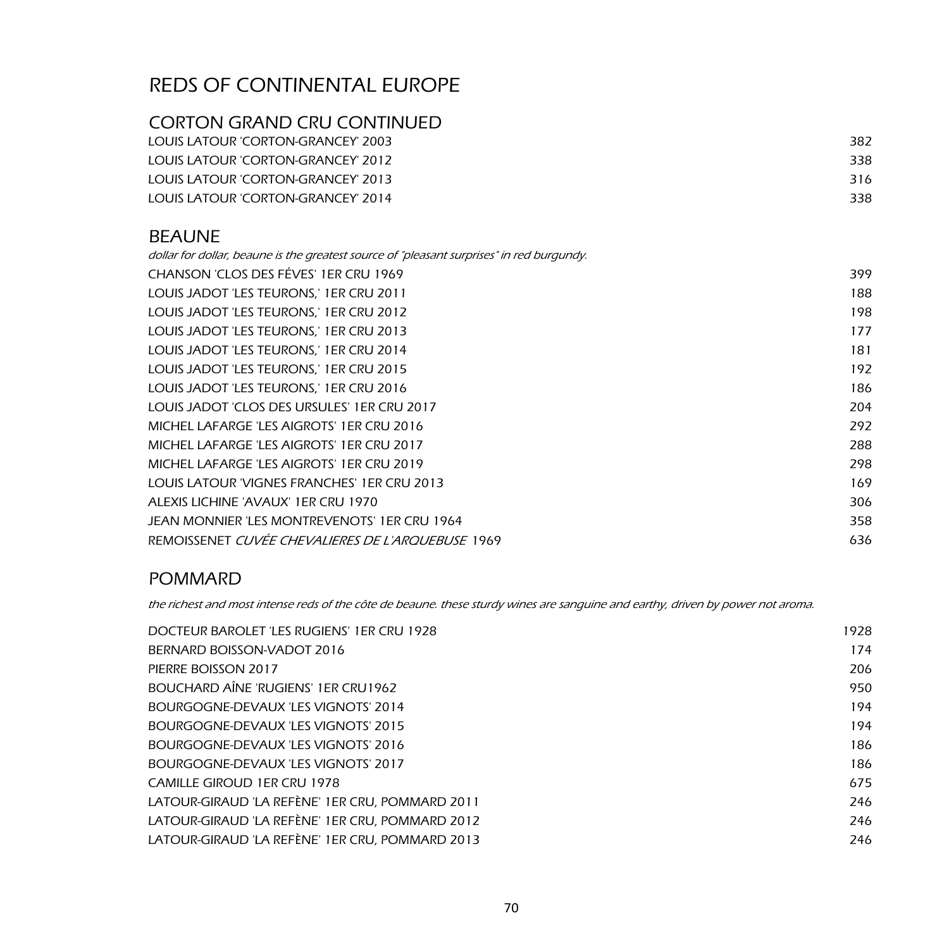## CORTON GRAND CRU CONTINUED

| LOUIS LATOUR 'CORTON-GRANCEY' 2003 | 382 |  |
|------------------------------------|-----|--|
| TOUIS LATOUR 'CORTON-GRANCEY' 2012 | 338 |  |
| LOUIS LATOUR 'CORTON-GRANCEY' 2013 | 316 |  |
| LOUIS LATOUR 'CORTON-GRANCEY' 2014 | 338 |  |
|                                    |     |  |

#### BEAUNE

| dollar for dollar, beaune is the greatest source of "pleasant surprises" in red burgundy. |      |
|-------------------------------------------------------------------------------------------|------|
| CHANSON 'CLOS DES FÉVES' 1ER CRU 1969                                                     | 399. |
| LOUIS JADOT 'LES TEURONS,' 1ER CRU 2011                                                   | 188  |
| LOUIS JADOT 'LES TEURONS,' 1ER CRU 2012                                                   | 198  |
| LOUIS JADOT 'LES TEURONS,' 1ER CRU 2013                                                   | 177  |
| LOUIS JADOT 'LES TEURONS,' 1ER CRU 2014                                                   | 181  |
| LOUIS JADOT 'LES TEURONS,' 1ER CRU 2015                                                   | 192  |
| LOUIS JADOT 'LES TEURONS,' 1ER CRU 2016                                                   | 186  |
| LOUIS JADOT 'CLOS DES URSULES' 1ER CRU 2017                                               | 204  |
| MICHEL LAFARGE 'LES AIGROTS' 1ER CRU 2016                                                 | 292  |
| MICHEL LAFARGE 'LES AIGROTS' 1ER CRU 2017                                                 | 288  |
| MICHEL LAFARGE 'LES AIGROTS' 1ER CRU 2019                                                 | 298  |
| LOUIS LATOUR 'VIGNES FRANCHES' 1ER CRU 2013                                               | 169  |
| ALEXIS LICHINE 'AVAUX' 1ER CRU 1970                                                       | 306  |
| JEAN MONNIER 'LES MONTREVENOTS' 1ER CRU 1964                                              | 358  |
| REMOISSENET CUVÉE CHEVALIERES DE L'AROUEBUSE 1969                                         | 636  |

### POMMARD

the richest and most intense reds of the côte de beaune. these sturdy wines are sanguine and earthy, driven by power not aroma.

| DOCTEUR BAROLET 'LES RUGIENS' 1ER CRU 1928      | 1928 |
|-------------------------------------------------|------|
| BERNARD BOISSON-VADOT 2016                      | 174  |
| PIERRE BOISSON 2017                             | 206  |
| BOUCHARD AÎNE 'RUGIENS' 1ER CRU1962             | 950  |
| BOURGOGNE-DEVAUX 'LES VIGNOTS' 2014             | 194  |
| BOURGOGNE-DEVAUX 'LES VIGNOTS' 2015             | 194  |
| BOURGOGNE-DEVAUX 'LES VIGNOTS' 2016             | 186  |
| BOURGOGNE-DEVAUX 'LES VIGNOTS' 2017             | 186  |
| <b>CAMILLE GIROUD 1ER CRU 1978</b>              | 675  |
| LATOUR-GIRAUD 'LA REFÈNE' 1ER CRU, POMMARD 2011 | 246  |
| LATOUR-GIRAUD 'LA REFÈNE' 1ER CRU, POMMARD 2012 | 246  |
| LATOUR-GIRAUD 'LA REFÈNE' 1ER CRU, POMMARD 2013 | 246  |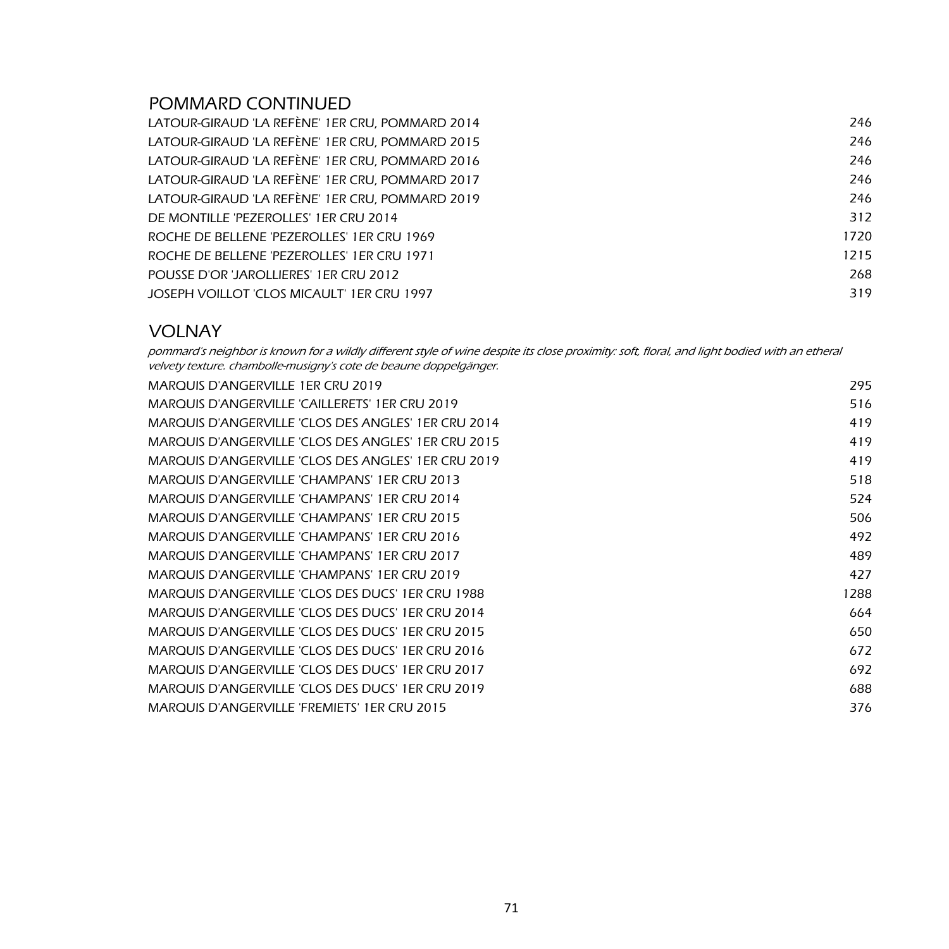#### POMMARD CONTINUED

| LATOUR-GIRAUD 'LA REFÈNE' 1ER CRU, POMMARD 2014 | 246  |
|-------------------------------------------------|------|
| LATOUR-GIRAUD 'LA REFÈNE' 1ER CRU, POMMARD 2015 | 246  |
| LATOUR-GIRAUD 'LA REFÈNE' 1ER CRU, POMMARD 2016 | 246  |
| LATOUR-GIRAUD 'LA REFÈNE' 1ER CRU, POMMARD 2017 | 246  |
| LATOUR-GIRAUD 'LA REFÈNE' 1ER CRU, POMMARD 2019 | 246  |
| DE MONTILLE 'PEZEROLLES' 1ER CRU 2014           | 312  |
| ROCHE DE BELLENE 'PEZEROLLES' 1ER CRU 1969      | 1720 |
| ROCHE DE BELLENE 'PEZEROLLES' 1ER CRU 1971      | 1215 |
| POUSSE D'OR 'JAROLLIERES' 1ER CRU 2012          | 268  |
| JOSEPH VOILLOT 'CLOS MICAULT' 1ER CRU 1997      | 319  |

#### VOLNAY

pommard's neighbor is known for a wildly different style of wine despite its close proximity: soft, floral, and light bodied with an etheral velvety texture. chambolle-musigny's cote de beaune doppelgänger.

| <b>MARQUIS D'ANGERVILLE 1ER CRU 2019</b>              | 295  |
|-------------------------------------------------------|------|
| <b>MARQUIS D'ANGERVILLE 'CAILLERETS' 1ER CRU 2019</b> | 516  |
| MARQUIS D'ANGERVILLE 'CLOS DES ANGLES' 1ER CRU 2014   | 419  |
| MARQUIS D'ANGERVILLE 'CLOS DES ANGLES' 1ER CRU 2015   | 419  |
| MARQUIS D'ANGERVILLE 'CLOS DES ANGLES' 1ER CRU 2019   | 419  |
| MARQUIS D'ANGERVILLE 'CHAMPANS' 1ER CRU 2013          | 518  |
| MARQUIS D'ANGERVILLE 'CHAMPANS' 1ER CRU 2014          | 524  |
| MARQUIS D'ANGERVILLE 'CHAMPANS' 1ER CRU 2015          | 506  |
| MARQUIS D'ANGERVILLE 'CHAMPANS' 1ER CRU 2016          | 492  |
| MARQUIS D'ANGERVILLE 'CHAMPANS' 1ER CRU 2017          | 489  |
| MARQUIS D'ANGERVILLE 'CHAMPANS' 1ER CRU 2019          | 427  |
| MARQUIS D'ANGERVILLE 'CLOS DES DUCS' 1ER CRU 1988     | 1288 |
| MARQUIS D'ANGERVILLE 'CLOS DES DUCS' 1ER CRU 2014     | 664  |
| MARQUIS D'ANGERVILLE 'CLOS DES DUCS' 1ER CRU 2015     | 650  |
| MARQUIS D'ANGERVILLE 'CLOS DES DUCS' 1ER CRU 2016     | 672  |
| MARQUIS D'ANGERVILLE 'CLOS DES DUCS' 1ER CRU 2017     | 692  |
| MARQUIS D'ANGERVILLE 'CLOS DES DUCS' 1ER CRU 2019     | 688  |
| MARQUIS D'ANGERVILLE 'FREMIETS' 1ER CRU 2015          | 376  |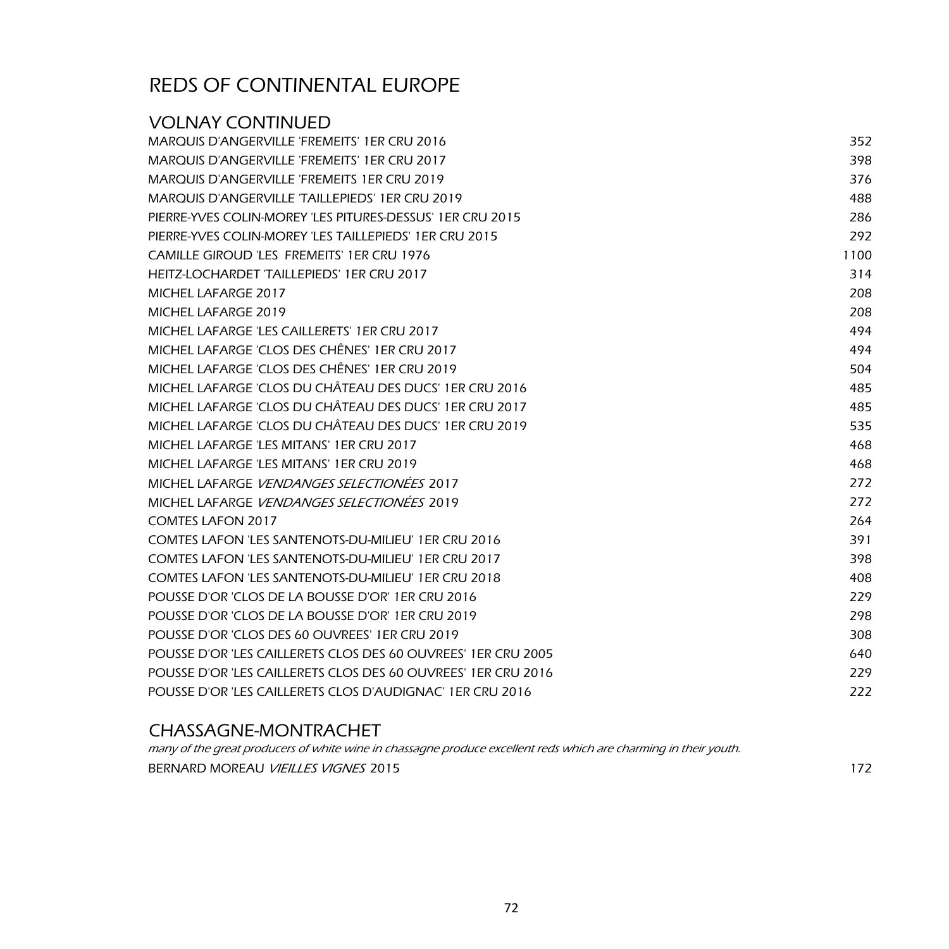| <b>VOLNAY CONTINUED</b>                                       |      |
|---------------------------------------------------------------|------|
| <b>MARQUIS D'ANGERVILLE 'FREMEITS' 1ER CRU 2016</b>           | 352  |
| <b>MARQUIS D'ANGERVILLE 'FREMEITS' 1ER CRU 2017</b>           | 398  |
| <b>MARQUIS D'ANGERVILLE 'FREMEITS 1ER CRU 2019</b>            | 376  |
| <b>MARQUIS D'ANGERVILLE 'TAILLEPIEDS' 1ER CRU 2019</b>        | 488  |
| PIERRE-YVES COLIN-MOREY 'LES PITURES-DESSUS' 1ER CRU 2015     | 286  |
| PIERRE-YVES COLIN-MOREY 'LES TAILLEPIEDS' 1ER CRU 2015        | 292  |
| <b>CAMILLE GIROUD 'LES FREMEITS' 1ER CRU 1976</b>             | 1100 |
| HEITZ-LOCHARDET 'TAILLEPIEDS' 1ER CRU 2017                    | 314  |
| MICHEL LAFARGE 2017                                           | 208  |
| MICHEL LAFARGE 2019                                           | 208  |
| MICHEL LAFARGE 'LES CAILLERETS' 1ER CRU 2017                  | 494  |
| MICHEL LAFARGE 'CLOS DES CHÊNES' 1ER CRU 2017                 | 494  |
| MICHEL LAFARGE 'CLOS DES CHÊNES' 1ER CRU 2019                 | 504  |
| MICHEL LAFARGE 'CLOS DU CHÂTEAU DES DUCS' 1ER CRU 2016        | 485  |
| MICHEL LAFARGE 'CLOS DU CHÂTEAU DES DUCS' 1ER CRU 2017        | 485  |
| MICHEL LAFARGE 'CLOS DU CHÂTEAU DES DUCS' 1ER CRU 2019        | 535  |
| MICHEL LAFARGE 'LES MITANS' 1ER CRU 2017                      | 468  |
| MICHEL LAFARGE 'LES MITANS' 1ER CRU 2019                      | 468  |
| MICHEL LAFARGE VENDANGES SELECTIONÉES 2017                    | 272  |
| MICHEL LAFARGE VENDANGES SELECTIONÉES 2019                    | 272  |
| <b>COMTES LAFON 2017</b>                                      | 264  |
| COMTES LAFON 'LES SANTENOTS-DU-MILIEU' 1ER CRU 2016           | 391  |
| COMTES LAFON 'LES SANTENOTS-DU-MILIEU' 1ER CRU 2017           | 398  |
| COMTES LAFON 'LES SANTENOTS-DU-MILIEU' 1ER CRU 2018           | 408  |
| POUSSE D'OR 'CLOS DE LA BOUSSE D'OR' 1ER CRU 2016             | 229  |
| POUSSE D'OR 'CLOS DE LA BOUSSE D'OR' 1ER CRU 2019             | 298  |
| POUSSE D'OR 'CLOS DES 60 OUVREES' 1ER CRU 2019                | 308  |
| POUSSE D'OR 'LES CAILLERETS CLOS DES 60 OUVREES' 1ER CRU 2005 | 640  |
| POUSSE D'OR 'LES CAILLERETS CLOS DES 60 OUVREES' 1ER CRU 2016 | 229  |
| POUSSE D'OR 'LES CAILLERETS CLOS D'AUDIGNAC' 1ER CRU 2016     | 222  |
|                                                               |      |

#### CHASSAGNE-MONTRACHET

BERNARD MOREAU VIEILLES VIGNES 2015 many of the great producers of white wine in chassagne produce excellent reds which are charming in their youth.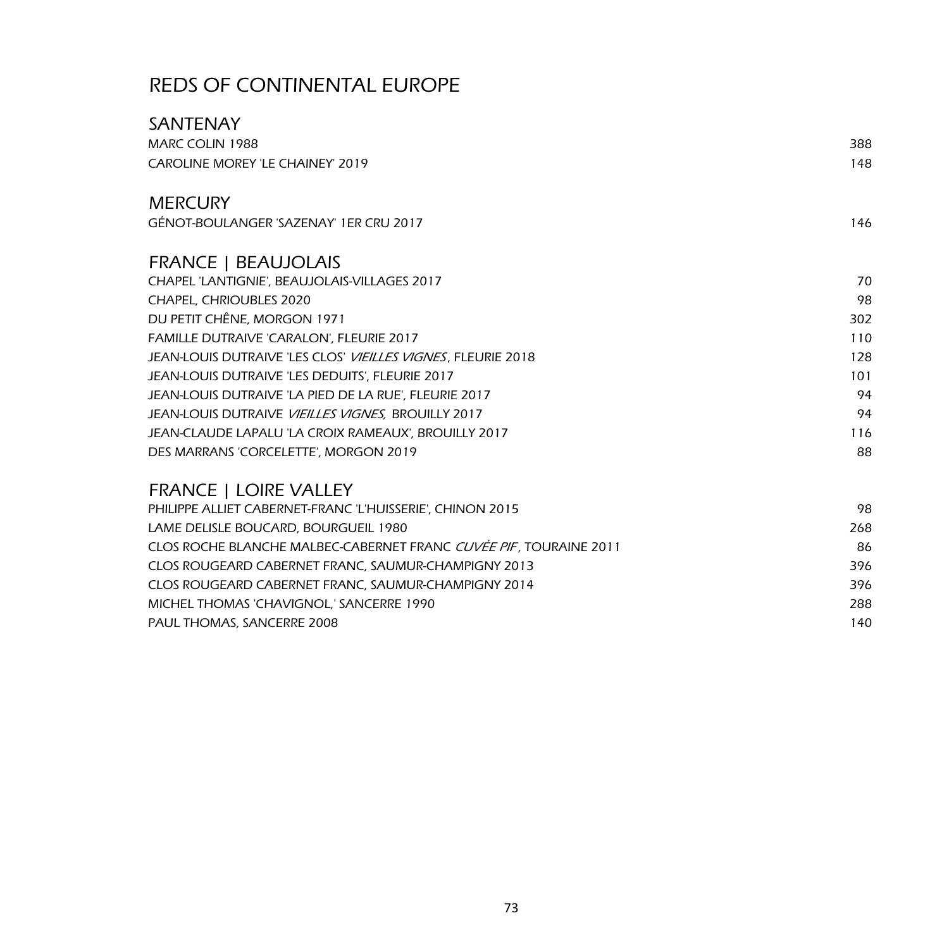| <b>SANTENAY</b>                                                   |     |
|-------------------------------------------------------------------|-----|
| <b>MARC COLIN 1988</b>                                            | 388 |
| <b>CAROLINE MOREY 'LE CHAINEY' 2019</b>                           | 148 |
| <b>MERCURY</b>                                                    |     |
| GÉNOT-BOULANGER 'SAZENAY' 1ER CRU 2017                            | 146 |
| <b>FRANCE   BEAUJOLAIS</b>                                        |     |
| CHAPEL 'LANTIGNIE', BEAUJOLAIS-VILLAGES 2017                      | 70  |
| CHAPEL, CHRIOUBLES 2020                                           | 98  |
| DU PETIT CHÊNE, MORGON 1971                                       | 302 |
| FAMILLE DUTRAIVE 'CARALON', FLEURIE 2017                          | 110 |
| JEAN-LOUIS DUTRAIVE 'LES CLOS' VIEILLES VIGNES, FLEURIE 2018      | 128 |
| JEAN-LOUIS DUTRAIVE 'LES DEDUITS', FLEURIE 2017                   | 101 |
| JEAN-LOUIS DUTRAIVE 'LA PIED DE LA RUE', FLEURIE 2017             | 94  |
| JEAN-LOUIS DUTRAIVE VIEILLES VIGNES, BROUILLY 2017                | 94  |
| JEAN-CLAUDE LAPALU 'LA CROIX RAMEAUX', BROUILLY 2017              | 116 |
| DES MARRANS 'CORCELETTE', MORGON 2019                             | 88  |
| <b>FRANCE   LOIRE VALLEY</b>                                      |     |
| PHILIPPE ALLIET CABERNET-FRANC 'L'HUISSERIE', CHINON 2015         | 98  |
| LAME DELISLE BOUCARD, BOURGUEIL 1980                              | 268 |
| CLOS ROCHE BLANCHE MALBEC-CABERNET FRANC CUVÉE PIF, TOURAINE 2011 | 86  |

| CLOS ROCHE BLANCHE MALBEC-CABERNET FRANC <i>CUVÉE PIF</i> . TOURAINE 2011 | 86  |  |
|---------------------------------------------------------------------------|-----|--|
| CLOS ROUGEARD CABERNET FRANC, SAUMUR-CHAMPIGNY 2013                       | 396 |  |
| CLOS ROUGEARD CABERNET FRANC. SAUMUR-CHAMPIGNY 2014                       | 396 |  |
| MICHEL THOMAS 'CHAVIGNOL.' SANCERRE 1990                                  | 288 |  |
| PAUL THOMAS, SANCERRE 2008                                                | 140 |  |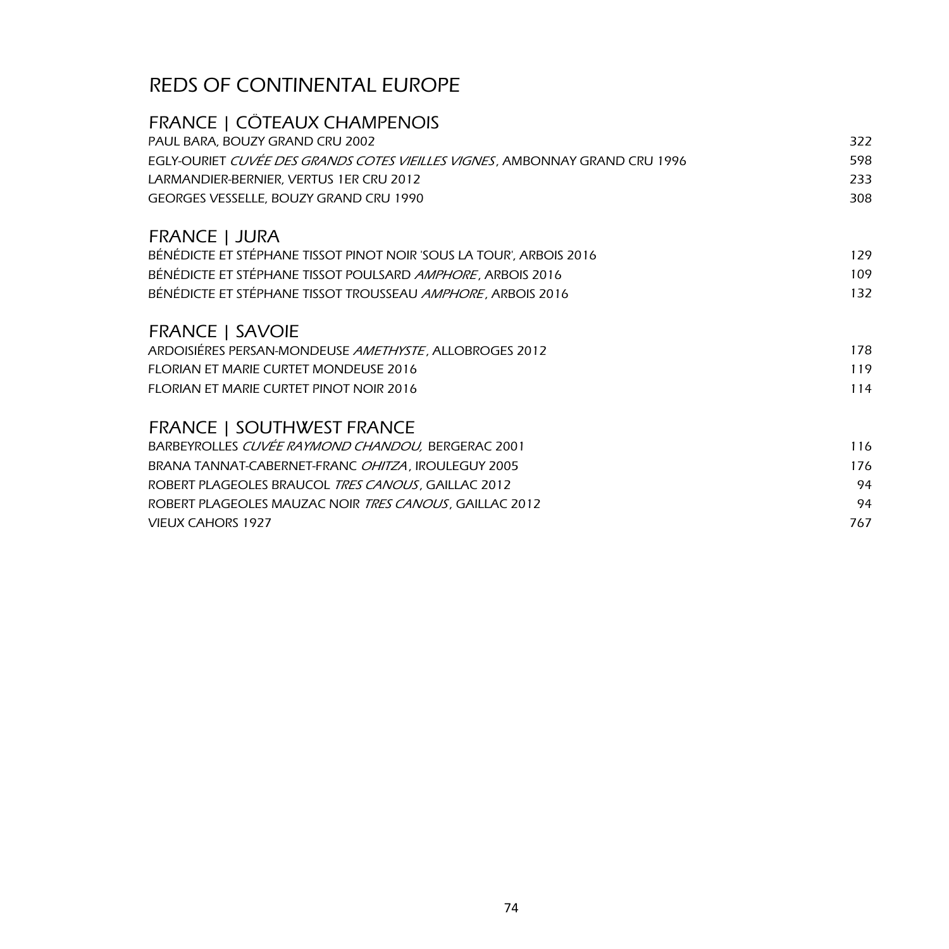| FRANCE   CÔTEAUX CHAMPENOIS                                                 | 322 |
|-----------------------------------------------------------------------------|-----|
| PAUL BARA, BOUZY GRAND CRU 2002                                             |     |
| EGLY-OURIET CUVÉE DES GRANDS COTES VIEILLES VIGNES, AMBONNAY GRAND CRU 1996 | 598 |
| LARMANDIER-BERNIER, VERTUS 1ER CRU 2012                                     | 233 |
| GEORGES VESSELLE, BOUZY GRAND CRU 1990                                      | 308 |
| FRANCE   JURA                                                               |     |
| BÉNÉDICTE ET STÉPHANE TISSOT PINOT NOIR 'SOUS LA TOUR', ARBOIS 2016         | 129 |
| BÉNÉDICTE ET STÉPHANE TISSOT POULSARD AMPHORE, ARBOIS 2016                  | 109 |
| BÉNÉDICTE ET STÉPHANE TISSOT TROUSSEAU AMPHORE, ARBOIS 2016                 | 132 |
| <b>FRANCE   SAVOIE</b>                                                      |     |
| ARDOISIÉRES PERSAN-MONDEUSE AMETHYSTE, ALLOBROGES 2012                      | 178 |
| <b>FLORIAN ET MARIE CURTET MONDEUSE 2016</b>                                | 119 |
| FLORIAN ET MARIE CURTET PINOT NOIR 2016                                     | 114 |
| <b>FRANCE   SOUTHWEST FRANCE</b>                                            |     |
| BARBEYROLLES CUVÉE RAYMOND CHANDOU, BERGERAC 2001                           | 116 |
| BRANA TANNAT-CABERNET-FRANC OHITZA, IROULEGUY 2005                          | 176 |
| ROBERT PLAGEOLES BRAUCOL TRES CANOUS, GAILLAC 2012                          | 94  |
| ROBERT PLAGEOLES MAUZAC NOIR TRES CANOUS, GAILLAC 2012                      | 94  |
| <b>VIEUX CAHORS 1927</b>                                                    | 767 |
|                                                                             |     |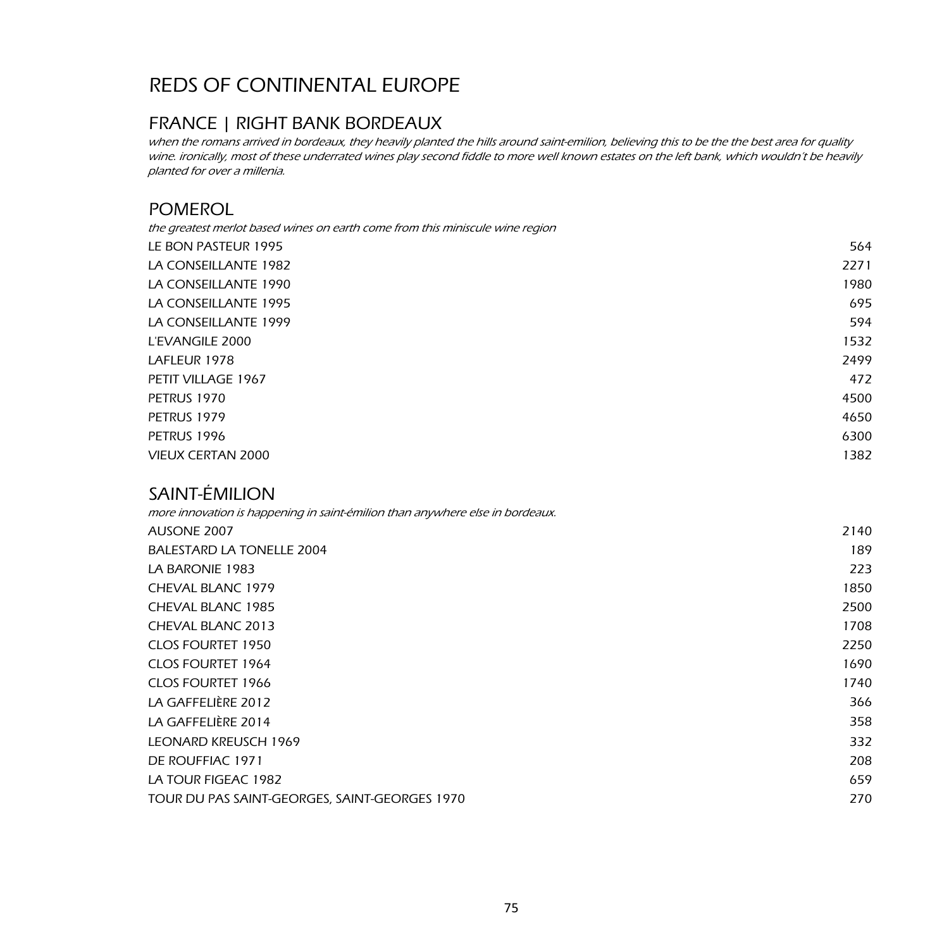### FRANCE | RIGHT BANK BORDEAUX

when the romans arrived in bordeaux, they heavily planted the hills around saint-emilion, believing this to be the the best area for quality wine. ironically, most of these underrated wines play second fiddle to more well known estates on the left bank, which wouldn't be heavily planted for over a millenia.

### POMEROL

| the greatest merlot based wines on earth come from this miniscule wine region |      |
|-------------------------------------------------------------------------------|------|
| LE BON PASTEUR 1995                                                           | 564  |
| LA CONSEILLANTE 1982                                                          | 2271 |
| LA CONSEILLANTE 1990                                                          | 1980 |
| LA CONSEILLANTE 1995                                                          | 695  |
| LA CONSEILLANTE 1999                                                          | 594  |
| L'EVANGILE 2000                                                               | 1532 |
| LAFLEUR 1978                                                                  | 2499 |
| PETIT VILLAGE 1967                                                            | 472  |
| PETRUS 1970                                                                   | 4500 |
| PETRUS 1979                                                                   | 4650 |
| PETRUS 1996                                                                   | 6300 |
| <b>VIEUX CERTAN 2000</b>                                                      | 1382 |
|                                                                               |      |

### SAINT-ÉMILION

| more innovation is happening in saint-émilion than anywhere else in bordeaux. |      |
|-------------------------------------------------------------------------------|------|
| AUSONE 2007                                                                   | 2140 |
| BALESTARD LA TONELLE 2004                                                     | 189  |
| LA BARONIE 1983                                                               | 223  |
| CHEVAL BLANC 1979                                                             | 1850 |
| CHEVAL BLANC 1985                                                             | 2500 |
| CHEVAL BLANC 2013                                                             | 1708 |
| <b>CLOS FOURTET 1950</b>                                                      | 2250 |
| <b>CLOS FOURTET 1964</b>                                                      | 1690 |
| <b>CLOS FOURTET 1966</b>                                                      | 1740 |
| LA GAFFELIÈRE 2012                                                            | 366  |
| LA GAFFELIÈRE 2014                                                            | 358  |
| <b>LEONARD KREUSCH 1969</b>                                                   | 332  |
| DE ROUFFIAC 1971                                                              | 208  |
| LA TOUR FIGEAC 1982                                                           | 659  |
| TOUR DU PAS SAINT-GEORGES, SAINT-GEORGES 1970                                 | 270  |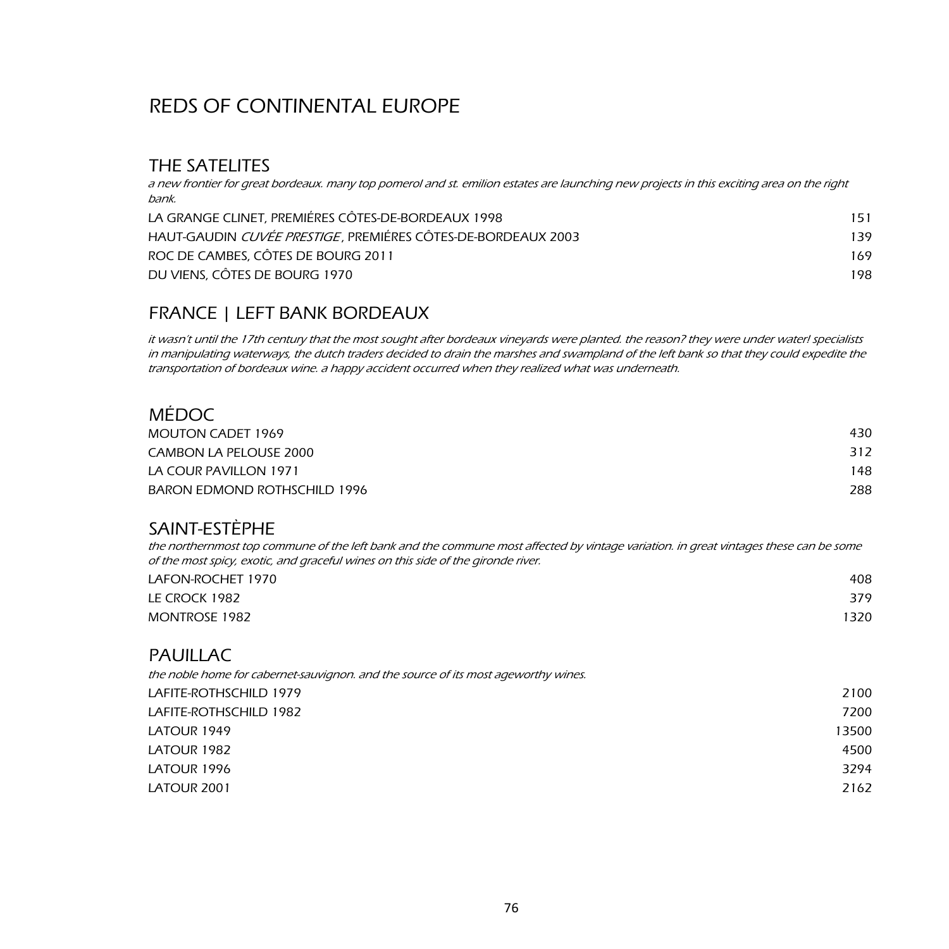## THE SATELITES

a new frontier for great bordeaux. many top pomerol and st. emilion estates are launching new projects in this exciting area on the right bank.

| LA GRANGE CLINET, PREMIÉRES CÔTES-DE-BORDEAUX 1998           | 151 |
|--------------------------------------------------------------|-----|
| HAUT-GAUDIN CUVÉE PRESTIGE, PREMIÉRES CÔTES-DE-BORDEAUX 2003 | 139 |
| ROC DE CAMBES, CÔTES DE BOURG 2011                           | 169 |
| DU VIENS, CÔTES DE BOURG 1970                                | 198 |

### FRANCE | LEFT BANK BORDEAUX

it wasn't until the 17th century that the most sought after bordeaux vineyards were planted. the reason? they were under water! specialists in manipulating waterways, the dutch traders decided to drain the marshes and swampland of the left bank so that they could expedite the transportation of bordeaux wine. a happy accident occurred when they realized what was underneath.

### MÉDOC

| MOUTON CADET 1969            | 430 |
|------------------------------|-----|
| CAMBON LA PELOUSE 2000       | 312 |
| LA COUR PAVILLON 1971        | 148 |
| BARON EDMOND ROTHSCHILD 1996 | 288 |

### SAINT-ESTÈPHE

the northernmost top commune of the left bank and the commune most affected by vintage variation. in great vintages these can be some of the most spicy, exotic, and graceful wines on this side of the gironde river.

| LAFON-ROCHET 1970    | 408  |
|----------------------|------|
| LE CROCK 1982        | 379  |
| <b>MONTROSE 1982</b> | 1320 |

### **PAUILLAC**

| the noble home for cabernet-sauvignon, and the source of its most ageworthy wines. |       |
|------------------------------------------------------------------------------------|-------|
| LAFITE-ROTHSCHILD 1979                                                             | 2100  |
| LAFITE-ROTHSCHILD 1982                                                             | 7200  |
| LATOUR 1949                                                                        | 13500 |
| LATOUR 1982                                                                        | 4500  |
| LATOUR 1996                                                                        | 3294  |
| LATOUR 2001                                                                        | 2162  |
|                                                                                    |       |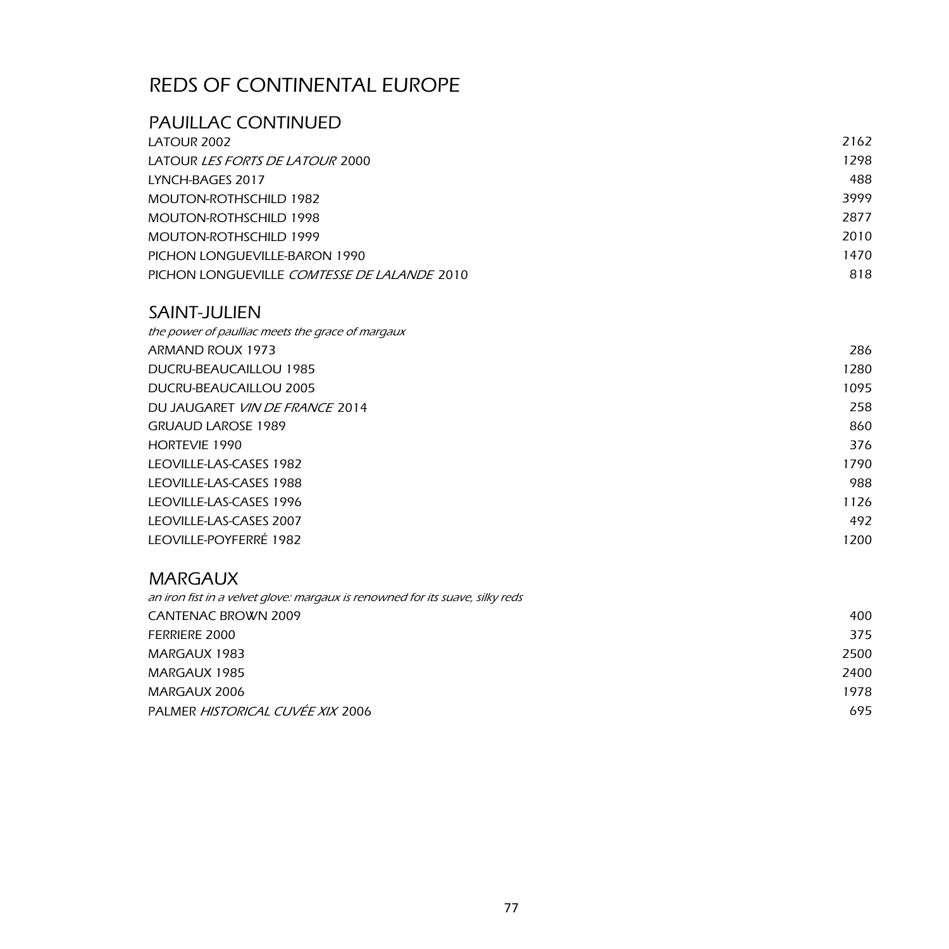## PAUILLAC CONTINUED

| LATOUR 2002                                        | 2162 |
|----------------------------------------------------|------|
| LATOUR <i>LES FORTS DE LATOUR</i> 2000             | 1298 |
| LYNCH-BAGES 2017                                   | 488  |
| MOUTON-ROTHSCHILD 1982                             | 3999 |
| MOUTON-ROTHSCHILD 1998                             | 2877 |
| MOUTON-ROTHSCHILD 1999                             | 2010 |
| PICHON LONGUEVILLE-BARON 1990                      | 1470 |
| PICHON LONGUEVILLE <i>COMTESSE DE LALANDE</i> 2010 | 818  |

### SAINT-JULIEN

| the power of paulliac meets the grace of margaux |      |
|--------------------------------------------------|------|
| ARMAND ROUX 1973                                 | 286  |
| DUCRU-BEAUCAILLOU 1985                           | 1280 |
| DUCRU-BEAUCAILLOU 2005                           | 1095 |
| DU JAUGARET VIN DE FRANCE 2014                   | 258  |
| <b>GRUAUD LAROSE 1989</b>                        | 860  |
| <b>HORTEVIE 1990</b>                             | 376  |
| LEOVILLE-LAS-CASES 1982                          | 1790 |
| LEOVILLE-LAS-CASES 1988                          | 988  |
| LEOVILLE-LAS-CASES 1996                          | 1126 |
| LEOVILLE-LAS-CASES 2007                          | 492  |
| LEOVILLE-POYFERRÉ 1982                           | 1200 |
|                                                  |      |

### MARGAUX

| an iron fist in a velvet glove: margaux is renowned for its suave, silky reds |      |
|-------------------------------------------------------------------------------|------|
| <b>CANTENAC BROWN 2009</b>                                                    | 400  |
| <b>FERRIERE 2000</b>                                                          | 375  |
| MARGAUX 1983                                                                  | 2500 |
| MARGAUX 1985                                                                  | 2400 |
| MARGAUX 2006                                                                  | 1978 |
| PALMER HISTORICAL CUVÉE XIX 2006                                              | 695  |
|                                                                               |      |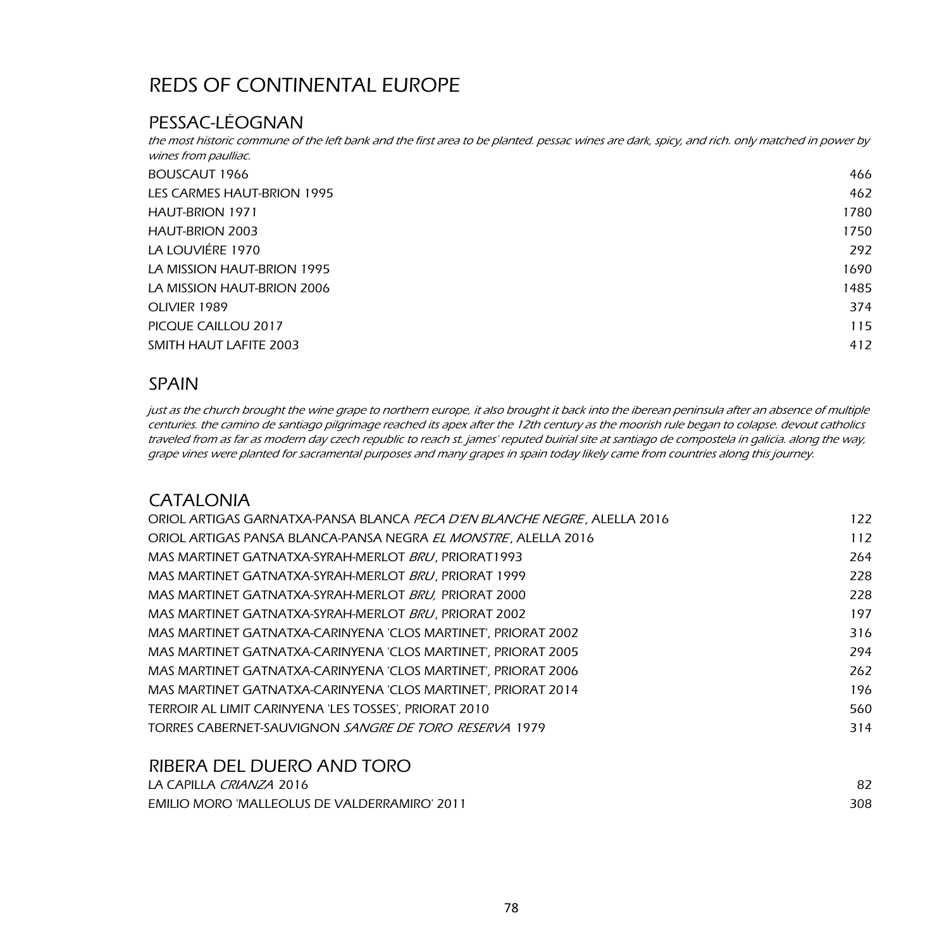## PESSAC-LÉOGNAN

the most historic commune of the left bank and the first area to be planted. pessac wines are dark, spicy, and rich. only matched in power by wines from paulliac.

| BOUSCAUT 1966              | 466  |
|----------------------------|------|
| LES CARMES HAUT-BRION 1995 | 462  |
| <b>HAUT-BRION 1971</b>     | 1780 |
| HAUT-BRION 2003            | 1750 |
| LA LOUVIÈRE 1970           | 292  |
| LA MISSION HAUT-BRION 1995 | 1690 |
| LA MISSION HAUT-BRION 2006 | 1485 |
| OLIVIER 1989               | 374  |
| PICOUE CAILLOU 2017        | 115  |
| SMITH HAUT LAFITE 2003     | 412  |

### SPAIN

just as the church brought the wine grape to northern europe, it also brought it back into the iberean peninsula after an absence of multiple centuries. the camino de santiago pilgrimage reached its apex after the 12th century as the moorish rule began to colapse. devout catholics traveled from as far as modern day czech republic to reach st. james' reputed buirial site at santiago de compostela in galicia. along the way, grape vines were planted for sacramental purposes and many grapes in spain today likely came from countries along this journey.

### CATALONIA

| ORIOL ARTIGAS GARNATXA-PANSA BLANCA <i>PECA D'EN BLANCHE NEGRE</i> , ALELLA 2016 | 122 |
|----------------------------------------------------------------------------------|-----|
| ORIOL ARTIGAS PANSA BLANCA-PANSA NEGRA <i>EL MONSTRE</i> . ALELLA 2016           | 112 |
| MAS MARTINET GATNATXA-SYRAH-MERLOT BRU, PRIORAT1993                              | 264 |
| MAS MARTINET GATNATXA-SYRAH-MERLOT <i>BRU</i> , PRIORAT 1999                     | 228 |
| MAS MARTINET GATNATXA-SYRAH-MERLOT BRU, PRIORAT 2000                             | 228 |
| MAS MARTINET GATNATXA-SYRAH-MERLOT BRU, PRIORAT 2002                             | 197 |
| MAS MARTINET GATNATXA-CARINYENA 'CLOS MARTINET'. PRIORAT 2002                    | 316 |
| MAS MARTINET GATNATXA-CARINYENA 'CLOS MARTINET'. PRIORAT 2005                    | 294 |
| MAS MARTINET GATNATXA-CARINYENA 'CLOS MARTINET'. PRIORAT 2006                    | 262 |
| MAS MARTINET GATNATXA-CARINYENA 'CLOS MARTINET'. PRIORAT 2014                    | 196 |
| TERROIR AL LIMIT CARINYENA 'LES TOSSES', PRIORAT 2010                            | 560 |
| TORRES CABERNET-SAUVIGNON <i>SANGRE DE TORO RESERVA</i> 1979                     | 314 |
|                                                                                  |     |
| PIREDA DEL DI JERO AND TORO                                                      |     |

| <b>INDERA DEL DUERO AND TURU</b>                    |     |
|-----------------------------------------------------|-----|
| LA CAPILLA <i>CRIANZA</i> 2016                      |     |
| <b>EMILIO MORO 'MALLEOLUS DE VALDERRAMIRO' 2011</b> | 308 |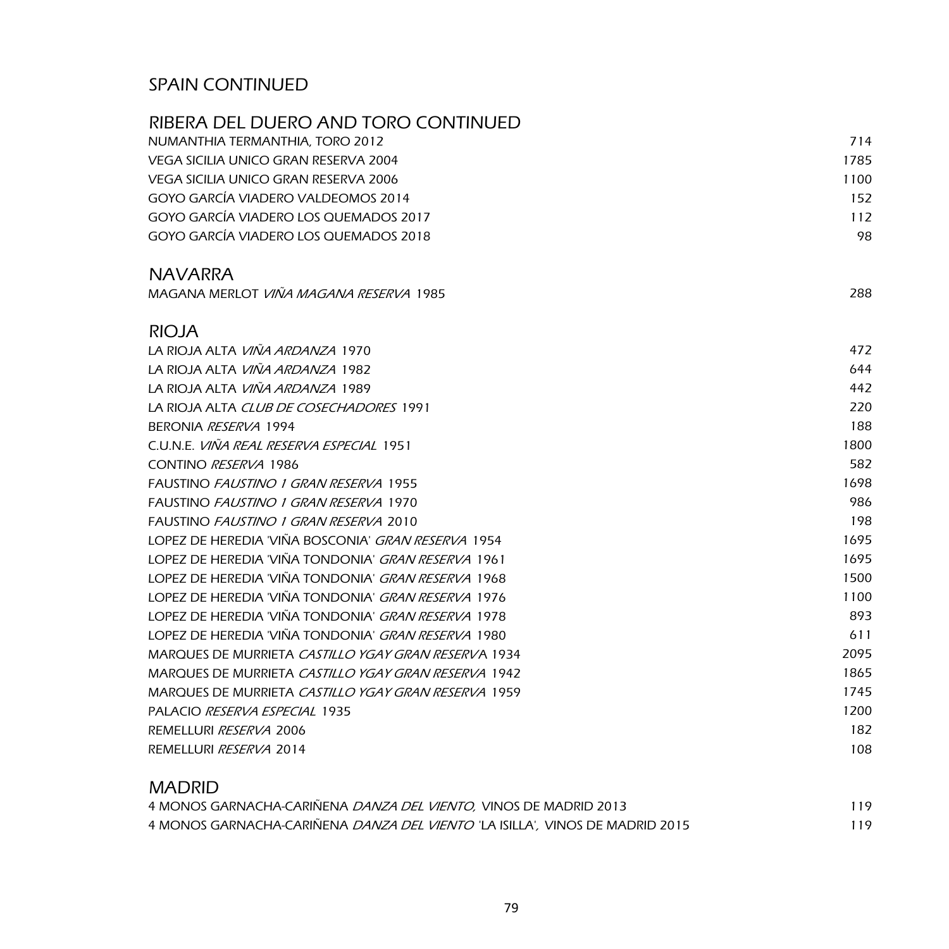## SPAIN CONTINUED

| NUMANTHIA TERMANTHIA, TORO 2012<br>714<br>VEGA SICILIA UNICO GRAN RESERVA 2004<br>1785<br><b>VEGA SICILIA UNICO GRAN RESERVA 2006</b><br>1100<br>GOYO GARCÍA VIADERO VALDEOMOS 2014<br>GOYO GARCÍA VIADERO LOS QUEMADOS 2017<br>112<br>GOYO GARCÍA VIADERO LOS QUEMADOS 2018<br><b>NAVARRA</b><br>MAGANA MERLOT <i>VIÑA MAGANA RESERVA</i> 1985<br>288 | 152<br>98 |
|--------------------------------------------------------------------------------------------------------------------------------------------------------------------------------------------------------------------------------------------------------------------------------------------------------------------------------------------------------|-----------|
|                                                                                                                                                                                                                                                                                                                                                        |           |
|                                                                                                                                                                                                                                                                                                                                                        |           |
|                                                                                                                                                                                                                                                                                                                                                        |           |
|                                                                                                                                                                                                                                                                                                                                                        |           |
|                                                                                                                                                                                                                                                                                                                                                        |           |
|                                                                                                                                                                                                                                                                                                                                                        |           |
|                                                                                                                                                                                                                                                                                                                                                        |           |
|                                                                                                                                                                                                                                                                                                                                                        |           |
| <b>RIOJA</b>                                                                                                                                                                                                                                                                                                                                           |           |
| LA RIOJA ALTA VIÑA ARDANZA 1970<br>472                                                                                                                                                                                                                                                                                                                 |           |
| <u>LA RIOJA ALTA <i>VIÑA ARDANZA</i> 1982</u>                                                                                                                                                                                                                                                                                                          | 644       |
| LA RIOJA ALTA VIÑA ARDANZA 1989<br>442                                                                                                                                                                                                                                                                                                                 |           |
| LA RIOJA ALTA CLUB DE COSECHADORES 1991<br>220                                                                                                                                                                                                                                                                                                         |           |
| BERONIA RESERVA 1994<br>188                                                                                                                                                                                                                                                                                                                            |           |
| C.U.N.E. <i>VIÑA REAL RESERVA ESPECIAL</i> 1951<br>1800                                                                                                                                                                                                                                                                                                |           |
| CONTINO RESERVA 1986<br>582                                                                                                                                                                                                                                                                                                                            |           |
| 1698<br><b>FAUSTINO FAUSTINO 1 GRAN RESERVA 1955</b>                                                                                                                                                                                                                                                                                                   |           |
| FAUSTINO <i>FAUSTINO 1 GRAN RESERVA</i> 1970<br>986                                                                                                                                                                                                                                                                                                    |           |
| FAUSTINO FAUSTINO 1 GRAN RESERVA 2010<br>198                                                                                                                                                                                                                                                                                                           |           |
| LOPEZ DE HEREDIA 'VIÑA BOSCONIA' <i>GRAN RESERVA</i> 1954<br>1695                                                                                                                                                                                                                                                                                      |           |
| LOPEZ DE HEREDIA 'VIÑA TONDONIA' GRAN RESERVA 1961<br>1695                                                                                                                                                                                                                                                                                             |           |
| LOPEZ DE HEREDIA 'VIÑA TONDONIA' <i>GRAN RESERVA</i> 1968<br>1500                                                                                                                                                                                                                                                                                      |           |
| LOPEZ DE HEREDIA 'VIÑA TONDONIA' <i>GRAN RESERVA</i> 1976<br>1100                                                                                                                                                                                                                                                                                      |           |
| LOPEZ DE HEREDIA 'VIÑA TONDONIA' <i>GRAN RESERVA</i> 1978<br>893                                                                                                                                                                                                                                                                                       |           |
| LOPEZ DE HEREDIA 'VIÑA TONDONIA' <i>GRAN RESERVA</i> 1980<br>611                                                                                                                                                                                                                                                                                       |           |
| MARQUES DE MURRIETA CASTILLO YGAY GRAN RESERVA 1934<br>2095                                                                                                                                                                                                                                                                                            |           |
| MARQUES DE MURRIETA CASTILLO YGAY GRAN RESERVA 1942<br>1865                                                                                                                                                                                                                                                                                            |           |
| MARQUES DE MURRIETA CASTILLO YGAY GRAN RESERVA 1959<br>1745                                                                                                                                                                                                                                                                                            |           |
| <b>PALACIO RESERVA ESPECIAL 1935</b><br>1200                                                                                                                                                                                                                                                                                                           |           |
| REMELLURI <i>RESERVA</i> 2006                                                                                                                                                                                                                                                                                                                          | 182       |
| REMELLURI RESERVA 2014                                                                                                                                                                                                                                                                                                                                 | 108       |

| <b>MADRID</b>                                                                        |     |
|--------------------------------------------------------------------------------------|-----|
| 4 MONOS GARNACHA-CARIÑENA <i>DANZA DEL VIENTO, VINOS DE MADRID</i> 2013              | 119 |
| 4 MONOS GARNACHA-CARIÑENA <i>DANZA DEL VIENTO 'L</i> A ISILLA', VINOS DE MADRID 2015 | 119 |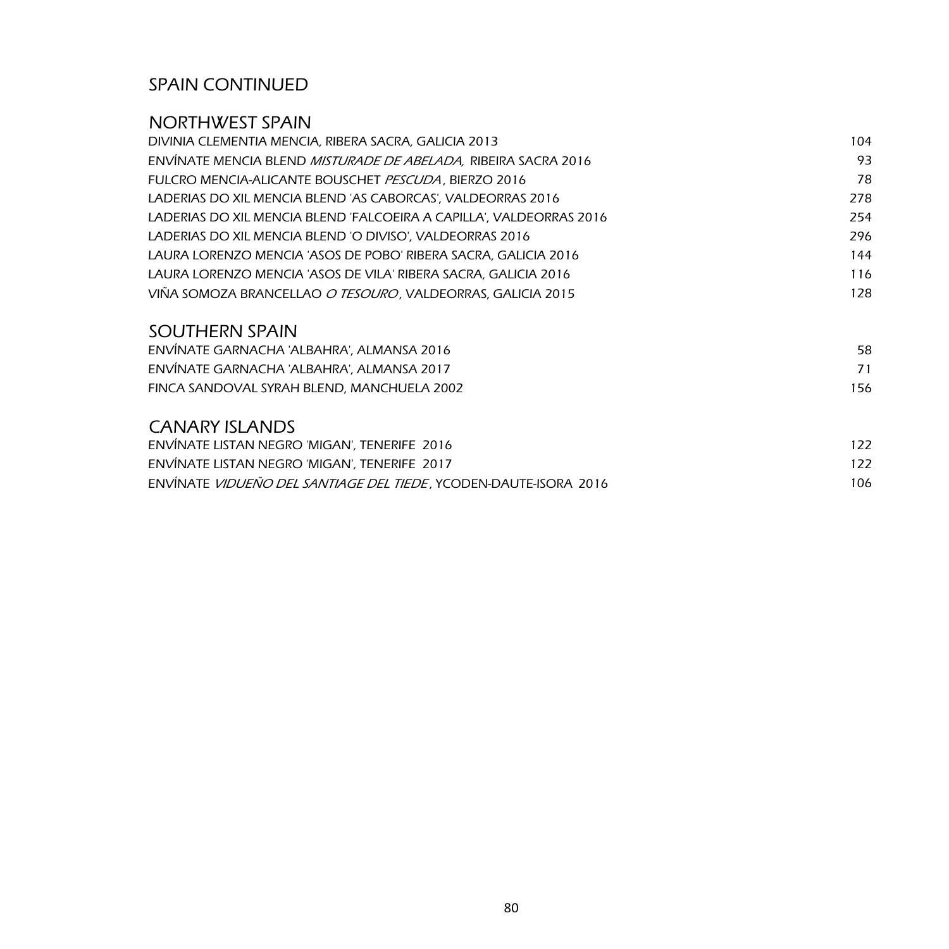## SPAIN CONTINUED

## NORTHWEST SPAIN

| DIVINIA CLEMENTIA MENCIA, RIBERA SACRA, GALICIA 2013                   | 104 |
|------------------------------------------------------------------------|-----|
| ENVINATE MENCIA BLEND <i>MISTURADE DE ABELADA, R</i> IBEIRA SACRA 2016 | 93  |
| FULCRO MENCIA-ALICANTE BOUSCHET PESCUDA, BIERZO 2016                   | 78  |
| LADERIAS DO XIL MENCIA BLEND 'AS CABORCAS', VALDEORRAS 2016            | 278 |
| LADERIAS DO XIL MENCIA BLEND 'FALCOEIRA A CAPILLA', VALDEORRAS 2016    | 254 |
| LADERIAS DO XIL MENCIA BLEND 'O DIVISO', VALDEORRAS 2016               | 296 |
| LAURA LORENZO MENCIA 'ASOS DE POBO' RIBERA SACRA, GALICIA 2016         | 144 |
| LAURA LORENZO MENCIA 'ASOS DE VILA' RIBERA SACRA, GALICIA 2016         | 116 |
| VIÑA SOMOZA BRANCELLAO <i>O TESOURO,</i> VALDEORRAS, GALICIA 2015      | 128 |
| <b>SOUTHERN SPAIN</b>                                                  |     |
| ENVINATE GARNACHA 'ALBAHRA', ALMANSA 2016                              | 58  |
| ENVÍNATE GARNACHA 'ALBAHRA', ALMANSA 2017                              | 71  |
| FINCA SANDOVAL SYRAH BLEND, MANCHUELA 2002                             | 156 |
| <b>CANARY ISLANDS</b>                                                  |     |
| ENVINATE LISTAN NEGRO 'MIGAN', TENERIFE 2016                           | 122 |
| ENVÍNATE LISTAN NEGRO 'MIGAN', TENERIFE 2017                           | 122 |
|                                                                        |     |

|  |  | ENVINATE <i>VIDUENO DEL SANTIAGE DEL TIEDE</i> , YCODEN-DAUTE-ISORA 2016 |  |
|--|--|--------------------------------------------------------------------------|--|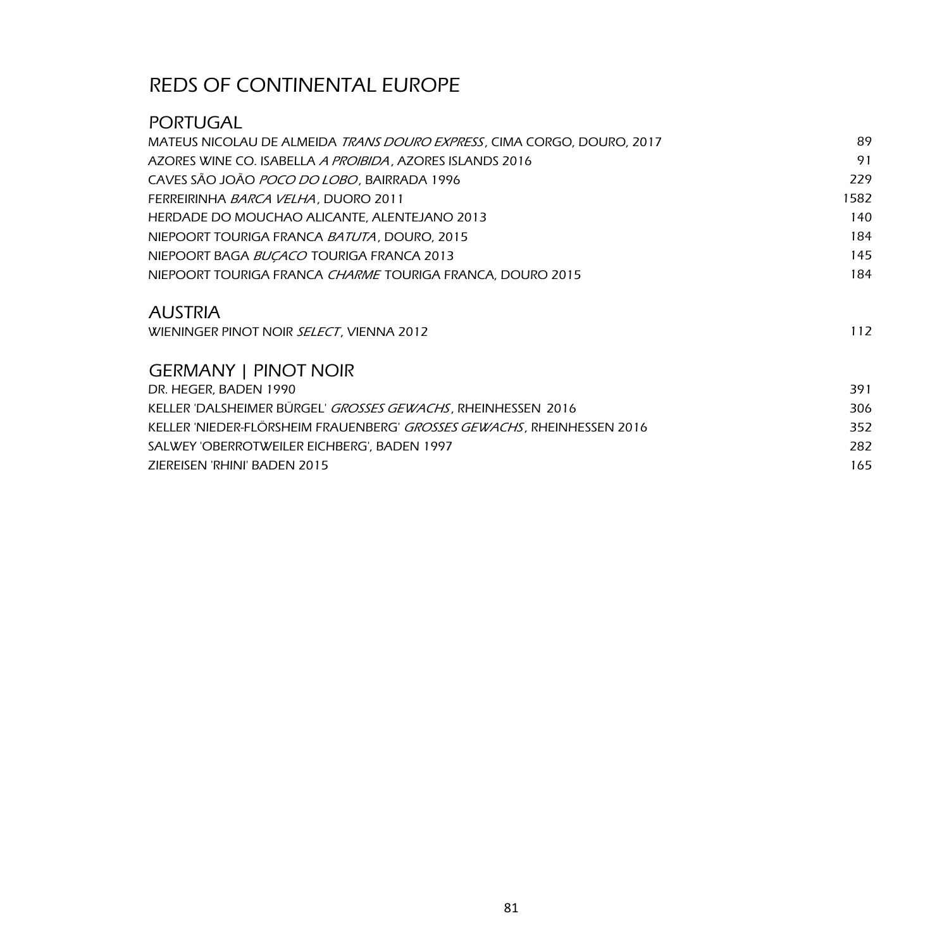## PORTUGAL

| MATEUS NICOLAU DE ALMEIDA <i>TRANS DOURO EXPRESS</i> , CIMA CORGO, DOURO, 2017 | 89   |
|--------------------------------------------------------------------------------|------|
| AZORES WINE CO. ISABELLA A PROIBIDA, AZORES ISLANDS 2016                       | 91   |
| CAVES SÃO JOÃO POCO DO LOBO, BAIRRADA 1996                                     | 229  |
| FERREIRINHA BARCA VELHA, DUORO 2011                                            | 1582 |
| HERDADE DO MOUCHAO ALICANTE, ALENTEJANO 2013                                   | 140  |
| NIEPOORT TOURIGA FRANCA BATUTA, DOURO, 2015                                    | 184  |
| NIEPOORT BAGA BUCACO TOURIGA FRANCA 2013                                       | 145  |
| NIEPOORT TOURIGA FRANCA <i>CHARME</i> TOURIGA FRANCA. DOURO 2015               | 184  |
|                                                                                |      |

## AUSTRIA

| 391 |
|-----|
| 306 |
| 352 |
| 282 |
| 165 |
|     |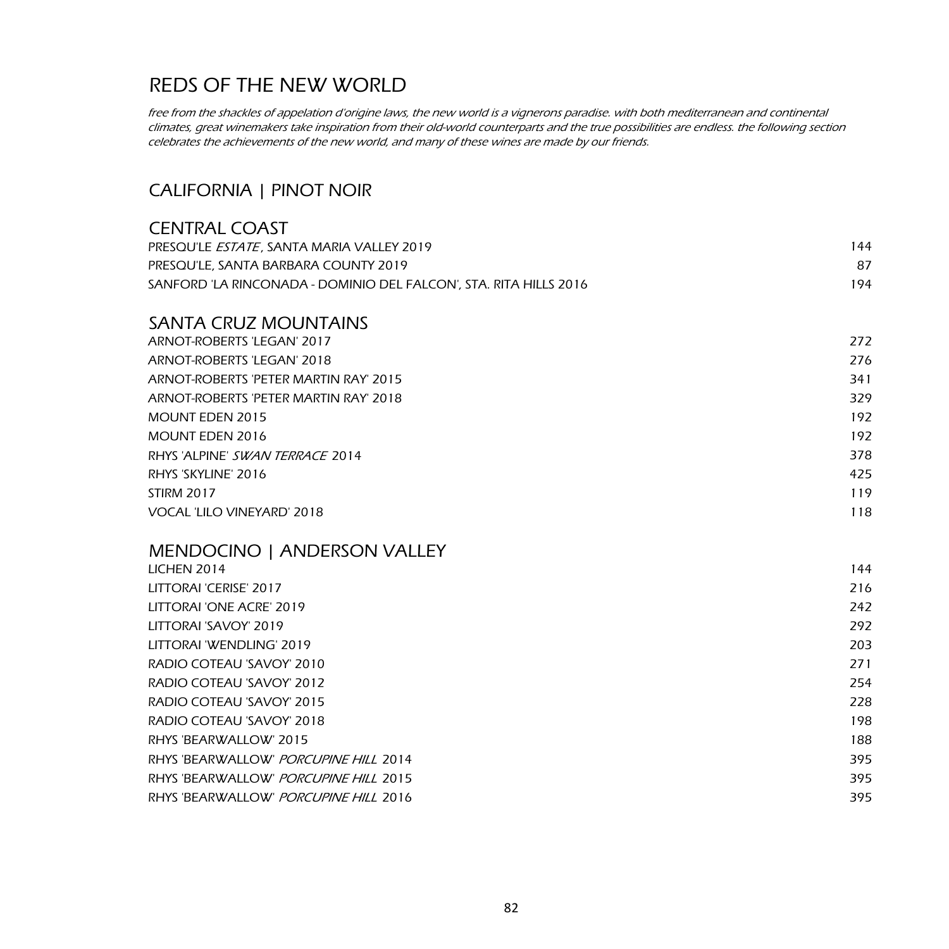free from the shackles of appelation d'origine laws, the new world is a vignerons paradise. with both mediterranean and continental climates, great winemakers take inspiration from their old-world counterparts and the true possibilities are endless. the following section celebrates the achievements of the new world, and many of these wines are made by our friends.

### CALIFORNIA | PINOT NOIR

| <b>CENTRAL COAST</b>                                              |     |
|-------------------------------------------------------------------|-----|
| PRESQU'LE ESTATE, SANTA MARIA VALLEY 2019                         | 144 |
| PRESQU'LE, SANTA BARBARA COUNTY 2019                              | 87  |
| SANFORD 'LA RINCONADA - DOMINIO DEL FALCON', STA. RITA HILLS 2016 | 194 |
| <b>SANTA CRUZ MOUNTAINS</b>                                       |     |
| ARNOT-ROBERTS 'LEGAN' 2017                                        | 272 |
| ARNOT-ROBERTS 'LEGAN' 2018                                        | 276 |
| ARNOT-ROBERTS 'PETER MARTIN RAY' 2015                             | 341 |
| ARNOT-ROBERTS 'PETER MARTIN RAY' 2018                             | 329 |
| <b>MOUNT EDEN 2015</b>                                            | 192 |
| <b>MOUNT EDEN 2016</b>                                            | 192 |
| RHYS 'ALPINE' SWAN TERRACE 2014                                   | 378 |
| RHYS 'SKYLINE' 2016                                               | 425 |
| <b>STIRM 2017</b>                                                 | 119 |
| VOCAL 'LILO VINEYARD' 2018                                        | 118 |
| MENDOCINO   ANDERSON VALLEY                                       |     |
| LICHEN 2014                                                       | 144 |
| LITTORAI 'CERISE' 2017                                            | 216 |
| LITTORAI 'ONE ACRE' 2019                                          | 242 |
| LITTORAI 'SAVOY' 2019                                             | 292 |
| LITTORAI 'WENDLING' 2019                                          | 203 |
| RADIO COTEAU 'SAVOY' 2010                                         | 271 |
| RADIO COTEAU 'SAVOY' 2012                                         | 254 |
| RADIO COTEAU 'SAVOY' 2015                                         | 228 |
| RADIO COTEAU 'SAVOY' 2018                                         | 198 |
| RHYS 'BEARWALLOW' 2015                                            | 188 |
| RHYS 'BEARWALLOW' PORCUPINE HILL 2014                             | 395 |
| RHYS 'BEARWALLOW' PORCUPINE HILL 2015                             | 395 |
| RHYS 'BEARWALLOW' PORCUPINE HILL 2016                             | 395 |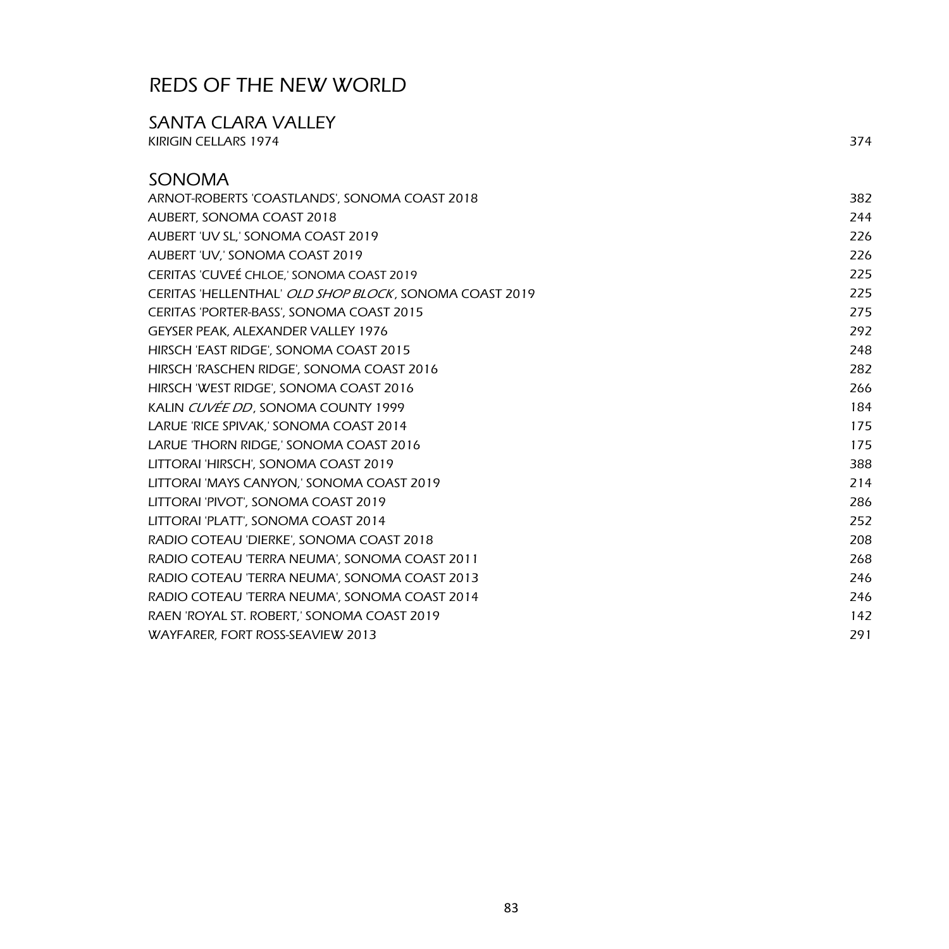# SANTA CLARA VALLEY KIRIGIN CELLARS 1974 374

| <b>SONOMA</b>                                          |     |
|--------------------------------------------------------|-----|
| ARNOT-ROBERTS 'COASTLANDS', SONOMA COAST 2018          | 382 |
| AUBERT, SONOMA COAST 2018                              | 244 |
| AUBERT 'UV SL,' SONOMA COAST 2019                      | 226 |
| AUBERT 'UV,' SONOMA COAST 2019                         | 226 |
| CERITAS 'CUVEÉ CHLOE,' SONOMA COAST 2019               | 225 |
| CERITAS 'HELLENTHAL' OLD SHOP BLOCK, SONOMA COAST 2019 | 225 |
| CERITAS 'PORTER-BASS', SONOMA COAST 2015               | 275 |
| <b>GEYSER PEAK, ALEXANDER VALLEY 1976</b>              | 292 |
| HIRSCH 'EAST RIDGE', SONOMA COAST 2015                 | 248 |
| HIRSCH 'RASCHEN RIDGE', SONOMA COAST 2016              | 282 |
| HIRSCH 'WEST RIDGE', SONOMA COAST 2016                 | 266 |
| KALIN CUVÉE DD, SONOMA COUNTY 1999                     | 184 |
| LARUE 'RICE SPIVAK,' SONOMA COAST 2014                 | 175 |
| LARUE 'THORN RIDGE,' SONOMA COAST 2016                 | 175 |
| LITTORAI 'HIRSCH', SONOMA COAST 2019                   | 388 |
| LITTORAI 'MAYS CANYON,' SONOMA COAST 2019              | 214 |
| LITTORAI 'PIVOT', SONOMA COAST 2019                    | 286 |
| LITTORAI 'PLATT', SONOMA COAST 2014                    | 252 |
| RADIO COTEAU 'DIERKE', SONOMA COAST 2018               | 208 |
| RADIO COTEAU 'TERRA NEUMA', SONOMA COAST 2011          | 268 |
| RADIO COTEAU 'TERRA NEUMA', SONOMA COAST 2013          | 246 |
| RADIO COTEAU 'TERRA NEUMA', SONOMA COAST 2014          | 246 |
| RAEN 'ROYAL ST. ROBERT,' SONOMA COAST 2019             | 142 |
| WAYFARER, FORT ROSS-SEAVIEW 2013                       | 291 |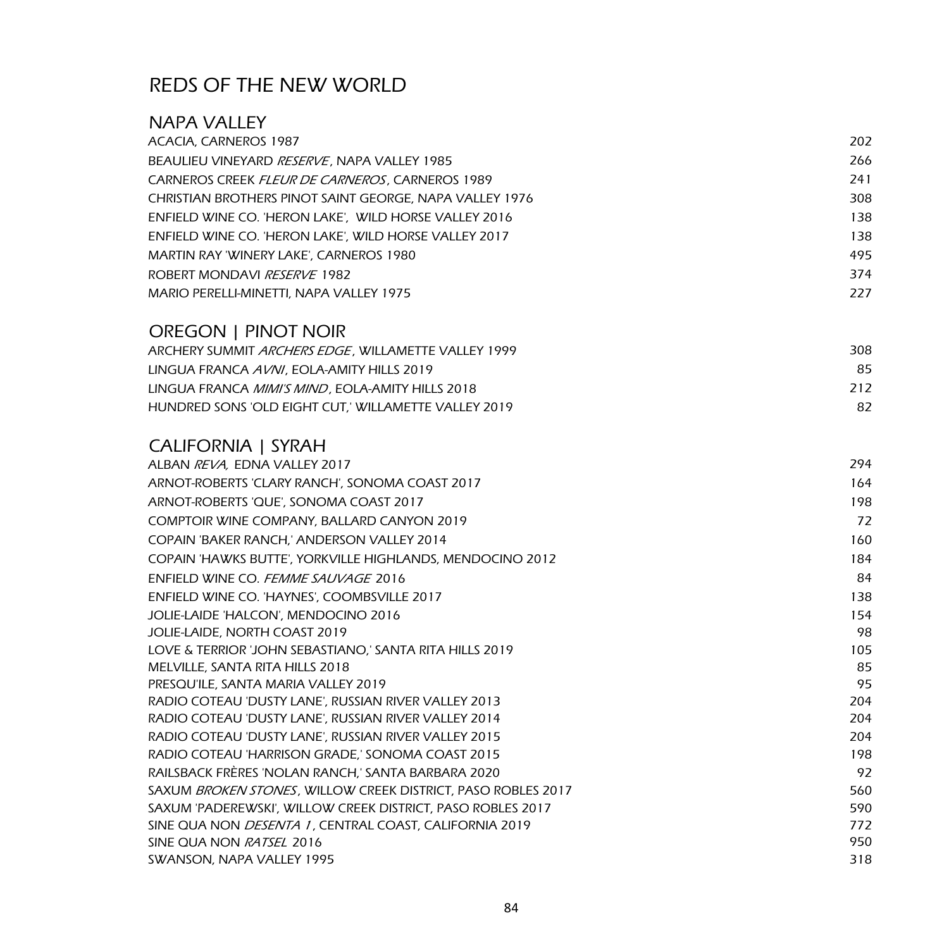| NAPA VALLEY                                                                                                           |            |
|-----------------------------------------------------------------------------------------------------------------------|------------|
| ACACIA, CARNEROS 1987                                                                                                 | 202        |
| BEAULIEU VINEYARD RESERVE, NAPA VALLEY 1985                                                                           | 266        |
| CARNEROS CREEK FLEUR DE CARNEROS, CARNEROS 1989                                                                       | 241        |
| CHRISTIAN BROTHERS PINOT SAINT GEORGE, NAPA VALLEY 1976                                                               | 308        |
| ENFIELD WINE CO. 'HERON LAKE', WILD HORSE VALLEY 2016                                                                 | 138        |
| ENFIELD WINE CO. 'HERON LAKE', WILD HORSE VALLEY 2017                                                                 | 138        |
| MARTIN RAY 'WINERY LAKE', CARNEROS 1980                                                                               | 495        |
| ROBERT MONDAVI RESERVE 1982                                                                                           | 374        |
| MARIO PERELLI-MINETTI, NAPA VALLEY 1975                                                                               | 227        |
| OREGON   PINOT NOIR                                                                                                   |            |
| ARCHERY SUMMIT ARCHERS EDGE, WILLAMETTE VALLEY 1999                                                                   | 308        |
| LINGUA FRANCA AVNI, EOLA-AMITY HILLS 2019                                                                             | 85         |
| LINGUA FRANCA MIMI'S MIND, EOLA-AMITY HILLS 2018                                                                      | 212        |
| HUNDRED SONS 'OLD EIGHT CUT,' WILLAMETTE VALLEY 2019                                                                  | 82         |
| <b>CALIFORNIA   SYRAH</b>                                                                                             |            |
| ALBAN REVA, EDNA VALLEY 2017                                                                                          | 294        |
| ARNOT-ROBERTS 'CLARY RANCH', SONOMA COAST 2017                                                                        | 164        |
| ARNOT-ROBERTS 'QUE', SONOMA COAST 2017                                                                                | 198        |
| COMPTOIR WINE COMPANY, BALLARD CANYON 2019                                                                            | 72         |
| COPAIN 'BAKER RANCH,' ANDERSON VALLEY 2014                                                                            | 160        |
| COPAIN 'HAWKS BUTTE', YORKVILLE HIGHLANDS, MENDOCINO 2012                                                             | 184        |
| ENFIELD WINE CO. <i>FEMME SAUVAGE</i> 2016                                                                            | 84         |
| ENFIELD WINE CO. 'HAYNES', COOMBSVILLE 2017                                                                           | 138        |
| JOLIE-LAIDE 'HALCON', MENDOCINO 2016                                                                                  | 154        |
| JOLIE-LAIDE, NORTH COAST 2019                                                                                         | 98         |
| LOVE & TERRIOR 'JOHN SEBASTIANO,' SANTA RITA HILLS 2019                                                               | 105        |
| MELVILLE, SANTA RITA HILLS 2018                                                                                       | 85         |
| PRESQU'ILE, SANTA MARIA VALLEY 2019                                                                                   | 95         |
| RADIO COTEAU 'DUSTY LANE', RUSSIAN RIVER VALLEY 2013                                                                  | 204        |
| RADIO COTEAU 'DUSTY LANE', RUSSIAN RIVER VALLEY 2014                                                                  | 204        |
| RADIO COTEAU 'DUSTY LANE', RUSSIAN RIVER VALLEY 2015                                                                  | 204        |
| RADIO COTEAU 'HARRISON GRADE,' SONOMA COAST 2015                                                                      | 198        |
| RAILSBACK FRÈRES 'NOLAN RANCH,' SANTA BARBARA 2020                                                                    | 92         |
| SAXUM BROKEN STONES, WILLOW CREEK DISTRICT, PASO ROBLES 2017                                                          | 560        |
| SAXUM 'PADEREWSKI', WILLOW CREEK DISTRICT, PASO ROBLES 2017<br>SINE QUA NON DESENTA 1, CENTRAL COAST, CALIFORNIA 2019 | 590<br>772 |
| SINE QUA NON RATSEL 2016                                                                                              | 950        |
| SWANSON, NAPA VALLEY 1995                                                                                             | 318        |
|                                                                                                                       |            |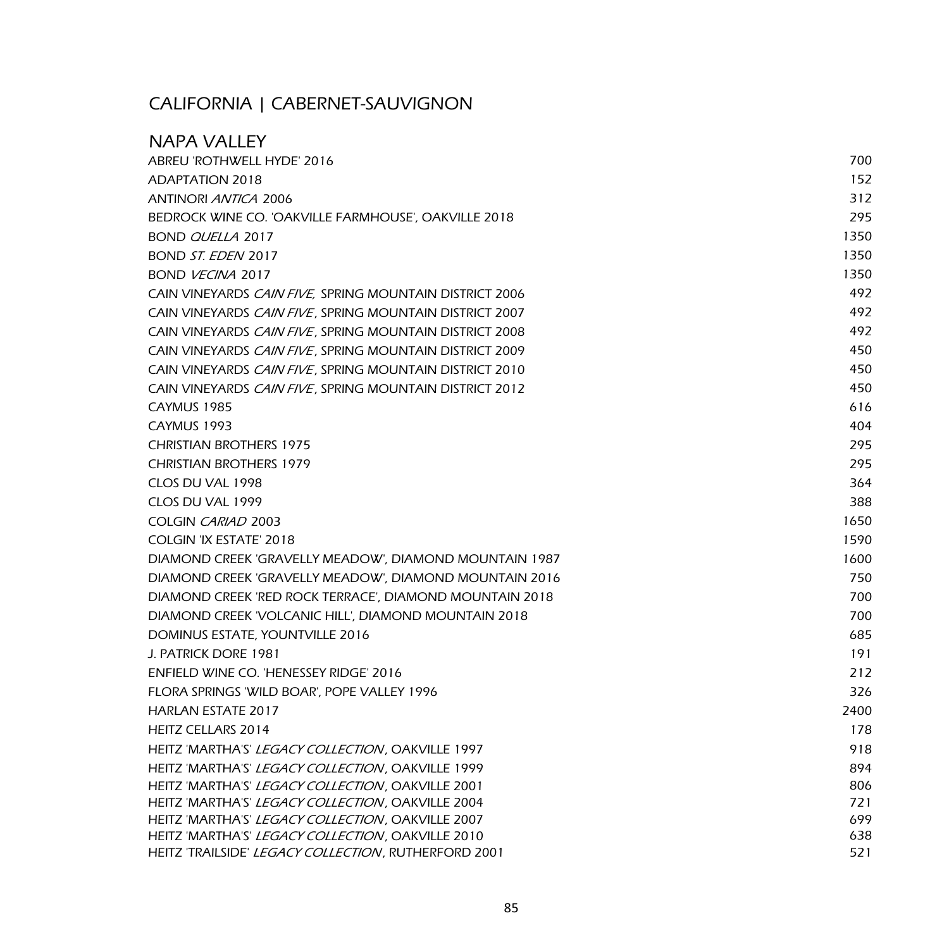## CALIFORNIA | CABERNET-SAUVIGNON

| <b>NAPA VALLEY</b>                                        |      |
|-----------------------------------------------------------|------|
| ABREU 'ROTHWELL HYDE' 2016                                | 700  |
| <b>ADAPTATION 2018</b>                                    | 152  |
| <b>ANTINORI <i>ANTICA</i></b> 2006                        | 312  |
| BEDROCK WINE CO. 'OAKVILLE FARMHOUSE', OAKVILLE 2018      | 295  |
| BOND QUELLA 2017                                          | 1350 |
| BOND ST. EDEN 2017                                        | 1350 |
| BOND VECINA 2017                                          | 1350 |
| CAIN VINEYARDS CAIN FIVE, SPRING MOUNTAIN DISTRICT 2006   | 492  |
| CAIN VINEYARDS CAIN FIVE, SPRING MOUNTAIN DISTRICT 2007   | 492  |
| CAIN VINEYARDS CAIN FIVE, SPRING MOUNTAIN DISTRICT 2008   | 492  |
| CAIN VINEYARDS CAIN FIVE, SPRING MOUNTAIN DISTRICT 2009   | 450  |
| CAIN VINEYARDS CAIN FIVE, SPRING MOUNTAIN DISTRICT 2010   | 450  |
| CAIN VINEYARDS CAIN FIVE, SPRING MOUNTAIN DISTRICT 2012   | 450  |
| CAYMUS 1985                                               | 616  |
| CAYMUS 1993                                               | 404  |
| <b>CHRISTIAN BROTHERS 1975</b>                            | 295  |
| <b>CHRISTIAN BROTHERS 1979</b>                            | 295  |
| CLOS DU VAL 1998                                          | 364  |
| CLOS DU VAL 1999                                          | 388  |
| COLGIN CARIAD 2003                                        | 1650 |
| COLGIN 'IX ESTATE' 2018                                   | 1590 |
| DIAMOND CREEK 'GRAVELLY MEADOW', DIAMOND MOUNTAIN 1987    | 1600 |
| DIAMOND CREEK 'GRAVELLY MEADOW', DIAMOND MOUNTAIN 2016    | 750  |
| DIAMOND CREEK 'RED ROCK TERRACE', DIAMOND MOUNTAIN 2018   | 700  |
| DIAMOND CREEK 'VOLCANIC HILL', DIAMOND MOUNTAIN 2018      | 700  |
| DOMINUS ESTATE, YOUNTVILLE 2016                           | 685  |
| J. PATRICK DORE 1981                                      | 191  |
| ENFIELD WINE CO. 'HENESSEY RIDGE' 2016                    | 212  |
| FLORA SPRINGS 'WILD BOAR', POPE VALLEY 1996               | 326  |
| <b>HARLAN ESTATE 2017</b>                                 | 2400 |
| HEITZ CELLARS 2014                                        | 178  |
| HEITZ 'MARTHA'S' <i>LEGACY COLLECTION</i> , OAKVILLE 1997 | 918  |
| HEITZ 'MARTHA'S' LEGACY COLLECTION, OAKVILLE 1999         | 894  |
| HEITZ 'MARTHA'S' LEGACY COLLECTION, OAKVILLE 2001         | 806  |
| HEITZ 'MARTHA'S' LEGACY COLLECTION, OAKVILLE 2004         | 721  |
| HEITZ 'MARTHA'S' LEGACY COLLECTION, OAKVILLE 2007         | 699  |
| HEITZ 'MARTHA'S' LEGACY COLLECTION, OAKVILLE 2010         | 638  |
| HEITZ 'TRAILSIDE' LEGACY COLLECTION, RUTHERFORD 2001      | 521  |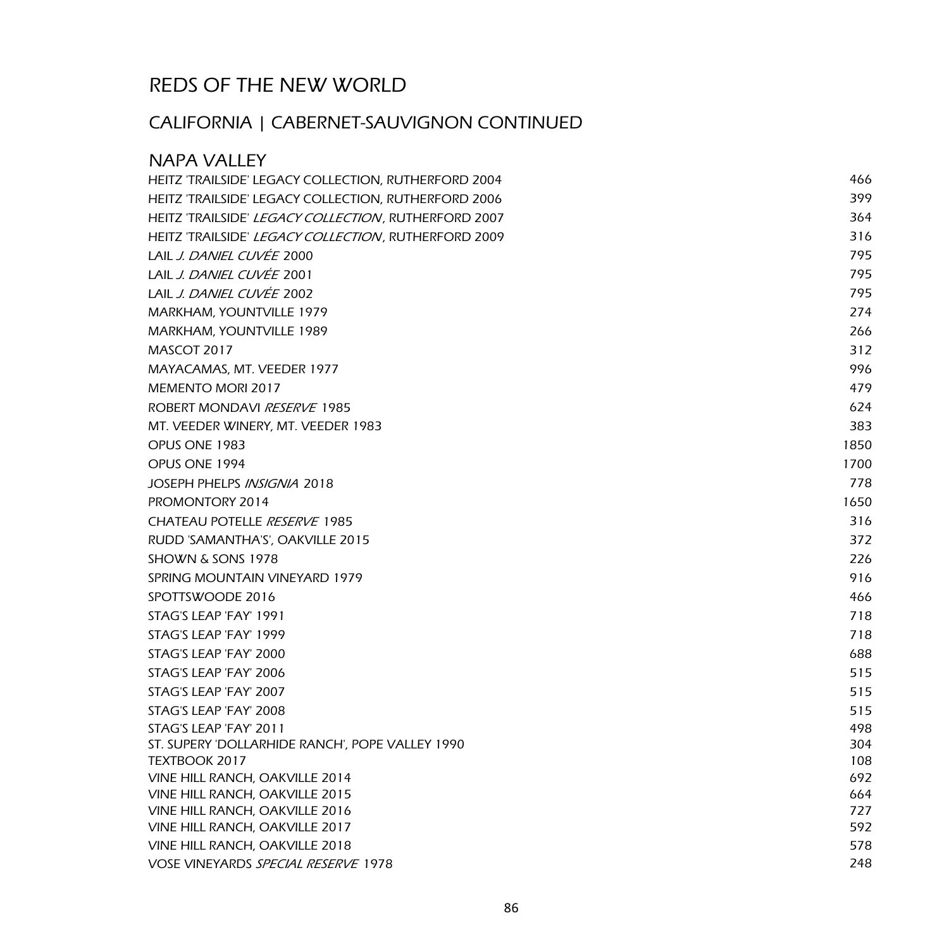# CALIFORNIA | CABERNET-SAUVIGNON CONTINUED

| <b>NAPA VALLEY</b>                                               |            |
|------------------------------------------------------------------|------------|
| HEITZ 'TRAILSIDE' LEGACY COLLECTION, RUTHERFORD 2004             | 466        |
| HEITZ 'TRAILSIDE' LEGACY COLLECTION, RUTHERFORD 2006             | 399        |
| HEITZ 'TRAILSIDE' LEGACY COLLECTION, RUTHERFORD 2007             | 364        |
| HEITZ 'TRAILSIDE' LEGACY COLLECTION, RUTHERFORD 2009             | 316        |
| LAIL J. DANIEL CUVÉE 2000                                        | 795        |
| LAIL J. DANIEL CUVÉE 2001                                        | 795        |
| LAIL J. DANIEL CUVÉE 2002                                        | 795        |
| MARKHAM, YOUNTVILLE 1979                                         | 274        |
| MARKHAM, YOUNTVILLE 1989                                         | 266        |
| MASCOT 2017                                                      | 312        |
| MAYACAMAS, MT. VEEDER 1977                                       | 996        |
| <b>MEMENTO MORI 2017</b>                                         | 479        |
| ROBERT MONDAVI RESERVE 1985                                      | 624        |
| MT. VEEDER WINERY, MT. VEEDER 1983                               | 383        |
| OPUS ONE 1983                                                    | 1850       |
| OPUS ONE 1994                                                    | 1700       |
| JOSEPH PHELPS INSIGNIA 2018                                      | 778        |
| PROMONTORY 2014                                                  | 1650       |
| CHATEAU POTELLE RESERVE 1985                                     | 316        |
| RUDD 'SAMANTHA'S', OAKVILLE 2015                                 | 372        |
| SHOWN & SONS 1978                                                | 226        |
| SPRING MOUNTAIN VINEYARD 1979                                    | 916        |
| SPOTTSWOODE 2016                                                 | 466        |
| STAG'S LEAP 'FAY' 1991                                           | 718        |
| STAG'S LEAP 'FAY' 1999                                           | 718        |
| STAG'S LEAP 'FAY' 2000                                           | 688        |
| STAG'S LEAP 'FAY' 2006                                           | 515        |
| STAG'S LEAP 'FAY' 2007                                           | 515        |
| STAG'S LEAP 'FAY' 2008                                           | 515        |
| STAG'S LEAP 'FAY' 2011                                           | 498        |
| ST. SUPERY 'DOLLARHIDE RANCH', POPE VALLEY 1990                  | 304        |
| TEXTBOOK 2017                                                    | 108        |
| VINE HILL RANCH, OAKVILLE 2014                                   | 692        |
| VINE HILL RANCH, OAKVILLE 2015<br>VINE HILL RANCH, OAKVILLE 2016 | 664<br>727 |
| VINE HILL RANCH, OAKVILLE 2017                                   | 592        |
| VINE HILL RANCH, OAKVILLE 2018                                   | 578        |
| <b>VOSE VINEYARDS SPECIAL RESERVE 1978</b>                       | 248        |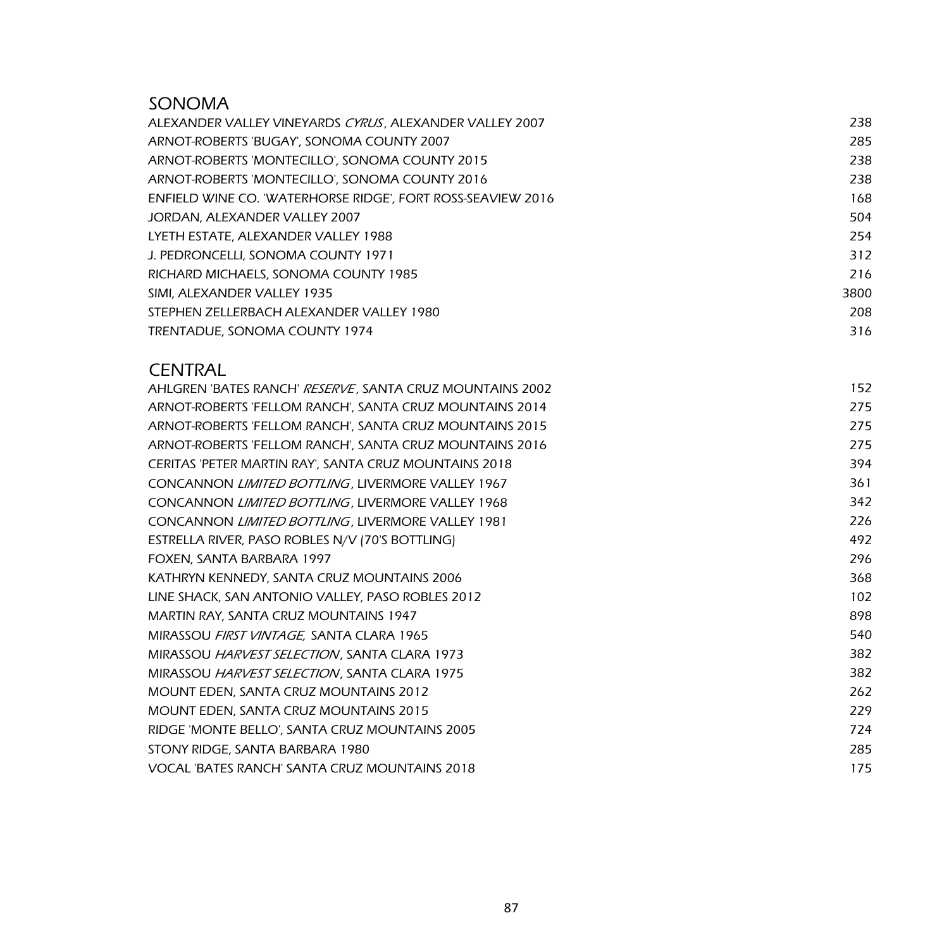### SONOMA

| ALEXANDER VALLEY VINEYARDS CYRUS, ALEXANDER VALLEY 2007     | 238  |
|-------------------------------------------------------------|------|
| ARNOT-ROBERTS 'BUGAY', SONOMA COUNTY 2007                   | 285  |
| ARNOT-ROBERTS 'MONTECILLO', SONOMA COUNTY 2015              | 238  |
| ARNOT-ROBERTS 'MONTECILLO', SONOMA COUNTY 2016              | 238  |
| ENFIELD WINE CO. 'WATERHORSE RIDGE', FORT ROSS-SEAVIEW 2016 | 168  |
| JORDAN, ALEXANDER VALLEY 2007                               | 504  |
| LYETH ESTATE, ALEXANDER VALLEY 1988                         | 254  |
| J. PEDRONCELLI, SONOMA COUNTY 1971                          | 312  |
| RICHARD MICHAELS, SONOMA COUNTY 1985                        | 216  |
| SIMI, ALEXANDER VALLEY 1935                                 | 3800 |
| STEPHEN ZELLERBACH ALEXANDER VALLEY 1980                    | 208  |
| TRENTADUE, SONOMA COUNTY 1974                               | 316  |

### **CENTRAL**

| AHLGREN 'BATES RANCH' <i>RESERVE</i> , SANTA CRUZ MOUNTAINS 2002 | 152 |
|------------------------------------------------------------------|-----|
| ARNOT-ROBERTS 'FELLOM RANCH', SANTA CRUZ MOUNTAINS 2014          | 275 |
| ARNOT-ROBERTS 'FELLOM RANCH', SANTA CRUZ MOUNTAINS 2015          | 275 |
| ARNOT-ROBERTS 'FELLOM RANCH', SANTA CRUZ MOUNTAINS 2016          | 275 |
| CERITAS 'PETER MARTIN RAY', SANTA CRUZ MOUNTAINS 2018            | 394 |
| CONCANNON LIMITED BOTTLING, LIVERMORE VALLEY 1967                | 361 |
| CONCANNON LIMITED BOTTLING, LIVERMORE VALLEY 1968                | 342 |
| CONCANNON LIMITED BOTTLING, LIVERMORE VALLEY 1981                | 226 |
| ESTRELLA RIVER, PASO ROBLES N/V (70'S BOTTLING)                  | 492 |
| FOXEN, SANTA BARBARA 1997                                        | 296 |
| KATHRYN KENNEDY, SANTA CRUZ MOUNTAINS 2006                       | 368 |
| LINE SHACK, SAN ANTONIO VALLEY, PASO ROBLES 2012                 | 102 |
| MARTIN RAY, SANTA CRUZ MOUNTAINS 1947                            | 898 |
| MIRASSOU FIRST VINTAGE, SANTA CLARA 1965                         | 540 |
| MIRASSOU HARVEST SELECTION, SANTA CLARA 1973                     | 382 |
| MIRASSOU HARVEST SELECTION, SANTA CLARA 1975                     | 382 |
| MOUNT EDEN, SANTA CRUZ MOUNTAINS 2012                            | 262 |
| <b>MOUNT EDEN, SANTA CRUZ MOUNTAINS 2015</b>                     | 229 |
| RIDGE 'MONTE BELLO', SANTA CRUZ MOUNTAINS 2005                   | 724 |
| STONY RIDGE, SANTA BARBARA 1980                                  | 285 |
| VOCAL 'BATES RANCH' SANTA CRUZ MOUNTAINS 2018                    | 175 |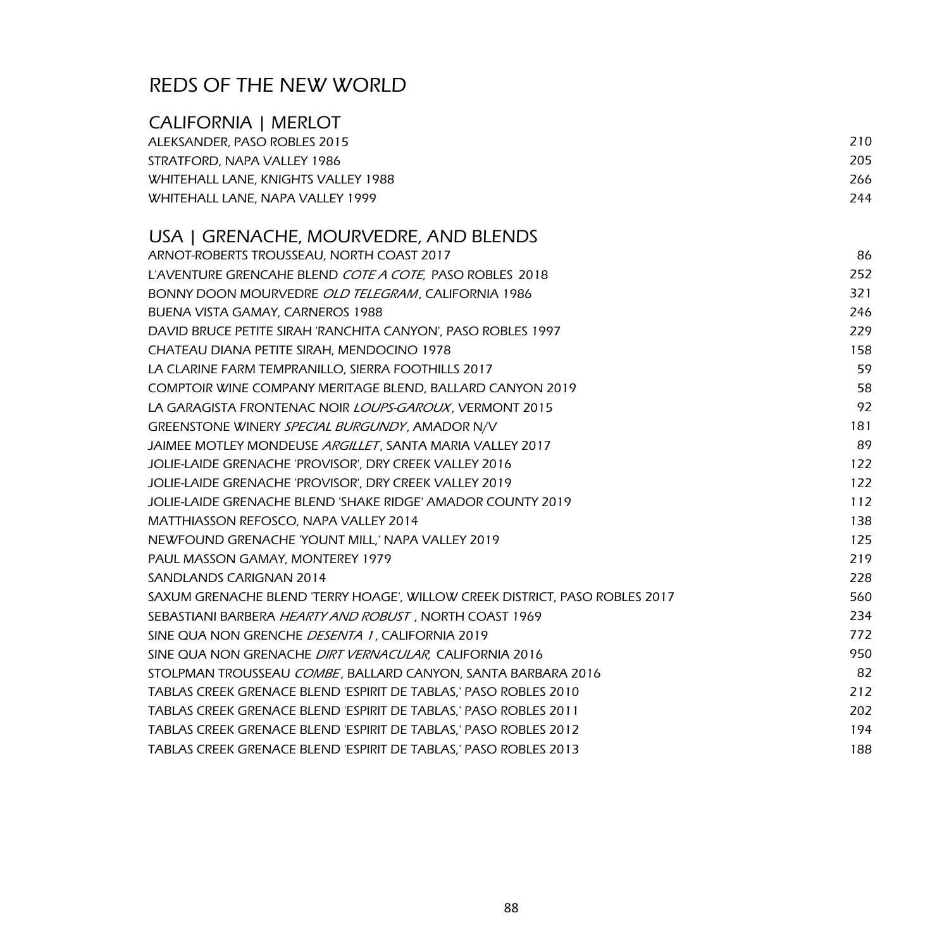### CALIFORNIA | MERLOT

| ALEKSANDER, PASO ROBLES 2015        | 210 |  |
|-------------------------------------|-----|--|
| STRATFORD, NAPA VALLEY 1986         | 205 |  |
| WHITEHALL LANE, KNIGHTS VALLEY 1988 | 266 |  |
| WHITEHALL LANE, NAPA VALLEY 1999    | 244 |  |

## USA | GRENACHE, MOURVEDRE, AND BLENDS

| ARNOT-ROBERTS TROUSSEAU, NORTH COAST 2017                                   | 86  |
|-----------------------------------------------------------------------------|-----|
| L'AVENTURE GRENCAHE BLEND COTE A COTE, PASO ROBLES 2018                     | 252 |
| BONNY DOON MOURVEDRE OLD TELEGRAM, CALIFORNIA 1986                          | 321 |
| BUENA VISTA GAMAY, CARNEROS 1988                                            | 246 |
| DAVID BRUCE PETITE SIRAH 'RANCHITA CANYON', PASO ROBLES 1997                | 229 |
| CHATEAU DIANA PETITE SIRAH, MENDOCINO 1978                                  | 158 |
| LA CLARINE FARM TEMPRANILLO, SIERRA FOOTHILLS 2017                          | 59  |
| COMPTOIR WINE COMPANY MERITAGE BLEND, BALLARD CANYON 2019                   | 58  |
| LA GARAGISTA FRONTENAC NOIR <i>LOUPS-GAROUX</i> , VERMONT 2015              | 92  |
| GREENSTONE WINERY SPECIAL BURGUNDY, AMADOR N/V                              | 181 |
| JAIMEE MOTLEY MONDEUSE ARGILLET, SANTA MARIA VALLEY 2017                    | 89  |
| JOLIE-LAIDE GRENACHE 'PROVISOR', DRY CREEK VALLEY 2016                      | 122 |
| JOLIE-LAIDE GRENACHE 'PROVISOR', DRY CREEK VALLEY 2019                      | 122 |
| <b>JOLIE-LAIDE GRENACHE BLEND 'SHAKE RIDGE' AMADOR COUNTY 2019</b>          | 112 |
| MATTHIASSON REFOSCO, NAPA VALLEY 2014                                       | 138 |
| NEWFOUND GRENACHE 'YOUNT MILL,' NAPA VALLEY 2019                            | 125 |
| PAUL MASSON GAMAY, MONTEREY 1979                                            | 219 |
| SANDLANDS CARIGNAN 2014                                                     | 228 |
| SAXUM GRENACHE BLEND 'TERRY HOAGE', WILLOW CREEK DISTRICT, PASO ROBLES 2017 | 560 |
| SEBASTIANI BARBERA HEARTY AND ROBUST, NORTH COAST 1969                      | 234 |
| SINE QUA NON GRENCHE DESENTA 1, CALIFORNIA 2019                             | 772 |
| SINE QUA NON GRENACHE DIRT VERNACULAR, CALIFORNIA 2016                      | 950 |
| STOLPMAN TROUSSEAU COMBE, BALLARD CANYON, SANTA BARBARA 2016                | 82  |
| TABLAS CREEK GRENACE BLEND 'ESPIRIT DE TABLAS,' PASO ROBLES 2010            | 212 |
| TABLAS CREEK GRENACE BLEND 'ESPIRIT DE TABLAS,' PASO ROBLES 2011            | 202 |
| TABLAS CREEK GRENACE BLEND 'ESPIRIT DE TABLAS,' PASO ROBLES 2012            | 194 |
| TABLAS CREEK GRENACE BLEND 'ESPIRIT DE TABLAS,' PASO ROBLES 2013            | 188 |
|                                                                             |     |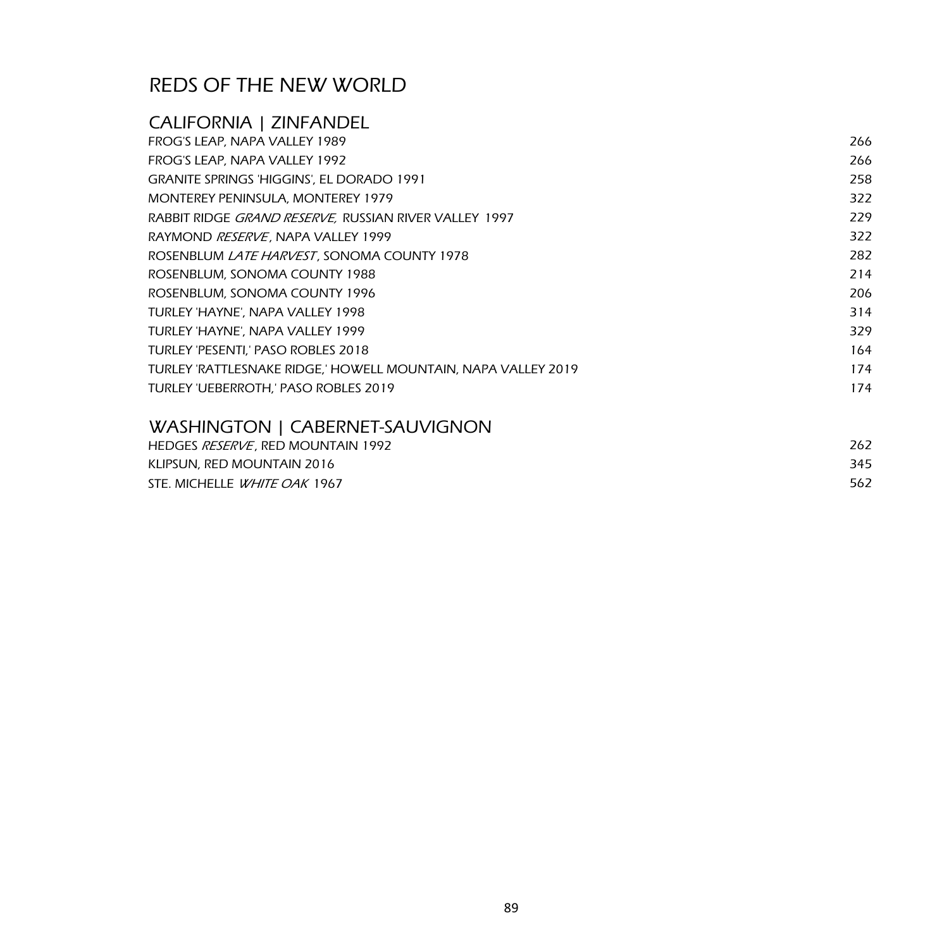### CALIFORNIA | ZINFANDEL FROG'S LEAP, NAPA VALLEY 1989 266 FROG'S LEAP, NAPA VALLEY 1992 266 GRANITE SPRINGS 'HIGGINS', EL DORADO 1991 258 MONTEREY PENINSULA, MONTEREY 1979 322 322 RABBIT RIDGE GRAND RESERVE, RUSSIAN RIVER VALLEY 1997 **229 CONVERTS 1997** 229 RAYMOND *RESERVE*, NAPA VALLEY 1999 322 ROSENBLUM *LATE HARVEST*, SONOMA COUNTY 1978 **282** 282 ROSENBLUM, SONOMA COUNTY 1988 214 ROSENBLUM, SONOMA COUNTY 1996 206 TURLEY 'HAYNE', NAPA VALLEY 1998 314 TURLEY 'HAYNE', NAPA VALLEY 1999 329 TURLEY 'PESENTI,' PASO ROBLES 2018 164 and 2018 164 TURLEY 'RATTLESNAKE RIDGE,' HOWELL MOUNTAIN, NAPA VALLEY 2019 174 TURLEY 'UEBERROTH,' PASO ROBLES 2019 174 WASHINGTON LCARERNET-SAUVIGNON

| HEDGES <i>RESERVE</i> . RED MOUNTAIN 1992 | 262 |
|-------------------------------------------|-----|
| KLIPSUN, RED MOUNTAIN 2016                | 345 |
| STE. MICHELLE <i>WHITE OAK</i> 1967       | 562 |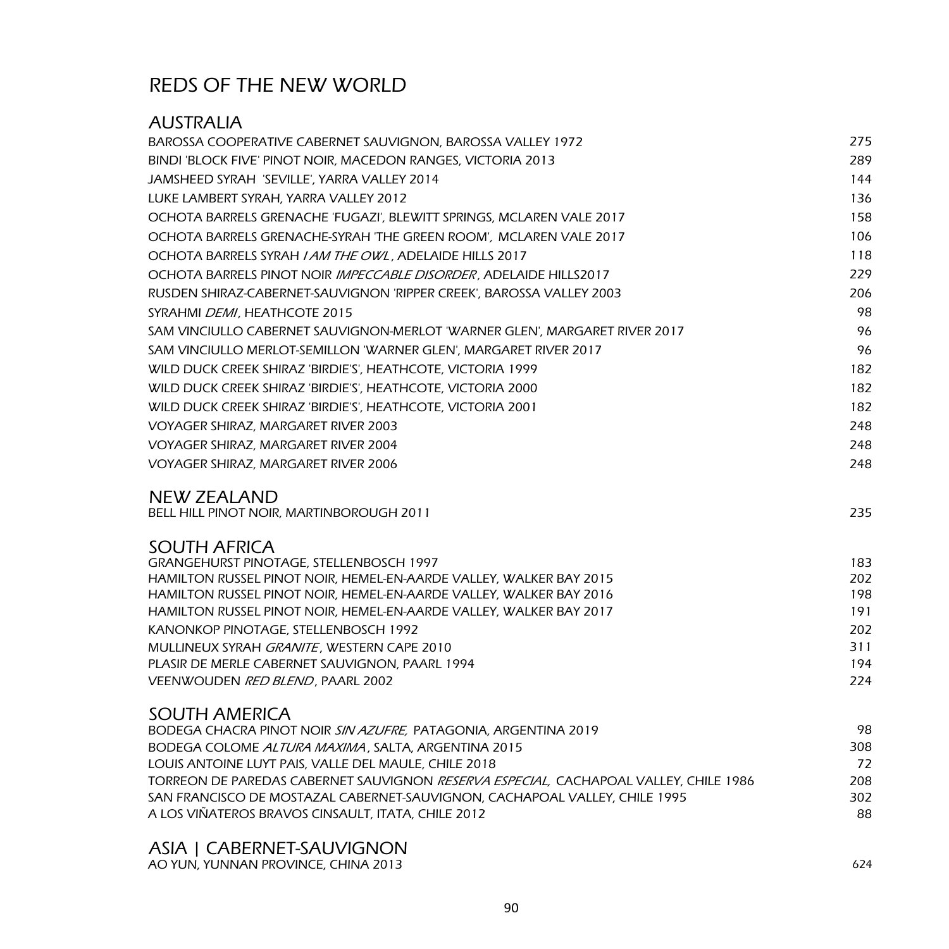### AUSTRALIA

| BAROSSA COOPERATIVE CABERNET SAUVIGNON, BAROSSA VALLEY 1972                                                | 275        |
|------------------------------------------------------------------------------------------------------------|------------|
| BINDI 'BLOCK FIVE' PINOT NOIR, MACEDON RANGES, VICTORIA 2013                                               | 289        |
| JAMSHEED SYRAH 'SEVILLE', YARRA VALLEY 2014                                                                | 144        |
| LUKE LAMBERT SYRAH, YARRA VALLEY 2012                                                                      | 136        |
| OCHOTA BARRELS GRENACHE 'FUGAZI', BLEWITT SPRINGS, MCLAREN VALE 2017                                       | 158        |
| OCHOTA BARRELS GRENACHE-SYRAH 'THE GREEN ROOM', MCLAREN VALE 2017                                          | 106        |
| OCHOTA BARRELS SYRAH <i>I AM THE OWL</i> , ADELAIDE HILLS 2017                                             | 118        |
| OCHOTA BARRELS PINOT NOIR IMPECCABLE DISORDER, ADELAIDE HILLS2017                                          | 229        |
| RUSDEN SHIRAZ-CABERNET-SAUVIGNON 'RIPPER CREEK', BAROSSA VALLEY 2003                                       | 206        |
| SYRAHMI <i>DEMI</i> , HEATHCOTE 2015                                                                       | 98         |
| SAM VINCIULLO CABERNET SAUVIGNON-MERLOT 'WARNER GLEN', MARGARET RIVER 2017                                 | 96         |
| SAM VINCIULLO MERLOT-SEMILLON 'WARNER GLEN', MARGARET RIVER 2017                                           | 96         |
| WILD DUCK CREEK SHIRAZ 'BIRDIE'S', HEATHCOTE, VICTORIA 1999                                                | 182        |
| WILD DUCK CREEK SHIRAZ 'BIRDIE'S', HEATHCOTE, VICTORIA 2000                                                | 182        |
| WILD DUCK CREEK SHIRAZ 'BIRDIE'S', HEATHCOTE, VICTORIA 2001                                                | 182        |
| VOYAGER SHIRAZ, MARGARET RIVER 2003                                                                        | 248        |
| VOYAGER SHIRAZ, MARGARET RIVER 2004                                                                        | 248        |
| VOYAGER SHIRAZ, MARGARET RIVER 2006                                                                        | 248        |
| <b>NEW ZEALAND</b>                                                                                         |            |
| BELL HILL PINOT NOIR, MARTINBOROUGH 2011                                                                   | 235        |
| <b>SOUTH AFRICA</b>                                                                                        |            |
| <b>GRANGEHURST PINOTAGE, STELLENBOSCH 1997</b>                                                             | 183        |
| HAMILTON RUSSEL PINOT NOIR, HEMEL-EN-AARDE VALLEY, WALKER BAY 2015                                         | 202        |
| HAMILTON RUSSEL PINOT NOIR, HEMEL-EN-AARDE VALLEY, WALKER BAY 2016                                         | 198        |
| HAMILTON RUSSEL PINOT NOIR, HEMEL-EN-AARDE VALLEY, WALKER BAY 2017<br>KANONKOP PINOTAGE, STELLENBOSCH 1992 | 191        |
| MULLINEUX SYRAH GRANITE, WESTERN CAPE 2010                                                                 | 202<br>311 |
| PLASIR DE MERLE CABERNET SAUVIGNON, PAARL 1994                                                             | 194        |
| VEENWOUDEN RED BLEND, PAARL 2002                                                                           | 224        |
| <b>SOUTH AMERICA</b>                                                                                       |            |
| BODEGA CHACRA PINOT NOIR SIN AZUFRE, PATAGONIA, ARGENTINA 2019                                             | 98         |
| BODEGA COLOME <i>ALTURA MAXIMA</i> , SALTA, ARGENTINA 2015                                                 | 308        |
| LOUIS ANTOINE LUYT PAIS, VALLE DEL MAULE, CHILE 2018                                                       | 72         |
| TORREON DE PAREDAS CABERNET SAUVIGNON <i>RESERVA ESPECIAL.</i> CACHAPOAL VALLEY, CHILE 1986                | 208        |
| SAN FRANCISCO DE MOSTAZAL CABERNET-SAUVIGNON, CACHAPOAL VALLEY, CHILE 1995                                 | 302        |
| A LOS VIÑATEROS BRAVOS CINSAULT, ITATA, CHILE 2012                                                         | 88         |
|                                                                                                            |            |

### ASIA | CABERNET-SAUVIGNON

AO YUN, YUNNAN PROVINCE, CHINA 2013 624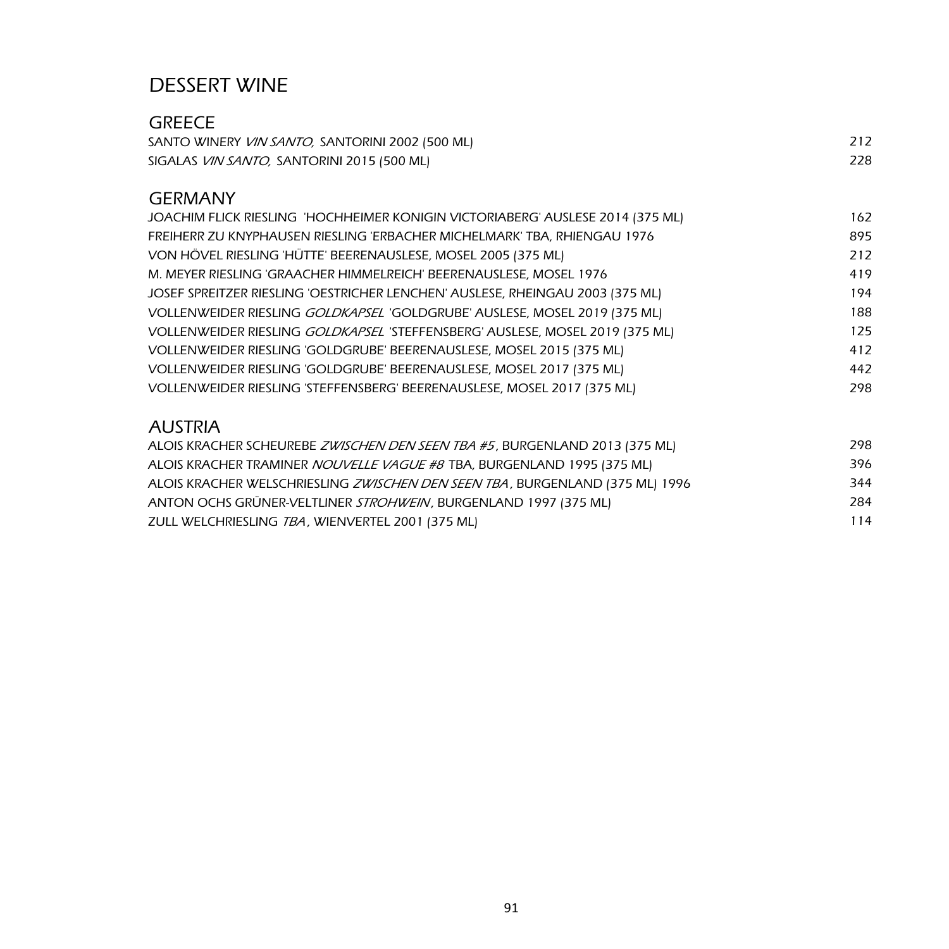## DESSERT WINE

| GREECE                                                  |     |
|---------------------------------------------------------|-----|
| SANTO WINERY <i>VIN SANTO</i> , SANTORINI 2002 (500 ML) |     |
| SIGALAS <i>VIN SANTO</i> , SANTORINI 2015 (500 ML)      | 228 |

### GERMANY

| JOACHIM FLICK RIESLING 'HOCHHEIMER KONIGIN VICTORIABERG' AUSLESE 2014 (375 ML) | 162 |
|--------------------------------------------------------------------------------|-----|
| FREIHERR ZU KNYPHAUSEN RIESLING 'ERBACHER MICHELMARK' TBA, RHIENGAU 1976       | 895 |
| VON HÖVEL RIESLING 'HÜTTE' BEERENAUSLESE, MOSEL 2005 (375 ML)                  | 212 |
| M. MEYER RIESLING 'GRAACHER HIMMELREICH' BEERENAUSLESE, MOSEL 1976             | 419 |
| JOSEF SPREITZER RIESLING 'OESTRICHER LENCHEN' AUSLESE, RHEINGAU 2003 (375 ML)  | 194 |
| VOLLENWEIDER RIESLING GOLDKAPSEL 'GOLDGRUBE' AUSLESE, MOSEL 2019 (375 ML)      | 188 |
| VOLLENWEIDER RIESLING GOLDKAPSEL 'STEFFENSBERG' AUSLESE, MOSEL 2019 (375 ML)   | 125 |
| VOLLENWEIDER RIESLING 'GOLDGRUBE' BEERENAUSLESE, MOSEL 2015 (375 ML)           | 412 |
| VOLLENWEIDER RIESLING 'GOLDGRUBE' BEERENAUSLESE, MOSEL 2017 (375 ML)           | 442 |
| VOLLENWEIDER RIESLING 'STEFFENSBERG' BEERENAUSLESE, MOSEL 2017 (375 ML)        | 298 |
|                                                                                |     |

## AUSTRIA

| ALOIS KRACHER SCHEUREBE ZWISCHEN DEN SEEN TBA #5, BURGENLAND 2013 (375 ML)    | 298 |
|-------------------------------------------------------------------------------|-----|
| ALOIS KRACHER TRAMINER <i>NOUVELLE VAGUE #8</i> TBA, BURGENLAND 1995 (375 ML) | 396 |
| ALOIS KRACHER WELSCHRIESLING ZWISCHEN DEN SEEN TBA, BURGENLAND (375 ML) 1996  | 344 |
| ANTON OCHS GRÜNER-VELTLINER STROHWEIN, BURGENLAND 1997 (375 ML)               | 284 |
| ZULL WELCHRIESLING TBA, WIENVERTEL 2001 (375 ML)                              | 114 |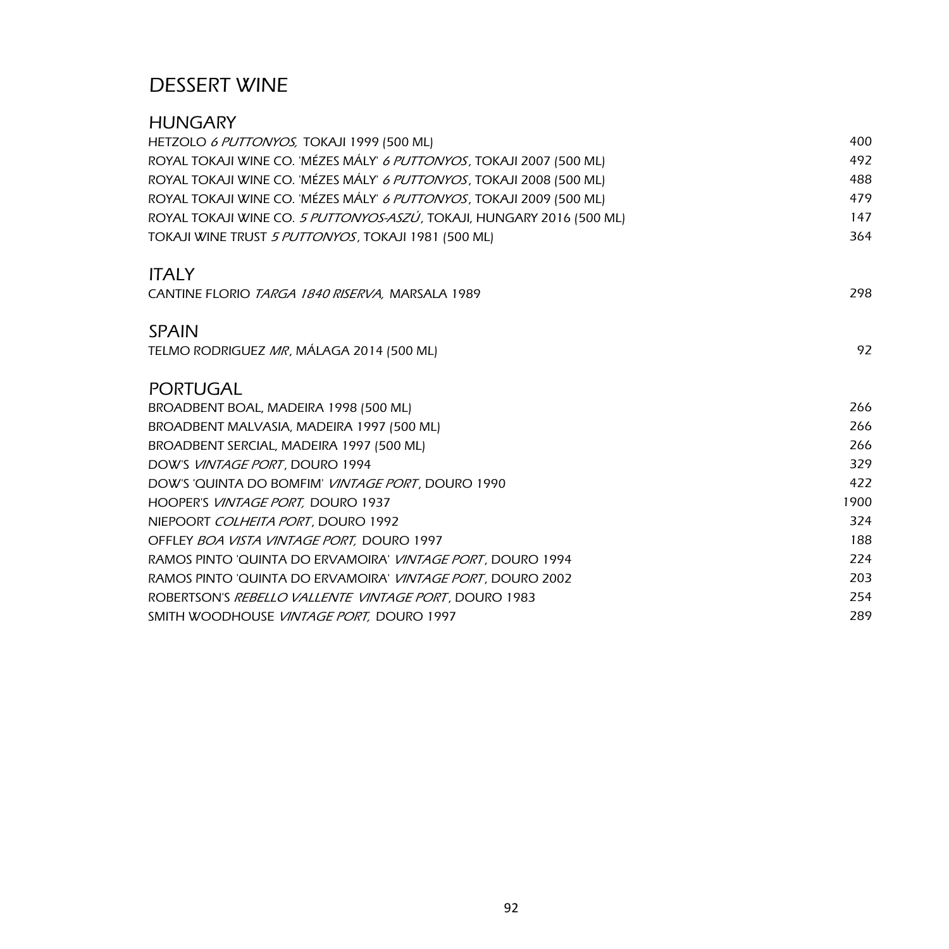## DESSERT WINE

| <b>HUNGARY</b>                                                        |      |
|-----------------------------------------------------------------------|------|
| HETZOLO 6 PUTTONYOS, TOKAJI 1999 (500 ML)                             | 400  |
| ROYAL TOKAJI WINE CO. 'MÉZES MÁLY' 6 PUTTONYOS, TOKAJI 2007 (500 ML)  | 492  |
| ROYAL TOKAJI WINE CO. 'MÉZES MÁLY' 6 PUTTONYOS, TOKAJI 2008 (500 ML)  | 488  |
| ROYAL TOKAJI WINE CO. 'MÉZES MÁLY' 6 PUTTONYOS, TOKAJI 2009 (500 ML)  | 479  |
| ROYAL TOKAJI WINE CO. 5 PUTTONYOS-ASZÚ, TOKAJI, HUNGARY 2016 (500 ML) | 147  |
| TOKAJI WINE TRUST 5 PUTTONYOS, TOKAJI 1981 (500 ML)                   | 364  |
| <b>ITALY</b>                                                          |      |
| CANTINE FLORIO TARGA 1840 RISERVA, MARSALA 1989                       | 298  |
| <b>SPAIN</b>                                                          |      |
| TELMO RODRIGUEZ MR, MÁLAGA 2014 (500 ML)                              | 92   |
| <b>PORTUGAL</b>                                                       |      |
| BROADBENT BOAL, MADEIRA 1998 (500 ML)                                 | 266  |
| BROADBENT MALVASIA, MADEIRA 1997 (500 ML)                             | 266  |
| BROADBENT SERCIAL, MADEIRA 1997 (500 ML)                              | 266  |
| DOW'S VINTAGE PORT, DOURO 1994                                        | 329  |
| DOW'S 'QUINTA DO BOMFIM' <i>VINTAGE PORT</i> , DOURO 1990             | 422  |
| HOOPER'S VINTAGE PORT, DOURO 1937                                     | 1900 |
| NIEPOORT COLHEITA PORT, DOURO 1992                                    | 324  |
| OFFLEY BOA VISTA VINTAGE PORT, DOURO 1997                             | 188  |
| RAMOS PINTO 'QUINTA DO ERVAMOIRA' <i>VINTAGE PORT</i> , DOURO 1994    | 224  |
| RAMOS PINTO 'QUINTA DO ERVAMOIRA' VINTAGE PORT, DOURO 2002            | 203  |
| ROBERTSON'S REBELLO VALLENTE VINTAGE PORT, DOURO 1983                 | 254  |
| SMITH WOODHOUSE VINTAGE PORT, DOURO 1997                              | 289  |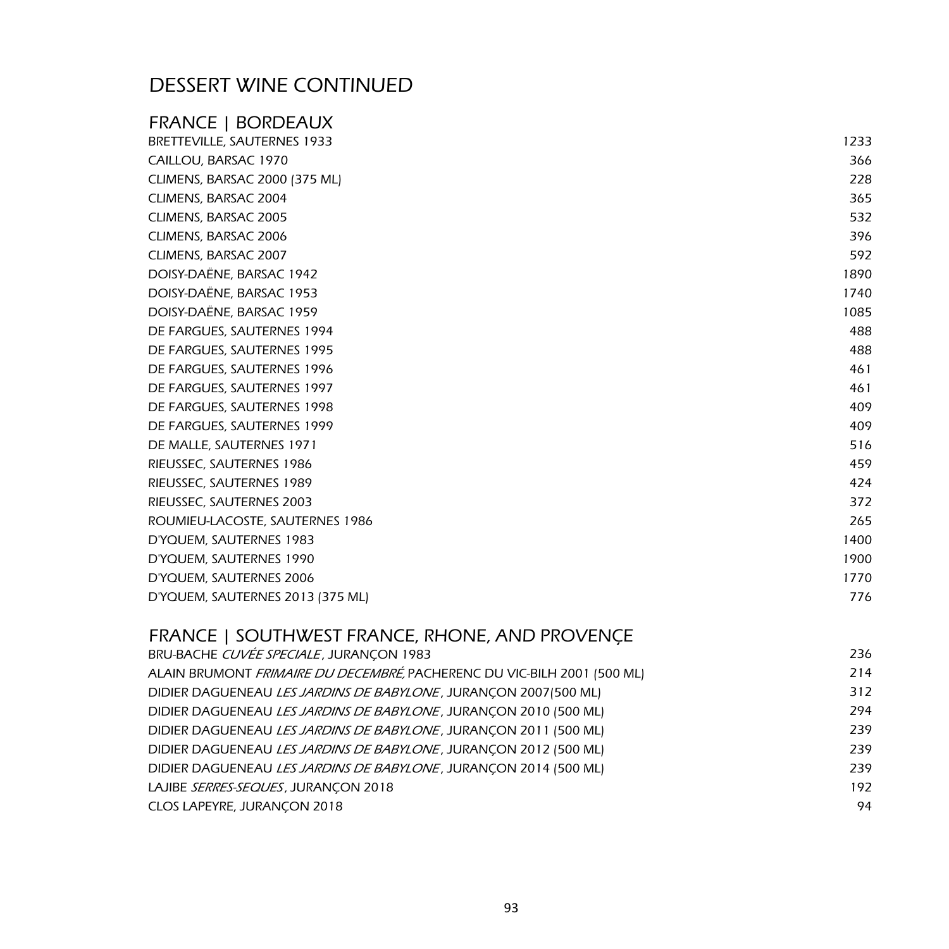# DESSERT WINE CONTINUED

| BRETTEVILLE, SAUTERNES 1933      | 1233 |
|----------------------------------|------|
| CAILLOU, BARSAC 1970             | 366  |
| CLIMENS, BARSAC 2000 (375 ML)    | 228  |
| CLIMENS, BARSAC 2004             | 365  |
| CLIMENS, BARSAC 2005             | 532  |
| CLIMENS, BARSAC 2006             | 396  |
| CLIMENS, BARSAC 2007             | 592  |
| DOISY-DAËNE, BARSAC 1942         | 1890 |
| DOISY-DAËNE, BARSAC 1953         | 1740 |
| DOISY-DAËNE, BARSAC 1959         | 1085 |
| DE FARGUES, SAUTERNES 1994       | 488  |
| DE FARGUES, SAUTERNES 1995       | 488  |
| DE FARGUES, SAUTERNES 1996       | 461  |
| DE FARGUES, SAUTERNES 1997       | 461  |
| DE FARGUES, SAUTERNES 1998       | 409  |
| DE FARGUES, SAUTERNES 1999       | 409  |
| DE MALLE, SAUTERNES 1971         | 516  |
| RIEUSSEC, SAUTERNES 1986         | 459  |
| RIEUSSEC, SAUTERNES 1989         | 424  |
| RIEUSSEC, SAUTERNES 2003         | 372  |
| ROUMIEU-LACOSTE, SAUTERNES 1986  | 265  |
| D'YQUEM, SAUTERNES 1983          | 1400 |
| D'YQUEM, SAUTERNES 1990          | 1900 |
| D'YQUEM, SAUTERNES 2006          | 1770 |
| D'YQUEM, SAUTERNES 2013 (375 ML) | 776  |

#### FRANCE | SOUTHWEST FRANCE, RHONE, AND PROVENÇE

| BRU-BACHE CUVÉE SPECIALE, JURANÇON 1983                                  | 236 |
|--------------------------------------------------------------------------|-----|
| ALAIN BRUMONT FRIMAIRE DU DECEMBRÉ, PACHERENC DU VIC-BILH 2001 (500 ML)  | 214 |
| DIDIER DAGUENEAU LES JARDINS DE BABYLONE, JURANÇON 2007 [500 ML]         | 312 |
| DIDIER DAGUENEAU <i>LES JARDINS DE BABYLONE</i> , JURANCON 2010 (500 ML) | 294 |
| DIDIER DAGUENEAU LES JARDINS DE BABYLONE, JURANÇON 2011 (500 ML)         | 239 |
| DIDIER DAGUENEAU LES JARDINS DE BABYLONE, JURANÇON 2012 (500 ML)         | 239 |
| DIDIER DAGUENEAU <i>LES JARDINS DE BABYLONE</i> , JURANCON 2014 (500 ML) | 239 |
| LAJIBE SERRES-SEQUES, JURANCON 2018                                      | 192 |
| CLOS LAPEYRE, JURANÇON 2018                                              | 94  |